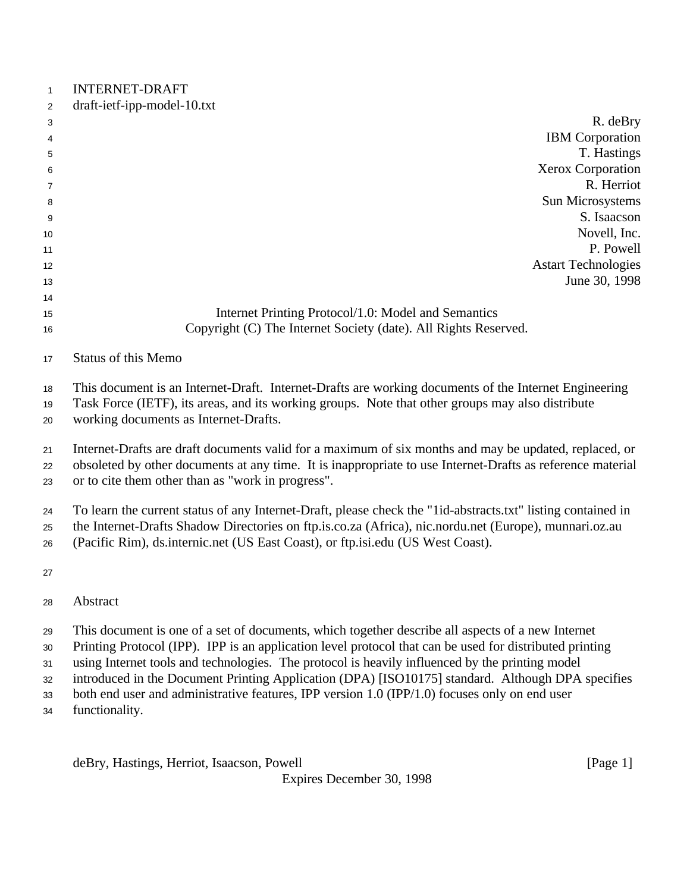| <b>INTERNET-DRAFT</b> |  |
|-----------------------|--|
|                       |  |

| 2              | draft-ietf-ipp-model-10.txt                         |  |
|----------------|-----------------------------------------------------|--|
| 3              | R. deBry                                            |  |
| $\overline{4}$ | <b>IBM</b> Corporation                              |  |
| 5              | T. Hastings                                         |  |
| 6              | Xerox Corporation                                   |  |
| $\overline{7}$ | R. Herriot                                          |  |
| 8              | Sun Microsystems                                    |  |
| 9              | S. Isaacson                                         |  |
| 10             | Novell, Inc.                                        |  |
| 11             | P. Powell                                           |  |
| 12             | <b>Astart Technologies</b>                          |  |
| 13             | June 30, 1998                                       |  |
| 14             |                                                     |  |
| 15             | Internet Printing Protocol/1.0: Model and Semantics |  |

# Copyright (C) The Internet Society (date). All Rights Reserved.

This document is an Internet-Draft. Internet-Drafts are working documents of the Internet Engineering

Task Force (IETF), its areas, and its working groups. Note that other groups may also distribute

working documents as Internet-Drafts.

Internet-Drafts are draft documents valid for a maximum of six months and may be updated, replaced, or

 obsoleted by other documents at any time. It is inappropriate to use Internet-Drafts as reference material or to cite them other than as "work in progress".

To learn the current status of any Internet-Draft, please check the "1id-abstracts.txt" listing contained in

the Internet-Drafts Shadow Directories on ftp.is.co.za (Africa), nic.nordu.net (Europe), munnari.oz.au

(Pacific Rim), ds.internic.net (US East Coast), or ftp.isi.edu (US West Coast).

This document is one of a set of documents, which together describe all aspects of a new Internet

Printing Protocol (IPP). IPP is an application level protocol that can be used for distributed printing

using Internet tools and technologies. The protocol is heavily influenced by the printing model

introduced in the Document Printing Application (DPA) [ISO10175] standard. Although DPA specifies

both end user and administrative features, IPP version 1.0 (IPP/1.0) focuses only on end user

functionality.

deBry, Hastings, Herriot, Isaacson, Powell [Page 1]

Status of this Memo

Abstract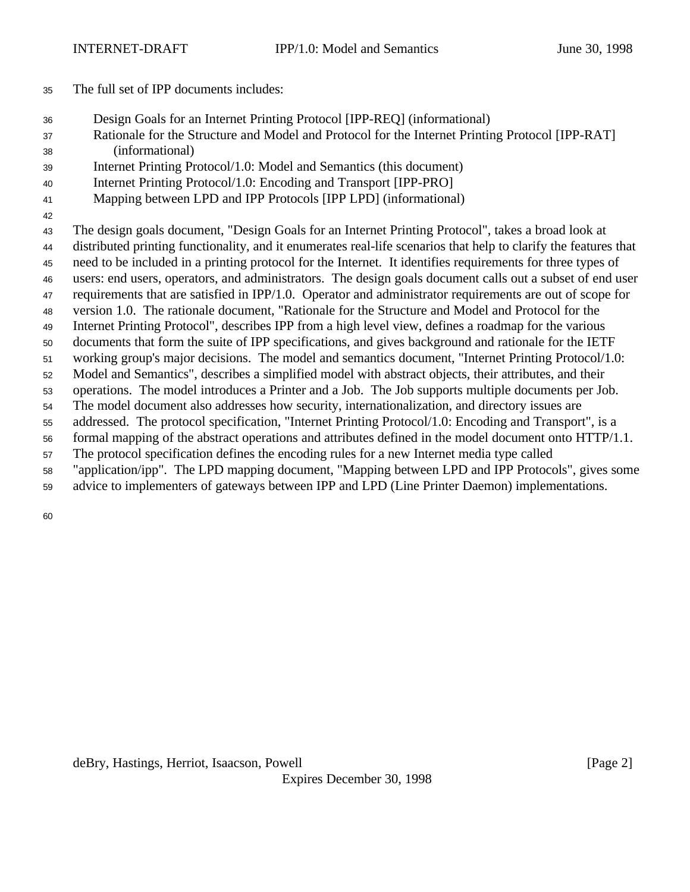- The full set of IPP documents includes:
- Design Goals for an Internet Printing Protocol [IPP-REQ] (informational)
- Rationale for the Structure and Model and Protocol for the Internet Printing Protocol [IPP-RAT] (informational)
- Internet Printing Protocol/1.0: Model and Semantics (this document)
- Internet Printing Protocol/1.0: Encoding and Transport [IPP-PRO]
- Mapping between LPD and IPP Protocols [IPP LPD] (informational)
- 

The design goals document, "Design Goals for an Internet Printing Protocol", takes a broad look at

- distributed printing functionality, and it enumerates real-life scenarios that help to clarify the features that
- need to be included in a printing protocol for the Internet. It identifies requirements for three types of users: end users, operators, and administrators. The design goals document calls out a subset of end user
- requirements that are satisfied in IPP/1.0. Operator and administrator requirements are out of scope for
- version 1.0. The rationale document, "Rationale for the Structure and Model and Protocol for the
- Internet Printing Protocol", describes IPP from a high level view, defines a roadmap for the various
- documents that form the suite of IPP specifications, and gives background and rationale for the IETF
- working group's major decisions. The model and semantics document, "Internet Printing Protocol/1.0:
- Model and Semantics", describes a simplified model with abstract objects, their attributes, and their
- operations. The model introduces a Printer and a Job. The Job supports multiple documents per Job.
- The model document also addresses how security, internationalization, and directory issues are
- addressed. The protocol specification, "Internet Printing Protocol/1.0: Encoding and Transport", is a
- formal mapping of the abstract operations and attributes defined in the model document onto HTTP/1.1.
- The protocol specification defines the encoding rules for a new Internet media type called
- "application/ipp". The LPD mapping document, "Mapping between LPD and IPP Protocols", gives some
- advice to implementers of gateways between IPP and LPD (Line Printer Daemon) implementations.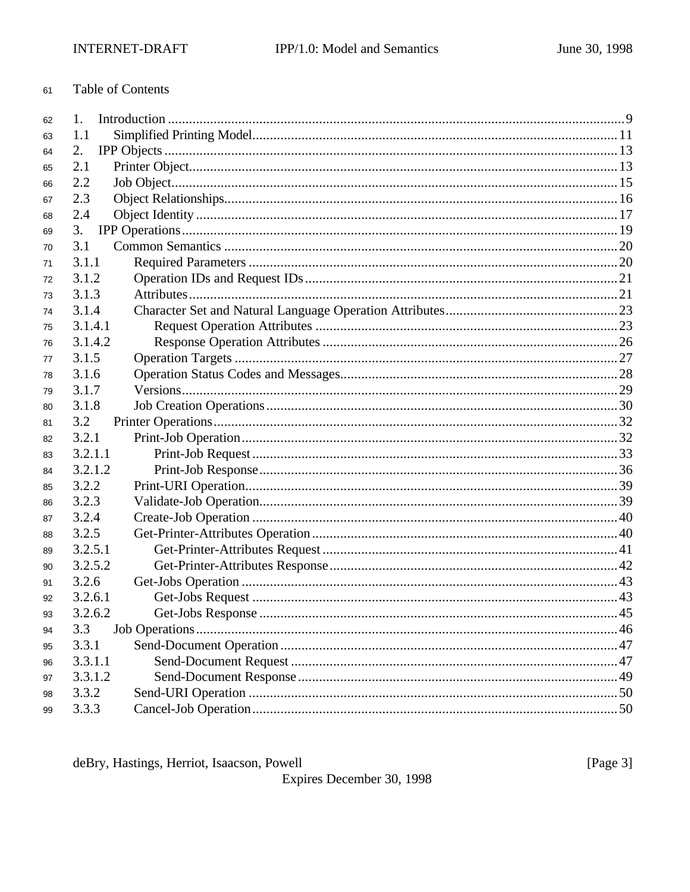#### Table of Contents 61

| 62 | 1.      |  |
|----|---------|--|
| 63 | 1.1     |  |
| 64 | 2.      |  |
| 65 | 2.1     |  |
| 66 | 2.2     |  |
| 67 | 2.3     |  |
| 68 | 2.4     |  |
| 69 | 3.      |  |
| 70 | 3.1     |  |
| 71 | 3.1.1   |  |
| 72 | 3.1.2   |  |
| 73 | 3.1.3   |  |
| 74 | 3.1.4   |  |
| 75 | 3.1.4.1 |  |
| 76 | 3.1.4.2 |  |
| 77 | 3.1.5   |  |
| 78 | 3.1.6   |  |
| 79 | 3.1.7   |  |
| 80 | 3.1.8   |  |
| 81 | 3.2     |  |
| 82 | 3.2.1   |  |
| 83 | 3.2.1.1 |  |
| 84 | 3.2.1.2 |  |
| 85 | 3.2.2   |  |
| 86 | 3.2.3   |  |
| 87 | 3.2.4   |  |
| 88 | 3.2.5   |  |
| 89 | 3.2.5.1 |  |
| 90 | 3.2.5.2 |  |
| 91 | 3.2.6   |  |
| 92 | 3.2.6.1 |  |
| 93 | 3.2.6.2 |  |
| 94 | 3.3     |  |
| 95 | 3.3.1   |  |
| 96 | 3.3.1.1 |  |
| 97 | 3.3.1.2 |  |
| 98 | 3.3.2   |  |
| 99 | 3.3.3   |  |

deBry, Hastings, Herriot, Isaacson, Powell

Expires December 30, 1998

[Page  $3$ ]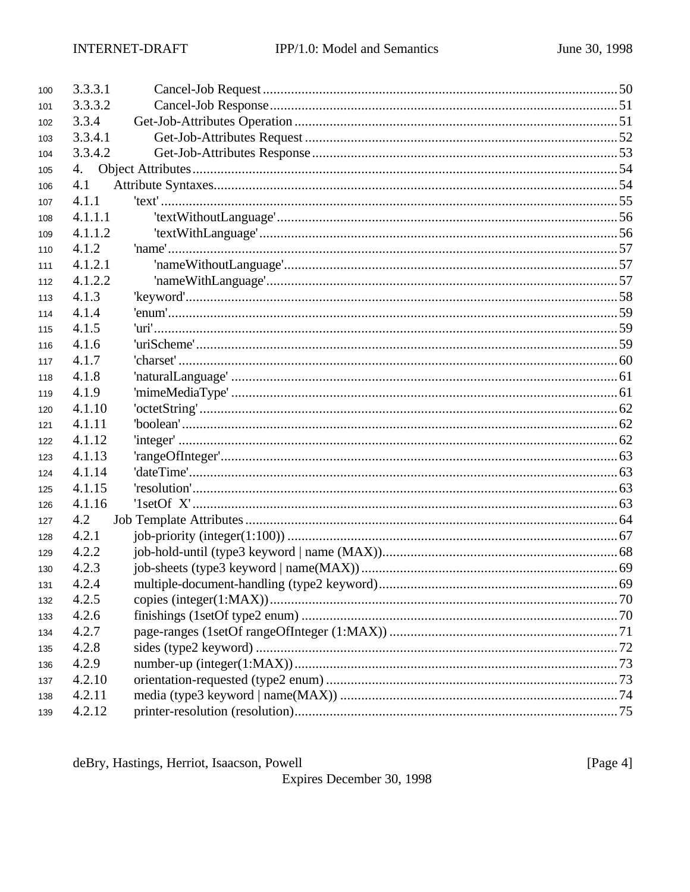| 100 | 3.3.3.1 |  |
|-----|---------|--|
| 101 | 3.3.3.2 |  |
| 102 | 3.3.4   |  |
| 103 | 3.3.4.1 |  |
| 104 | 3.3.4.2 |  |
| 105 | 4.      |  |
| 106 | 4.1     |  |
| 107 | 4.1.1   |  |
| 108 | 4.1.1.1 |  |
| 109 | 4.1.1.2 |  |
| 110 | 4.1.2   |  |
| 111 | 4.1.2.1 |  |
| 112 | 4.1.2.2 |  |
| 113 | 4.1.3   |  |
| 114 | 4.1.4   |  |
| 115 | 4.1.5   |  |
| 116 | 4.1.6   |  |
| 117 | 4.1.7   |  |
| 118 | 4.1.8   |  |
| 119 | 4.1.9   |  |
| 120 | 4.1.10  |  |
| 121 | 4.1.11  |  |
| 122 | 4.1.12  |  |
| 123 | 4.1.13  |  |
| 124 | 4.1.14  |  |
| 125 | 4.1.15  |  |
| 126 | 4.1.16  |  |
| 127 | 4.2     |  |
| 128 | 4.2.1   |  |
| 129 | 4.2.2   |  |
| 130 | 4.2.3   |  |
| 131 | 4.2.4   |  |
| 132 | 4.2.5   |  |
| 133 | 4.2.6   |  |
| 134 | 4.2.7   |  |
| 135 | 4.2.8   |  |
| 136 | 4.2.9   |  |
| 137 | 4.2.10  |  |
| 138 | 4.2.11  |  |
| 139 | 4.2.12  |  |

deBry, Hastings, Herriot, Isaacson, Powell

Expires December 30, 1998

[Page 4]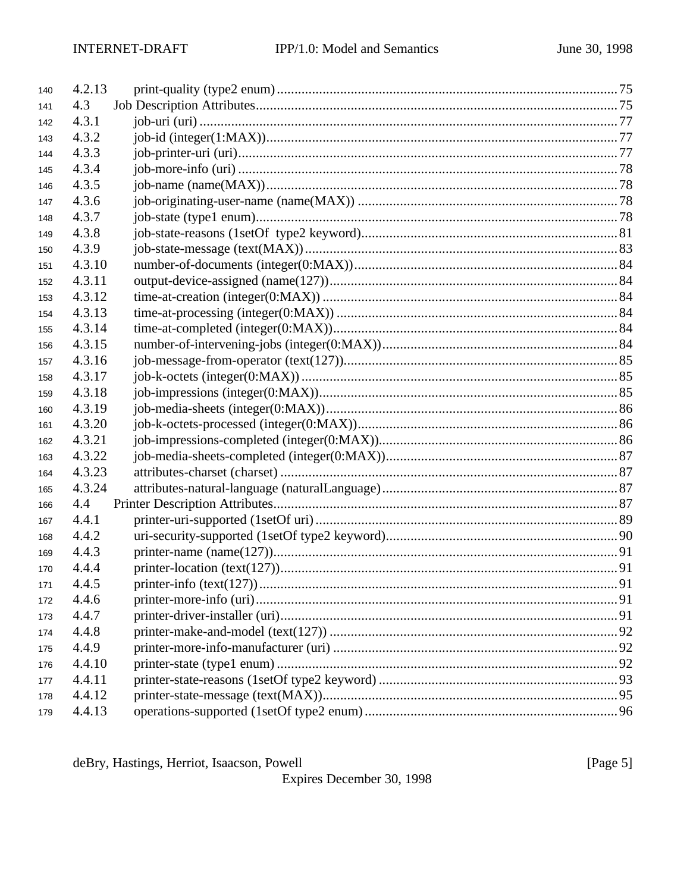| 140 | 4.2.13 |  |
|-----|--------|--|
| 141 | 4.3    |  |
| 142 | 4.3.1  |  |
| 143 | 4.3.2  |  |
| 144 | 4.3.3  |  |
| 145 | 4.3.4  |  |
| 146 | 4.3.5  |  |
| 147 | 4.3.6  |  |
| 148 | 4.3.7  |  |
| 149 | 4.3.8  |  |
| 150 | 4.3.9  |  |
| 151 | 4.3.10 |  |
| 152 | 4.3.11 |  |
| 153 | 4.3.12 |  |
| 154 | 4.3.13 |  |
| 155 | 4.3.14 |  |
| 156 | 4.3.15 |  |
| 157 | 4.3.16 |  |
| 158 | 4.3.17 |  |
| 159 | 4.3.18 |  |
| 160 | 4.3.19 |  |
| 161 | 4.3.20 |  |
| 162 | 4.3.21 |  |
| 163 | 4.3.22 |  |
| 164 | 4.3.23 |  |
| 165 | 4.3.24 |  |
| 166 | 4.4    |  |
| 167 | 4.4.1  |  |
| 168 | 4.4.2  |  |
| 169 | 4.4.3  |  |
| 170 | 4.4.4  |  |
| 171 | 4.4.5  |  |
| 172 | 4.4.6  |  |
| 173 | 4.4.7  |  |
| 174 | 4.4.8  |  |
| 175 | 4.4.9  |  |
| 176 | 4.4.10 |  |
| 177 | 4.4.11 |  |
| 178 | 4.4.12 |  |
| 179 | 4.4.13 |  |

deBry, Hastings, Herriot, Isaacson, Powell

Expires December 30, 1998

[Page  $5$ ]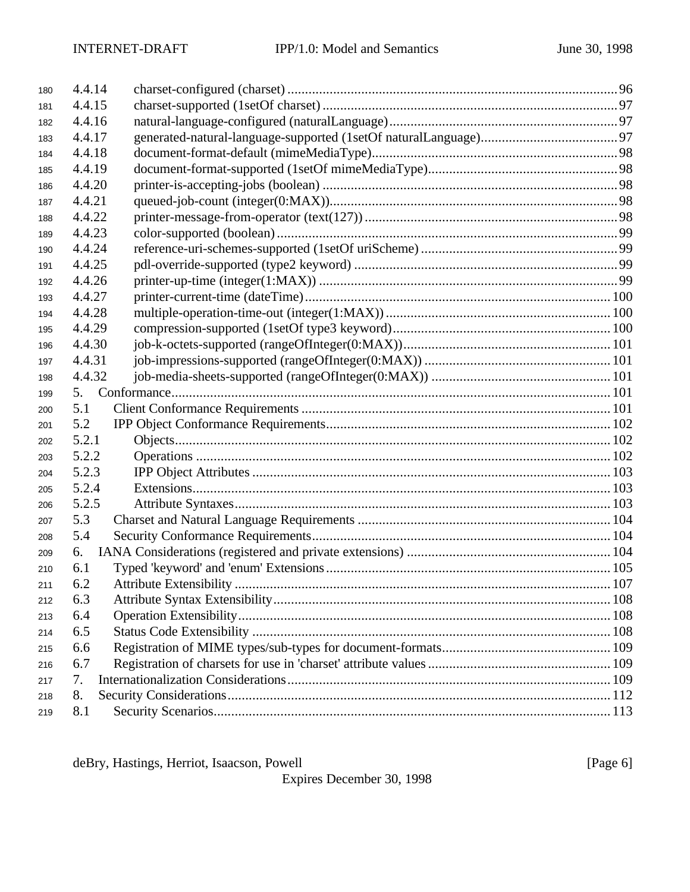| 180 | 4.4.14 |  |
|-----|--------|--|
| 181 | 4.4.15 |  |
| 182 | 4.4.16 |  |
| 183 | 4.4.17 |  |
| 184 | 4.4.18 |  |
| 185 | 4.4.19 |  |
| 186 | 4.4.20 |  |
| 187 | 4.4.21 |  |
| 188 | 4.4.22 |  |
| 189 | 4.4.23 |  |
| 190 | 4.4.24 |  |
| 191 | 4.4.25 |  |
| 192 | 4.4.26 |  |
| 193 | 4.4.27 |  |
| 194 | 4.4.28 |  |
| 195 | 4.4.29 |  |
| 196 | 4.4.30 |  |
| 197 | 4.4.31 |  |
| 198 | 4.4.32 |  |
| 199 | 5.     |  |
| 200 | 5.1    |  |
| 201 | 5.2    |  |
| 202 | 5.2.1  |  |
| 203 | 5.2.2  |  |
| 204 | 5.2.3  |  |
| 205 | 5.2.4  |  |
| 206 | 5.2.5  |  |
| 207 | 5.3    |  |
| 208 | 5.4    |  |
| 209 | 6.     |  |
| 210 | 6.1    |  |
| 211 | 6.2    |  |
| 212 | 6.3    |  |
| 213 | 6.4    |  |
| 214 | 6.5    |  |
| 215 | 6.6    |  |
| 216 | 6.7    |  |
| 217 | 7.     |  |
| 218 | 8.     |  |
| 219 | 8.1    |  |

deBry, Hastings, Herriot, Isaacson, Powell [Page 6]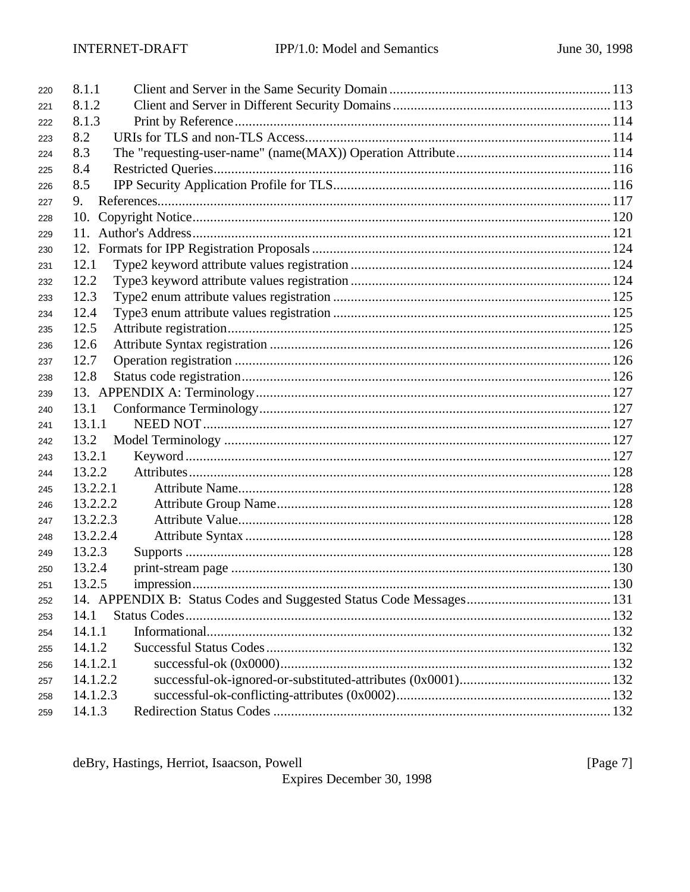| 220 | 8.1.1    |  |
|-----|----------|--|
| 221 | 8.1.2    |  |
| 222 | 8.1.3    |  |
| 223 | 8.2      |  |
| 224 | 8.3      |  |
| 225 | 8.4      |  |
| 226 | 8.5      |  |
| 227 | 9.       |  |
| 228 | 10.      |  |
| 229 |          |  |
| 230 |          |  |
| 231 | 12.1     |  |
| 232 | 12.2     |  |
| 233 | 12.3     |  |
| 234 | 12.4     |  |
| 235 | 12.5     |  |
| 236 | 12.6     |  |
| 237 | 12.7     |  |
| 238 | 12.8     |  |
| 239 |          |  |
| 240 | 13.1     |  |
| 241 | 13.1.1   |  |
| 242 | 13.2     |  |
| 243 | 13.2.1   |  |
| 244 | 13.2.2   |  |
| 245 | 13.2.2.1 |  |
| 246 | 13.2.2.2 |  |
| 247 | 13.2.2.3 |  |
| 248 | 13.2.2.4 |  |
| 249 | 13.2.3   |  |
| 250 | 13.2.4   |  |
| 251 | 13.2.5   |  |
| 252 |          |  |
| 253 | 14.1     |  |
| 254 | 14.1.1   |  |
| 255 | 14.1.2   |  |
| 256 | 14.1.2.1 |  |
| 257 | 14.1.2.2 |  |
| 258 | 14.1.2.3 |  |
| 259 | 14.1.3   |  |

deBry, Hastings, Herriot, Isaacson, Powell

Expires December 30, 1998

[Page  $7$ ]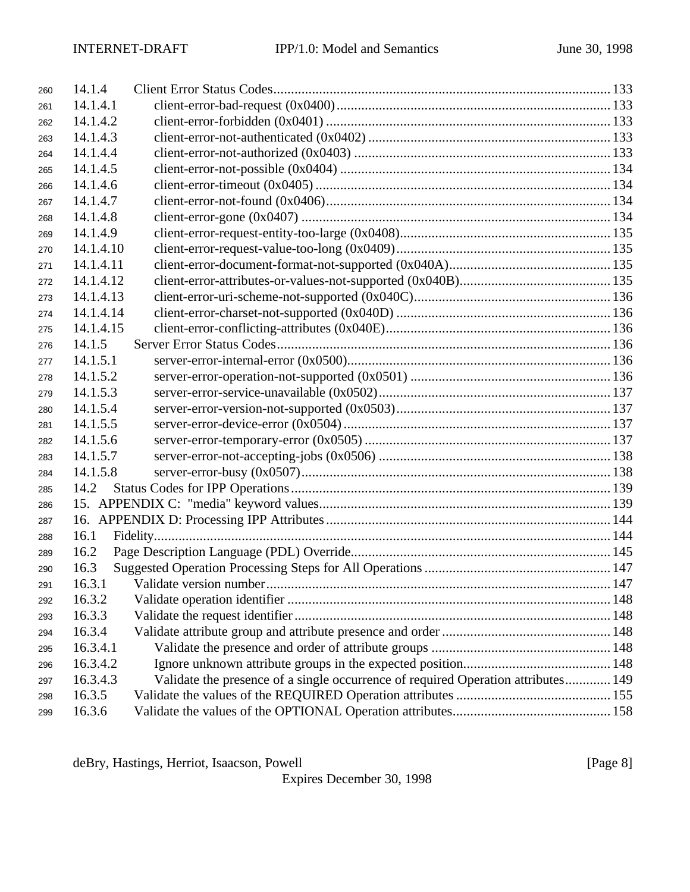| 260 | 14.1.4    |                                                                                   |  |
|-----|-----------|-----------------------------------------------------------------------------------|--|
| 261 | 14.1.4.1  |                                                                                   |  |
| 262 | 14.1.4.2  |                                                                                   |  |
| 263 | 14.1.4.3  |                                                                                   |  |
| 264 | 14.1.4.4  |                                                                                   |  |
| 265 | 14.1.4.5  |                                                                                   |  |
| 266 | 14.1.4.6  |                                                                                   |  |
| 267 | 14.1.4.7  |                                                                                   |  |
| 268 | 14.1.4.8  |                                                                                   |  |
| 269 | 14.1.4.9  |                                                                                   |  |
| 270 | 14.1.4.10 |                                                                                   |  |
| 271 | 14.1.4.11 |                                                                                   |  |
| 272 | 14.1.4.12 |                                                                                   |  |
| 273 | 14.1.4.13 |                                                                                   |  |
| 274 | 14.1.4.14 |                                                                                   |  |
| 275 | 14.1.4.15 |                                                                                   |  |
| 276 | 14.1.5    |                                                                                   |  |
| 277 | 14.1.5.1  |                                                                                   |  |
| 278 | 14.1.5.2  |                                                                                   |  |
| 279 | 14.1.5.3  |                                                                                   |  |
| 280 | 14.1.5.4  |                                                                                   |  |
| 281 | 14.1.5.5  |                                                                                   |  |
| 282 | 14.1.5.6  |                                                                                   |  |
| 283 | 14.1.5.7  |                                                                                   |  |
| 284 | 14.1.5.8  |                                                                                   |  |
| 285 | 14.2      |                                                                                   |  |
| 286 |           |                                                                                   |  |
| 287 |           |                                                                                   |  |
| 288 | 16.1      |                                                                                   |  |
| 289 | 16.2      |                                                                                   |  |
| 290 | 16.3      |                                                                                   |  |
| 291 |           |                                                                                   |  |
| 292 | 16.3.2    |                                                                                   |  |
| 293 | 16.3.3    |                                                                                   |  |
| 294 | 16.3.4    |                                                                                   |  |
| 295 | 16.3.4.1  |                                                                                   |  |
| 296 | 16.3.4.2  |                                                                                   |  |
| 297 | 16.3.4.3  | Validate the presence of a single occurrence of required Operation attributes 149 |  |
| 298 | 16.3.5    |                                                                                   |  |
| 299 | 16.3.6    |                                                                                   |  |

deBry, Hastings, Herriot, Isaacson, Powell [Page 8]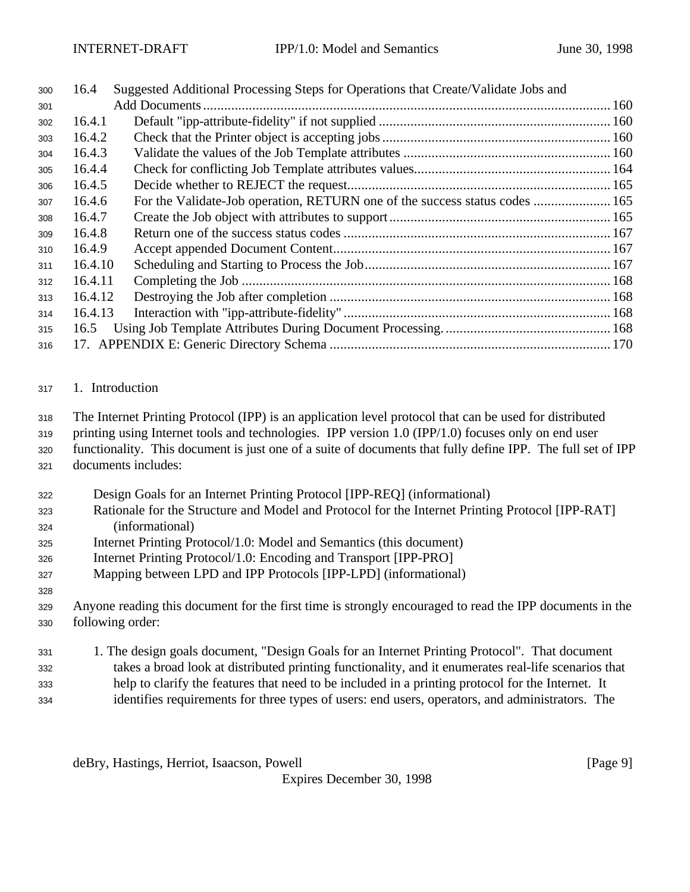| 300 | 16.4    | Suggested Additional Processing Steps for Operations that Create/Validate Jobs and |  |
|-----|---------|------------------------------------------------------------------------------------|--|
| 301 |         |                                                                                    |  |
| 302 | 16.4.1  |                                                                                    |  |
| 303 | 16.4.2  |                                                                                    |  |
| 304 | 16.4.3  |                                                                                    |  |
| 305 | 16.4.4  |                                                                                    |  |
| 306 | 16.4.5  |                                                                                    |  |
| 307 | 16.4.6  | For the Validate-Job operation, RETURN one of the success status codes  165        |  |
| 308 | 16.4.7  |                                                                                    |  |
| 309 | 16.4.8  |                                                                                    |  |
| 310 | 16.4.9  |                                                                                    |  |
| 311 | 16.4.10 |                                                                                    |  |
| 312 | 16.4.11 |                                                                                    |  |
| 313 | 16.4.12 |                                                                                    |  |
| 314 | 16.4.13 |                                                                                    |  |
| 315 | 16.5    |                                                                                    |  |
| 316 |         |                                                                                    |  |

1. Introduction

The Internet Printing Protocol (IPP) is an application level protocol that can be used for distributed

- printing using Internet tools and technologies. IPP version 1.0 (IPP/1.0) focuses only on end user
- functionality. This document is just one of a suite of documents that fully define IPP. The full set of IPP documents includes:
- Design Goals for an Internet Printing Protocol [IPP-REQ] (informational)
- Rationale for the Structure and Model and Protocol for the Internet Printing Protocol [IPP-RAT] (informational)
- Internet Printing Protocol/1.0: Model and Semantics (this document)
- Internet Printing Protocol/1.0: Encoding and Transport [IPP-PRO]
- Mapping between LPD and IPP Protocols [IPP-LPD] (informational)
- Anyone reading this document for the first time is strongly encouraged to read the IPP documents in the following order:

 1. The design goals document, "Design Goals for an Internet Printing Protocol". That document takes a broad look at distributed printing functionality, and it enumerates real-life scenarios that help to clarify the features that need to be included in a printing protocol for the Internet. It identifies requirements for three types of users: end users, operators, and administrators. The

deBry, Hastings, Herriot, Isaacson, Powell [Page 9]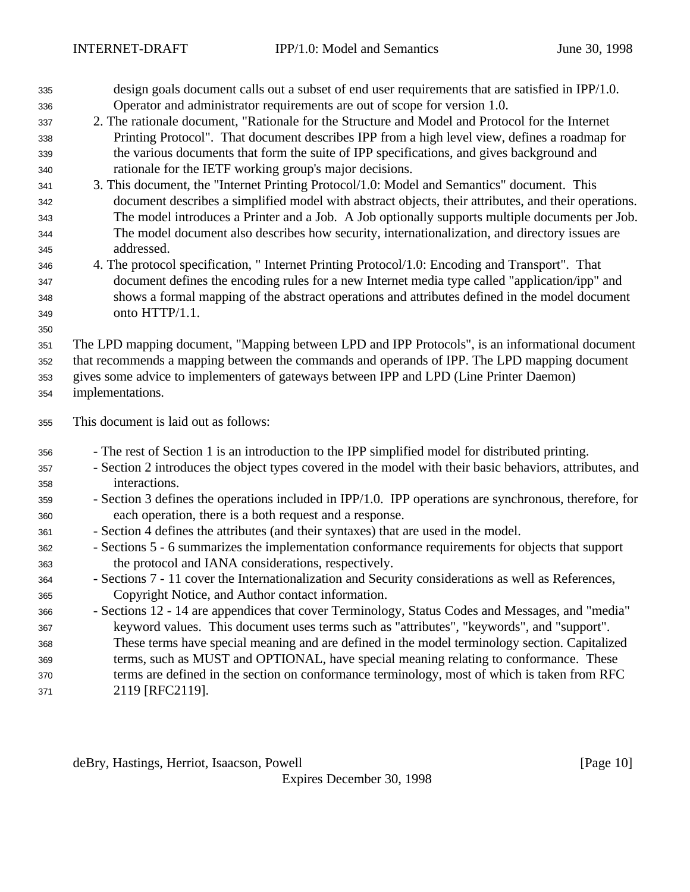| 335        | design goals document calls out a subset of end user requirements that are satisfied in $IPP/1.0$ .                                                                                         |
|------------|---------------------------------------------------------------------------------------------------------------------------------------------------------------------------------------------|
| 336        | Operator and administrator requirements are out of scope for version 1.0.                                                                                                                   |
| 337        | 2. The rationale document, "Rationale for the Structure and Model and Protocol for the Internet                                                                                             |
| 338        | Printing Protocol". That document describes IPP from a high level view, defines a roadmap for                                                                                               |
| 339        | the various documents that form the suite of IPP specifications, and gives background and                                                                                                   |
| 340        | rationale for the IETF working group's major decisions.                                                                                                                                     |
| 341        | 3. This document, the "Internet Printing Protocol/1.0: Model and Semantics" document. This                                                                                                  |
| 342        | document describes a simplified model with abstract objects, their attributes, and their operations.                                                                                        |
| 343        | The model introduces a Printer and a Job. A Job optionally supports multiple documents per Job.                                                                                             |
| 344        | The model document also describes how security, internationalization, and directory issues are                                                                                              |
| 345        | addressed.                                                                                                                                                                                  |
| 346        | 4. The protocol specification, "Internet Printing Protocol/1.0: Encoding and Transport". That                                                                                               |
| 347        | document defines the encoding rules for a new Internet media type called "application/ipp" and                                                                                              |
| 348        | shows a formal mapping of the abstract operations and attributes defined in the model document                                                                                              |
| 349        | onto HTTP/1.1.                                                                                                                                                                              |
| 350        |                                                                                                                                                                                             |
| 351        | The LPD mapping document, "Mapping between LPD and IPP Protocols", is an informational document                                                                                             |
| 352        | that recommends a mapping between the commands and operands of IPP. The LPD mapping document                                                                                                |
| 353        | gives some advice to implementers of gateways between IPP and LPD (Line Printer Daemon)                                                                                                     |
| 354        | implementations.                                                                                                                                                                            |
|            |                                                                                                                                                                                             |
| 355        | This document is laid out as follows:                                                                                                                                                       |
|            |                                                                                                                                                                                             |
| 356        | - The rest of Section 1 is an introduction to the IPP simplified model for distributed printing.                                                                                            |
| 357        | - Section 2 introduces the object types covered in the model with their basic behaviors, attributes, and                                                                                    |
| 358        | interactions.                                                                                                                                                                               |
| 359        | - Section 3 defines the operations included in IPP/1.0. IPP operations are synchronous, therefore, for                                                                                      |
| 360        | each operation, there is a both request and a response.                                                                                                                                     |
| 361        | - Section 4 defines the attributes (and their syntaxes) that are used in the model.                                                                                                         |
| 362        | - Sections 5 - 6 summarizes the implementation conformance requirements for objects that support                                                                                            |
| 363        | the protocol and IANA considerations, respectively.                                                                                                                                         |
| 364<br>365 | - Sections 7 - 11 cover the Internationalization and Security considerations as well as References,                                                                                         |
| 366        | Copyright Notice, and Author contact information.                                                                                                                                           |
| 367        | - Sections 12 - 14 are appendices that cover Terminology, Status Codes and Messages, and "media"                                                                                            |
| 368        | keyword values. This document uses terms such as "attributes", "keywords", and "support".<br>These terms have special meaning and are defined in the model terminology section. Capitalized |
| 369        | terms, such as MUST and OPTIONAL, have special meaning relating to conformance. These                                                                                                       |
| 370        | terms are defined in the section on conformance terminology, most of which is taken from RFC                                                                                                |
| 371        | 2119 [RFC2119].                                                                                                                                                                             |

deBry, Hastings, Herriot, Isaacson, Powell [Page 10]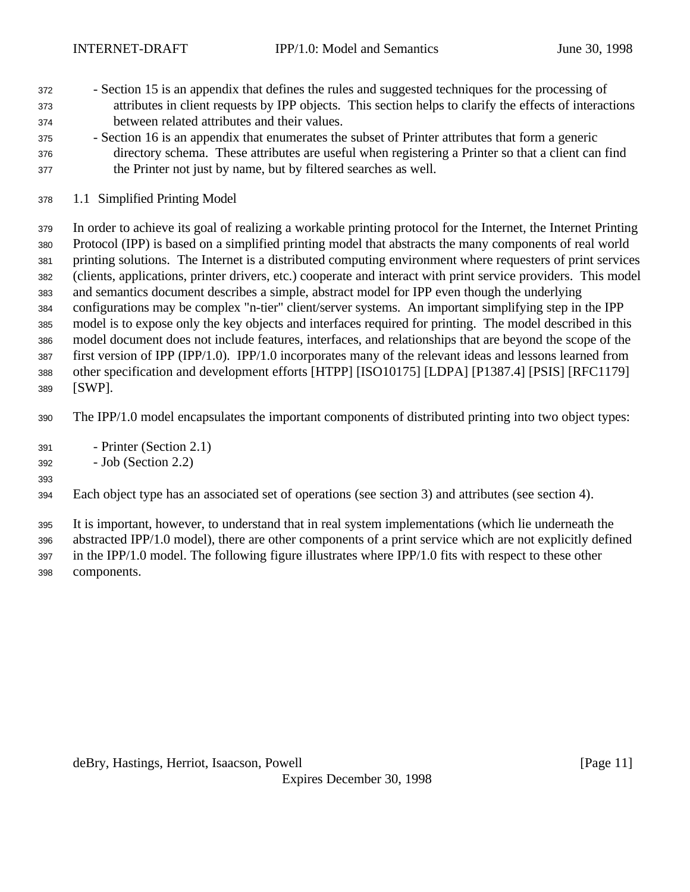- Section 15 is an appendix that defines the rules and suggested techniques for the processing of attributes in client requests by IPP objects. This section helps to clarify the effects of interactions between related attributes and their values.
- Section 16 is an appendix that enumerates the subset of Printer attributes that form a generic directory schema. These attributes are useful when registering a Printer so that a client can find the Printer not just by name, but by filtered searches as well.
- 1.1 Simplified Printing Model

 In order to achieve its goal of realizing a workable printing protocol for the Internet, the Internet Printing Protocol (IPP) is based on a simplified printing model that abstracts the many components of real world printing solutions. The Internet is a distributed computing environment where requesters of print services (clients, applications, printer drivers, etc.) cooperate and interact with print service providers. This model and semantics document describes a simple, abstract model for IPP even though the underlying configurations may be complex "n-tier" client/server systems. An important simplifying step in the IPP model is to expose only the key objects and interfaces required for printing. The model described in this model document does not include features, interfaces, and relationships that are beyond the scope of the first version of IPP (IPP/1.0). IPP/1.0 incorporates many of the relevant ideas and lessons learned from other specification and development efforts [HTPP] [ISO10175] [LDPA] [P1387.4] [PSIS] [RFC1179] [SWP].

The IPP/1.0 model encapsulates the important components of distributed printing into two object types:

- Printer (Section 2.1)
- Job (Section 2.2)

### 

Each object type has an associated set of operations (see section 3) and attributes (see section 4).

 It is important, however, to understand that in real system implementations (which lie underneath the abstracted IPP/1.0 model), there are other components of a print service which are not explicitly defined in the IPP/1.0 model. The following figure illustrates where IPP/1.0 fits with respect to these other

components.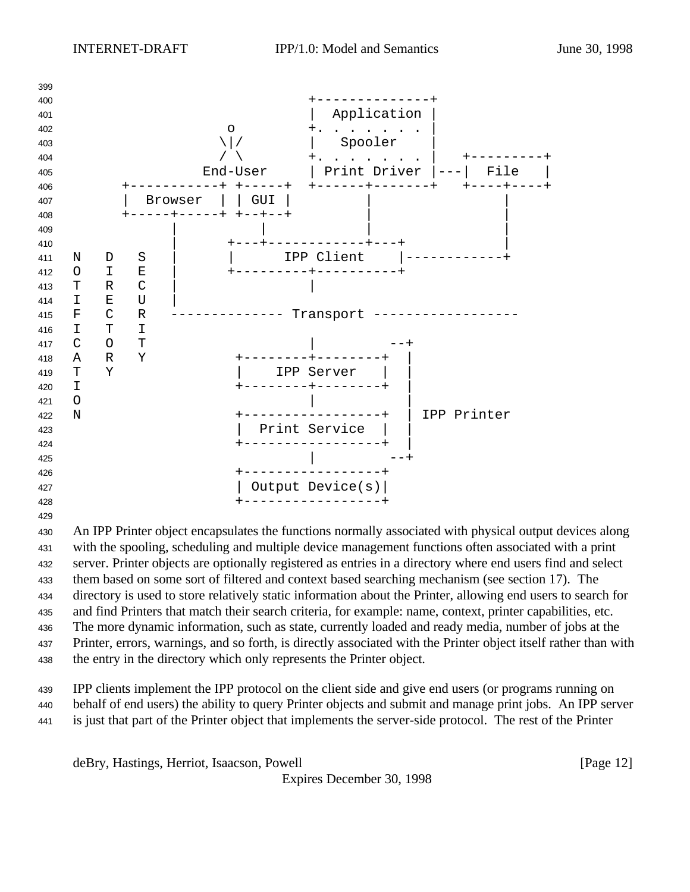

 An IPP Printer object encapsulates the functions normally associated with physical output devices along with the spooling, scheduling and multiple device management functions often associated with a print server. Printer objects are optionally registered as entries in a directory where end users find and select them based on some sort of filtered and context based searching mechanism (see section 17). The directory is used to store relatively static information about the Printer, allowing end users to search for and find Printers that match their search criteria, for example: name, context, printer capabilities, etc. The more dynamic information, such as state, currently loaded and ready media, number of jobs at the Printer, errors, warnings, and so forth, is directly associated with the Printer object itself rather than with the entry in the directory which only represents the Printer object.

 IPP clients implement the IPP protocol on the client side and give end users (or programs running on behalf of end users) the ability to query Printer objects and submit and manage print jobs. An IPP server is just that part of the Printer object that implements the server-side protocol. The rest of the Printer

deBry, Hastings, Herriot, Isaacson, Powell **Example 20** (Page 12)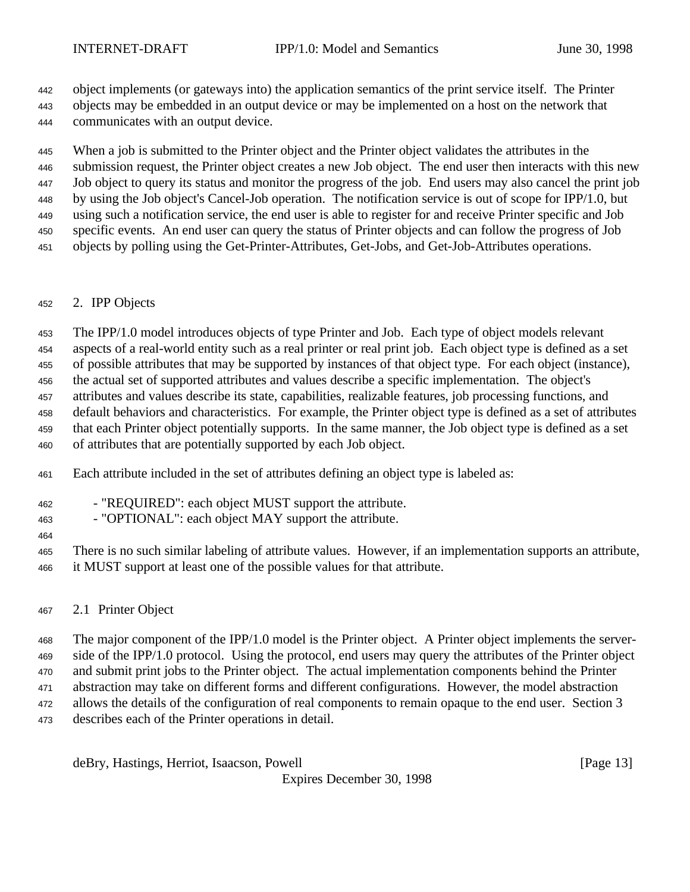object implements (or gateways into) the application semantics of the print service itself. The Printer

 objects may be embedded in an output device or may be implemented on a host on the network that communicates with an output device.

 When a job is submitted to the Printer object and the Printer object validates the attributes in the submission request, the Printer object creates a new Job object. The end user then interacts with this new Job object to query its status and monitor the progress of the job. End users may also cancel the print job by using the Job object's Cancel-Job operation. The notification service is out of scope for IPP/1.0, but using such a notification service, the end user is able to register for and receive Printer specific and Job specific events. An end user can query the status of Printer objects and can follow the progress of Job objects by polling using the Get-Printer-Attributes, Get-Jobs, and Get-Job-Attributes operations.

## 2. IPP Objects

The IPP/1.0 model introduces objects of type Printer and Job. Each type of object models relevant

aspects of a real-world entity such as a real printer or real print job. Each object type is defined as a set

of possible attributes that may be supported by instances of that object type. For each object (instance),

the actual set of supported attributes and values describe a specific implementation. The object's

attributes and values describe its state, capabilities, realizable features, job processing functions, and

 default behaviors and characteristics. For example, the Printer object type is defined as a set of attributes that each Printer object potentially supports. In the same manner, the Job object type is defined as a set

of attributes that are potentially supported by each Job object.

Each attribute included in the set of attributes defining an object type is labeled as:

- "REQUIRED": each object MUST support the attribute.
- "OPTIONAL": each object MAY support the attribute.
- There is no such similar labeling of attribute values. However, if an implementation supports an attribute, it MUST support at least one of the possible values for that attribute.
- 2.1 Printer Object

 The major component of the IPP/1.0 model is the Printer object. A Printer object implements the server- side of the IPP/1.0 protocol. Using the protocol, end users may query the attributes of the Printer object and submit print jobs to the Printer object. The actual implementation components behind the Printer abstraction may take on different forms and different configurations. However, the model abstraction allows the details of the configuration of real components to remain opaque to the end user. Section 3 describes each of the Printer operations in detail.

deBry, Hastings, Herriot, Isaacson, Powell [Page 13]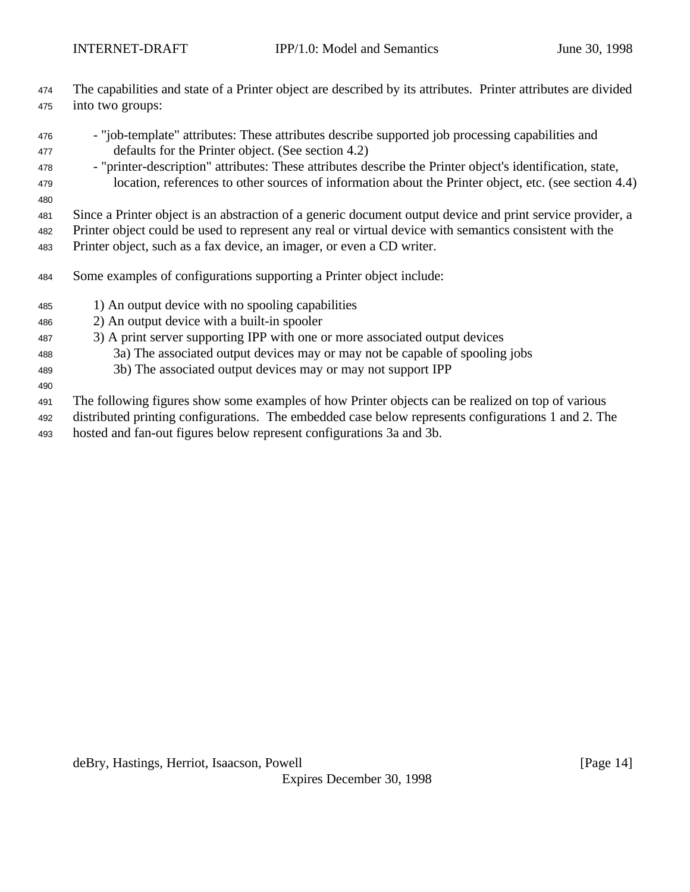- The capabilities and state of a Printer object are described by its attributes. Printer attributes are divided into two groups:
- "job-template" attributes: These attributes describe supported job processing capabilities and defaults for the Printer object. (See section 4.2)
- "printer-description" attributes: These attributes describe the Printer object's identification, state,
- location, references to other sources of information about the Printer object, etc. (see section 4.4)
- 

Since a Printer object is an abstraction of a generic document output device and print service provider, a

Printer object could be used to represent any real or virtual device with semantics consistent with the

Printer object, such as a fax device, an imager, or even a CD writer.

- Some examples of configurations supporting a Printer object include:
- 1) An output device with no spooling capabilities
- 2) An output device with a built-in spooler
- 3) A print server supporting IPP with one or more associated output devices
- 3a) The associated output devices may or may not be capable of spooling jobs
- 3b) The associated output devices may or may not support IPP
- The following figures show some examples of how Printer objects can be realized on top of various
- distributed printing configurations. The embedded case below represents configurations 1 and 2. The
- hosted and fan-out figures below represent configurations 3a and 3b.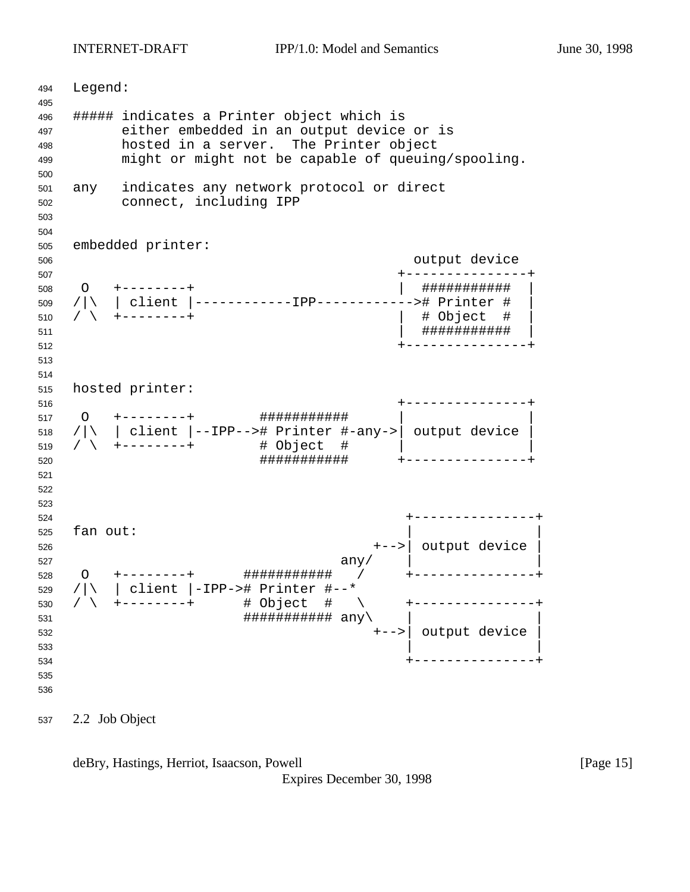INTERNET-DRAFT IPP/1.0: Model and Semantics June 30, 1998

 Legend: ##### indicates a Printer object which is either embedded in an output device or is hosted in a server. The Printer object might or might not be capable of queuing/spooling. any indicates any network protocol or direct connect, including IPP embedded printer: output device +---------------+ O +--------+ | ########### | /|\ | client |------------IPP------------># Printer # | / \ +--------+ | # Object # | | ########### | +---------------+ hosted printer: +---------------+ O +--------+ ########### | | /|\ | client |--IPP--># Printer #-any->| output device | / \ +--------+ # Object # | | ########### +---------------+ +---------------+ fan out: +-->| output device | any/  $\vert$  O +--------+ ########### / +---------------+ /|\ | client |-IPP-># Printer #--\* / \ +--------+ # Object # \ +---------------+  $\# \# \# \# \# \# \# \# \# \# \# \# \text{ any } \setminus$  +-->| output device |  $\frac{1}{2}$  533 +---------------+ 

2.2 Job Object

deBry, Hastings, Herriot, Isaacson, Powell [Page 15]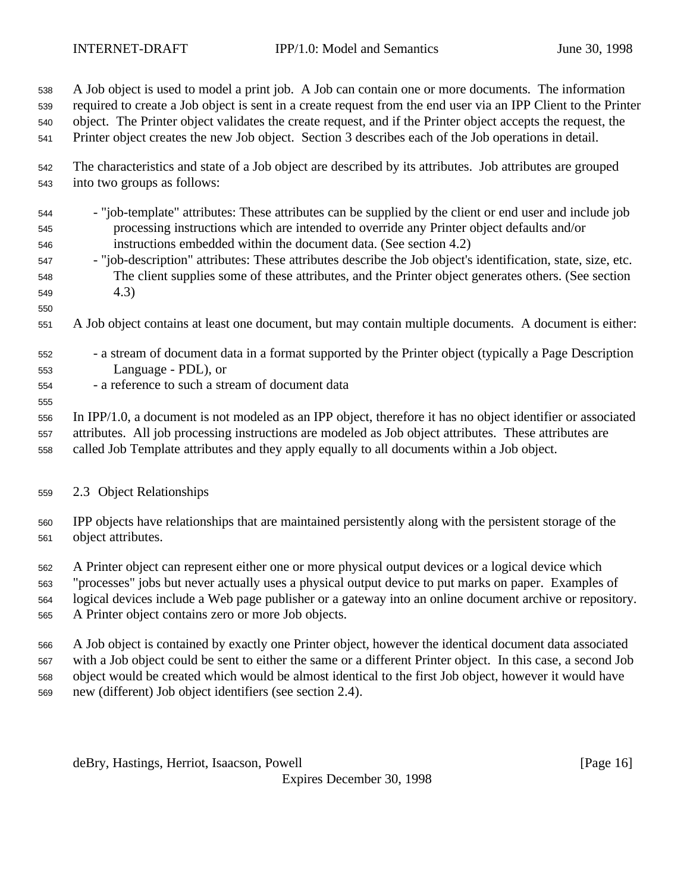A Job object is used to model a print job. A Job can contain one or more documents. The information

required to create a Job object is sent in a create request from the end user via an IPP Client to the Printer

object. The Printer object validates the create request, and if the Printer object accepts the request, the

Printer object creates the new Job object. Section 3 describes each of the Job operations in detail.

- The characteristics and state of a Job object are described by its attributes. Job attributes are grouped into two groups as follows:
- "job-template" attributes: These attributes can be supplied by the client or end user and include job processing instructions which are intended to override any Printer object defaults and/or instructions embedded within the document data. (See section 4.2)
- "job-description" attributes: These attributes describe the Job object's identification, state, size, etc. The client supplies some of these attributes, and the Printer object generates others. (See section 4.3)
- 

- A Job object contains at least one document, but may contain multiple documents. A document is either:
- a stream of document data in a format supported by the Printer object (typically a Page Description Language - PDL), or
- a reference to such a stream of document data

In IPP/1.0, a document is not modeled as an IPP object, therefore it has no object identifier or associated

 attributes. All job processing instructions are modeled as Job object attributes. These attributes are called Job Template attributes and they apply equally to all documents within a Job object.

2.3 Object Relationships

 IPP objects have relationships that are maintained persistently along with the persistent storage of the object attributes.

A Printer object can represent either one or more physical output devices or a logical device which

"processes" jobs but never actually uses a physical output device to put marks on paper. Examples of

logical devices include a Web page publisher or a gateway into an online document archive or repository.

A Printer object contains zero or more Job objects.

 A Job object is contained by exactly one Printer object, however the identical document data associated with a Job object could be sent to either the same or a different Printer object. In this case, a second Job

object would be created which would be almost identical to the first Job object, however it would have

new (different) Job object identifiers (see section 2.4).

deBry, Hastings, Herriot, Isaacson, Powell [Page 16]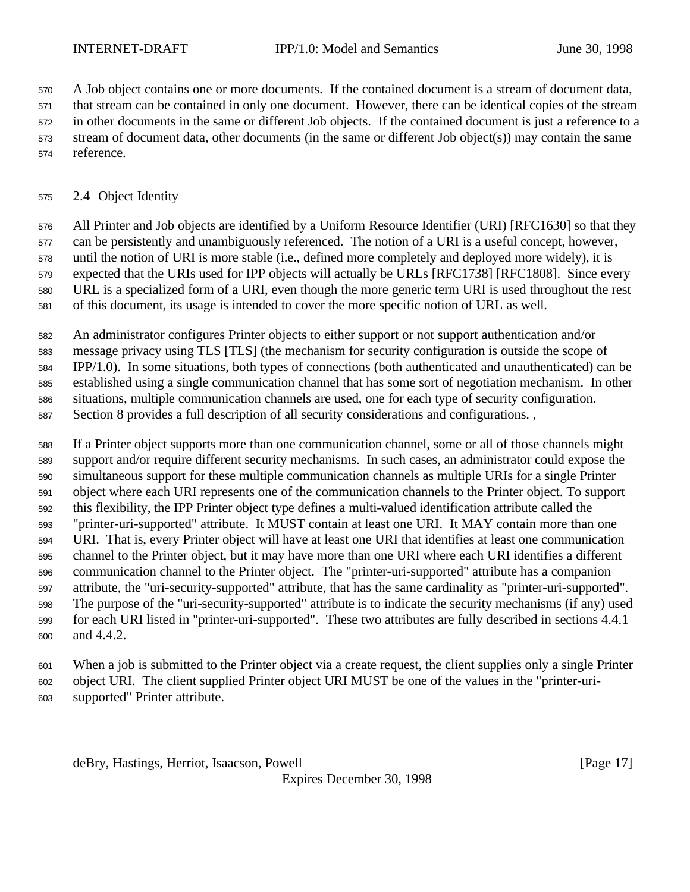A Job object contains one or more documents. If the contained document is a stream of document data,

that stream can be contained in only one document. However, there can be identical copies of the stream

 in other documents in the same or different Job objects. If the contained document is just a reference to a stream of document data, other documents (in the same or different Job object(s)) may contain the same

reference.

# 2.4 Object Identity

 All Printer and Job objects are identified by a Uniform Resource Identifier (URI) [RFC1630] so that they can be persistently and unambiguously referenced. The notion of a URI is a useful concept, however, until the notion of URI is more stable (i.e., defined more completely and deployed more widely), it is expected that the URIs used for IPP objects will actually be URLs [RFC1738] [RFC1808]. Since every URL is a specialized form of a URI, even though the more generic term URI is used throughout the rest of this document, its usage is intended to cover the more specific notion of URL as well.

An administrator configures Printer objects to either support or not support authentication and/or

message privacy using TLS [TLS] (the mechanism for security configuration is outside the scope of

IPP/1.0). In some situations, both types of connections (both authenticated and unauthenticated) can be

 established using a single communication channel that has some sort of negotiation mechanism. In other situations, multiple communication channels are used, one for each type of security configuration.

Section 8 provides a full description of all security considerations and configurations. ,

 If a Printer object supports more than one communication channel, some or all of those channels might support and/or require different security mechanisms. In such cases, an administrator could expose the simultaneous support for these multiple communication channels as multiple URIs for a single Printer object where each URI represents one of the communication channels to the Printer object. To support this flexibility, the IPP Printer object type defines a multi-valued identification attribute called the "printer-uri-supported" attribute. It MUST contain at least one URI. It MAY contain more than one URI. That is, every Printer object will have at least one URI that identifies at least one communication channel to the Printer object, but it may have more than one URI where each URI identifies a different communication channel to the Printer object. The "printer-uri-supported" attribute has a companion attribute, the "uri-security-supported" attribute, that has the same cardinality as "printer-uri-supported". The purpose of the "uri-security-supported" attribute is to indicate the security mechanisms (if any) used for each URI listed in "printer-uri-supported". These two attributes are fully described in sections 4.4.1 and 4.4.2.

When a job is submitted to the Printer object via a create request, the client supplies only a single Printer

 object URI. The client supplied Printer object URI MUST be one of the values in the "printer-uri-supported" Printer attribute.

deBry, Hastings, Herriot, Isaacson, Powell [Page 17]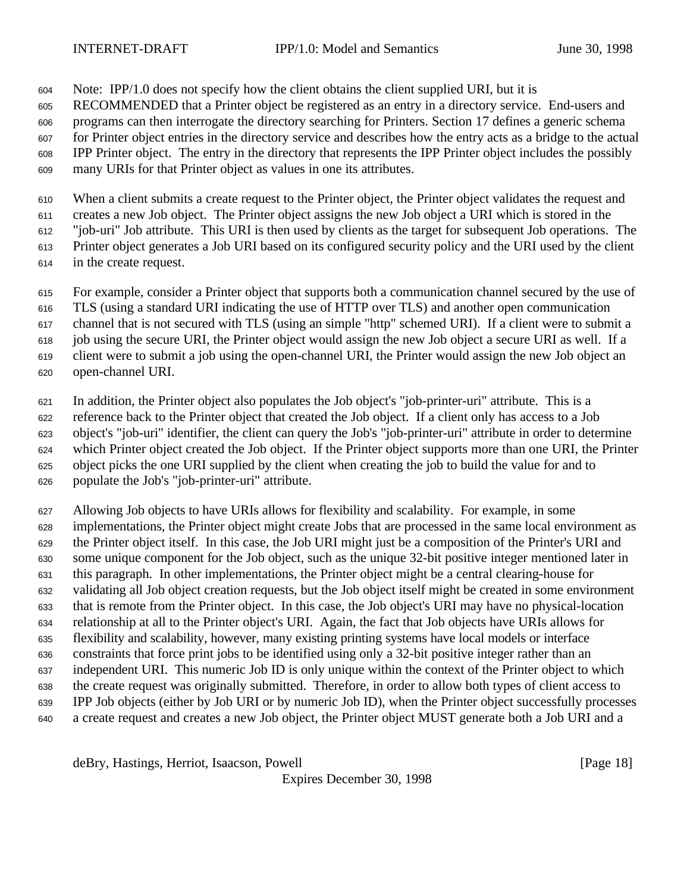Note: IPP/1.0 does not specify how the client obtains the client supplied URI, but it is

RECOMMENDED that a Printer object be registered as an entry in a directory service. End-users and

programs can then interrogate the directory searching for Printers. Section 17 defines a generic schema

 for Printer object entries in the directory service and describes how the entry acts as a bridge to the actual IPP Printer object. The entry in the directory that represents the IPP Printer object includes the possibly

many URIs for that Printer object as values in one its attributes.

 When a client submits a create request to the Printer object, the Printer object validates the request and creates a new Job object. The Printer object assigns the new Job object a URI which is stored in the

"job-uri" Job attribute. This URI is then used by clients as the target for subsequent Job operations. The

Printer object generates a Job URI based on its configured security policy and the URI used by the client

in the create request.

For example, consider a Printer object that supports both a communication channel secured by the use of

TLS (using a standard URI indicating the use of HTTP over TLS) and another open communication

channel that is not secured with TLS (using an simple "http" schemed URI). If a client were to submit a

job using the secure URI, the Printer object would assign the new Job object a secure URI as well. If a

client were to submit a job using the open-channel URI, the Printer would assign the new Job object an

open-channel URI.

 In addition, the Printer object also populates the Job object's "job-printer-uri" attribute. This is a reference back to the Printer object that created the Job object. If a client only has access to a Job object's "job-uri" identifier, the client can query the Job's "job-printer-uri" attribute in order to determine which Printer object created the Job object. If the Printer object supports more than one URI, the Printer object picks the one URI supplied by the client when creating the job to build the value for and to populate the Job's "job-printer-uri" attribute.

 Allowing Job objects to have URIs allows for flexibility and scalability. For example, in some implementations, the Printer object might create Jobs that are processed in the same local environment as the Printer object itself. In this case, the Job URI might just be a composition of the Printer's URI and some unique component for the Job object, such as the unique 32-bit positive integer mentioned later in this paragraph. In other implementations, the Printer object might be a central clearing-house for validating all Job object creation requests, but the Job object itself might be created in some environment that is remote from the Printer object. In this case, the Job object's URI may have no physical-location relationship at all to the Printer object's URI. Again, the fact that Job objects have URIs allows for flexibility and scalability, however, many existing printing systems have local models or interface constraints that force print jobs to be identified using only a 32-bit positive integer rather than an independent URI. This numeric Job ID is only unique within the context of the Printer object to which the create request was originally submitted. Therefore, in order to allow both types of client access to IPP Job objects (either by Job URI or by numeric Job ID), when the Printer object successfully processes a create request and creates a new Job object, the Printer object MUST generate both a Job URI and a

deBry, Hastings, Herriot, Isaacson, Powell [Page 18]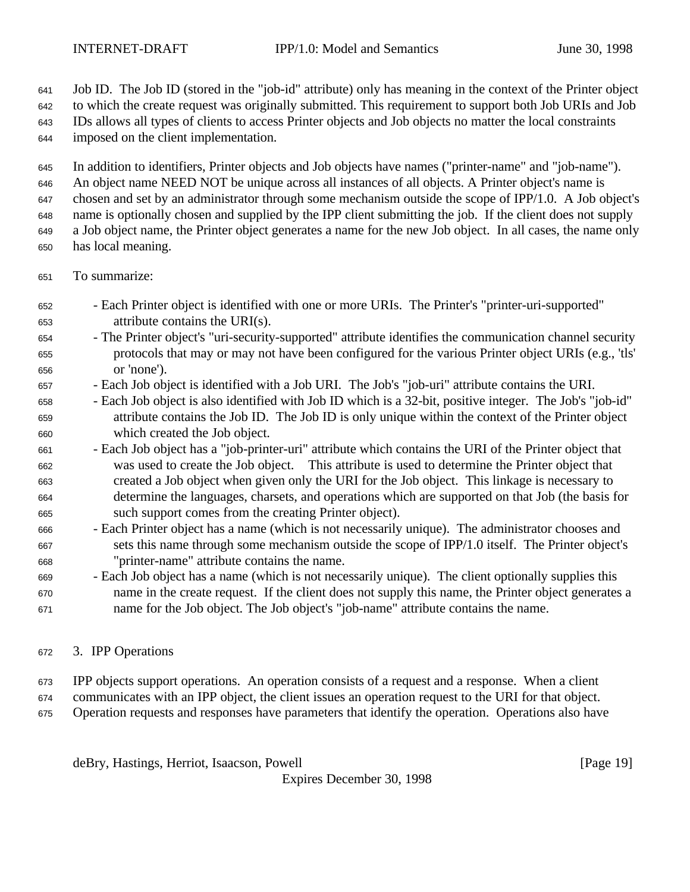Job ID. The Job ID (stored in the "job-id" attribute) only has meaning in the context of the Printer object

to which the create request was originally submitted. This requirement to support both Job URIs and Job

 IDs allows all types of clients to access Printer objects and Job objects no matter the local constraints imposed on the client implementation.

In addition to identifiers, Printer objects and Job objects have names ("printer-name" and "job-name").

An object name NEED NOT be unique across all instances of all objects. A Printer object's name is

chosen and set by an administrator through some mechanism outside the scope of IPP/1.0. A Job object's

name is optionally chosen and supplied by the IPP client submitting the job. If the client does not supply

a Job object name, the Printer object generates a name for the new Job object. In all cases, the name only

- has local meaning.
- To summarize:
- Each Printer object is identified with one or more URIs. The Printer's "printer-uri-supported" attribute contains the URI(s).
- The Printer object's "uri-security-supported" attribute identifies the communication channel security protocols that may or may not have been configured for the various Printer object URIs (e.g., 'tls' or 'none').
- Each Job object is identified with a Job URI. The Job's "job-uri" attribute contains the URI.
- Each Job object is also identified with Job ID which is a 32-bit, positive integer. The Job's "job-id" attribute contains the Job ID. The Job ID is only unique within the context of the Printer object which created the Job object.
- Each Job object has a "job-printer-uri" attribute which contains the URI of the Printer object that was used to create the Job object. This attribute is used to determine the Printer object that created a Job object when given only the URI for the Job object. This linkage is necessary to determine the languages, charsets, and operations which are supported on that Job (the basis for such support comes from the creating Printer object).
- Each Printer object has a name (which is not necessarily unique). The administrator chooses and sets this name through some mechanism outside the scope of IPP/1.0 itself. The Printer object's "printer-name" attribute contains the name.
- Each Job object has a name (which is not necessarily unique). The client optionally supplies this name in the create request. If the client does not supply this name, the Printer object generates a name for the Job object. The Job object's "job-name" attribute contains the name.
- 3. IPP Operations
- IPP objects support operations. An operation consists of a request and a response. When a client
- communicates with an IPP object, the client issues an operation request to the URI for that object.
- Operation requests and responses have parameters that identify the operation. Operations also have

deBry, Hastings, Herriot, Isaacson, Powell [Page 19]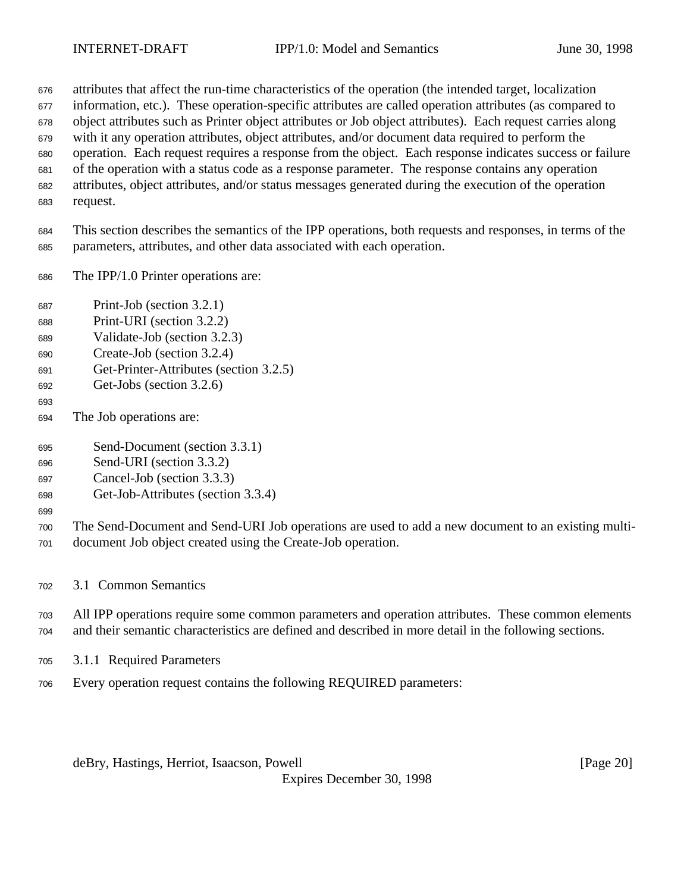attributes that affect the run-time characteristics of the operation (the intended target, localization

information, etc.). These operation-specific attributes are called operation attributes (as compared to

object attributes such as Printer object attributes or Job object attributes). Each request carries along

 with it any operation attributes, object attributes, and/or document data required to perform the operation. Each request requires a response from the object. Each response indicates success or failure

of the operation with a status code as a response parameter. The response contains any operation

- attributes, object attributes, and/or status messages generated during the execution of the operation
- request.

 This section describes the semantics of the IPP operations, both requests and responses, in terms of the parameters, attributes, and other data associated with each operation.

- The IPP/1.0 Printer operations are:
- Print-Job (section 3.2.1)
- Print-URI (section 3.2.2)
- Validate-Job (section 3.2.3)
- Create-Job (section 3.2.4)
- Get-Printer-Attributes (section 3.2.5)
- Get-Jobs (section 3.2.6)
- 
- The Job operations are:
- Send-Document (section 3.3.1)
- Send-URI (section 3.3.2)
- Cancel-Job (section 3.3.3)
- Get-Job-Attributes (section 3.3.4)
- 

 The Send-Document and Send-URI Job operations are used to add a new document to an existing multi-document Job object created using the Create-Job operation.

- 3.1 Common Semantics
- All IPP operations require some common parameters and operation attributes. These common elements and their semantic characteristics are defined and described in more detail in the following sections.
- 3.1.1 Required Parameters
- Every operation request contains the following REQUIRED parameters:

deBry, Hastings, Herriot, Isaacson, Powell [Page 20]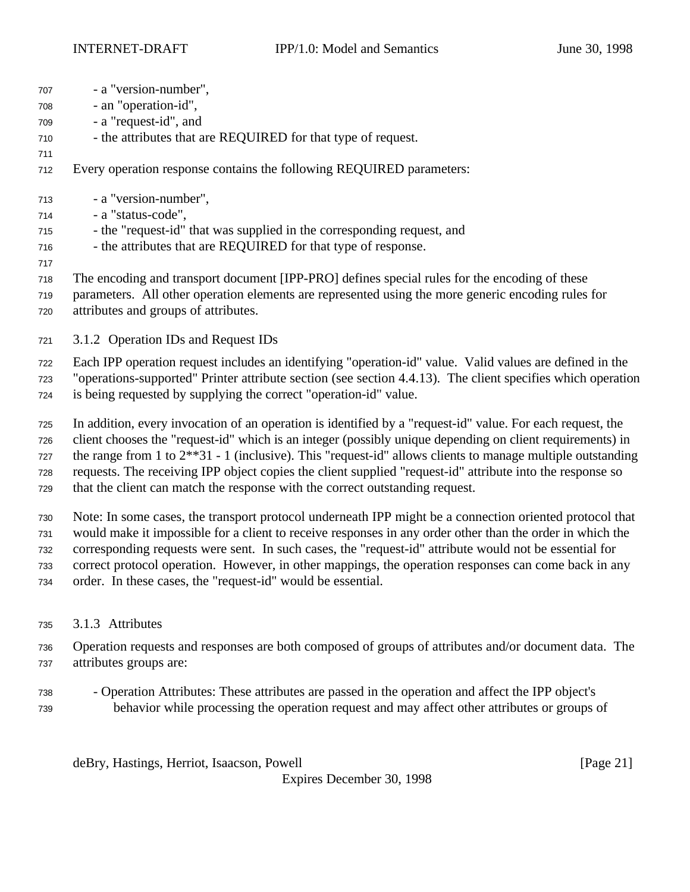| 707 | - a "version-number",                                                                                       |
|-----|-------------------------------------------------------------------------------------------------------------|
| 708 | - an "operation-id",                                                                                        |
| 709 | - a "request-id", and                                                                                       |
| 710 | - the attributes that are REQUIRED for that type of request.                                                |
| 711 |                                                                                                             |
| 712 | Every operation response contains the following REQUIRED parameters:                                        |
| 713 | - a "version-number",                                                                                       |
| 714 | - a "status-code",                                                                                          |
| 715 | - the "request-id" that was supplied in the corresponding request, and                                      |
| 716 | - the attributes that are REQUIRED for that type of response.                                               |
| 717 |                                                                                                             |
| 718 | The encoding and transport document [IPP-PRO] defines special rules for the encoding of these               |
| 719 | parameters. All other operation elements are represented using the more generic encoding rules for          |
| 720 | attributes and groups of attributes.                                                                        |
| 721 | 3.1.2 Operation IDs and Request IDs                                                                         |
| 722 | Each IPP operation request includes an identifying "operation-id" value. Valid values are defined in the    |
| 723 | "operations-supported" Printer attribute section (see section 4.4.13). The client specifies which operation |
| 724 | is being requested by supplying the correct "operation-id" value.                                           |
|     |                                                                                                             |

 In addition, every invocation of an operation is identified by a "request-id" value. For each request, the client chooses the "request-id" which is an integer (possibly unique depending on client requirements) in the range from 1 to 2\*\*31 - 1 (inclusive). This "request-id" allows clients to manage multiple outstanding requests. The receiving IPP object copies the client supplied "request-id" attribute into the response so that the client can match the response with the correct outstanding request.

 Note: In some cases, the transport protocol underneath IPP might be a connection oriented protocol that would make it impossible for a client to receive responses in any order other than the order in which the corresponding requests were sent. In such cases, the "request-id" attribute would not be essential for correct protocol operation. However, in other mappings, the operation responses can come back in any order. In these cases, the "request-id" would be essential.

3.1.3 Attributes

 Operation requests and responses are both composed of groups of attributes and/or document data. The attributes groups are:

 - Operation Attributes: These attributes are passed in the operation and affect the IPP object's behavior while processing the operation request and may affect other attributes or groups of

deBry, Hastings, Herriot, Isaacson, Powell [Page 21]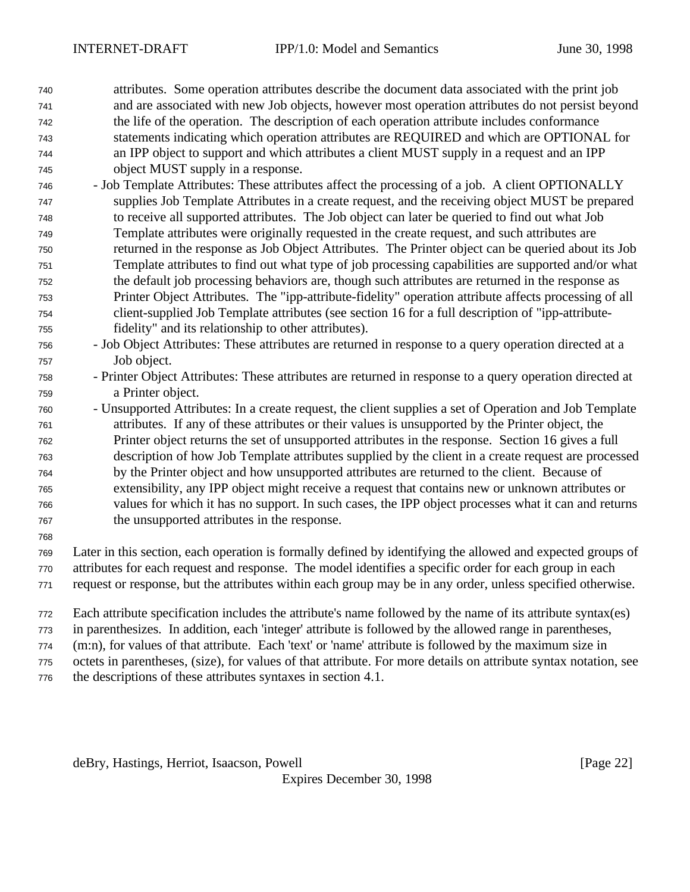attributes. Some operation attributes describe the document data associated with the print job and are associated with new Job objects, however most operation attributes do not persist beyond the life of the operation. The description of each operation attribute includes conformance statements indicating which operation attributes are REQUIRED and which are OPTIONAL for an IPP object to support and which attributes a client MUST supply in a request and an IPP object MUST supply in a response.

- Job Template Attributes: These attributes affect the processing of a job. A client OPTIONALLY supplies Job Template Attributes in a create request, and the receiving object MUST be prepared to receive all supported attributes. The Job object can later be queried to find out what Job Template attributes were originally requested in the create request, and such attributes are returned in the response as Job Object Attributes. The Printer object can be queried about its Job Template attributes to find out what type of job processing capabilities are supported and/or what the default job processing behaviors are, though such attributes are returned in the response as Printer Object Attributes. The "ipp-attribute-fidelity" operation attribute affects processing of all client-supplied Job Template attributes (see section 16 for a full description of "ipp-attribute-fidelity" and its relationship to other attributes).
- Job Object Attributes: These attributes are returned in response to a query operation directed at a Job object.
- Printer Object Attributes: These attributes are returned in response to a query operation directed at a Printer object.
- Unsupported Attributes: In a create request, the client supplies a set of Operation and Job Template attributes. If any of these attributes or their values is unsupported by the Printer object, the Printer object returns the set of unsupported attributes in the response. Section 16 gives a full description of how Job Template attributes supplied by the client in a create request are processed by the Printer object and how unsupported attributes are returned to the client. Because of extensibility, any IPP object might receive a request that contains new or unknown attributes or values for which it has no support. In such cases, the IPP object processes what it can and returns the unsupported attributes in the response.
- 

 Later in this section, each operation is formally defined by identifying the allowed and expected groups of attributes for each request and response. The model identifies a specific order for each group in each

- request or response, but the attributes within each group may be in any order, unless specified otherwise.
- Each attribute specification includes the attribute's name followed by the name of its attribute syntax(es)
- in parenthesizes. In addition, each 'integer' attribute is followed by the allowed range in parentheses,
- (m:n), for values of that attribute. Each 'text' or 'name' attribute is followed by the maximum size in
- octets in parentheses, (size), for values of that attribute. For more details on attribute syntax notation, see
- the descriptions of these attributes syntaxes in section 4.1.

deBry, Hastings, Herriot, Isaacson, Powell **Example 20** (Page 22)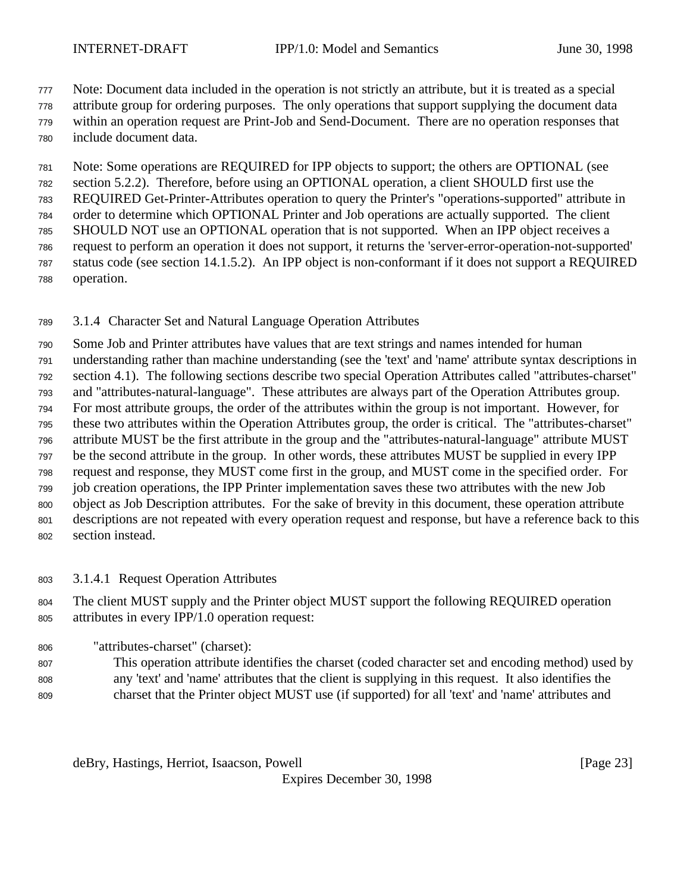Note: Document data included in the operation is not strictly an attribute, but it is treated as a special

attribute group for ordering purposes. The only operations that support supplying the document data

 within an operation request are Print-Job and Send-Document. There are no operation responses that include document data.

 Note: Some operations are REQUIRED for IPP objects to support; the others are OPTIONAL (see section 5.2.2). Therefore, before using an OPTIONAL operation, a client SHOULD first use the REQUIRED Get-Printer-Attributes operation to query the Printer's "operations-supported" attribute in order to determine which OPTIONAL Printer and Job operations are actually supported. The client SHOULD NOT use an OPTIONAL operation that is not supported. When an IPP object receives a request to perform an operation it does not support, it returns the 'server-error-operation-not-supported' status code (see section 14.1.5.2). An IPP object is non-conformant if it does not support a REQUIRED operation.

3.1.4 Character Set and Natural Language Operation Attributes

 Some Job and Printer attributes have values that are text strings and names intended for human understanding rather than machine understanding (see the 'text' and 'name' attribute syntax descriptions in section 4.1). The following sections describe two special Operation Attributes called "attributes-charset" and "attributes-natural-language". These attributes are always part of the Operation Attributes group. For most attribute groups, the order of the attributes within the group is not important. However, for these two attributes within the Operation Attributes group, the order is critical. The "attributes-charset" attribute MUST be the first attribute in the group and the "attributes-natural-language" attribute MUST be the second attribute in the group. In other words, these attributes MUST be supplied in every IPP request and response, they MUST come first in the group, and MUST come in the specified order. For job creation operations, the IPP Printer implementation saves these two attributes with the new Job object as Job Description attributes. For the sake of brevity in this document, these operation attribute descriptions are not repeated with every operation request and response, but have a reference back to this section instead.

3.1.4.1 Request Operation Attributes

 The client MUST supply and the Printer object MUST support the following REQUIRED operation attributes in every IPP/1.0 operation request:

"attributes-charset" (charset):

 This operation attribute identifies the charset (coded character set and encoding method) used by any 'text' and 'name' attributes that the client is supplying in this request. It also identifies the charset that the Printer object MUST use (if supported) for all 'text' and 'name' attributes and

deBry, Hastings, Herriot, Isaacson, Powell [Page 23]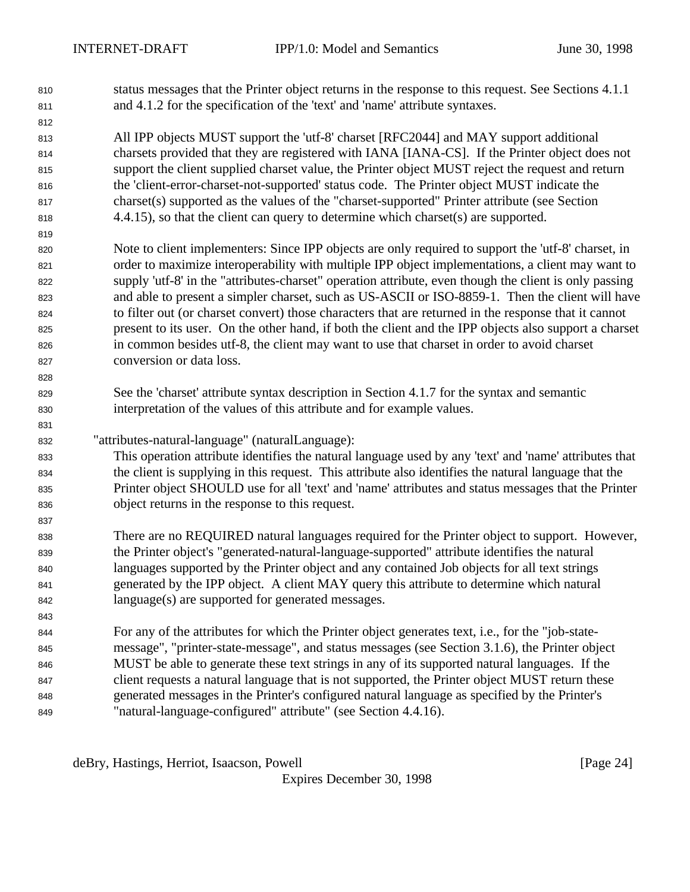- status messages that the Printer object returns in the response to this request. See Sections 4.1.1 and 4.1.2 for the specification of the 'text' and 'name' attribute syntaxes.
- All IPP objects MUST support the 'utf-8' charset [RFC2044] and MAY support additional charsets provided that they are registered with IANA [IANA-CS]. If the Printer object does not support the client supplied charset value, the Printer object MUST reject the request and return the 'client-error-charset-not-supported' status code. The Printer object MUST indicate the charset(s) supported as the values of the "charset-supported" Printer attribute (see Section 4.4.15), so that the client can query to determine which charset(s) are supported.
- Note to client implementers: Since IPP objects are only required to support the 'utf-8' charset, in order to maximize interoperability with multiple IPP object implementations, a client may want to supply 'utf-8' in the "attributes-charset" operation attribute, even though the client is only passing and able to present a simpler charset, such as US-ASCII or ISO-8859-1. Then the client will have to filter out (or charset convert) those characters that are returned in the response that it cannot present to its user. On the other hand, if both the client and the IPP objects also support a charset in common besides utf-8, the client may want to use that charset in order to avoid charset conversion or data loss.
- See the 'charset' attribute syntax description in Section 4.1.7 for the syntax and semantic interpretation of the values of this attribute and for example values.
- "attributes-natural-language" (naturalLanguage):
- This operation attribute identifies the natural language used by any 'text' and 'name' attributes that the client is supplying in this request. This attribute also identifies the natural language that the Printer object SHOULD use for all 'text' and 'name' attributes and status messages that the Printer object returns in the response to this request.
- There are no REQUIRED natural languages required for the Printer object to support. However, the Printer object's "generated-natural-language-supported" attribute identifies the natural languages supported by the Printer object and any contained Job objects for all text strings generated by the IPP object. A client MAY query this attribute to determine which natural language(s) are supported for generated messages.
- For any of the attributes for which the Printer object generates text, i.e., for the "job-state- message", "printer-state-message", and status messages (see Section 3.1.6), the Printer object MUST be able to generate these text strings in any of its supported natural languages. If the client requests a natural language that is not supported, the Printer object MUST return these generated messages in the Printer's configured natural language as specified by the Printer's "natural-language-configured" attribute" (see Section 4.4.16).

deBry, Hastings, Herriot, Isaacson, Powell **Example 24** and the same control in the same control of  $\alpha$  and  $\beta$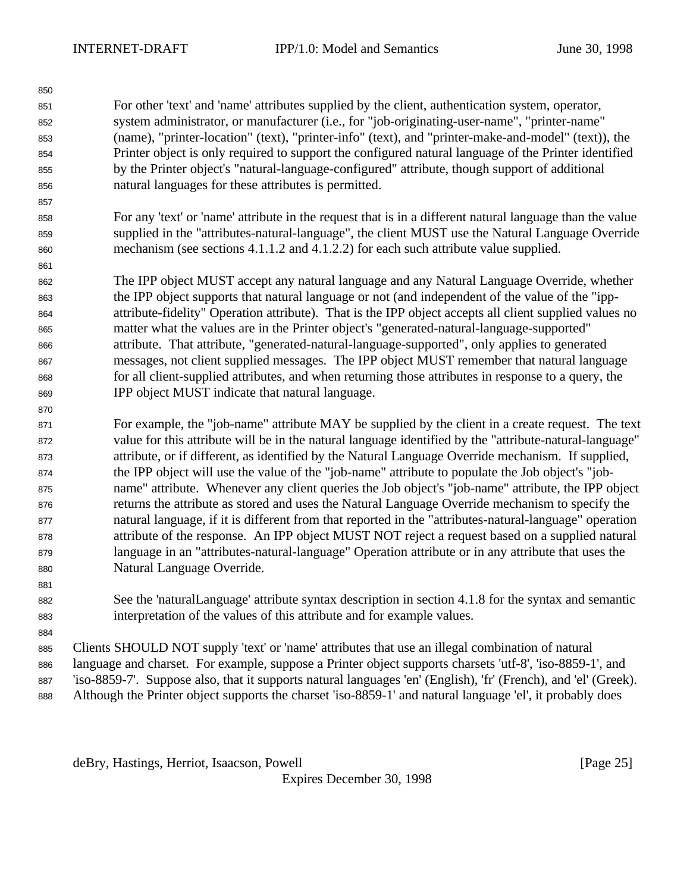For other 'text' and 'name' attributes supplied by the client, authentication system, operator, system administrator, or manufacturer (i.e., for "job-originating-user-name", "printer-name" (name), "printer-location" (text), "printer-info" (text), and "printer-make-and-model" (text)), the Printer object is only required to support the configured natural language of the Printer identified by the Printer object's "natural-language-configured" attribute, though support of additional natural languages for these attributes is permitted.

 For any 'text' or 'name' attribute in the request that is in a different natural language than the value supplied in the "attributes-natural-language", the client MUST use the Natural Language Override mechanism (see sections 4.1.1.2 and 4.1.2.2) for each such attribute value supplied.

 The IPP object MUST accept any natural language and any Natural Language Override, whether the IPP object supports that natural language or not (and independent of the value of the "ipp- attribute-fidelity" Operation attribute). That is the IPP object accepts all client supplied values no matter what the values are in the Printer object's "generated-natural-language-supported" attribute. That attribute, "generated-natural-language-supported", only applies to generated messages, not client supplied messages. The IPP object MUST remember that natural language for all client-supplied attributes, and when returning those attributes in response to a query, the IPP object MUST indicate that natural language.

 For example, the "job-name" attribute MAY be supplied by the client in a create request. The text value for this attribute will be in the natural language identified by the "attribute-natural-language" attribute, or if different, as identified by the Natural Language Override mechanism. If supplied, the IPP object will use the value of the "job-name" attribute to populate the Job object's "job- name" attribute. Whenever any client queries the Job object's "job-name" attribute, the IPP object returns the attribute as stored and uses the Natural Language Override mechanism to specify the natural language, if it is different from that reported in the "attributes-natural-language" operation attribute of the response. An IPP object MUST NOT reject a request based on a supplied natural language in an "attributes-natural-language" Operation attribute or in any attribute that uses the Natural Language Override.

 See the 'naturalLanguage' attribute syntax description in section 4.1.8 for the syntax and semantic interpretation of the values of this attribute and for example values.

 Clients SHOULD NOT supply 'text' or 'name' attributes that use an illegal combination of natural language and charset. For example, suppose a Printer object supports charsets 'utf-8', 'iso-8859-1', and

 'iso-8859-7'. Suppose also, that it supports natural languages 'en' (English), 'fr' (French), and 'el' (Greek). Although the Printer object supports the charset 'iso-8859-1' and natural language 'el', it probably does

deBry, Hastings, Herriot, Isaacson, Powell **Example 26** (Page 25)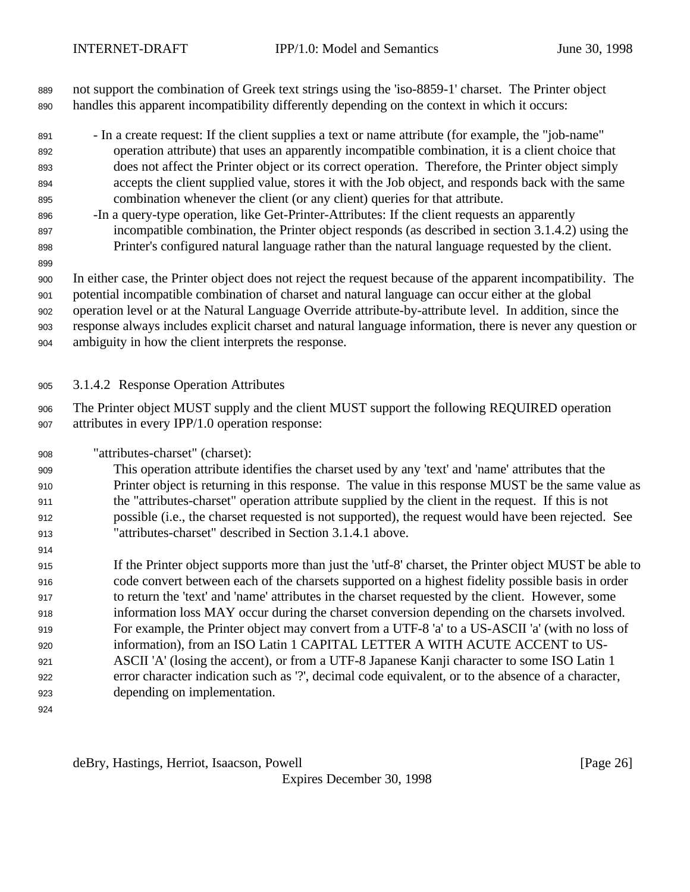not support the combination of Greek text strings using the 'iso-8859-1' charset. The Printer object handles this apparent incompatibility differently depending on the context in which it occurs:

- In a create request: If the client supplies a text or name attribute (for example, the "job-name" operation attribute) that uses an apparently incompatible combination, it is a client choice that does not affect the Printer object or its correct operation. Therefore, the Printer object simply accepts the client supplied value, stores it with the Job object, and responds back with the same combination whenever the client (or any client) queries for that attribute.
- -In a query-type operation, like Get-Printer-Attributes: If the client requests an apparently incompatible combination, the Printer object responds (as described in section 3.1.4.2) using the Printer's configured natural language rather than the natural language requested by the client.
- 

In either case, the Printer object does not reject the request because of the apparent incompatibility. The

potential incompatible combination of charset and natural language can occur either at the global

operation level or at the Natural Language Override attribute-by-attribute level. In addition, since the

response always includes explicit charset and natural language information, there is never any question or

- ambiguity in how the client interprets the response.
- 3.1.4.2 Response Operation Attributes

 The Printer object MUST supply and the client MUST support the following REQUIRED operation attributes in every IPP/1.0 operation response:

"attributes-charset" (charset):

 This operation attribute identifies the charset used by any 'text' and 'name' attributes that the Printer object is returning in this response. The value in this response MUST be the same value as the "attributes-charset" operation attribute supplied by the client in the request. If this is not possible (i.e., the charset requested is not supported), the request would have been rejected. See "attributes-charset" described in Section 3.1.4.1 above.

 If the Printer object supports more than just the 'utf-8' charset, the Printer object MUST be able to code convert between each of the charsets supported on a highest fidelity possible basis in order to return the 'text' and 'name' attributes in the charset requested by the client. However, some information loss MAY occur during the charset conversion depending on the charsets involved. For example, the Printer object may convert from a UTF-8 'a' to a US-ASCII 'a' (with no loss of information), from an ISO Latin 1 CAPITAL LETTER A WITH ACUTE ACCENT to US- ASCII 'A' (losing the accent), or from a UTF-8 Japanese Kanji character to some ISO Latin 1 error character indication such as '?', decimal code equivalent, or to the absence of a character, depending on implementation.

deBry, Hastings, Herriot, Isaacson, Powell **compared and Contact and Contact Contact (Page 26**)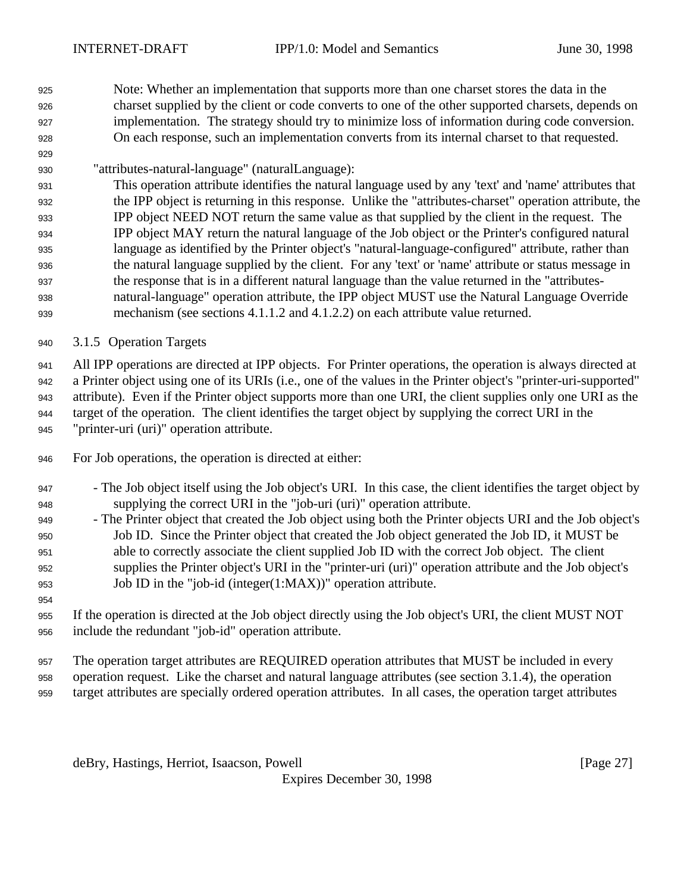Note: Whether an implementation that supports more than one charset stores the data in the charset supplied by the client or code converts to one of the other supported charsets, depends on implementation. The strategy should try to minimize loss of information during code conversion. On each response, such an implementation converts from its internal charset to that requested.

"attributes-natural-language" (naturalLanguage):

 This operation attribute identifies the natural language used by any 'text' and 'name' attributes that the IPP object is returning in this response. Unlike the "attributes-charset" operation attribute, the IPP object NEED NOT return the same value as that supplied by the client in the request. The IPP object MAY return the natural language of the Job object or the Printer's configured natural language as identified by the Printer object's "natural-language-configured" attribute, rather than the natural language supplied by the client. For any 'text' or 'name' attribute or status message in the response that is in a different natural language than the value returned in the "attributes- natural-language" operation attribute, the IPP object MUST use the Natural Language Override mechanism (see sections 4.1.1.2 and 4.1.2.2) on each attribute value returned.

3.1.5 Operation Targets

 All IPP operations are directed at IPP objects. For Printer operations, the operation is always directed at a Printer object using one of its URIs (i.e., one of the values in the Printer object's "printer-uri-supported" attribute). Even if the Printer object supports more than one URI, the client supplies only one URI as the target of the operation. The client identifies the target object by supplying the correct URI in the "printer-uri (uri)" operation attribute.

For Job operations, the operation is directed at either:

- The Job object itself using the Job object's URI. In this case, the client identifies the target object by supplying the correct URI in the "job-uri (uri)" operation attribute.
- The Printer object that created the Job object using both the Printer objects URI and the Job object's Job ID. Since the Printer object that created the Job object generated the Job ID, it MUST be able to correctly associate the client supplied Job ID with the correct Job object. The client supplies the Printer object's URI in the "printer-uri (uri)" operation attribute and the Job object's Job ID in the "job-id (integer(1:MAX))" operation attribute.
- If the operation is directed at the Job object directly using the Job object's URI, the client MUST NOT include the redundant "job-id" operation attribute.

 The operation target attributes are REQUIRED operation attributes that MUST be included in every operation request. Like the charset and natural language attributes (see section 3.1.4), the operation target attributes are specially ordered operation attributes. In all cases, the operation target attributes

deBry, Hastings, Herriot, Isaacson, Powell **Example 20** is a state of the state of the state of the state of the state of the state of the state of the state of the state of the state of the state of the state of the state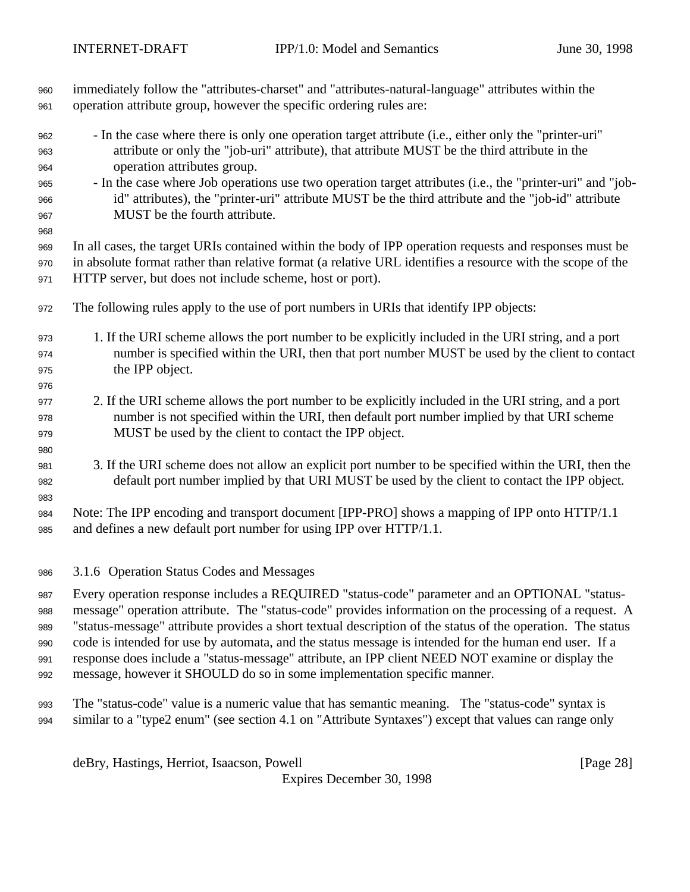| 960<br>961               | immediately follow the "attributes-charset" and "attributes-natural-language" attributes within the<br>operation attribute group, however the specific ordering rules are:                                                                                                        |
|--------------------------|-----------------------------------------------------------------------------------------------------------------------------------------------------------------------------------------------------------------------------------------------------------------------------------|
| 962<br>963<br>964        | - In the case where there is only one operation target attribute (i.e., either only the "printer-uri"<br>attribute or only the "job-uri" attribute), that attribute MUST be the third attribute in the<br>operation attributes group.                                             |
| 965<br>966<br>967        | - In the case where Job operations use two operation target attributes (i.e., the "printer-uri" and "job-<br>id" attributes), the "printer-uri" attribute MUST be the third attribute and the "job-id" attribute<br>MUST be the fourth attribute.                                 |
| 968<br>969<br>970<br>971 | In all cases, the target URIs contained within the body of IPP operation requests and responses must be<br>in absolute format rather than relative format (a relative URL identifies a resource with the scope of the<br>HTTP server, but does not include scheme, host or port). |
| 972                      | The following rules apply to the use of port numbers in URIs that identify IPP objects:                                                                                                                                                                                           |
| 973<br>974<br>975        | 1. If the URI scheme allows the port number to be explicitly included in the URI string, and a port<br>number is specified within the URI, then that port number MUST be used by the client to contact<br>the IPP object.                                                         |
| 976<br>977<br>978<br>979 | 2. If the URI scheme allows the port number to be explicitly included in the URI string, and a port<br>number is not specified within the URI, then default port number implied by that URI scheme<br>MUST be used by the client to contact the IPP object.                       |
| 980<br>981<br>982<br>983 | 3. If the URI scheme does not allow an explicit port number to be specified within the URI, then the<br>default port number implied by that URI MUST be used by the client to contact the IPP object.                                                                             |
| 984<br>985               | Note: The IPP encoding and transport document [IPP-PRO] shows a mapping of IPP onto HTTP/1.1<br>and defines a new default port number for using IPP over HTTP/1.1.                                                                                                                |
| 986                      | 3.1.6 Operation Status Codes and Messages                                                                                                                                                                                                                                         |
| 987                      | Every operation response includes a REQUIRED "status-code" parameter and an OPTIONAL "status-<br>research anomatica studiente. The "status sode" nuevides informatica ou the nuescening of a neguest. A                                                                           |

 message" operation attribute. The "status-code" provides information on the processing of a request. A "status-message" attribute provides a short textual description of the status of the operation. The status code is intended for use by automata, and the status message is intended for the human end user. If a response does include a "status-message" attribute, an IPP client NEED NOT examine or display the message, however it SHOULD do so in some implementation specific manner.

 The "status-code" value is a numeric value that has semantic meaning. The "status-code" syntax is similar to a "type2 enum" (see section 4.1 on "Attribute Syntaxes") except that values can range only

deBry, Hastings, Herriot, Isaacson, Powell [Page 28]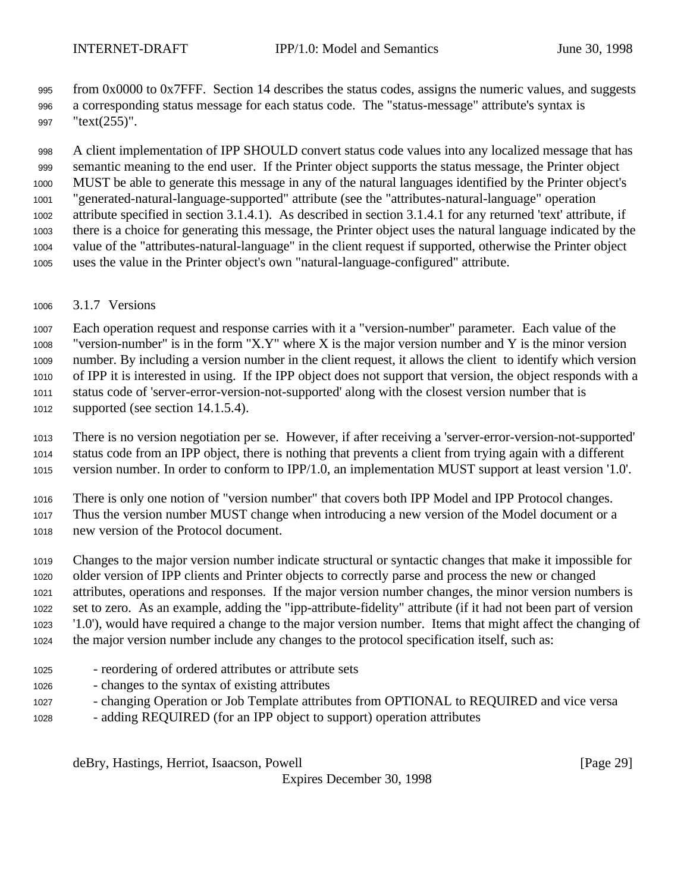from 0x0000 to 0x7FFF. Section 14 describes the status codes, assigns the numeric values, and suggests a corresponding status message for each status code. The "status-message" attribute's syntax is "text(255)".

 A client implementation of IPP SHOULD convert status code values into any localized message that has semantic meaning to the end user. If the Printer object supports the status message, the Printer object MUST be able to generate this message in any of the natural languages identified by the Printer object's "generated-natural-language-supported" attribute (see the "attributes-natural-language" operation attribute specified in section 3.1.4.1). As described in section 3.1.4.1 for any returned 'text' attribute, if there is a choice for generating this message, the Printer object uses the natural language indicated by the value of the "attributes-natural-language" in the client request if supported, otherwise the Printer object uses the value in the Printer object's own "natural-language-configured" attribute.

3.1.7 Versions

 Each operation request and response carries with it a "version-number" parameter. Each value of the 1008 "version-number" is in the form "X.Y" where X is the major version number and Y is the minor version number. By including a version number in the client request, it allows the client to identify which version of IPP it is interested in using. If the IPP object does not support that version, the object responds with a status code of 'server-error-version-not-supported' along with the closest version number that is supported (see section 14.1.5.4).

 There is no version negotiation per se. However, if after receiving a 'server-error-version-not-supported' status code from an IPP object, there is nothing that prevents a client from trying again with a different version number. In order to conform to IPP/1.0, an implementation MUST support at least version '1.0'.

 There is only one notion of "version number" that covers both IPP Model and IPP Protocol changes. Thus the version number MUST change when introducing a new version of the Model document or a new version of the Protocol document.

 Changes to the major version number indicate structural or syntactic changes that make it impossible for older version of IPP clients and Printer objects to correctly parse and process the new or changed attributes, operations and responses. If the major version number changes, the minor version numbers is set to zero. As an example, adding the "ipp-attribute-fidelity" attribute (if it had not been part of version '1.0'), would have required a change to the major version number. Items that might affect the changing of the major version number include any changes to the protocol specification itself, such as:

- reordering of ordered attributes or attribute sets
- changes to the syntax of existing attributes
- changing Operation or Job Template attributes from OPTIONAL to REQUIRED and vice versa
- adding REQUIRED (for an IPP object to support) operation attributes

deBry, Hastings, Herriot, Isaacson, Powell [Page 29]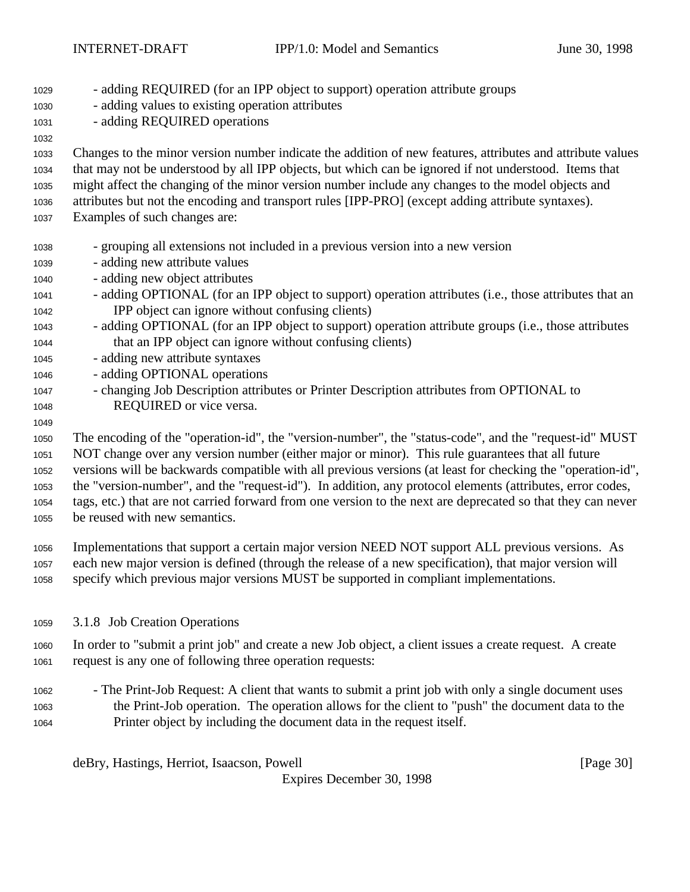| 1029 | - adding REQUIRED (for an IPP object to support) operation attribute groups                                |
|------|------------------------------------------------------------------------------------------------------------|
| 1030 | - adding values to existing operation attributes                                                           |
| 1031 | - adding REQUIRED operations                                                                               |
| 1032 |                                                                                                            |
| 1033 | Changes to the minor version number indicate the addition of new features, attributes and attribute values |
| 1034 | that may not be understood by all IPP objects, but which can be ignored if not understood. Items that      |
| 1035 | might affect the changing of the minor version number include any changes to the model objects and         |
| 1036 | attributes but not the encoding and transport rules [IPP-PRO] (except adding attribute syntaxes).          |
| 1037 | Examples of such changes are:                                                                              |
|      |                                                                                                            |
| 1038 | - grouping all extensions not included in a previous version into a new version                            |
| 1039 | - adding new attribute values                                                                              |
| 1040 | - adding new object attributes                                                                             |
| 1041 | - adding OPTIONAL (for an IPP object to support) operation attributes (i.e., those attributes that an      |
| 1042 | IPP object can ignore without confusing clients)                                                           |
| 1043 | - adding OPTIONAL (for an IPP object to support) operation attribute groups (i.e., those attributes        |
| 1044 | that an IPP object can ignore without confusing clients)                                                   |
| 1045 | - adding new attribute syntaxes                                                                            |
| 1046 | - adding OPTIONAL operations                                                                               |
| 1047 | - changing Job Description attributes or Printer Description attributes from OPTIONAL to                   |
| 1048 | REQUIRED or vice versa.                                                                                    |
| 1049 |                                                                                                            |

 The encoding of the "operation-id", the "version-number", the "status-code", and the "request-id" MUST NOT change over any version number (either major or minor). This rule guarantees that all future versions will be backwards compatible with all previous versions (at least for checking the "operation-id", the "version-number", and the "request-id"). In addition, any protocol elements (attributes, error codes, tags, etc.) that are not carried forward from one version to the next are deprecated so that they can never be reused with new semantics.

 Implementations that support a certain major version NEED NOT support ALL previous versions. As each new major version is defined (through the release of a new specification), that major version will specify which previous major versions MUST be supported in compliant implementations.

### 3.1.8 Job Creation Operations

 In order to "submit a print job" and create a new Job object, a client issues a create request. A create request is any one of following three operation requests:

 - The Print-Job Request: A client that wants to submit a print job with only a single document uses the Print-Job operation. The operation allows for the client to "push" the document data to the Printer object by including the document data in the request itself.

deBry, Hastings, Herriot, Isaacson, Powell [Page 30]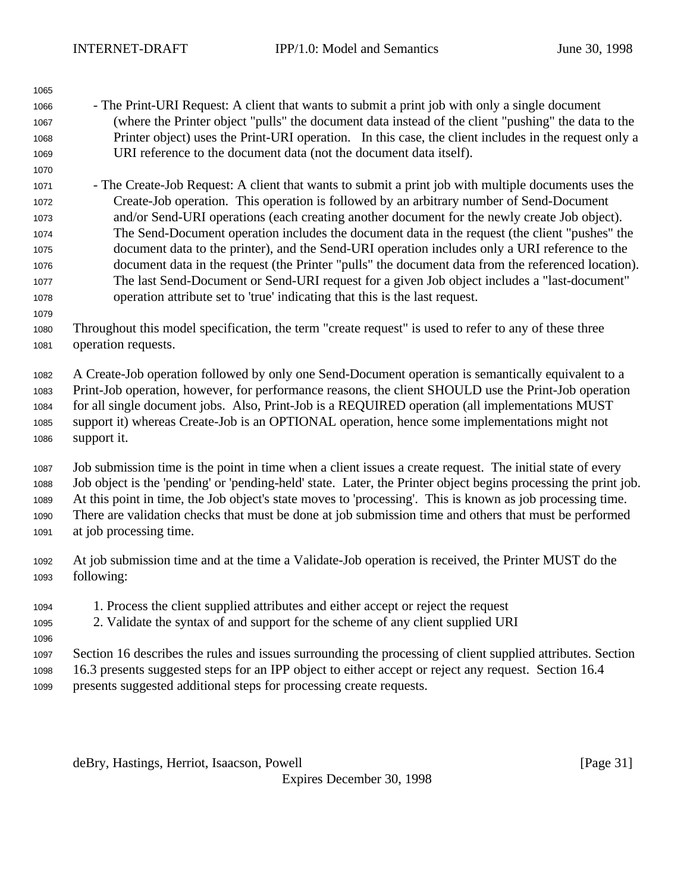- The Print-URI Request: A client that wants to submit a print job with only a single document (where the Printer object "pulls" the document data instead of the client "pushing" the data to the Printer object) uses the Print-URI operation. In this case, the client includes in the request only a URI reference to the document data (not the document data itself).
- The Create-Job Request: A client that wants to submit a print job with multiple documents uses the Create-Job operation. This operation is followed by an arbitrary number of Send-Document and/or Send-URI operations (each creating another document for the newly create Job object). The Send-Document operation includes the document data in the request (the client "pushes" the document data to the printer), and the Send-URI operation includes only a URI reference to the document data in the request (the Printer "pulls" the document data from the referenced location). The last Send-Document or Send-URI request for a given Job object includes a "last-document" operation attribute set to 'true' indicating that this is the last request.
- Throughout this model specification, the term "create request" is used to refer to any of these three operation requests.

 A Create-Job operation followed by only one Send-Document operation is semantically equivalent to a Print-Job operation, however, for performance reasons, the client SHOULD use the Print-Job operation for all single document jobs. Also, Print-Job is a REQUIRED operation (all implementations MUST support it) whereas Create-Job is an OPTIONAL operation, hence some implementations might not support it.

 Job submission time is the point in time when a client issues a create request. The initial state of every Job object is the 'pending' or 'pending-held' state. Later, the Printer object begins processing the print job. At this point in time, the Job object's state moves to 'processing'. This is known as job processing time. There are validation checks that must be done at job submission time and others that must be performed at job processing time.

- At job submission time and at the time a Validate-Job operation is received, the Printer MUST do the following:
- 1. Process the client supplied attributes and either accept or reject the request
- 2. Validate the syntax of and support for the scheme of any client supplied URI
- 

 Section 16 describes the rules and issues surrounding the processing of client supplied attributes. Section 16.3 presents suggested steps for an IPP object to either accept or reject any request. Section 16.4

presents suggested additional steps for processing create requests.

deBry, Hastings, Herriot, Isaacson, Powell **Example 20** (Page 31)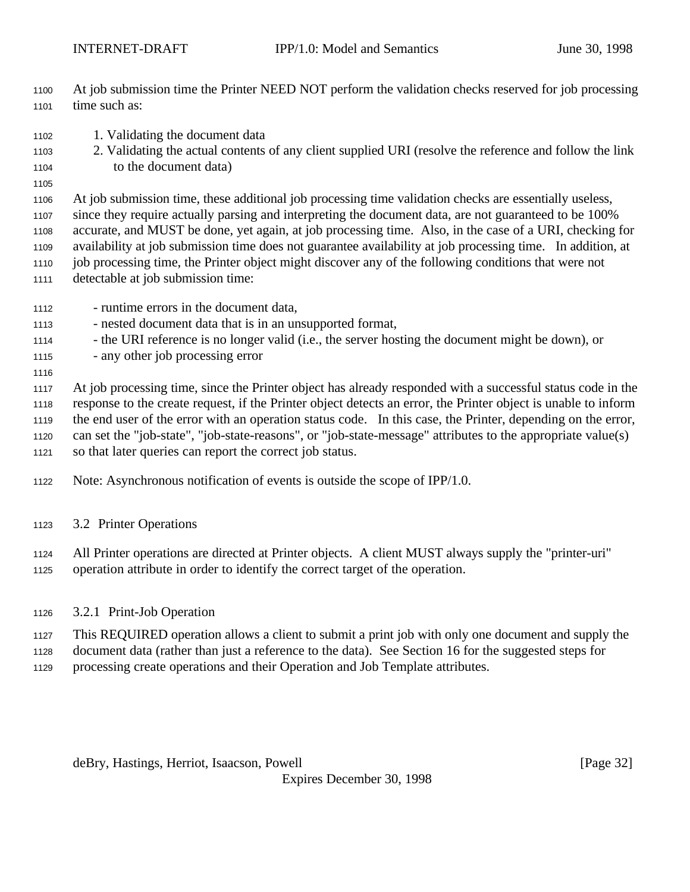At job submission time the Printer NEED NOT perform the validation checks reserved for job processing 1101 time such as:

- 1. Validating the document data
- 2. Validating the actual contents of any client supplied URI (resolve the reference and follow the link to the document data)
- 

 At job submission time, these additional job processing time validation checks are essentially useless, since they require actually parsing and interpreting the document data, are not guaranteed to be 100% accurate, and MUST be done, yet again, at job processing time. Also, in the case of a URI, checking for availability at job submission time does not guarantee availability at job processing time. In addition, at job processing time, the Printer object might discover any of the following conditions that were not detectable at job submission time:

- runtime errors in the document data,
- nested document data that is in an unsupported format,
- the URI reference is no longer valid (i.e., the server hosting the document might be down), or
- any other job processing error
- 

 At job processing time, since the Printer object has already responded with a successful status code in the response to the create request, if the Printer object detects an error, the Printer object is unable to inform the end user of the error with an operation status code. In this case, the Printer, depending on the error, can set the "job-state", "job-state-reasons", or "job-state-message" attributes to the appropriate value(s) so that later queries can report the correct job status.

- Note: Asynchronous notification of events is outside the scope of IPP/1.0.
- 3.2 Printer Operations
- All Printer operations are directed at Printer objects. A client MUST always supply the "printer-uri"
- operation attribute in order to identify the correct target of the operation.
- 3.2.1 Print-Job Operation
- This REQUIRED operation allows a client to submit a print job with only one document and supply the
- document data (rather than just a reference to the data). See Section 16 for the suggested steps for
- processing create operations and their Operation and Job Template attributes.

deBry, Hastings, Herriot, Isaacson, Powell [Page 32]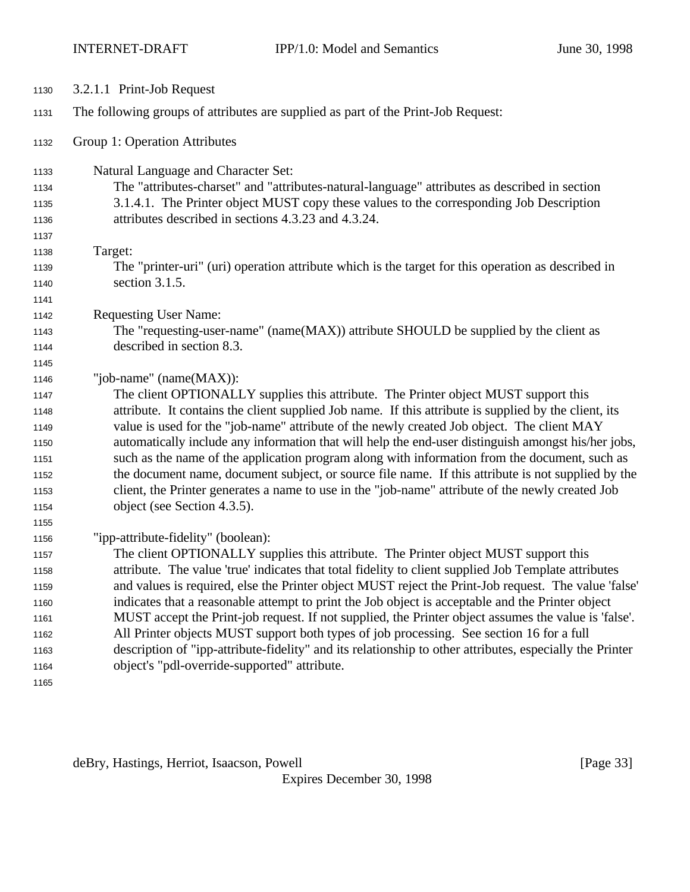| 1130 | 3.2.1.1 Print-Job Request                                                                                                                                                                            |
|------|------------------------------------------------------------------------------------------------------------------------------------------------------------------------------------------------------|
| 1131 | The following groups of attributes are supplied as part of the Print-Job Request:                                                                                                                    |
| 1132 | Group 1: Operation Attributes                                                                                                                                                                        |
| 1133 | Natural Language and Character Set:                                                                                                                                                                  |
| 1134 | The "attributes-charset" and "attributes-natural-language" attributes as described in section                                                                                                        |
| 1135 | 3.1.4.1. The Printer object MUST copy these values to the corresponding Job Description                                                                                                              |
| 1136 | attributes described in sections 4.3.23 and 4.3.24.                                                                                                                                                  |
| 1137 |                                                                                                                                                                                                      |
| 1138 | Target:                                                                                                                                                                                              |
| 1139 | The "printer-uri" (uri) operation attribute which is the target for this operation as described in                                                                                                   |
| 1140 | section 3.1.5.                                                                                                                                                                                       |
| 1141 |                                                                                                                                                                                                      |
| 1142 | <b>Requesting User Name:</b>                                                                                                                                                                         |
| 1143 | The "requesting-user-name" (name(MAX)) attribute SHOULD be supplied by the client as                                                                                                                 |
| 1144 | described in section 8.3.                                                                                                                                                                            |
| 1145 |                                                                                                                                                                                                      |
| 1146 | "job-name" (name(MAX)):                                                                                                                                                                              |
| 1147 | The client OPTIONALLY supplies this attribute. The Printer object MUST support this                                                                                                                  |
| 1148 | attribute. It contains the client supplied Job name. If this attribute is supplied by the client, its                                                                                                |
| 1149 | value is used for the "job-name" attribute of the newly created Job object. The client MAY                                                                                                           |
| 1150 | automatically include any information that will help the end-user distinguish amongst his/her jobs,                                                                                                  |
| 1151 | such as the name of the application program along with information from the document, such as                                                                                                        |
| 1152 | the document name, document subject, or source file name. If this attribute is not supplied by the                                                                                                   |
| 1153 | client, the Printer generates a name to use in the "job-name" attribute of the newly created Job                                                                                                     |
| 1154 | object (see Section 4.3.5).                                                                                                                                                                          |
| 1155 |                                                                                                                                                                                                      |
| 1156 | "ipp-attribute-fidelity" (boolean):                                                                                                                                                                  |
| 1157 | The client OPTIONALLY supplies this attribute. The Printer object MUST support this                                                                                                                  |
| 1158 | attribute. The value 'true' indicates that total fidelity to client supplied Job Template attributes                                                                                                 |
| 1159 | and values is required, else the Printer object MUST reject the Print-Job request. The value 'false'                                                                                                 |
| 1160 | indicates that a reasonable attempt to print the Job object is acceptable and the Printer object                                                                                                     |
| 1161 | MUST accept the Print-job request. If not supplied, the Printer object assumes the value is 'false'.                                                                                                 |
| 1162 | All Printer objects MUST support both types of job processing. See section 16 for a full<br>description of "ipp-attribute-fidelity" and its relationship to other attributes, especially the Printer |
| 1163 | object's "pdl-override-supported" attribute.                                                                                                                                                         |
| 1164 |                                                                                                                                                                                                      |
| 1165 |                                                                                                                                                                                                      |

deBry, Hastings, Herriot, Isaacson, Powell [Page 33]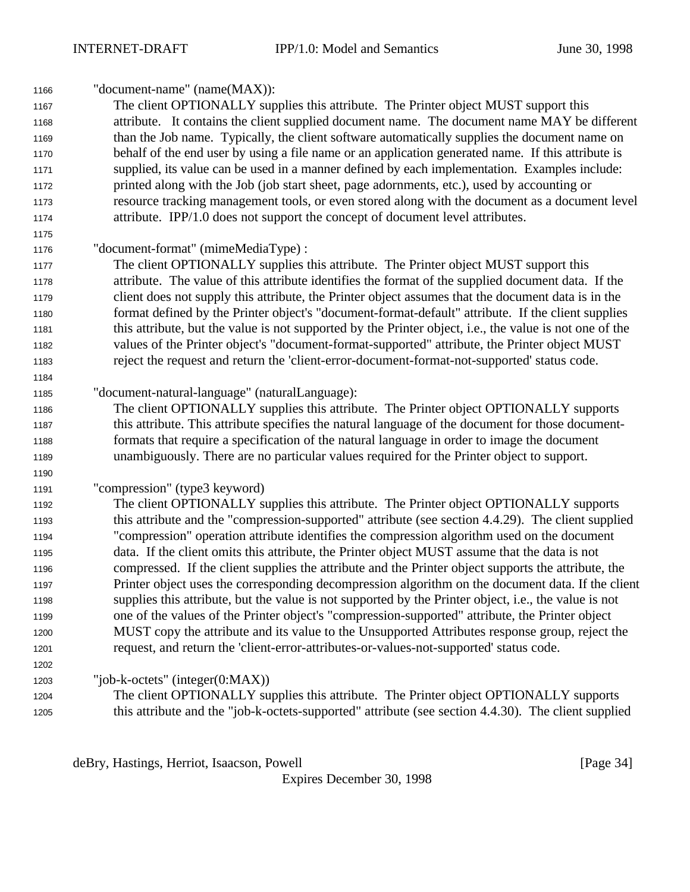| 1166 | "document-name" (name(MAX)):                                                                            |
|------|---------------------------------------------------------------------------------------------------------|
| 1167 | The client OPTIONALLY supplies this attribute. The Printer object MUST support this                     |
| 1168 | attribute. It contains the client supplied document name. The document name MAY be different            |
| 1169 | than the Job name. Typically, the client software automatically supplies the document name on           |
| 1170 | behalf of the end user by using a file name or an application generated name. If this attribute is      |
| 1171 | supplied, its value can be used in a manner defined by each implementation. Examples include:           |
| 1172 | printed along with the Job (job start sheet, page adornments, etc.), used by accounting or              |
| 1173 | resource tracking management tools, or even stored along with the document as a document level          |
| 1174 | attribute. IPP/1.0 does not support the concept of document level attributes.                           |
| 1175 |                                                                                                         |
| 1176 | "document-format" (mimeMediaType) :                                                                     |
| 1177 | The client OPTIONALLY supplies this attribute. The Printer object MUST support this                     |
| 1178 | attribute. The value of this attribute identifies the format of the supplied document data. If the      |
| 1179 | client does not supply this attribute, the Printer object assumes that the document data is in the      |
| 1180 | format defined by the Printer object's "document-format-default" attribute. If the client supplies      |
| 1181 | this attribute, but the value is not supported by the Printer object, i.e., the value is not one of the |
| 1182 | values of the Printer object's "document-format-supported" attribute, the Printer object MUST           |
| 1183 | reject the request and return the 'client-error-document-format-not-supported' status code.             |
| 1184 |                                                                                                         |
| 1185 | "document-natural-language" (naturalLanguage):                                                          |
| 1186 | The client OPTIONALLY supplies this attribute. The Printer object OPTIONALLY supports                   |
| 1187 | this attribute. This attribute specifies the natural language of the document for those document-       |
| 1188 | formats that require a specification of the natural language in order to image the document             |
| 1189 | unambiguously. There are no particular values required for the Printer object to support.               |
| 1190 |                                                                                                         |
| 1191 | "compression" (type3 keyword)                                                                           |
| 1192 | The client OPTIONALLY supplies this attribute. The Printer object OPTIONALLY supports                   |
| 1193 | this attribute and the "compression-supported" attribute (see section 4.4.29). The client supplied      |
| 1194 | "compression" operation attribute identifies the compression algorithm used on the document             |
| 1195 | data. If the client omits this attribute, the Printer object MUST assume that the data is not           |
| 1196 | compressed. If the client supplies the attribute and the Printer object supports the attribute, the     |
| 1197 | Printer object uses the corresponding decompression algorithm on the document data. If the client       |
| 1198 | supplies this attribute, but the value is not supported by the Printer object, i.e., the value is not   |
| 1199 | one of the values of the Printer object's "compression-supported" attribute, the Printer object         |
| 1200 | MUST copy the attribute and its value to the Unsupported Attributes response group, reject the          |
| 1201 | request, and return the 'client-error-attributes-or-values-not-supported' status code.                  |
| 1202 |                                                                                                         |
| 1203 | "job-k-octets" (integer(0:MAX))                                                                         |
| 1204 | The client OPTIONALLY supplies this attribute. The Printer object OPTIONALLY supports                   |
| 1205 | this attribute and the "job-k-octets-supported" attribute (see section 4.4.30). The client supplied     |

deBry, Hastings, Herriot, Isaacson, Powell [Page 34]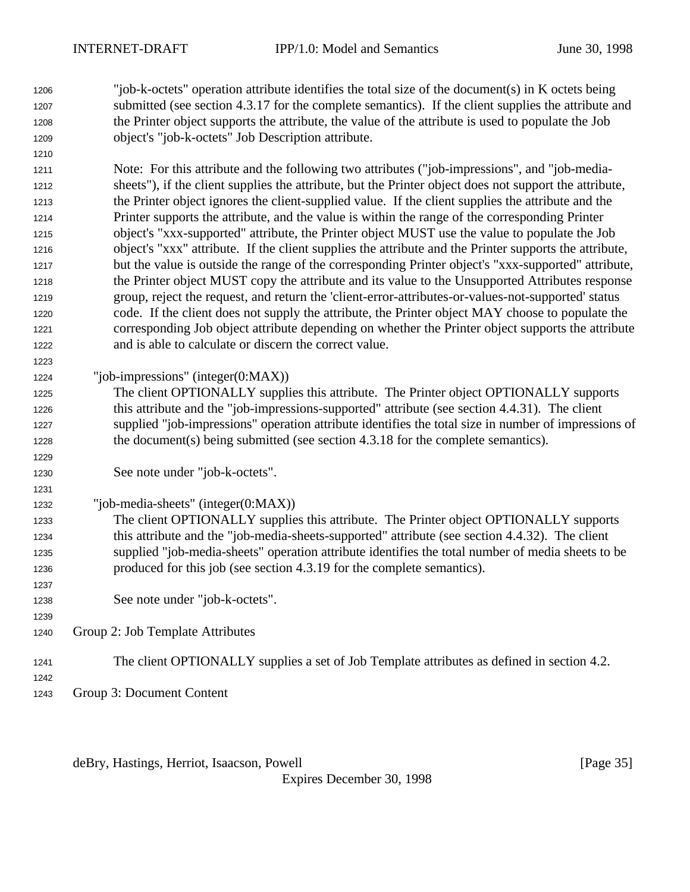"job-k-octets" operation attribute identifies the total size of the document(s) in K octets being submitted (see section 4.3.17 for the complete semantics). If the client supplies the attribute and the Printer object supports the attribute, the value of the attribute is used to populate the Job object's "job-k-octets" Job Description attribute.

 Note: For this attribute and the following two attributes ("job-impressions", and "job-media- sheets"), if the client supplies the attribute, but the Printer object does not support the attribute, the Printer object ignores the client-supplied value. If the client supplies the attribute and the Printer supports the attribute, and the value is within the range of the corresponding Printer object's "xxx-supported" attribute, the Printer object MUST use the value to populate the Job object's "xxx" attribute. If the client supplies the attribute and the Printer supports the attribute, but the value is outside the range of the corresponding Printer object's "xxx-supported" attribute, the Printer object MUST copy the attribute and its value to the Unsupported Attributes response group, reject the request, and return the 'client-error-attributes-or-values-not-supported' status code. If the client does not supply the attribute, the Printer object MAY choose to populate the corresponding Job object attribute depending on whether the Printer object supports the attribute and is able to calculate or discern the correct value.

"job-impressions" (integer(0:MAX))

 The client OPTIONALLY supplies this attribute. The Printer object OPTIONALLY supports this attribute and the "job-impressions-supported" attribute (see section 4.4.31). The client supplied "job-impressions" operation attribute identifies the total size in number of impressions of the document(s) being submitted (see section 4.3.18 for the complete semantics).

- See note under "job-k-octets".
- "job-media-sheets" (integer(0:MAX))

 The client OPTIONALLY supplies this attribute. The Printer object OPTIONALLY supports this attribute and the "job-media-sheets-supported" attribute (see section 4.4.32). The client supplied "job-media-sheets" operation attribute identifies the total number of media sheets to be produced for this job (see section 4.3.19 for the complete semantics).

- See note under "job-k-octets".
- Group 2: Job Template Attributes
- The client OPTIONALLY supplies a set of Job Template attributes as defined in section 4.2.
- Group 3: Document Content

deBry, Hastings, Herriot, Isaacson, Powell [Page 35]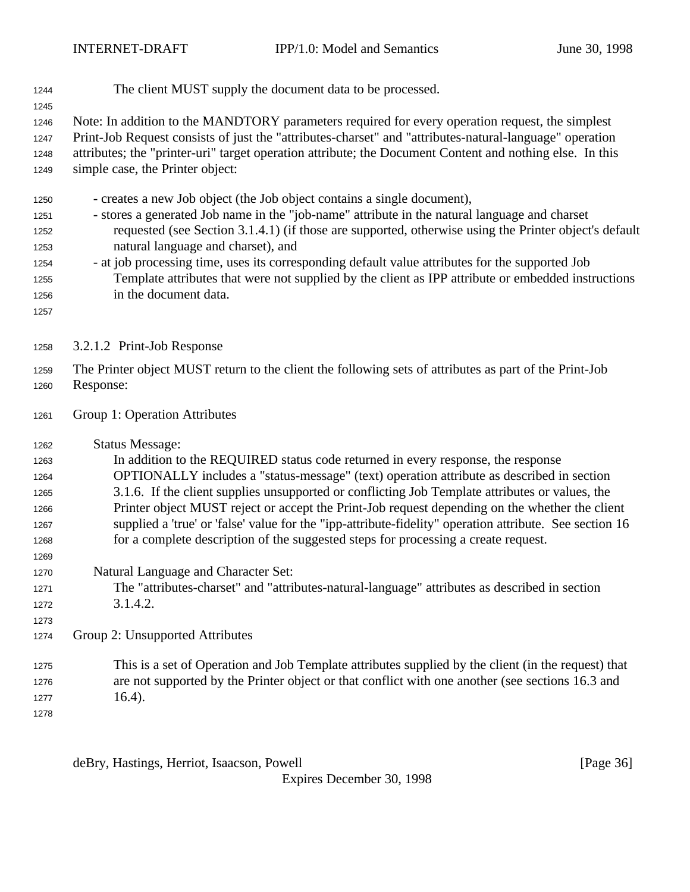- The client MUST supply the document data to be processed.
- 

 Note: In addition to the MANDTORY parameters required for every operation request, the simplest Print-Job Request consists of just the "attributes-charset" and "attributes-natural-language" operation attributes; the "printer-uri" target operation attribute; the Document Content and nothing else. In this simple case, the Printer object:

- creates a new Job object (the Job object contains a single document),
- stores a generated Job name in the "job-name" attribute in the natural language and charset requested (see Section 3.1.4.1) (if those are supported, otherwise using the Printer object's default natural language and charset), and
- at job processing time, uses its corresponding default value attributes for the supported Job Template attributes that were not supplied by the client as IPP attribute or embedded instructions in the document data.
- 
- 3.2.1.2 Print-Job Response
- The Printer object MUST return to the client the following sets of attributes as part of the Print-Job Response:
- Group 1: Operation Attributes
- Status Message:
- In addition to the REQUIRED status code returned in every response, the response OPTIONALLY includes a "status-message" (text) operation attribute as described in section 3.1.6. If the client supplies unsupported or conflicting Job Template attributes or values, the Printer object MUST reject or accept the Print-Job request depending on the whether the client supplied a 'true' or 'false' value for the "ipp-attribute-fidelity" operation attribute. See section 16 for a complete description of the suggested steps for processing a create request.
- Natural Language and Character Set:
- The "attributes-charset" and "attributes-natural-language" attributes as described in section 3.1.4.2.
- 
- Group 2: Unsupported Attributes
- This is a set of Operation and Job Template attributes supplied by the client (in the request) that are not supported by the Printer object or that conflict with one another (see sections 16.3 and 1277  $16.4$ ).
- 

deBry, Hastings, Herriot, Isaacson, Powell **compared as a set of the Second Contract Convention** [Page 36]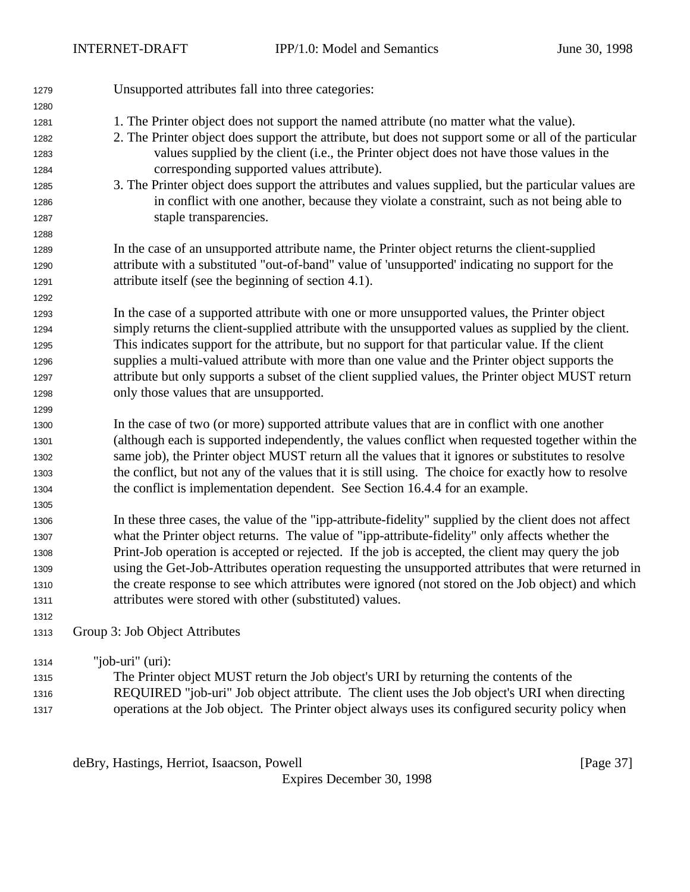| 1279 | Unsupported attributes fall into three categories:                                                     |
|------|--------------------------------------------------------------------------------------------------------|
| 1280 |                                                                                                        |
| 1281 | 1. The Printer object does not support the named attribute (no matter what the value).                 |
| 1282 | 2. The Printer object does support the attribute, but does not support some or all of the particular   |
| 1283 | values supplied by the client (i.e., the Printer object does not have those values in the              |
| 1284 | corresponding supported values attribute).                                                             |
| 1285 | 3. The Printer object does support the attributes and values supplied, but the particular values are   |
| 1286 | in conflict with one another, because they violate a constraint, such as not being able to             |
| 1287 | staple transparencies.                                                                                 |
| 1288 |                                                                                                        |
| 1289 | In the case of an unsupported attribute name, the Printer object returns the client-supplied           |
| 1290 | attribute with a substituted "out-of-band" value of 'unsupported' indicating no support for the        |
| 1291 | attribute itself (see the beginning of section 4.1).                                                   |
| 1292 |                                                                                                        |
| 1293 | In the case of a supported attribute with one or more unsupported values, the Printer object           |
| 1294 | simply returns the client-supplied attribute with the unsupported values as supplied by the client.    |
| 1295 | This indicates support for the attribute, but no support for that particular value. If the client      |
| 1296 | supplies a multi-valued attribute with more than one value and the Printer object supports the         |
| 1297 | attribute but only supports a subset of the client supplied values, the Printer object MUST return     |
| 1298 | only those values that are unsupported.                                                                |
| 1299 |                                                                                                        |
| 1300 | In the case of two (or more) supported attribute values that are in conflict with one another          |
| 1301 | (although each is supported independently, the values conflict when requested together within the      |
| 1302 | same job), the Printer object MUST return all the values that it ignores or substitutes to resolve     |
| 1303 | the conflict, but not any of the values that it is still using. The choice for exactly how to resolve  |
| 1304 | the conflict is implementation dependent. See Section 16.4.4 for an example.                           |
| 1305 |                                                                                                        |
| 1306 | In these three cases, the value of the "ipp-attribute-fidelity" supplied by the client does not affect |
| 1307 | what the Printer object returns. The value of "ipp-attribute-fidelity" only affects whether the        |
| 1308 | Print-Job operation is accepted or rejected. If the job is accepted, the client may query the job      |
| 1309 | using the Get-Job-Attributes operation requesting the unsupported attributes that were returned in     |
| 1310 | the create response to see which attributes were ignored (not stored on the Job object) and which      |
| 1311 | attributes were stored with other (substituted) values.                                                |
| 1312 |                                                                                                        |
| 1313 | Group 3: Job Object Attributes                                                                         |
| 1314 | "job-uri" $(i)$ :                                                                                      |
| 1315 | The Printer object MUST return the Job object's URI by returning the contents of the                   |
| 1316 | REQUIRED "job-uri" Job object attribute. The client uses the Job object's URI when directing           |
| 1317 | operations at the Job object. The Printer object always uses its configured security policy when       |

deBry, Hastings, Herriot, Isaacson, Powell [Page 37]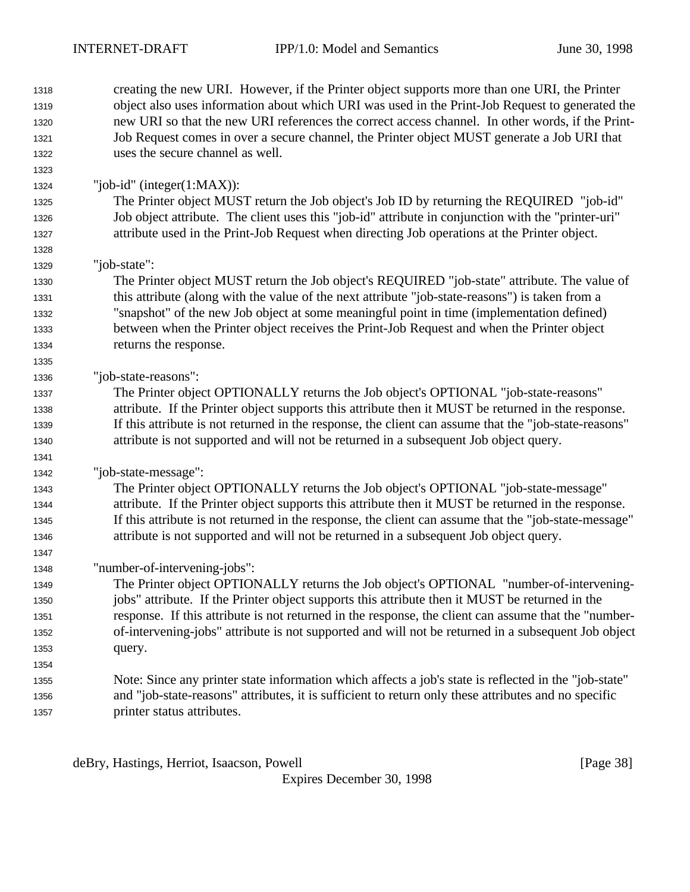| 1318 | creating the new URI. However, if the Printer object supports more than one URI, the Printer          |
|------|-------------------------------------------------------------------------------------------------------|
| 1319 | object also uses information about which URI was used in the Print-Job Request to generated the       |
| 1320 | new URI so that the new URI references the correct access channel. In other words, if the Print-      |
| 1321 | Job Request comes in over a secure channel, the Printer object MUST generate a Job URI that           |
| 1322 | uses the secure channel as well.                                                                      |
| 1323 |                                                                                                       |
| 1324 | "job-id" (integer $(1:MAX)$ ):                                                                        |
| 1325 | The Printer object MUST return the Job object's Job ID by returning the REQUIRED "job-id"             |
| 1326 | Job object attribute. The client uses this "job-id" attribute in conjunction with the "printer-uri"   |
| 1327 | attribute used in the Print-Job Request when directing Job operations at the Printer object.          |
| 1328 |                                                                                                       |
| 1329 | "job-state":                                                                                          |
| 1330 | The Printer object MUST return the Job object's REQUIRED "job-state" attribute. The value of          |
| 1331 | this attribute (along with the value of the next attribute "job-state-reasons") is taken from a       |
| 1332 | "snapshot" of the new Job object at some meaningful point in time (implementation defined)            |
| 1333 | between when the Printer object receives the Print-Job Request and when the Printer object            |
| 1334 | returns the response.                                                                                 |
| 1335 |                                                                                                       |
| 1336 | "job-state-reasons":                                                                                  |
| 1337 | The Printer object OPTIONALLY returns the Job object's OPTIONAL "job-state-reasons"                   |
| 1338 | attribute. If the Printer object supports this attribute then it MUST be returned in the response.    |
| 1339 | If this attribute is not returned in the response, the client can assume that the "job-state-reasons" |
| 1340 | attribute is not supported and will not be returned in a subsequent Job object query.                 |
| 1341 |                                                                                                       |
| 1342 | "job-state-message":                                                                                  |
| 1343 | The Printer object OPTIONALLY returns the Job object's OPTIONAL "job-state-message"                   |
| 1344 | attribute. If the Printer object supports this attribute then it MUST be returned in the response.    |
| 1345 | If this attribute is not returned in the response, the client can assume that the "job-state-message" |
| 1346 | attribute is not supported and will not be returned in a subsequent Job object query.                 |
| 1347 |                                                                                                       |
| 1348 | "number-of-intervening-jobs":                                                                         |
| 1349 | The Printer object OPTIONALLY returns the Job object's OPTIONAL "number-of-intervening-               |
| 1350 | jobs" attribute. If the Printer object supports this attribute then it MUST be returned in the        |
| 1351 | response. If this attribute is not returned in the response, the client can assume that the "number-  |
| 1352 | of-intervening-jobs" attribute is not supported and will not be returned in a subsequent Job object   |
| 1353 | query.                                                                                                |
| 1354 |                                                                                                       |
| 1355 | Note: Since any printer state information which affects a job's state is reflected in the "job-state" |
| 1356 | and "job-state-reasons" attributes, it is sufficient to return only these attributes and no specific  |
| 1357 | printer status attributes.                                                                            |

deBry, Hastings, Herriot, Isaacson, Powell [Page 38]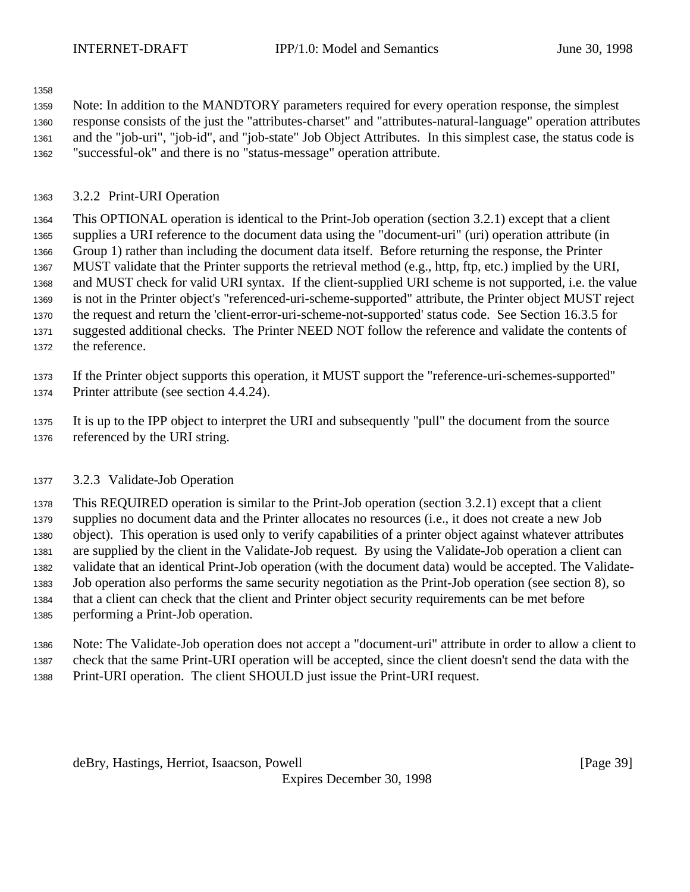Note: In addition to the MANDTORY parameters required for every operation response, the simplest response consists of the just the "attributes-charset" and "attributes-natural-language" operation attributes and the "job-uri", "job-id", and "job-state" Job Object Attributes. In this simplest case, the status code is "successful-ok" and there is no "status-message" operation attribute.

### 3.2.2 Print-URI Operation

 This OPTIONAL operation is identical to the Print-Job operation (section 3.2.1) except that a client supplies a URI reference to the document data using the "document-uri" (uri) operation attribute (in Group 1) rather than including the document data itself. Before returning the response, the Printer MUST validate that the Printer supports the retrieval method (e.g., http, ftp, etc.) implied by the URI, and MUST check for valid URI syntax. If the client-supplied URI scheme is not supported, i.e. the value is not in the Printer object's "referenced-uri-scheme-supported" attribute, the Printer object MUST reject the request and return the 'client-error-uri-scheme-not-supported' status code. See Section 16.3.5 for suggested additional checks. The Printer NEED NOT follow the reference and validate the contents of the reference.

 If the Printer object supports this operation, it MUST support the "reference-uri-schemes-supported" Printer attribute (see section 4.4.24).

 It is up to the IPP object to interpret the URI and subsequently "pull" the document from the source referenced by the URI string.

### 3.2.3 Validate-Job Operation

 This REQUIRED operation is similar to the Print-Job operation (section 3.2.1) except that a client supplies no document data and the Printer allocates no resources (i.e., it does not create a new Job object). This operation is used only to verify capabilities of a printer object against whatever attributes are supplied by the client in the Validate-Job request. By using the Validate-Job operation a client can validate that an identical Print-Job operation (with the document data) would be accepted. The Validate- Job operation also performs the same security negotiation as the Print-Job operation (see section 8), so that a client can check that the client and Printer object security requirements can be met before performing a Print-Job operation.

 Note: The Validate-Job operation does not accept a "document-uri" attribute in order to allow a client to check that the same Print-URI operation will be accepted, since the client doesn't send the data with the Print-URI operation. The client SHOULD just issue the Print-URI request.

deBry, Hastings, Herriot, Isaacson, Powell [Page 39]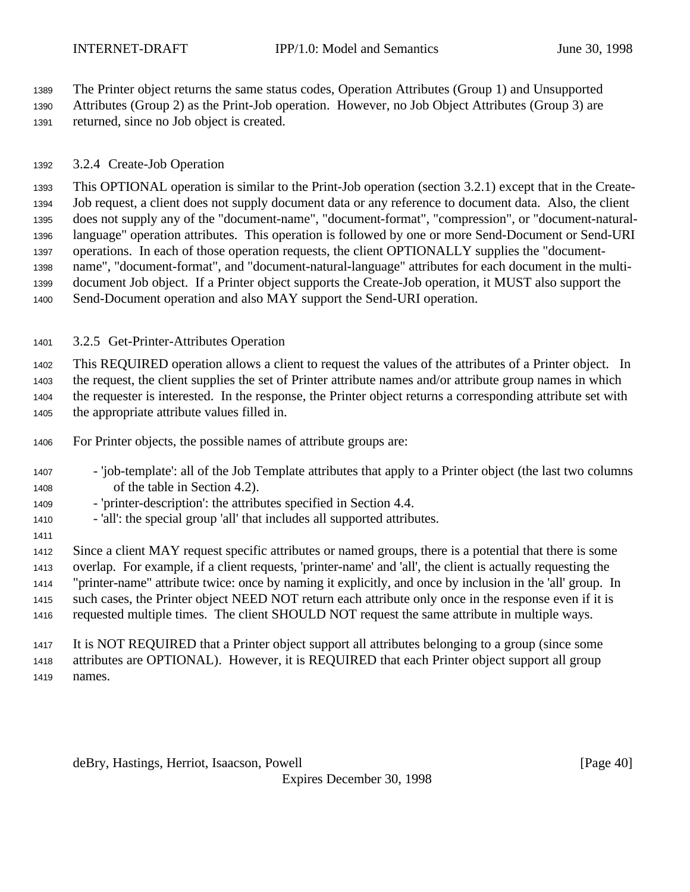The Printer object returns the same status codes, Operation Attributes (Group 1) and Unsupported

 Attributes (Group 2) as the Print-Job operation. However, no Job Object Attributes (Group 3) are returned, since no Job object is created.

# 3.2.4 Create-Job Operation

 This OPTIONAL operation is similar to the Print-Job operation (section 3.2.1) except that in the Create- Job request, a client does not supply document data or any reference to document data. Also, the client does not supply any of the "document-name", "document-format", "compression", or "document-natural- language" operation attributes. This operation is followed by one or more Send-Document or Send-URI operations. In each of those operation requests, the client OPTIONALLY supplies the "document- name", "document-format", and "document-natural-language" attributes for each document in the multi- document Job object. If a Printer object supports the Create-Job operation, it MUST also support the Send-Document operation and also MAY support the Send-URI operation.

# 3.2.5 Get-Printer-Attributes Operation

 This REQUIRED operation allows a client to request the values of the attributes of a Printer object. In the request, the client supplies the set of Printer attribute names and/or attribute group names in which the requester is interested. In the response, the Printer object returns a corresponding attribute set with

the appropriate attribute values filled in.

- For Printer objects, the possible names of attribute groups are:
- 'job-template': all of the Job Template attributes that apply to a Printer object (the last two columns of the table in Section 4.2).
- 'printer-description': the attributes specified in Section 4.4.
- 'all': the special group 'all' that includes all supported attributes.

 Since a client MAY request specific attributes or named groups, there is a potential that there is some overlap. For example, if a client requests, 'printer-name' and 'all', the client is actually requesting the "printer-name" attribute twice: once by naming it explicitly, and once by inclusion in the 'all' group. In such cases, the Printer object NEED NOT return each attribute only once in the response even if it is requested multiple times. The client SHOULD NOT request the same attribute in multiple ways.

 It is NOT REQUIRED that a Printer object support all attributes belonging to a group (since some attributes are OPTIONAL). However, it is REQUIRED that each Printer object support all group names.

deBry, Hastings, Herriot, Isaacson, Powell [Page 40]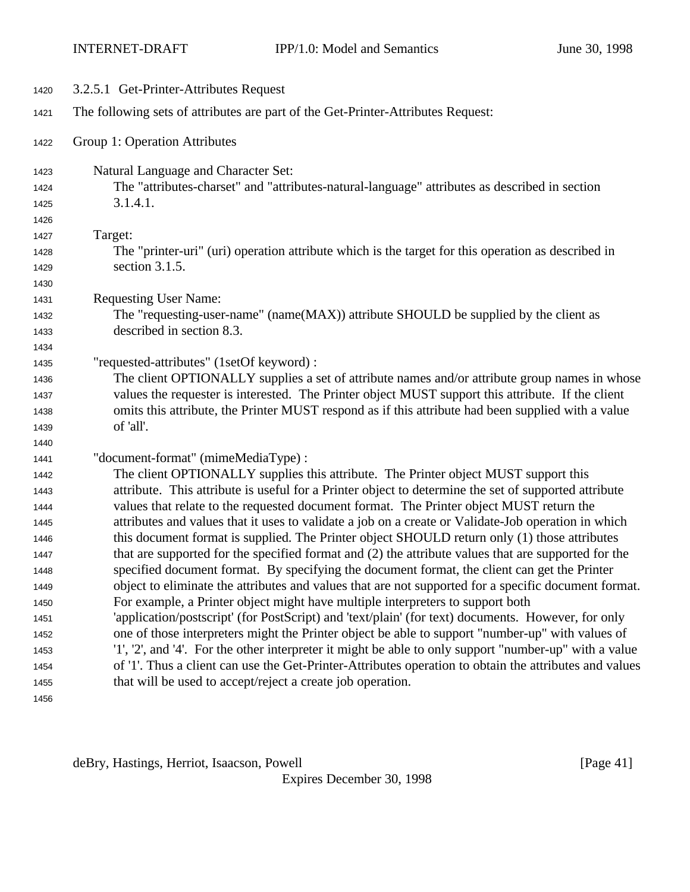| 1420         | 3.2.5.1 Get-Printer-Attributes Request                                                                          |
|--------------|-----------------------------------------------------------------------------------------------------------------|
| 1421         | The following sets of attributes are part of the Get-Printer-Attributes Request:                                |
| 1422         | Group 1: Operation Attributes                                                                                   |
| 1423         | Natural Language and Character Set:                                                                             |
| 1424         | The "attributes-charset" and "attributes-natural-language" attributes as described in section                   |
| 1425         | 3.1.4.1.                                                                                                        |
| 1426         |                                                                                                                 |
| 1427         | Target:                                                                                                         |
| 1428         | The "printer-uri" (uri) operation attribute which is the target for this operation as described in              |
| 1429         | section 3.1.5.                                                                                                  |
| 1430         |                                                                                                                 |
| 1431         | <b>Requesting User Name:</b>                                                                                    |
| 1432         | The "requesting-user-name" (name(MAX)) attribute SHOULD be supplied by the client as                            |
| 1433         | described in section 8.3.                                                                                       |
| 1434         |                                                                                                                 |
| 1435         | "requested-attributes" (1setOf keyword) :                                                                       |
| 1436         | The client OPTIONALLY supplies a set of attribute names and/or attribute group names in whose                   |
| 1437         | values the requester is interested. The Printer object MUST support this attribute. If the client               |
| 1438         | omits this attribute, the Printer MUST respond as if this attribute had been supplied with a value<br>of 'all'. |
| 1439         |                                                                                                                 |
| 1440         | "document-format" (mimeMediaType) :                                                                             |
| 1441<br>1442 | The client OPTIONALLY supplies this attribute. The Printer object MUST support this                             |
| 1443         | attribute. This attribute is useful for a Printer object to determine the set of supported attribute            |
| 1444         | values that relate to the requested document format. The Printer object MUST return the                         |
| 1445         | attributes and values that it uses to validate a job on a create or Validate-Job operation in which             |
| 1446         | this document format is supplied. The Printer object SHOULD return only (1) those attributes                    |
| 1447         | that are supported for the specified format and (2) the attribute values that are supported for the             |
| 1448         | specified document format. By specifying the document format, the client can get the Printer                    |
| 1449         | object to eliminate the attributes and values that are not supported for a specific document format.            |
| 1450         | For example, a Printer object might have multiple interpreters to support both                                  |
| 1451         | 'application/postscript' (for PostScript) and 'text/plain' (for text) documents. However, for only              |
| 1452         | one of those interpreters might the Printer object be able to support "number-up" with values of                |
| 1453         | '1', '2', and '4'. For the other interpreter it might be able to only support "number-up" with a value          |
| 1454         | of '1'. Thus a client can use the Get-Printer-Attributes operation to obtain the attributes and values          |
| 1455         | that will be used to accept/reject a create job operation.                                                      |
| 1456         |                                                                                                                 |
|              |                                                                                                                 |

deBry, Hastings, Herriot, Isaacson, Powell [Page 41]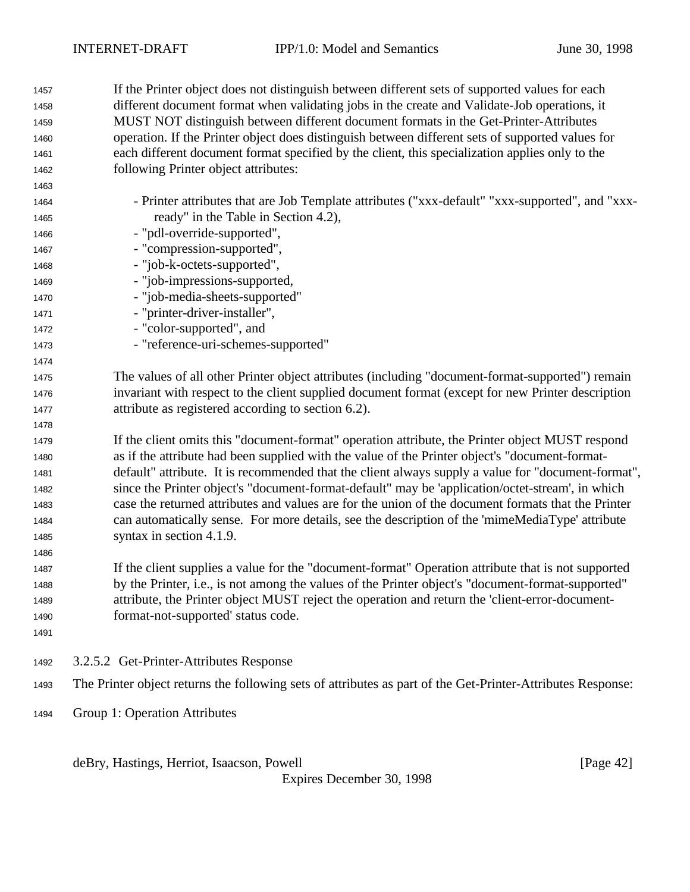If the Printer object does not distinguish between different sets of supported values for each different document format when validating jobs in the create and Validate-Job operations, it MUST NOT distinguish between different document formats in the Get-Printer-Attributes operation. If the Printer object does distinguish between different sets of supported values for each different document format specified by the client, this specialization applies only to the following Printer object attributes: - Printer attributes that are Job Template attributes ("xxx-default" "xxx-supported", and "xxx- ready" in the Table in Section 4.2), - "pdl-override-supported", - "compression-supported", - "job-k-octets-supported", - "job-impressions-supported, - "job-media-sheets-supported" 1471 - "printer-driver-installer", 1472 - "color-supported", and - "reference-uri-schemes-supported" The values of all other Printer object attributes (including "document-format-supported") remain invariant with respect to the client supplied document format (except for new Printer description attribute as registered according to section 6.2). If the client omits this "document-format" operation attribute, the Printer object MUST respond as if the attribute had been supplied with the value of the Printer object's "document-format- default" attribute. It is recommended that the client always supply a value for "document-format", since the Printer object's "document-format-default" may be 'application/octet-stream', in which case the returned attributes and values are for the union of the document formats that the Printer can automatically sense. For more details, see the description of the 'mimeMediaType' attribute syntax in section 4.1.9. If the client supplies a value for the "document-format" Operation attribute that is not supported by the Printer, i.e., is not among the values of the Printer object's "document-format-supported" attribute, the Printer object MUST reject the operation and return the 'client-error-document- format-not-supported' status code. 3.2.5.2 Get-Printer-Attributes Response The Printer object returns the following sets of attributes as part of the Get-Printer-Attributes Response: Group 1: Operation Attributes

deBry, Hastings, Herriot, Isaacson, Powell [Page 42]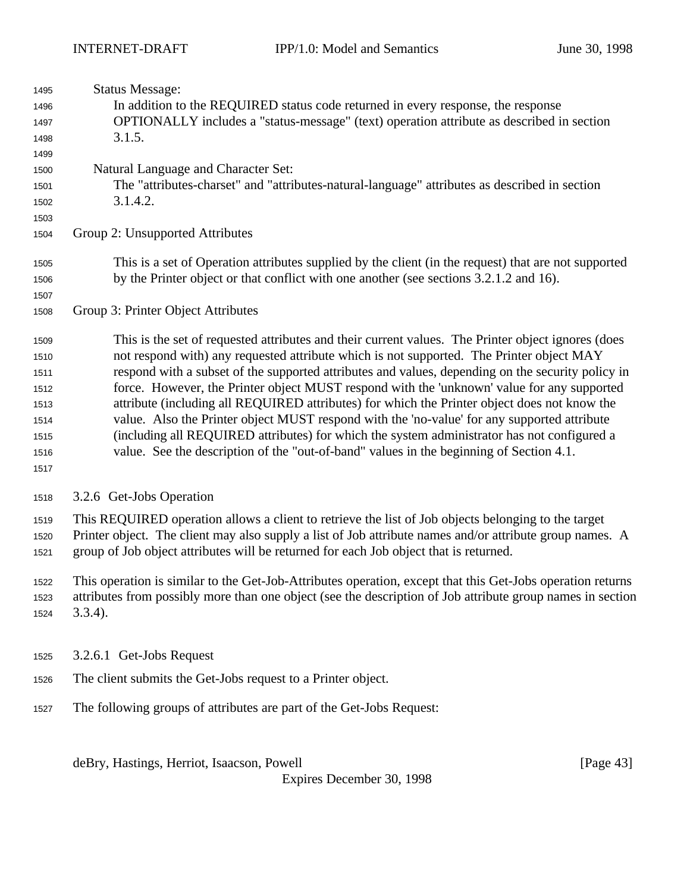| 1495         | <b>Status Message:</b>                                                                                                                                                                     |  |  |  |
|--------------|--------------------------------------------------------------------------------------------------------------------------------------------------------------------------------------------|--|--|--|
| 1496         | In addition to the REQUIRED status code returned in every response, the response                                                                                                           |  |  |  |
| 1497         | OPTIONALLY includes a "status-message" (text) operation attribute as described in section                                                                                                  |  |  |  |
| 1498         | 3.1.5.                                                                                                                                                                                     |  |  |  |
| 1499<br>1500 | Natural Language and Character Set:                                                                                                                                                        |  |  |  |
| 1501         | The "attributes-charset" and "attributes-natural-language" attributes as described in section                                                                                              |  |  |  |
| 1502         | 3.1.4.2.                                                                                                                                                                                   |  |  |  |
| 1503         |                                                                                                                                                                                            |  |  |  |
| 1504         | Group 2: Unsupported Attributes                                                                                                                                                            |  |  |  |
| 1505         | This is a set of Operation attributes supplied by the client (in the request) that are not supported                                                                                       |  |  |  |
| 1506         | by the Printer object or that conflict with one another (see sections 3.2.1.2 and 16).                                                                                                     |  |  |  |
| 1507         |                                                                                                                                                                                            |  |  |  |
| 1508         | Group 3: Printer Object Attributes                                                                                                                                                         |  |  |  |
| 1509         | This is the set of requested attributes and their current values. The Printer object ignores (does                                                                                         |  |  |  |
| 1510         | not respond with) any requested attribute which is not supported. The Printer object MAY                                                                                                   |  |  |  |
| 1511         | respond with a subset of the supported attributes and values, depending on the security policy in                                                                                          |  |  |  |
| 1512         | force. However, the Printer object MUST respond with the 'unknown' value for any supported                                                                                                 |  |  |  |
| 1513         | attribute (including all REQUIRED attributes) for which the Printer object does not know the                                                                                               |  |  |  |
| 1514         | value. Also the Printer object MUST respond with the 'no-value' for any supported attribute<br>(including all REQUIRED attributes) for which the system administrator has not configured a |  |  |  |
| 1515<br>1516 | value. See the description of the "out-of-band" values in the beginning of Section 4.1.                                                                                                    |  |  |  |
| 1517         |                                                                                                                                                                                            |  |  |  |
|              |                                                                                                                                                                                            |  |  |  |
| 1518         | 3.2.6 Get-Jobs Operation                                                                                                                                                                   |  |  |  |
| 1519         | This REQUIRED operation allows a client to retrieve the list of Job objects belonging to the target                                                                                        |  |  |  |
| 1520         | Printer object. The client may also supply a list of Job attribute names and/or attribute group names. A                                                                                   |  |  |  |
| 1521         | group of Job object attributes will be returned for each Job object that is returned.                                                                                                      |  |  |  |
| 1522         | This operation is similar to the Get-Job-Attributes operation, except that this Get-Jobs operation returns                                                                                 |  |  |  |
| 1523         | attributes from possibly more than one object (see the description of Job attribute group names in section                                                                                 |  |  |  |
| 1524         | $3.3.4$ ).                                                                                                                                                                                 |  |  |  |
| 1525         | 3.2.6.1 Get-Jobs Request                                                                                                                                                                   |  |  |  |
|              |                                                                                                                                                                                            |  |  |  |
| 1526         | The client submits the Get-Jobs request to a Printer object.                                                                                                                               |  |  |  |
| 1527         | The following groups of attributes are part of the Get-Jobs Request:                                                                                                                       |  |  |  |
|              | deBry, Hastings, Herriot, Isaacson, Powell<br>[Page $43$ ]<br>Evnires December 30 1008                                                                                                     |  |  |  |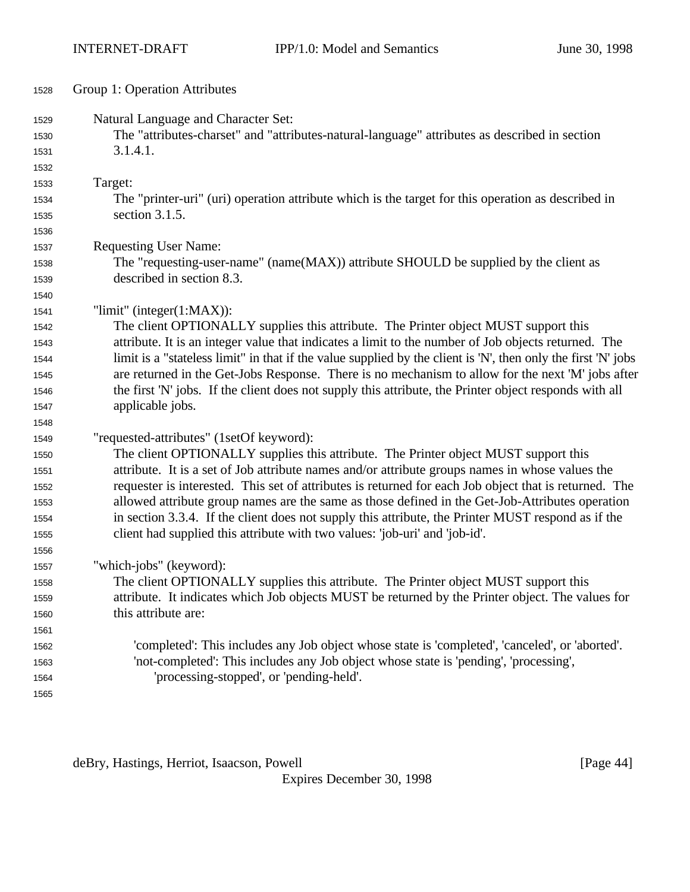| 1528 | Group 1: Operation Attributes                                                                                 |
|------|---------------------------------------------------------------------------------------------------------------|
| 1529 | Natural Language and Character Set:                                                                           |
| 1530 | The "attributes-charset" and "attributes-natural-language" attributes as described in section                 |
| 1531 | 3.1.4.1.                                                                                                      |
| 1532 |                                                                                                               |
| 1533 | Target:                                                                                                       |
| 1534 | The "printer-uri" (uri) operation attribute which is the target for this operation as described in            |
| 1535 | section $3.1.5$ .                                                                                             |
| 1536 |                                                                                                               |
| 1537 | <b>Requesting User Name:</b>                                                                                  |
| 1538 | The "requesting-user-name" (name(MAX)) attribute SHOULD be supplied by the client as                          |
| 1539 | described in section 8.3.                                                                                     |
| 1540 |                                                                                                               |
| 1541 | "limit" (integer $(1:MAX)$ ):                                                                                 |
| 1542 | The client OPTIONALLY supplies this attribute. The Printer object MUST support this                           |
| 1543 | attribute. It is an integer value that indicates a limit to the number of Job objects returned. The           |
| 1544 | limit is a "stateless limit" in that if the value supplied by the client is 'N', then only the first 'N' jobs |
| 1545 | are returned in the Get-Jobs Response. There is no mechanism to allow for the next 'M' jobs after             |
| 1546 | the first 'N' jobs. If the client does not supply this attribute, the Printer object responds with all        |
| 1547 | applicable jobs.                                                                                              |
| 1548 |                                                                                                               |
| 1549 | "requested-attributes" (1setOf keyword):                                                                      |
| 1550 | The client OPTIONALLY supplies this attribute. The Printer object MUST support this                           |
| 1551 | attribute. It is a set of Job attribute names and/or attribute groups names in whose values the               |
| 1552 | requester is interested. This set of attributes is returned for each Job object that is returned. The         |
| 1553 | allowed attribute group names are the same as those defined in the Get-Job-Attributes operation               |
| 1554 | in section 3.3.4. If the client does not supply this attribute, the Printer MUST respond as if the            |
| 1555 | client had supplied this attribute with two values: 'job-uri' and 'job-id'.                                   |
| 1556 |                                                                                                               |
| 1557 | "which-jobs" (keyword):                                                                                       |
| 1558 | The client OPTIONALLY supplies this attribute. The Printer object MUST support this                           |
| 1559 | attribute. It indicates which Job objects MUST be returned by the Printer object. The values for              |
| 1560 | this attribute are:                                                                                           |
| 1561 |                                                                                                               |
| 1562 | 'completed': This includes any Job object whose state is 'completed', 'canceled', or 'aborted'.               |
| 1563 | 'not-completed': This includes any Job object whose state is 'pending', 'processing',                         |
| 1564 | 'processing-stopped', or 'pending-held'.                                                                      |
| 1565 |                                                                                                               |

deBry, Hastings, Herriot, Isaacson, Powell [Page 44]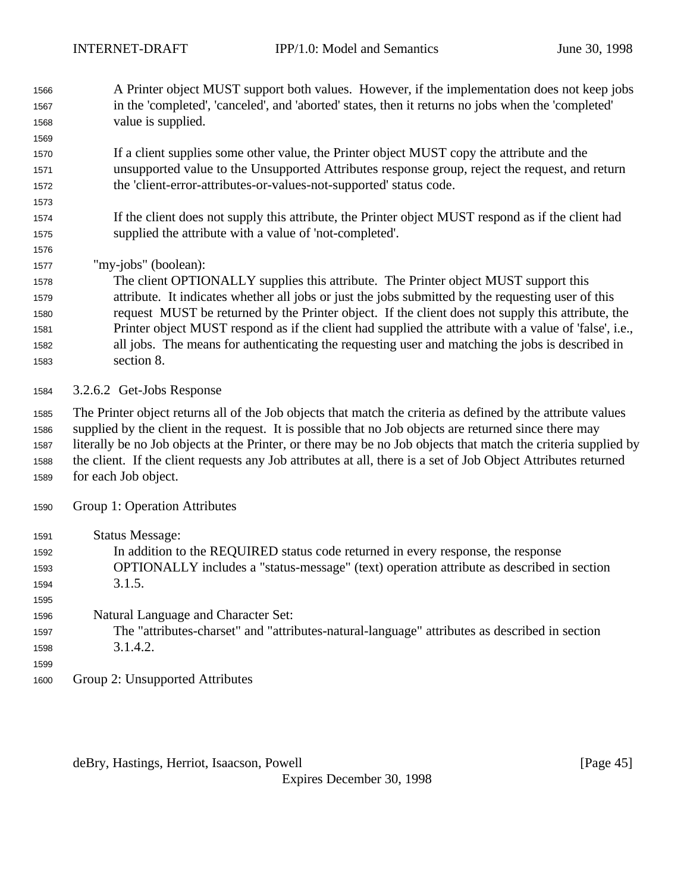- A Printer object MUST support both values. However, if the implementation does not keep jobs in the 'completed', 'canceled', and 'aborted' states, then it returns no jobs when the 'completed' value is supplied.
- If a client supplies some other value, the Printer object MUST copy the attribute and the unsupported value to the Unsupported Attributes response group, reject the request, and return the 'client-error-attributes-or-values-not-supported' status code.
- If the client does not supply this attribute, the Printer object MUST respond as if the client had supplied the attribute with a value of 'not-completed'.
- "my-jobs" (boolean):

 The client OPTIONALLY supplies this attribute. The Printer object MUST support this attribute. It indicates whether all jobs or just the jobs submitted by the requesting user of this request MUST be returned by the Printer object. If the client does not supply this attribute, the Printer object MUST respond as if the client had supplied the attribute with a value of 'false', i.e., all jobs. The means for authenticating the requesting user and matching the jobs is described in section 8.

3.2.6.2 Get-Jobs Response

 The Printer object returns all of the Job objects that match the criteria as defined by the attribute values supplied by the client in the request. It is possible that no Job objects are returned since there may literally be no Job objects at the Printer, or there may be no Job objects that match the criteria supplied by the client. If the client requests any Job attributes at all, there is a set of Job Object Attributes returned for each Job object.

- Group 1: Operation Attributes
- Status Message: In addition to the REQUIRED status code returned in every response, the response OPTIONALLY includes a "status-message" (text) operation attribute as described in section 3.1.5. Natural Language and Character Set: The "attributes-charset" and "attributes-natural-language" attributes as described in section 3.1.4.2. Group 2: Unsupported Attributes

deBry, Hastings, Herriot, Isaacson, Powell **Example 20** (Page 45)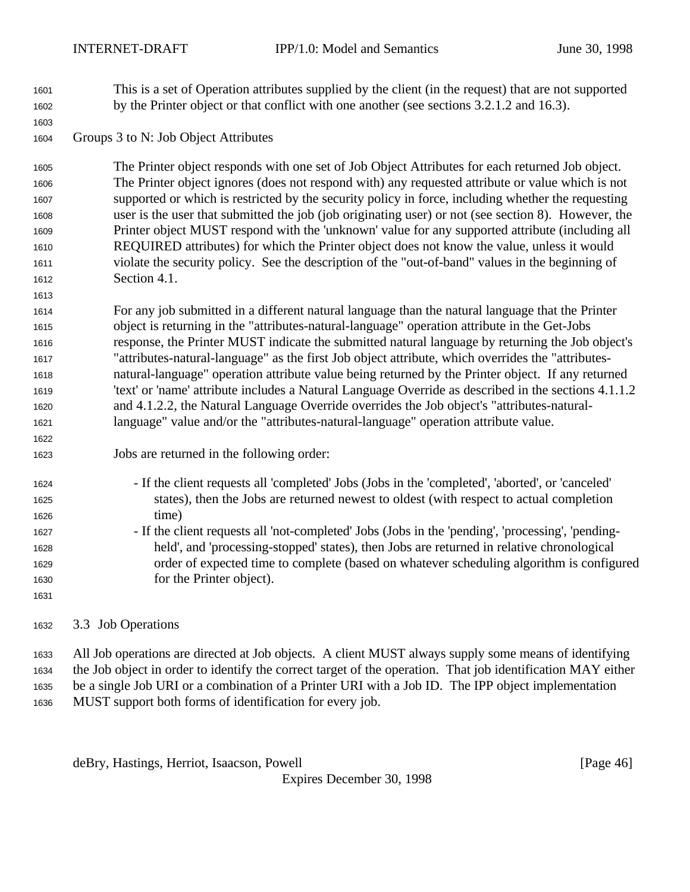This is a set of Operation attributes supplied by the client (in the request) that are not supported by the Printer object or that conflict with one another (see sections 3.2.1.2 and 16.3).

Groups 3 to N: Job Object Attributes

 The Printer object responds with one set of Job Object Attributes for each returned Job object. The Printer object ignores (does not respond with) any requested attribute or value which is not supported or which is restricted by the security policy in force, including whether the requesting user is the user that submitted the job (job originating user) or not (see section 8). However, the Printer object MUST respond with the 'unknown' value for any supported attribute (including all REQUIRED attributes) for which the Printer object does not know the value, unless it would violate the security policy. See the description of the "out-of-band" values in the beginning of Section 4.1.

 For any job submitted in a different natural language than the natural language that the Printer object is returning in the "attributes-natural-language" operation attribute in the Get-Jobs response, the Printer MUST indicate the submitted natural language by returning the Job object's "attributes-natural-language" as the first Job object attribute, which overrides the "attributes- natural-language" operation attribute value being returned by the Printer object. If any returned 'text' or 'name' attribute includes a Natural Language Override as described in the sections 4.1.1.2 and 4.1.2.2, the Natural Language Override overrides the Job object's "attributes-natural-language" value and/or the "attributes-natural-language" operation attribute value.

- Jobs are returned in the following order:
- If the client requests all 'completed' Jobs (Jobs in the 'completed', 'aborted', or 'canceled' states), then the Jobs are returned newest to oldest (with respect to actual completion time)
- If the client requests all 'not-completed' Jobs (Jobs in the 'pending', 'processing', 'pending- held', and 'processing-stopped' states), then Jobs are returned in relative chronological order of expected time to complete (based on whatever scheduling algorithm is configured for the Printer object).

### 3.3 Job Operations

 All Job operations are directed at Job objects. A client MUST always supply some means of identifying the Job object in order to identify the correct target of the operation. That job identification MAY either be a single Job URI or a combination of a Printer URI with a Job ID. The IPP object implementation MUST support both forms of identification for every job.

deBry, Hastings, Herriot, Isaacson, Powell **compared and Contract and Contract Contract (Page 46**)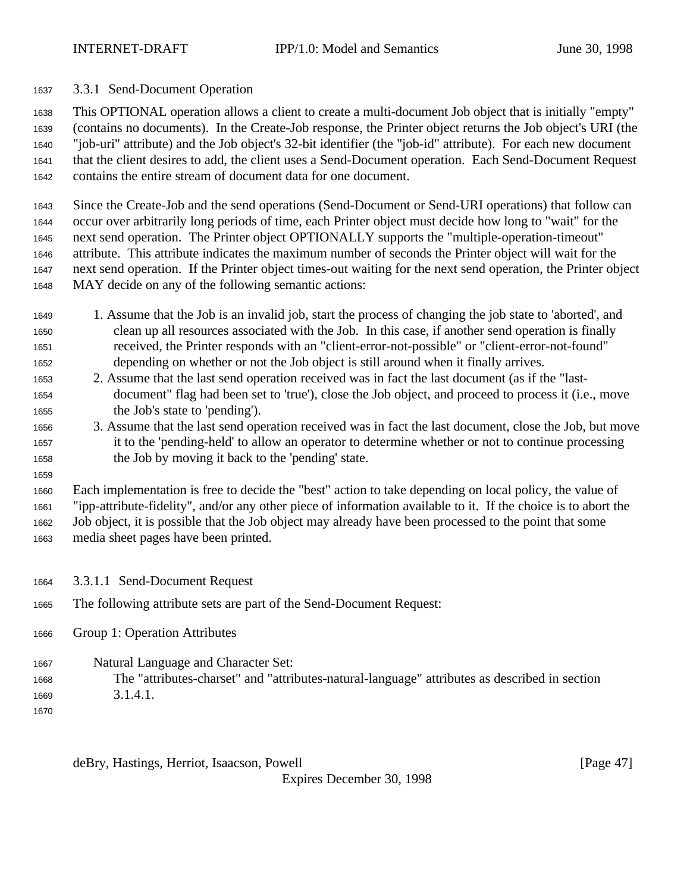3.3.1 Send-Document Operation

 This OPTIONAL operation allows a client to create a multi-document Job object that is initially "empty" (contains no documents). In the Create-Job response, the Printer object returns the Job object's URI (the "job-uri" attribute) and the Job object's 32-bit identifier (the "job-id" attribute). For each new document that the client desires to add, the client uses a Send-Document operation. Each Send-Document Request contains the entire stream of document data for one document.

 Since the Create-Job and the send operations (Send-Document or Send-URI operations) that follow can occur over arbitrarily long periods of time, each Printer object must decide how long to "wait" for the next send operation. The Printer object OPTIONALLY supports the "multiple-operation-timeout" attribute. This attribute indicates the maximum number of seconds the Printer object will wait for the next send operation. If the Printer object times-out waiting for the next send operation, the Printer object MAY decide on any of the following semantic actions:

- 1. Assume that the Job is an invalid job, start the process of changing the job state to 'aborted', and clean up all resources associated with the Job. In this case, if another send operation is finally received, the Printer responds with an "client-error-not-possible" or "client-error-not-found" depending on whether or not the Job object is still around when it finally arrives.
- 2. Assume that the last send operation received was in fact the last document (as if the "last- document" flag had been set to 'true'), close the Job object, and proceed to process it (i.e., move the Job's state to 'pending').
- 3. Assume that the last send operation received was in fact the last document, close the Job, but move it to the 'pending-held' to allow an operator to determine whether or not to continue processing the Job by moving it back to the 'pending' state.
- Each implementation is free to decide the "best" action to take depending on local policy, the value of "ipp-attribute-fidelity", and/or any other piece of information available to it. If the choice is to abort the Job object, it is possible that the Job object may already have been processed to the point that some media sheet pages have been printed.
- 3.3.1.1 Send-Document Request
- The following attribute sets are part of the Send-Document Request:
- Group 1: Operation Attributes
- Natural Language and Character Set:
- The "attributes-charset" and "attributes-natural-language" attributes as described in section 3.1.4.1.
- 

deBry, Hastings, Herriot, Isaacson, Powell [Page 47]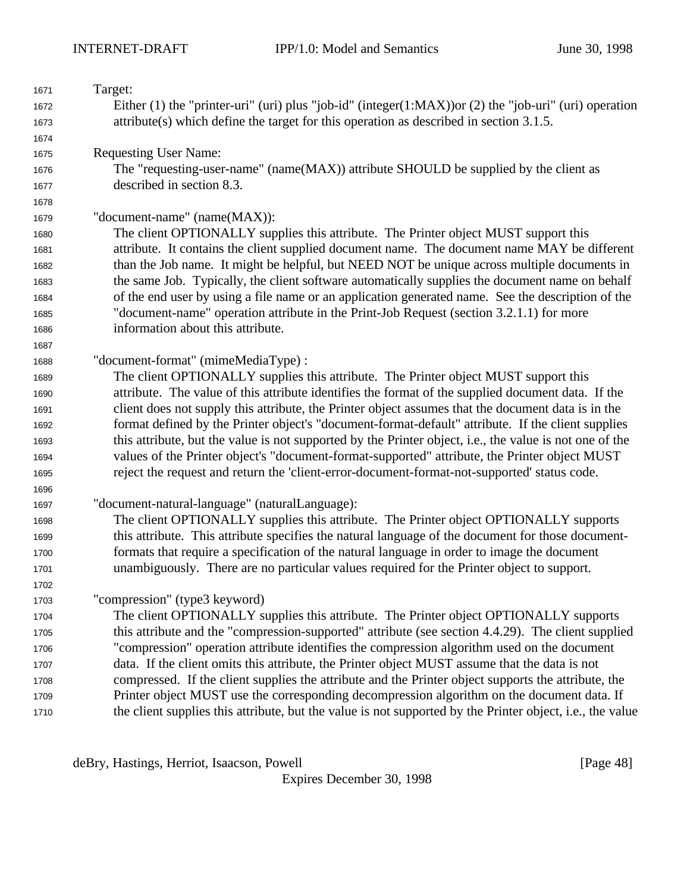| 1671 | Target:                                                                                                        |  |  |
|------|----------------------------------------------------------------------------------------------------------------|--|--|
| 1672 | Either $(1)$ the "printer-uri" (uri) plus "job-id" (integer $(1:MAX)$ ) or $(2)$ the "job-uri" (uri) operation |  |  |
| 1673 | $attribute(s)$ which define the target for this operation as described in section 3.1.5.                       |  |  |
| 1674 |                                                                                                                |  |  |
| 1675 | <b>Requesting User Name:</b>                                                                                   |  |  |
| 1676 | The "requesting-user-name" (name(MAX)) attribute SHOULD be supplied by the client as                           |  |  |
| 1677 | described in section 8.3.                                                                                      |  |  |
| 1678 |                                                                                                                |  |  |
| 1679 | "document-name" (name(MAX)):                                                                                   |  |  |
| 1680 | The client OPTIONALLY supplies this attribute. The Printer object MUST support this                            |  |  |
| 1681 | attribute. It contains the client supplied document name. The document name MAY be different                   |  |  |
| 1682 | than the Job name. It might be helpful, but NEED NOT be unique across multiple documents in                    |  |  |
| 1683 | the same Job. Typically, the client software automatically supplies the document name on behalf                |  |  |
| 1684 | of the end user by using a file name or an application generated name. See the description of the              |  |  |
| 1685 | "document-name" operation attribute in the Print-Job Request (section 3.2.1.1) for more                        |  |  |
| 1686 | information about this attribute.                                                                              |  |  |
| 1687 |                                                                                                                |  |  |
| 1688 | "document-format" (mimeMediaType) :                                                                            |  |  |
| 1689 | The client OPTIONALLY supplies this attribute. The Printer object MUST support this                            |  |  |
| 1690 | attribute. The value of this attribute identifies the format of the supplied document data. If the             |  |  |
| 1691 | client does not supply this attribute, the Printer object assumes that the document data is in the             |  |  |
| 1692 | format defined by the Printer object's "document-format-default" attribute. If the client supplies             |  |  |
| 1693 | this attribute, but the value is not supported by the Printer object, i.e., the value is not one of the        |  |  |
| 1694 | values of the Printer object's "document-format-supported" attribute, the Printer object MUST                  |  |  |
| 1695 | reject the request and return the 'client-error-document-format-not-supported' status code.                    |  |  |
| 1696 |                                                                                                                |  |  |
| 1697 | "document-natural-language" (naturalLanguage):                                                                 |  |  |
| 1698 | The client OPTIONALLY supplies this attribute. The Printer object OPTIONALLY supports                          |  |  |
| 1699 | this attribute. This attribute specifies the natural language of the document for those document-              |  |  |
| 1700 | formats that require a specification of the natural language in order to image the document                    |  |  |
| 1701 | unambiguously. There are no particular values required for the Printer object to support.                      |  |  |
| 1702 |                                                                                                                |  |  |
| 1703 | "compression" (type3 keyword)                                                                                  |  |  |
| 1704 | The client OPTIONALLY supplies this attribute. The Printer object OPTIONALLY supports                          |  |  |
| 1705 | this attribute and the "compression-supported" attribute (see section 4.4.29). The client supplied             |  |  |
| 1706 | "compression" operation attribute identifies the compression algorithm used on the document                    |  |  |
| 1707 | data. If the client omits this attribute, the Printer object MUST assume that the data is not                  |  |  |
| 1708 | compressed. If the client supplies the attribute and the Printer object supports the attribute, the            |  |  |
| 1709 | Printer object MUST use the corresponding decompression algorithm on the document data. If                     |  |  |
| 1710 | the client supplies this attribute, but the value is not supported by the Printer object, i.e., the value      |  |  |

deBry, Hastings, Herriot, Isaacson, Powell [Page 48]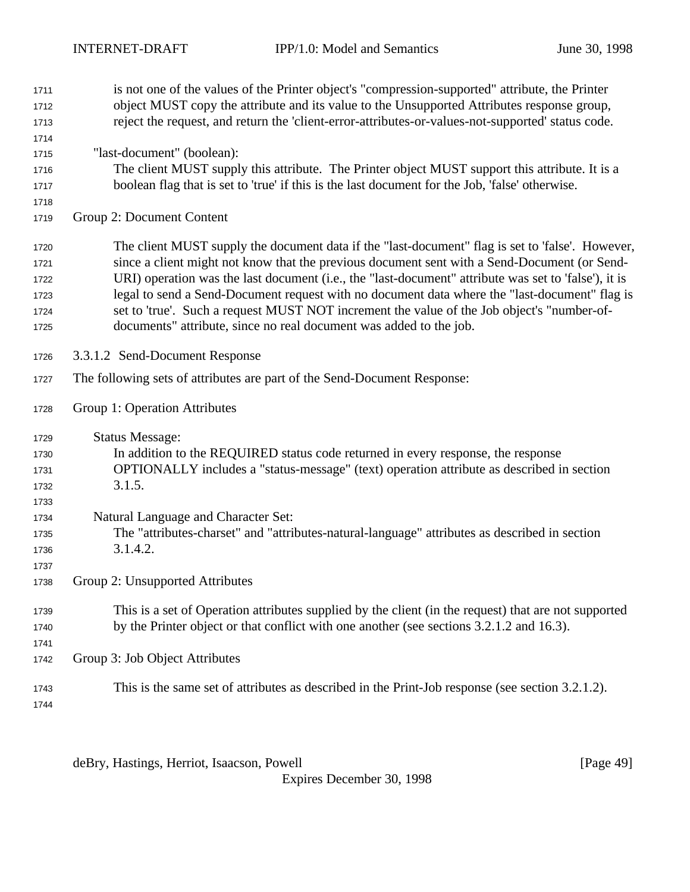| 1711 | is not one of the values of the Printer object's "compression-supported" attribute, the Printer      |
|------|------------------------------------------------------------------------------------------------------|
| 1712 | object MUST copy the attribute and its value to the Unsupported Attributes response group,           |
| 1713 | reject the request, and return the 'client-error-attributes-or-values-not-supported' status code.    |
| 1714 |                                                                                                      |
| 1715 | "last-document" (boolean):                                                                           |
| 1716 | The client MUST supply this attribute. The Printer object MUST support this attribute. It is a       |
| 1717 | boolean flag that is set to 'true' if this is the last document for the Job, 'false' otherwise.      |
| 1718 |                                                                                                      |
| 1719 | Group 2: Document Content                                                                            |
| 1720 | The client MUST supply the document data if the "last-document" flag is set to 'false'. However,     |
| 1721 | since a client might not know that the previous document sent with a Send-Document (or Send-         |
| 1722 | URI) operation was the last document (i.e., the "last-document" attribute was set to 'false'), it is |
| 1723 | legal to send a Send-Document request with no document data where the "last-document" flag is        |
| 1724 | set to 'true'. Such a request MUST NOT increment the value of the Job object's "number-of-           |
| 1725 | documents" attribute, since no real document was added to the job.                                   |
| 1726 | 3.3.1.2 Send-Document Response                                                                       |
| 1727 | The following sets of attributes are part of the Send-Document Response:                             |
| 1728 | Group 1: Operation Attributes                                                                        |
| 1729 | <b>Status Message:</b>                                                                               |
| 1730 | In addition to the REQUIRED status code returned in every response, the response                     |
| 1731 | OPTIONALLY includes a "status-message" (text) operation attribute as described in section            |
| 1732 | 3.1.5.                                                                                               |
| 1733 |                                                                                                      |
| 1734 | Natural Language and Character Set:                                                                  |
| 1735 | The "attributes-charset" and "attributes-natural-language" attributes as described in section        |
| 1736 | 3.1.4.2.                                                                                             |
| 1737 |                                                                                                      |
| 1738 | Group 2: Unsupported Attributes                                                                      |
| 1739 | This is a set of Operation attributes supplied by the client (in the request) that are not supported |
| 1740 | by the Printer object or that conflict with one another (see sections 3.2.1.2 and 16.3).             |
| 1741 |                                                                                                      |
| 1742 | Group 3: Job Object Attributes                                                                       |
| 1743 | This is the same set of attributes as described in the Print-Job response (see section 3.2.1.2).     |
| 1744 |                                                                                                      |

deBry, Hastings, Herriot, Isaacson, Powell [Page 49]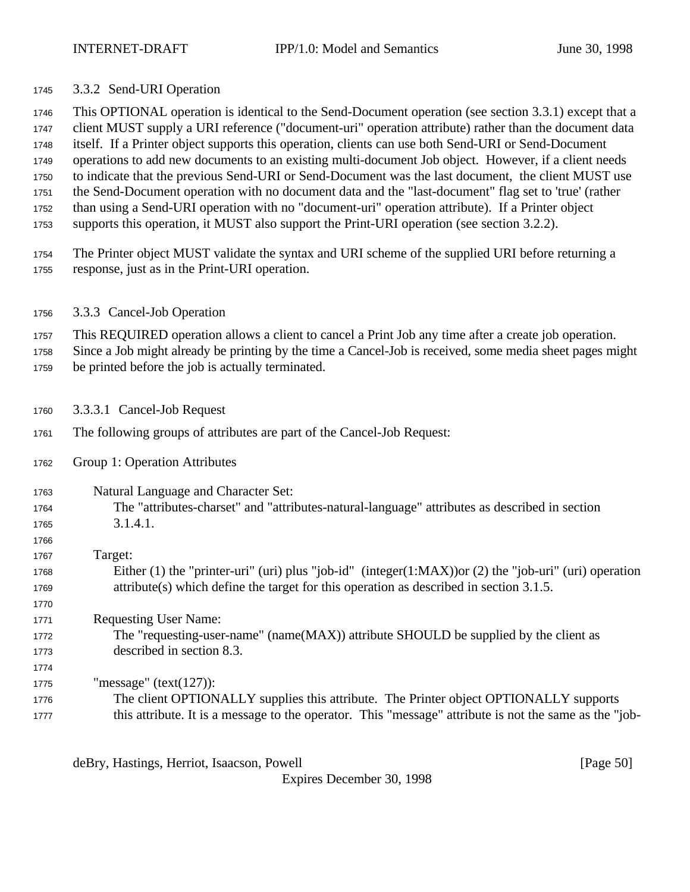3.3.2 Send-URI Operation

 This OPTIONAL operation is identical to the Send-Document operation (see section 3.3.1) except that a client MUST supply a URI reference ("document-uri" operation attribute) rather than the document data itself. If a Printer object supports this operation, clients can use both Send-URI or Send-Document operations to add new documents to an existing multi-document Job object. However, if a client needs to indicate that the previous Send-URI or Send-Document was the last document, the client MUST use the Send-Document operation with no document data and the "last-document" flag set to 'true' (rather than using a Send-URI operation with no "document-uri" operation attribute). If a Printer object supports this operation, it MUST also support the Print-URI operation (see section 3.2.2).

- The Printer object MUST validate the syntax and URI scheme of the supplied URI before returning a response, just as in the Print-URI operation.
- 3.3.3 Cancel-Job Operation

This REQUIRED operation allows a client to cancel a Print Job any time after a create job operation.

 Since a Job might already be printing by the time a Cancel-Job is received, some media sheet pages might be printed before the job is actually terminated.

- 3.3.3.1 Cancel-Job Request
- The following groups of attributes are part of the Cancel-Job Request:
- Group 1: Operation Attributes

- Natural Language and Character Set:
- The "attributes-charset" and "attributes-natural-language" attributes as described in section 3.1.4.1.
- Target: Either (1) the "printer-uri" (uri) plus "job-id" (integer(1:MAX))or (2) the "job-uri" (uri) operation attribute(s) which define the target for this operation as described in section 3.1.5.
- Requesting User Name: The "requesting-user-name" (name(MAX)) attribute SHOULD be supplied by the client as described in section 8.3.

 "message" (text(127)): The client OPTIONALLY supplies this attribute. The Printer object OPTIONALLY supports this attribute. It is a message to the operator. This "message" attribute is not the same as the "job-

deBry, Hastings, Herriot, Isaacson, Powell [Page 50]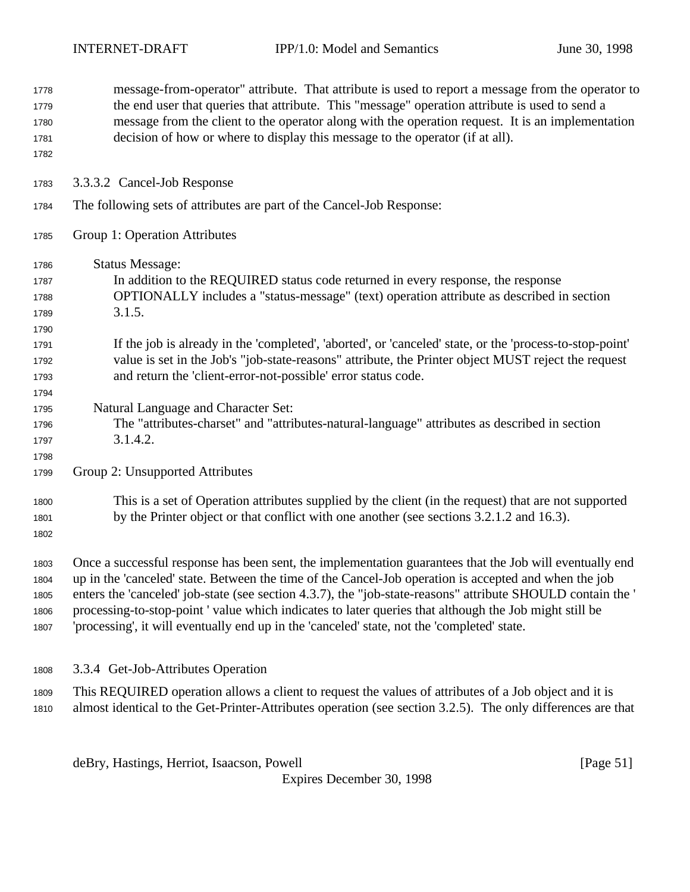| 1778<br>1779<br>1780<br>1781<br>1782 | message-from-operator" attribute. That attribute is used to report a message from the operator to<br>the end user that queries that attribute. This "message" operation attribute is used to send a<br>message from the client to the operator along with the operation request. It is an implementation<br>decision of how or where to display this message to the operator (if at all). |
|--------------------------------------|-------------------------------------------------------------------------------------------------------------------------------------------------------------------------------------------------------------------------------------------------------------------------------------------------------------------------------------------------------------------------------------------|
| 1783                                 | 3.3.3.2 Cancel-Job Response                                                                                                                                                                                                                                                                                                                                                               |
| 1784                                 | The following sets of attributes are part of the Cancel-Job Response:                                                                                                                                                                                                                                                                                                                     |
| 1785                                 | Group 1: Operation Attributes                                                                                                                                                                                                                                                                                                                                                             |
| 1786                                 | <b>Status Message:</b>                                                                                                                                                                                                                                                                                                                                                                    |
| 1787                                 | In addition to the REQUIRED status code returned in every response, the response                                                                                                                                                                                                                                                                                                          |
| 1788                                 | OPTIONALLY includes a "status-message" (text) operation attribute as described in section                                                                                                                                                                                                                                                                                                 |
| 1789                                 | 3.1.5.                                                                                                                                                                                                                                                                                                                                                                                    |
| 1790                                 |                                                                                                                                                                                                                                                                                                                                                                                           |
| 1791                                 | If the job is already in the 'completed', 'aborted', or 'canceled' state, or the 'process-to-stop-point'                                                                                                                                                                                                                                                                                  |
| 1792                                 | value is set in the Job's "job-state-reasons" attribute, the Printer object MUST reject the request                                                                                                                                                                                                                                                                                       |
| 1793                                 | and return the 'client-error-not-possible' error status code.                                                                                                                                                                                                                                                                                                                             |
| 1794                                 |                                                                                                                                                                                                                                                                                                                                                                                           |
| 1795                                 | Natural Language and Character Set:                                                                                                                                                                                                                                                                                                                                                       |
| 1796                                 | The "attributes-charset" and "attributes-natural-language" attributes as described in section                                                                                                                                                                                                                                                                                             |
| 1797                                 | 3.1.4.2.                                                                                                                                                                                                                                                                                                                                                                                  |
| 1798                                 |                                                                                                                                                                                                                                                                                                                                                                                           |
| 1799                                 | Group 2: Unsupported Attributes                                                                                                                                                                                                                                                                                                                                                           |
| 1800                                 | This is a set of Operation attributes supplied by the client (in the request) that are not supported                                                                                                                                                                                                                                                                                      |
| 1801                                 | by the Printer object or that conflict with one another (see sections 3.2.1.2 and 16.3).                                                                                                                                                                                                                                                                                                  |
| 1802                                 |                                                                                                                                                                                                                                                                                                                                                                                           |
| 1803                                 | Once a successful response has been sent, the implementation guarantees that the Job will eventually end                                                                                                                                                                                                                                                                                  |
| 1804                                 | up in the 'canceled' state. Between the time of the Cancel-Job operation is accepted and when the job                                                                                                                                                                                                                                                                                     |
| 1805                                 | enters the 'canceled' job-state (see section 4.3.7), the "job-state-reasons" attribute SHOULD contain the '                                                                                                                                                                                                                                                                               |
| 1806                                 | processing-to-stop-point 'value which indicates to later queries that although the Job might still be                                                                                                                                                                                                                                                                                     |
| 1807                                 | 'processing', it will eventually end up in the 'canceled' state, not the 'completed' state.                                                                                                                                                                                                                                                                                               |
|                                      |                                                                                                                                                                                                                                                                                                                                                                                           |
| 1808                                 | 3.3.4 Get-Job-Attributes Operation                                                                                                                                                                                                                                                                                                                                                        |

 This REQUIRED operation allows a client to request the values of attributes of a Job object and it is almost identical to the Get-Printer-Attributes operation (see section 3.2.5). The only differences are that

deBry, Hastings, Herriot, Isaacson, Powell [Page 51]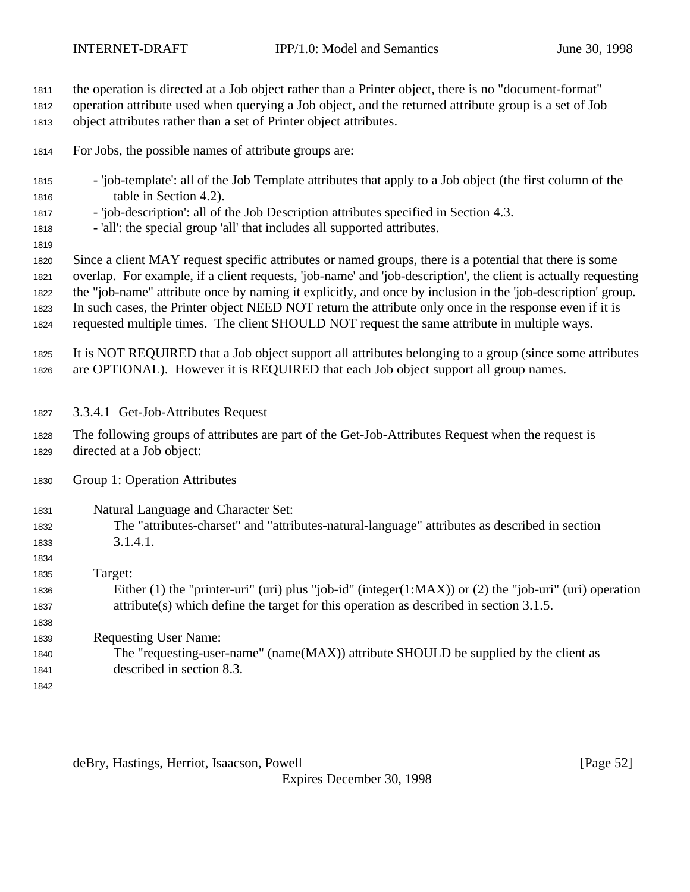the operation is directed at a Job object rather than a Printer object, there is no "document-format"

operation attribute used when querying a Job object, and the returned attribute group is a set of Job

object attributes rather than a set of Printer object attributes.

- For Jobs, the possible names of attribute groups are:
- 'job-template': all of the Job Template attributes that apply to a Job object (the first column of the table in Section 4.2).
- 'job-description': all of the Job Description attributes specified in Section 4.3.
- 'all': the special group 'all' that includes all supported attributes.
- 

 Since a client MAY request specific attributes or named groups, there is a potential that there is some overlap. For example, if a client requests, 'job-name' and 'job-description', the client is actually requesting the "job-name" attribute once by naming it explicitly, and once by inclusion in the 'job-description' group. In such cases, the Printer object NEED NOT return the attribute only once in the response even if it is

requested multiple times. The client SHOULD NOT request the same attribute in multiple ways.

 It is NOT REQUIRED that a Job object support all attributes belonging to a group (since some attributes are OPTIONAL). However it is REQUIRED that each Job object support all group names.

- 3.3.4.1 Get-Job-Attributes Request
- The following groups of attributes are part of the Get-Job-Attributes Request when the request is directed at a Job object:
- Group 1: Operation Attributes
- Natural Language and Character Set: The "attributes-charset" and "attributes-natural-language" attributes as described in section
- 3.1.4.1.

 Target: Either (1) the "printer-uri" (uri) plus "job-id" (integer(1:MAX)) or (2) the "job-uri" (uri) operation attribute(s) which define the target for this operation as described in section 3.1.5.

 Requesting User Name: The "requesting-user-name" (name(MAX)) attribute SHOULD be supplied by the client as described in section 8.3.

deBry, Hastings, Herriot, Isaacson, Powell [Page 52]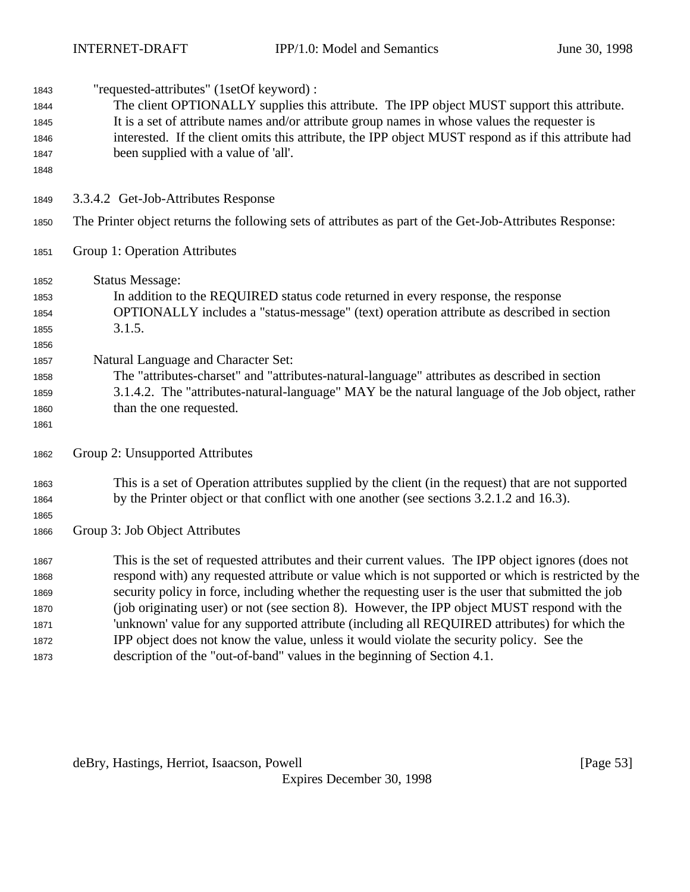| 1843 | "requested-attributes" (1setOf keyword) :                                                               |  |  |
|------|---------------------------------------------------------------------------------------------------------|--|--|
| 1844 | The client OPTIONALLY supplies this attribute. The IPP object MUST support this attribute.              |  |  |
| 1845 | It is a set of attribute names and/or attribute group names in whose values the requester is            |  |  |
| 1846 | interested. If the client omits this attribute, the IPP object MUST respond as if this attribute had    |  |  |
| 1847 | been supplied with a value of 'all'.                                                                    |  |  |
| 1848 |                                                                                                         |  |  |
| 1849 | 3.3.4.2 Get-Job-Attributes Response                                                                     |  |  |
| 1850 | The Printer object returns the following sets of attributes as part of the Get-Job-Attributes Response: |  |  |
| 1851 | Group 1: Operation Attributes                                                                           |  |  |
| 1852 | <b>Status Message:</b>                                                                                  |  |  |
| 1853 | In addition to the REQUIRED status code returned in every response, the response                        |  |  |
| 1854 | OPTIONALLY includes a "status-message" (text) operation attribute as described in section               |  |  |
| 1855 | 3.1.5.                                                                                                  |  |  |
| 1856 |                                                                                                         |  |  |
| 1857 | Natural Language and Character Set:                                                                     |  |  |
| 1858 | The "attributes-charset" and "attributes-natural-language" attributes as described in section           |  |  |
| 1859 | 3.1.4.2. The "attributes-natural-language" MAY be the natural language of the Job object, rather        |  |  |
| 1860 | than the one requested.                                                                                 |  |  |
| 1861 |                                                                                                         |  |  |
| 1862 | Group 2: Unsupported Attributes                                                                         |  |  |
| 1863 | This is a set of Operation attributes supplied by the client (in the request) that are not supported    |  |  |
| 1864 | by the Printer object or that conflict with one another (see sections 3.2.1.2 and 16.3).                |  |  |
| 1865 |                                                                                                         |  |  |
| 1866 | Group 3: Job Object Attributes                                                                          |  |  |
| 1867 | This is the set of requested attributes and their current values. The IPP object ignores (does not      |  |  |
| 1868 | respond with) any requested attribute or value which is not supported or which is restricted by the     |  |  |
| 1869 | security policy in force, including whether the requesting user is the user that submitted the job      |  |  |
| 1870 | (job originating user) or not (see section 8). However, the IPP object MUST respond with the            |  |  |
| 1871 | 'unknown' value for any supported attribute (including all REQUIRED attributes) for which the           |  |  |
| 1872 | IPP object does not know the value, unless it would violate the security policy. See the                |  |  |
| 1873 | description of the "out-of-band" values in the beginning of Section 4.1.                                |  |  |

deBry, Hastings, Herriot, Isaacson, Powell [Page 53]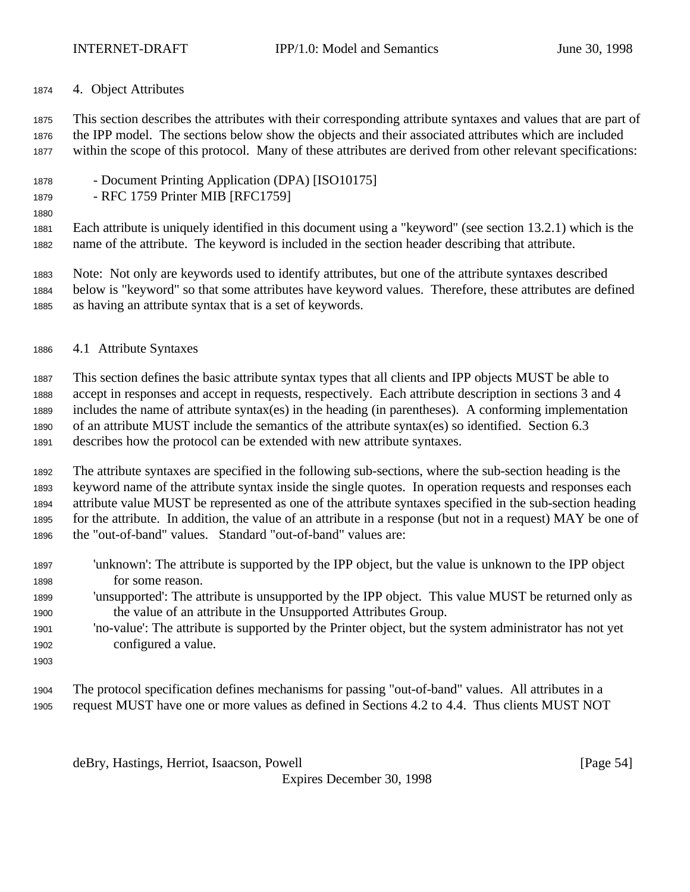4. Object Attributes

 This section describes the attributes with their corresponding attribute syntaxes and values that are part of the IPP model. The sections below show the objects and their associated attributes which are included within the scope of this protocol. Many of these attributes are derived from other relevant specifications:

- Document Printing Application (DPA) [ISO10175]
- RFC 1759 Printer MIB [RFC1759]
- 

 Each attribute is uniquely identified in this document using a "keyword" (see section 13.2.1) which is the name of the attribute. The keyword is included in the section header describing that attribute.

 Note: Not only are keywords used to identify attributes, but one of the attribute syntaxes described below is "keyword" so that some attributes have keyword values. Therefore, these attributes are defined as having an attribute syntax that is a set of keywords.

4.1 Attribute Syntaxes

 This section defines the basic attribute syntax types that all clients and IPP objects MUST be able to accept in responses and accept in requests, respectively. Each attribute description in sections 3 and 4 includes the name of attribute syntax(es) in the heading (in parentheses). A conforming implementation of an attribute MUST include the semantics of the attribute syntax(es) so identified. Section 6.3 describes how the protocol can be extended with new attribute syntaxes.

 The attribute syntaxes are specified in the following sub-sections, where the sub-section heading is the keyword name of the attribute syntax inside the single quotes. In operation requests and responses each attribute value MUST be represented as one of the attribute syntaxes specified in the sub-section heading for the attribute. In addition, the value of an attribute in a response (but not in a request) MAY be one of the "out-of-band" values. Standard "out-of-band" values are:

- 'unknown': The attribute is supported by the IPP object, but the value is unknown to the IPP object for some reason.
- 'unsupported': The attribute is unsupported by the IPP object. This value MUST be returned only as the value of an attribute in the Unsupported Attributes Group.
- 'no-value': The attribute is supported by the Printer object, but the system administrator has not yet configured a value.
- 
- The protocol specification defines mechanisms for passing "out-of-band" values. All attributes in a request MUST have one or more values as defined in Sections 4.2 to 4.4. Thus clients MUST NOT

deBry, Hastings, Herriot, Isaacson, Powell [Page 54]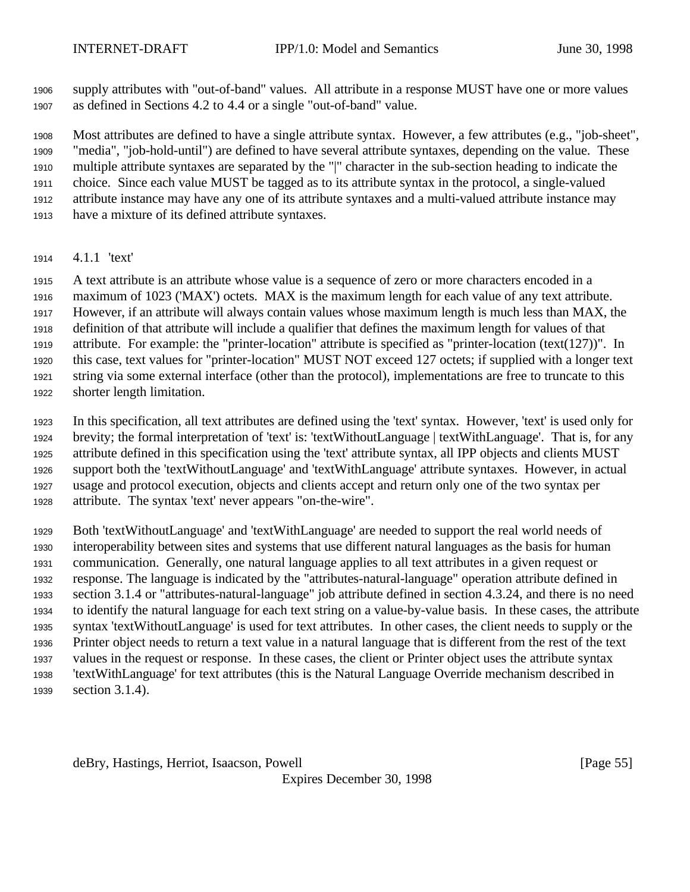supply attributes with "out-of-band" values. All attribute in a response MUST have one or more values as defined in Sections 4.2 to 4.4 or a single "out-of-band" value.

 Most attributes are defined to have a single attribute syntax. However, a few attributes (e.g., "job-sheet", "media", "job-hold-until") are defined to have several attribute syntaxes, depending on the value. These multiple attribute syntaxes are separated by the "|" character in the sub-section heading to indicate the choice. Since each value MUST be tagged as to its attribute syntax in the protocol, a single-valued attribute instance may have any one of its attribute syntaxes and a multi-valued attribute instance may have a mixture of its defined attribute syntaxes.

4.1.1 'text'

 A text attribute is an attribute whose value is a sequence of zero or more characters encoded in a maximum of 1023 ('MAX') octets. MAX is the maximum length for each value of any text attribute. However, if an attribute will always contain values whose maximum length is much less than MAX, the definition of that attribute will include a qualifier that defines the maximum length for values of that attribute. For example: the "printer-location" attribute is specified as "printer-location (text(127))". In this case, text values for "printer-location" MUST NOT exceed 127 octets; if supplied with a longer text string via some external interface (other than the protocol), implementations are free to truncate to this shorter length limitation.

 In this specification, all text attributes are defined using the 'text' syntax. However, 'text' is used only for brevity; the formal interpretation of 'text' is: 'textWithoutLanguage | textWithLanguage'. That is, for any attribute defined in this specification using the 'text' attribute syntax, all IPP objects and clients MUST support both the 'textWithoutLanguage' and 'textWithLanguage' attribute syntaxes. However, in actual usage and protocol execution, objects and clients accept and return only one of the two syntax per attribute. The syntax 'text' never appears "on-the-wire".

 Both 'textWithoutLanguage' and 'textWithLanguage' are needed to support the real world needs of interoperability between sites and systems that use different natural languages as the basis for human communication. Generally, one natural language applies to all text attributes in a given request or response. The language is indicated by the "attributes-natural-language" operation attribute defined in section 3.1.4 or "attributes-natural-language" job attribute defined in section 4.3.24, and there is no need to identify the natural language for each text string on a value-by-value basis. In these cases, the attribute syntax 'textWithoutLanguage' is used for text attributes. In other cases, the client needs to supply or the Printer object needs to return a text value in a natural language that is different from the rest of the text values in the request or response. In these cases, the client or Printer object uses the attribute syntax 'textWithLanguage' for text attributes (this is the Natural Language Override mechanism described in section 3.1.4).

deBry, Hastings, Herriot, Isaacson, Powell [Page 55]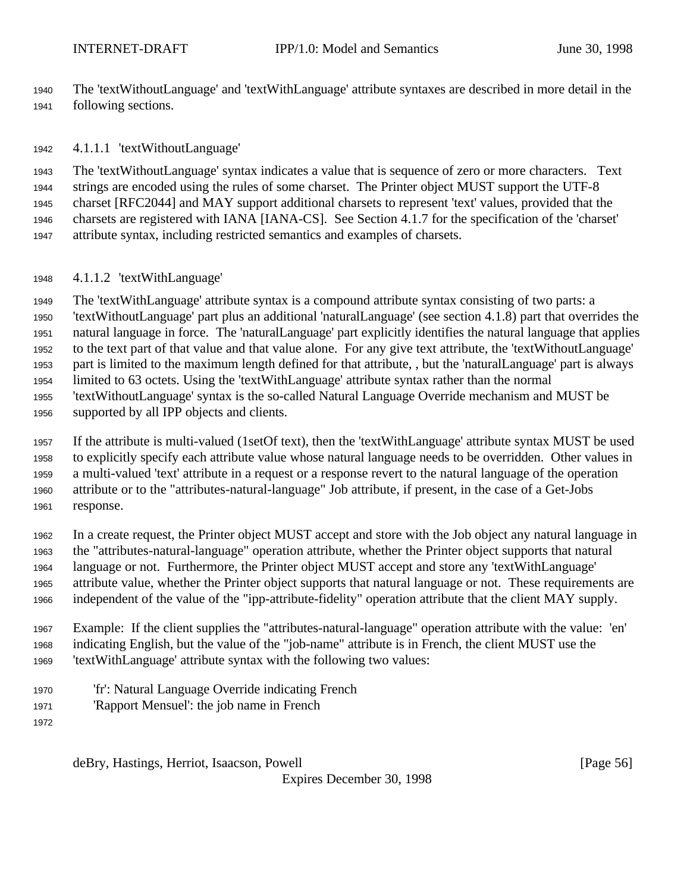The 'textWithoutLanguage' and 'textWithLanguage' attribute syntaxes are described in more detail in the following sections.

4.1.1.1 'textWithoutLanguage'

 The 'textWithoutLanguage' syntax indicates a value that is sequence of zero or more characters. Text strings are encoded using the rules of some charset. The Printer object MUST support the UTF-8 charset [RFC2044] and MAY support additional charsets to represent 'text' values, provided that the charsets are registered with IANA [IANA-CS]. See Section 4.1.7 for the specification of the 'charset' attribute syntax, including restricted semantics and examples of charsets.

4.1.1.2 'textWithLanguage'

 The 'textWithLanguage' attribute syntax is a compound attribute syntax consisting of two parts: a 'textWithoutLanguage' part plus an additional 'naturalLanguage' (see section 4.1.8) part that overrides the natural language in force. The 'naturalLanguage' part explicitly identifies the natural language that applies to the text part of that value and that value alone. For any give text attribute, the 'textWithoutLanguage' part is limited to the maximum length defined for that attribute, , but the 'naturalLanguage' part is always limited to 63 octets. Using the 'textWithLanguage' attribute syntax rather than the normal 'textWithoutLanguage' syntax is the so-called Natural Language Override mechanism and MUST be supported by all IPP objects and clients.

 If the attribute is multi-valued (1setOf text), then the 'textWithLanguage' attribute syntax MUST be used to explicitly specify each attribute value whose natural language needs to be overridden. Other values in a multi-valued 'text' attribute in a request or a response revert to the natural language of the operation attribute or to the "attributes-natural-language" Job attribute, if present, in the case of a Get-Jobs response.

 In a create request, the Printer object MUST accept and store with the Job object any natural language in the "attributes-natural-language" operation attribute, whether the Printer object supports that natural language or not. Furthermore, the Printer object MUST accept and store any 'textWithLanguage' attribute value, whether the Printer object supports that natural language or not. These requirements are independent of the value of the "ipp-attribute-fidelity" operation attribute that the client MAY supply.

 Example: If the client supplies the "attributes-natural-language" operation attribute with the value: 'en' indicating English, but the value of the "job-name" attribute is in French, the client MUST use the 'textWithLanguage' attribute syntax with the following two values:

- 'fr': Natural Language Override indicating French
- 'Rapport Mensuel': the job name in French
- 

deBry, Hastings, Herriot, Isaacson, Powell [Page 56]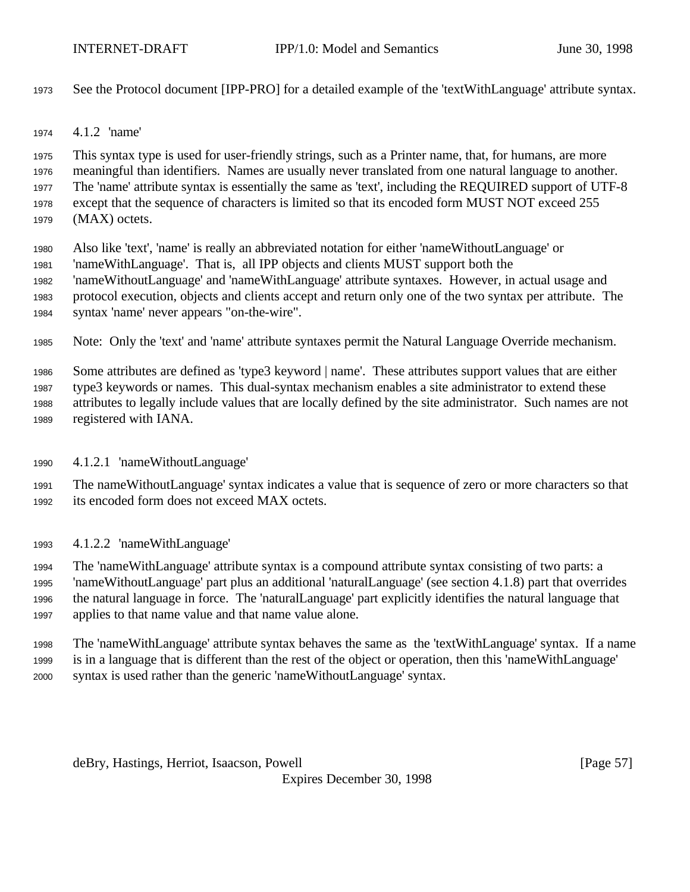- See the Protocol document [IPP-PRO] for a detailed example of the 'textWithLanguage' attribute syntax.
- 4.1.2 'name'

 This syntax type is used for user-friendly strings, such as a Printer name, that, for humans, are more meaningful than identifiers. Names are usually never translated from one natural language to another. The 'name' attribute syntax is essentially the same as 'text', including the REQUIRED support of UTF-8 except that the sequence of characters is limited so that its encoded form MUST NOT exceed 255 (MAX) octets.

- Also like 'text', 'name' is really an abbreviated notation for either 'nameWithoutLanguage' or
- 'nameWithLanguage'. That is, all IPP objects and clients MUST support both the
- 'nameWithoutLanguage' and 'nameWithLanguage' attribute syntaxes. However, in actual usage and
- protocol execution, objects and clients accept and return only one of the two syntax per attribute. The
- syntax 'name' never appears "on-the-wire".
- Note: Only the 'text' and 'name' attribute syntaxes permit the Natural Language Override mechanism.
- Some attributes are defined as 'type3 keyword | name'. These attributes support values that are either
- type3 keywords or names. This dual-syntax mechanism enables a site administrator to extend these
- attributes to legally include values that are locally defined by the site administrator. Such names are not registered with IANA.
- 4.1.2.1 'nameWithoutLanguage'
- The nameWithoutLanguage' syntax indicates a value that is sequence of zero or more characters so that its encoded form does not exceed MAX octets.
- 4.1.2.2 'nameWithLanguage'

 The 'nameWithLanguage' attribute syntax is a compound attribute syntax consisting of two parts: a 'nameWithoutLanguage' part plus an additional 'naturalLanguage' (see section 4.1.8) part that overrides the natural language in force. The 'naturalLanguage' part explicitly identifies the natural language that applies to that name value and that name value alone.

 The 'nameWithLanguage' attribute syntax behaves the same as the 'textWithLanguage' syntax. If a name is in a language that is different than the rest of the object or operation, then this 'nameWithLanguage' syntax is used rather than the generic 'nameWithoutLanguage' syntax.

deBry, Hastings, Herriot, Isaacson, Powell [Page 57]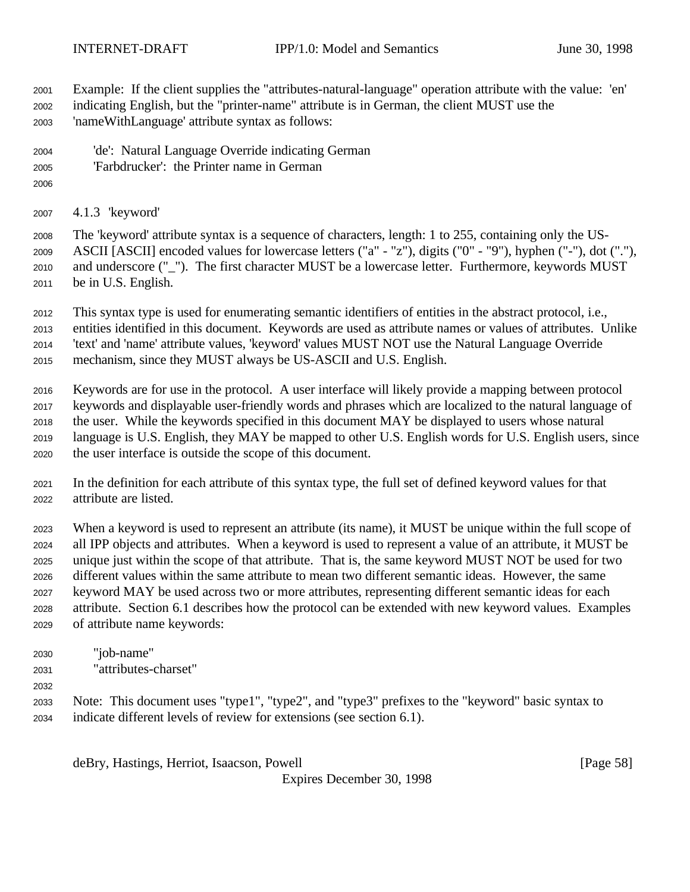Example: If the client supplies the "attributes-natural-language" operation attribute with the value: 'en' indicating English, but the "printer-name" attribute is in German, the client MUST use the

- 'nameWithLanguage' attribute syntax as follows:
- 'de': Natural Language Override indicating German
- 'Farbdrucker': the Printer name in German
- 
- 4.1.3 'keyword'

 The 'keyword' attribute syntax is a sequence of characters, length: 1 to 255, containing only the US- ASCII [ASCII] encoded values for lowercase letters ("a" - "z"), digits ("0" - "9"), hyphen ("-"), dot ("."), and underscore ("\_"). The first character MUST be a lowercase letter. Furthermore, keywords MUST be in U.S. English.

 This syntax type is used for enumerating semantic identifiers of entities in the abstract protocol, i.e., entities identified in this document. Keywords are used as attribute names or values of attributes. Unlike 'text' and 'name' attribute values, 'keyword' values MUST NOT use the Natural Language Override mechanism, since they MUST always be US-ASCII and U.S. English.

 Keywords are for use in the protocol. A user interface will likely provide a mapping between protocol keywords and displayable user-friendly words and phrases which are localized to the natural language of the user. While the keywords specified in this document MAY be displayed to users whose natural language is U.S. English, they MAY be mapped to other U.S. English words for U.S. English users, since the user interface is outside the scope of this document.

 In the definition for each attribute of this syntax type, the full set of defined keyword values for that attribute are listed.

 When a keyword is used to represent an attribute (its name), it MUST be unique within the full scope of all IPP objects and attributes. When a keyword is used to represent a value of an attribute, it MUST be unique just within the scope of that attribute. That is, the same keyword MUST NOT be used for two different values within the same attribute to mean two different semantic ideas. However, the same keyword MAY be used across two or more attributes, representing different semantic ideas for each attribute. Section 6.1 describes how the protocol can be extended with new keyword values. Examples of attribute name keywords:

- "job-name" "attributes-charset"
- 

 Note: This document uses "type1", "type2", and "type3" prefixes to the "keyword" basic syntax to indicate different levels of review for extensions (see section 6.1).

deBry, Hastings, Herriot, Isaacson, Powell [Page 58]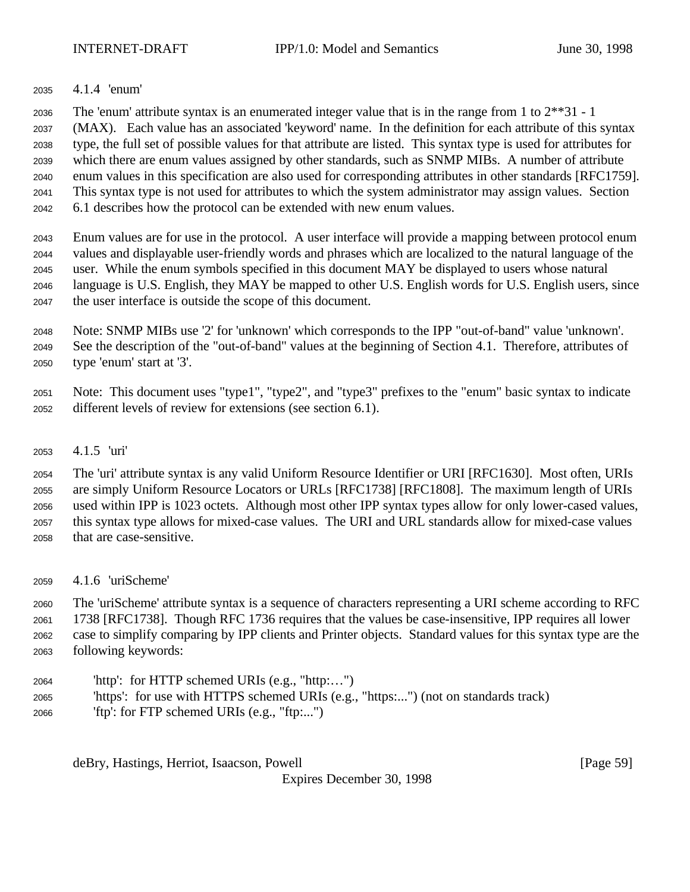4.1.4 'enum'

The 'enum' attribute syntax is an enumerated integer value that is in the range from 1 to 2\*\*31 - 1

 (MAX). Each value has an associated 'keyword' name. In the definition for each attribute of this syntax type, the full set of possible values for that attribute are listed. This syntax type is used for attributes for which there are enum values assigned by other standards, such as SNMP MIBs. A number of attribute enum values in this specification are also used for corresponding attributes in other standards [RFC1759]. This syntax type is not used for attributes to which the system administrator may assign values. Section 6.1 describes how the protocol can be extended with new enum values.

 Enum values are for use in the protocol. A user interface will provide a mapping between protocol enum values and displayable user-friendly words and phrases which are localized to the natural language of the user. While the enum symbols specified in this document MAY be displayed to users whose natural language is U.S. English, they MAY be mapped to other U.S. English words for U.S. English users, since the user interface is outside the scope of this document.

 Note: SNMP MIBs use '2' for 'unknown' which corresponds to the IPP "out-of-band" value 'unknown'. See the description of the "out-of-band" values at the beginning of Section 4.1. Therefore, attributes of type 'enum' start at '3'.

 Note: This document uses "type1", "type2", and "type3" prefixes to the "enum" basic syntax to indicate different levels of review for extensions (see section 6.1).

4.1.5 'uri'

 The 'uri' attribute syntax is any valid Uniform Resource Identifier or URI [RFC1630]. Most often, URIs are simply Uniform Resource Locators or URLs [RFC1738] [RFC1808]. The maximum length of URIs used within IPP is 1023 octets. Although most other IPP syntax types allow for only lower-cased values, this syntax type allows for mixed-case values. The URI and URL standards allow for mixed-case values that are case-sensitive.

4.1.6 'uriScheme'

 The 'uriScheme' attribute syntax is a sequence of characters representing a URI scheme according to RFC 1738 [RFC1738]. Though RFC 1736 requires that the values be case-insensitive, IPP requires all lower case to simplify comparing by IPP clients and Printer objects. Standard values for this syntax type are the following keywords:

- 'http': for HTTP schemed URIs (e.g., "http:…")
- 'https': for use with HTTPS schemed URIs (e.g., "https:...") (not on standards track)
- 'ftp': for FTP schemed URIs (e.g., "ftp:...")

deBry, Hastings, Herriot, Isaacson, Powell [Page 59]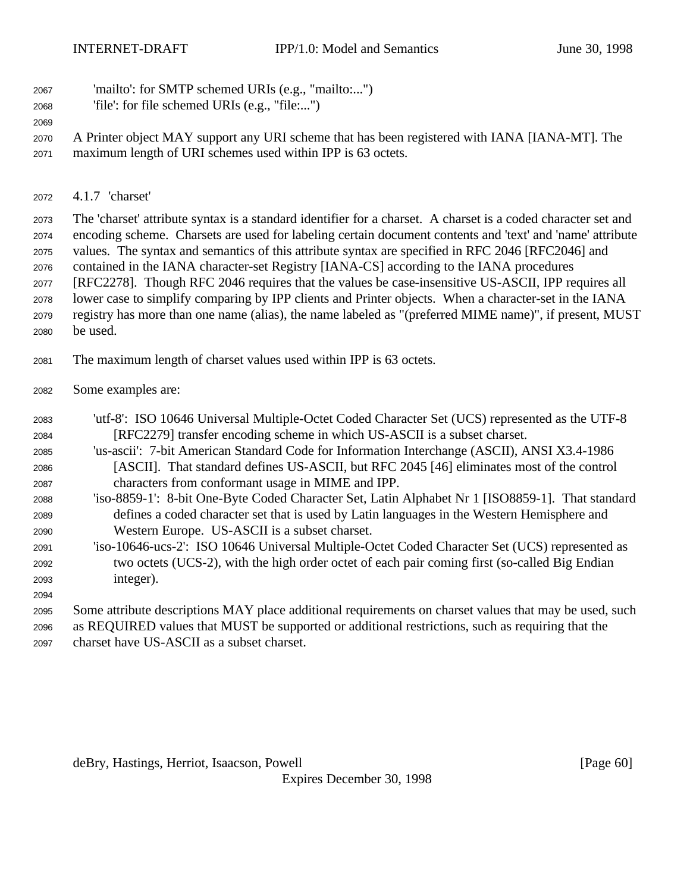- 'mailto': for SMTP schemed URIs (e.g., "mailto:...")
- 'file': for file schemed URIs (e.g., "file:...")
- 

 A Printer object MAY support any URI scheme that has been registered with IANA [IANA-MT]. The maximum length of URI schemes used within IPP is 63 octets.

4.1.7 'charset'

 The 'charset' attribute syntax is a standard identifier for a charset. A charset is a coded character set and encoding scheme. Charsets are used for labeling certain document contents and 'text' and 'name' attribute values. The syntax and semantics of this attribute syntax are specified in RFC 2046 [RFC2046] and contained in the IANA character-set Registry [IANA-CS] according to the IANA procedures [RFC2278]. Though RFC 2046 requires that the values be case-insensitive US-ASCII, IPP requires all lower case to simplify comparing by IPP clients and Printer objects. When a character-set in the IANA registry has more than one name (alias), the name labeled as "(preferred MIME name)", if present, MUST be used.

- The maximum length of charset values used within IPP is 63 octets.
- Some examples are:
- 'utf-8': ISO 10646 Universal Multiple-Octet Coded Character Set (UCS) represented as the UTF-8 [RFC2279] transfer encoding scheme in which US-ASCII is a subset charset. 'us-ascii': 7-bit American Standard Code for Information Interchange (ASCII), ANSI X3.4-1986 [ASCII]. That standard defines US-ASCII, but RFC 2045 [46] eliminates most of the control
- characters from conformant usage in MIME and IPP.
- 'iso-8859-1': 8-bit One-Byte Coded Character Set, Latin Alphabet Nr 1 [ISO8859-1]. That standard defines a coded character set that is used by Latin languages in the Western Hemisphere and Western Europe. US-ASCII is a subset charset.
- 'iso-10646-ucs-2': ISO 10646 Universal Multiple-Octet Coded Character Set (UCS) represented as two octets (UCS-2), with the high order octet of each pair coming first (so-called Big Endian integer).
- Some attribute descriptions MAY place additional requirements on charset values that may be used, such as REQUIRED values that MUST be supported or additional restrictions, such as requiring that the

charset have US-ASCII as a subset charset.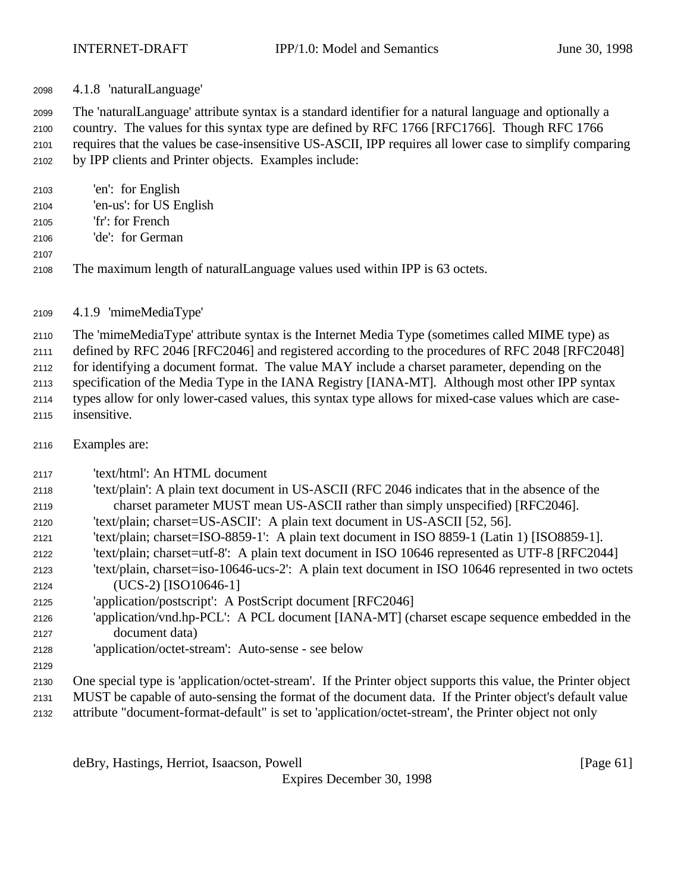4.1.8 'naturalLanguage'

 The 'naturalLanguage' attribute syntax is a standard identifier for a natural language and optionally a country. The values for this syntax type are defined by RFC 1766 [RFC1766]. Though RFC 1766 requires that the values be case-insensitive US-ASCII, IPP requires all lower case to simplify comparing by IPP clients and Printer objects. Examples include:

- 'en': for English 'en-us': for US English
- 'fr': for French
- 'de': for German
- 
- 

The maximum length of naturalLanguage values used within IPP is 63 octets.

4.1.9 'mimeMediaType'

The 'mimeMediaType' attribute syntax is the Internet Media Type (sometimes called MIME type) as

defined by RFC 2046 [RFC2046] and registered according to the procedures of RFC 2048 [RFC2048]

for identifying a document format. The value MAY include a charset parameter, depending on the

specification of the Media Type in the IANA Registry [IANA-MT]. Although most other IPP syntax

 types allow for only lower-cased values, this syntax type allows for mixed-case values which are case-insensitive.

- Examples are:
- 'text/html': An HTML document
- 'text/plain': A plain text document in US-ASCII (RFC 2046 indicates that in the absence of the charset parameter MUST mean US-ASCII rather than simply unspecified) [RFC2046].
- 'text/plain; charset=US-ASCII': A plain text document in US-ASCII [52, 56].
- 'text/plain; charset=ISO-8859-1': A plain text document in ISO 8859-1 (Latin 1) [ISO8859-1].
- 'text/plain; charset=utf-8': A plain text document in ISO 10646 represented as UTF-8 [RFC2044]
- 'text/plain, charset=iso-10646-ucs-2': A plain text document in ISO 10646 represented in two octets (UCS-2) [ISO10646-1]
- 'application/postscript': A PostScript document [RFC2046]
- 'application/vnd.hp-PCL': A PCL document [IANA-MT] (charset escape sequence embedded in the document data)
- 'application/octet-stream': Auto-sense see below
- One special type is 'application/octet-stream'. If the Printer object supports this value, the Printer object
- MUST be capable of auto-sensing the format of the document data. If the Printer object's default value
- attribute "document-format-default" is set to 'application/octet-stream', the Printer object not only

deBry, Hastings, Herriot, Isaacson, Powell [Page 61]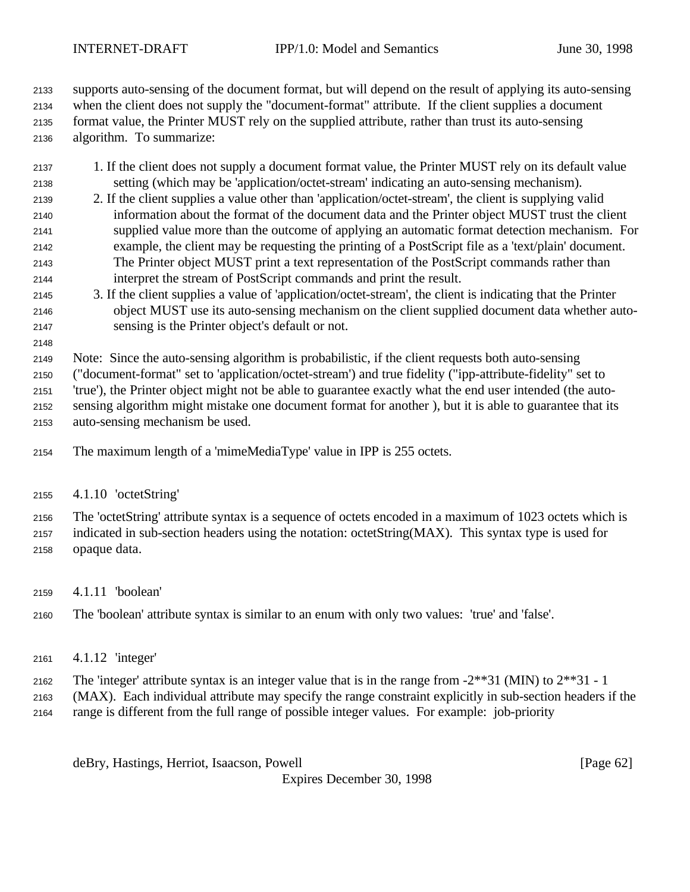supports auto-sensing of the document format, but will depend on the result of applying its auto-sensing when the client does not supply the "document-format" attribute. If the client supplies a document format value, the Printer MUST rely on the supplied attribute, rather than trust its auto-sensing algorithm. To summarize:

- 1. If the client does not supply a document format value, the Printer MUST rely on its default value setting (which may be 'application/octet-stream' indicating an auto-sensing mechanism).
- 2. If the client supplies a value other than 'application/octet-stream', the client is supplying valid information about the format of the document data and the Printer object MUST trust the client supplied value more than the outcome of applying an automatic format detection mechanism. For example, the client may be requesting the printing of a PostScript file as a 'text/plain' document. The Printer object MUST print a text representation of the PostScript commands rather than interpret the stream of PostScript commands and print the result.
- 3. If the client supplies a value of 'application/octet-stream', the client is indicating that the Printer object MUST use its auto-sensing mechanism on the client supplied document data whether auto-sensing is the Printer object's default or not.
- 

 Note: Since the auto-sensing algorithm is probabilistic, if the client requests both auto-sensing ("document-format" set to 'application/octet-stream') and true fidelity ("ipp-attribute-fidelity" set to

'true'), the Printer object might not be able to guarantee exactly what the end user intended (the auto-

 sensing algorithm might mistake one document format for another ), but it is able to guarantee that its auto-sensing mechanism be used.

The maximum length of a 'mimeMediaType' value in IPP is 255 octets.

4.1.10 'octetString'

The 'octetString' attribute syntax is a sequence of octets encoded in a maximum of 1023 octets which is

 indicated in sub-section headers using the notation: octetString(MAX). This syntax type is used for opaque data.

- 4.1.11 'boolean'
- The 'boolean' attribute syntax is similar to an enum with only two values: 'true' and 'false'.
- 4.1.12 'integer'
- 2162 The 'integer' attribute syntax is an integer value that is in the range from  $-2**31$  (MIN) to  $2**31 1$
- (MAX). Each individual attribute may specify the range constraint explicitly in sub-section headers if the range is different from the full range of possible integer values. For example: job-priority

deBry, Hastings, Herriot, Isaacson, Powell [Page 62]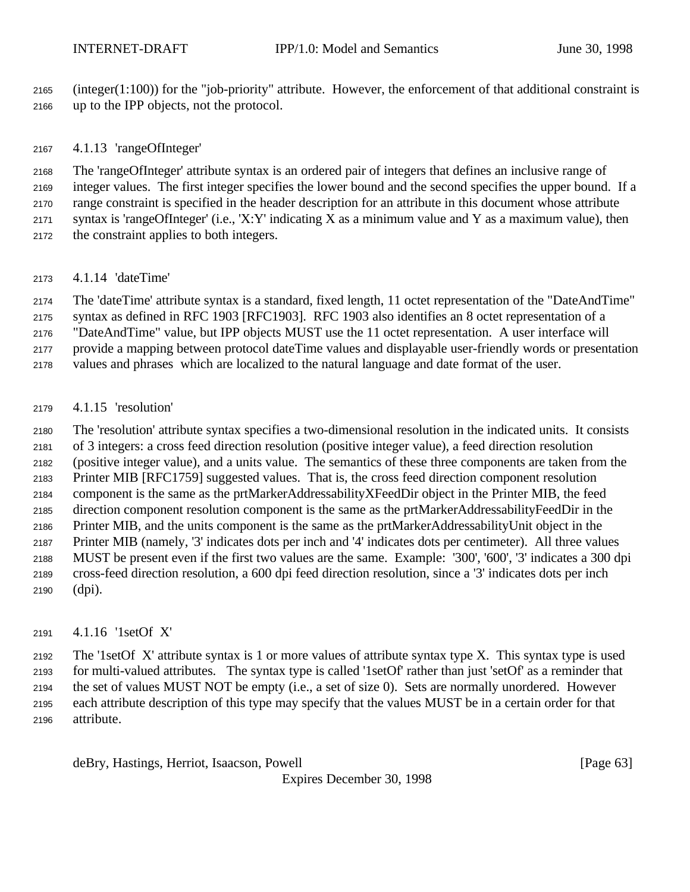(integer(1:100)) for the "job-priority" attribute. However, the enforcement of that additional constraint is up to the IPP objects, not the protocol.

#### 4.1.13 'rangeOfInteger'

 The 'rangeOfInteger' attribute syntax is an ordered pair of integers that defines an inclusive range of integer values. The first integer specifies the lower bound and the second specifies the upper bound. If a range constraint is specified in the header description for an attribute in this document whose attribute 2171 syntax is 'rangeOfInteger' (i.e., 'X:Y' indicating X as a minimum value and Y as a maximum value), then the constraint applies to both integers.

#### 4.1.14 'dateTime'

 The 'dateTime' attribute syntax is a standard, fixed length, 11 octet representation of the "DateAndTime" syntax as defined in RFC 1903 [RFC1903]. RFC 1903 also identifies an 8 octet representation of a

"DateAndTime" value, but IPP objects MUST use the 11 octet representation. A user interface will

provide a mapping between protocol dateTime values and displayable user-friendly words or presentation

values and phrases which are localized to the natural language and date format of the user.

### 4.1.15 'resolution'

 The 'resolution' attribute syntax specifies a two-dimensional resolution in the indicated units. It consists of 3 integers: a cross feed direction resolution (positive integer value), a feed direction resolution (positive integer value), and a units value. The semantics of these three components are taken from the

 Printer MIB [RFC1759] suggested values. That is, the cross feed direction component resolution component is the same as the prtMarkerAddressabilityXFeedDir object in the Printer MIB, the feed direction component resolution component is the same as the prtMarkerAddressabilityFeedDir in the Printer MIB, and the units component is the same as the prtMarkerAddressabilityUnit object in the

- Printer MIB (namely, '3' indicates dots per inch and '4' indicates dots per centimeter). All three values MUST be present even if the first two values are the same. Example: '300', '600', '3' indicates a 300 dpi
- cross-feed direction resolution, a 600 dpi feed direction resolution, since a '3' indicates dots per inch
- (dpi).

### 4.1.16 '1setOf X'

 The '1setOf X' attribute syntax is 1 or more values of attribute syntax type X. This syntax type is used for multi-valued attributes. The syntax type is called '1setOf' rather than just 'setOf' as a reminder that the set of values MUST NOT be empty (i.e., a set of size 0). Sets are normally unordered. However each attribute description of this type may specify that the values MUST be in a certain order for that attribute.

deBry, Hastings, Herriot, Isaacson, Powell [Page 63]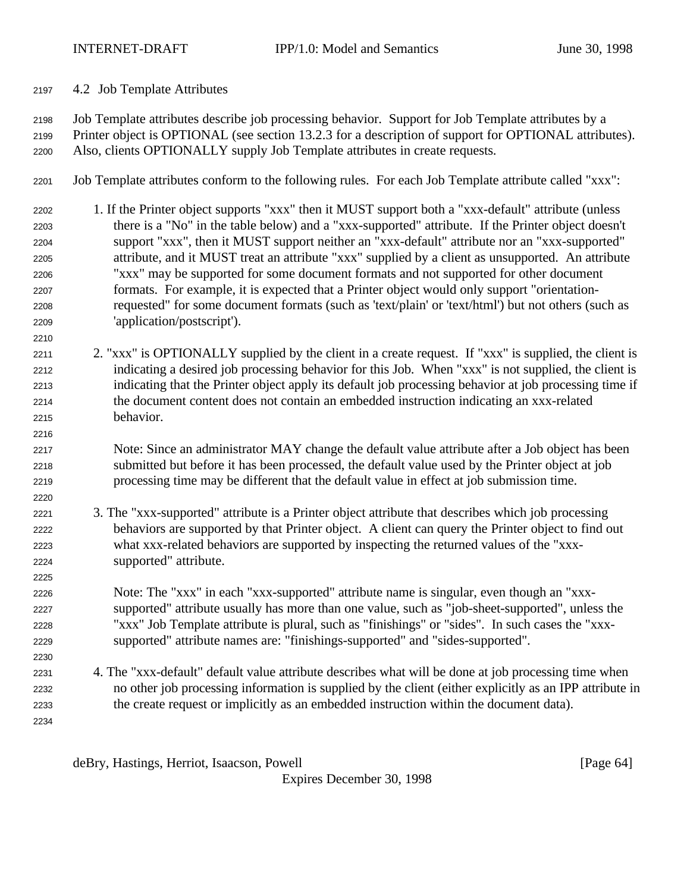4.2 Job Template Attributes

 Job Template attributes describe job processing behavior. Support for Job Template attributes by a Printer object is OPTIONAL (see section 13.2.3 for a description of support for OPTIONAL attributes). Also, clients OPTIONALLY supply Job Template attributes in create requests.

- Job Template attributes conform to the following rules. For each Job Template attribute called "xxx":
- 1. If the Printer object supports "xxx" then it MUST support both a "xxx-default" attribute (unless there is a "No" in the table below) and a "xxx-supported" attribute. If the Printer object doesn't support "xxx", then it MUST support neither an "xxx-default" attribute nor an "xxx-supported" attribute, and it MUST treat an attribute "xxx" supplied by a client as unsupported. An attribute "xxx" may be supported for some document formats and not supported for other document formats. For example, it is expected that a Printer object would only support "orientation- requested" for some document formats (such as 'text/plain' or 'text/html') but not others (such as 'application/postscript').
- 2. "xxx" is OPTIONALLY supplied by the client in a create request. If "xxx" is supplied, the client is indicating a desired job processing behavior for this Job. When "xxx" is not supplied, the client is indicating that the Printer object apply its default job processing behavior at job processing time if the document content does not contain an embedded instruction indicating an xxx-related behavior.
- Note: Since an administrator MAY change the default value attribute after a Job object has been submitted but before it has been processed, the default value used by the Printer object at job processing time may be different that the default value in effect at job submission time.
- 3. The "xxx-supported" attribute is a Printer object attribute that describes which job processing behaviors are supported by that Printer object. A client can query the Printer object to find out what xxx-related behaviors are supported by inspecting the returned values of the "xxx-supported" attribute.
- Note: The "xxx" in each "xxx-supported" attribute name is singular, even though an "xxx- supported" attribute usually has more than one value, such as "job-sheet-supported", unless the "xxx" Job Template attribute is plural, such as "finishings" or "sides". In such cases the "xxx-supported" attribute names are: "finishings-supported" and "sides-supported".
- 4. The "xxx-default" default value attribute describes what will be done at job processing time when no other job processing information is supplied by the client (either explicitly as an IPP attribute in the create request or implicitly as an embedded instruction within the document data).

deBry, Hastings, Herriot, Isaacson, Powell **compared and Contract and Contract Contract Contract Contract Contract Contract Contract Contract Contract Contract Contract Contract Contract Contract Contract Contract Contract**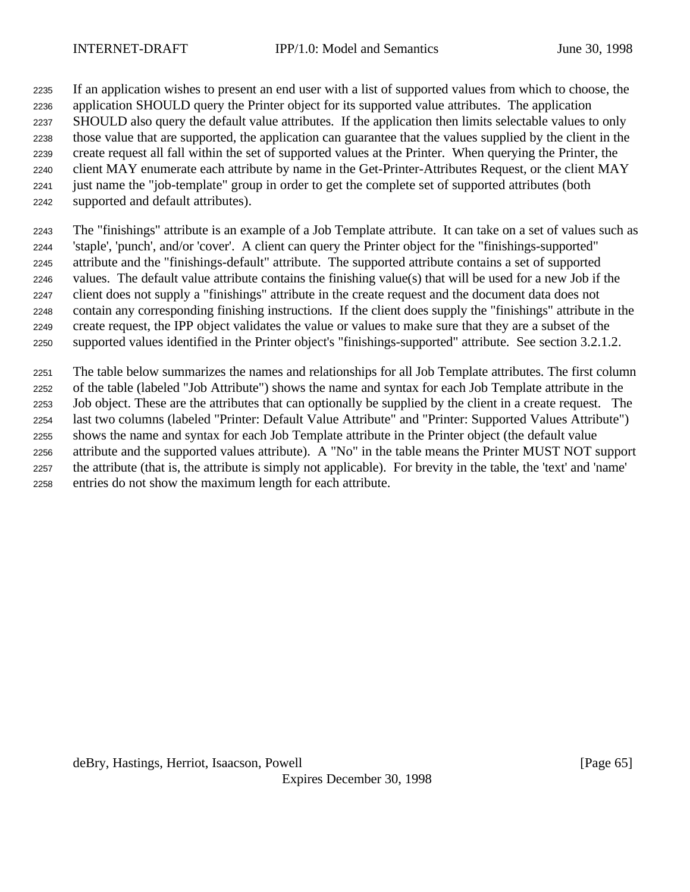If an application wishes to present an end user with a list of supported values from which to choose, the application SHOULD query the Printer object for its supported value attributes. The application SHOULD also query the default value attributes. If the application then limits selectable values to only those value that are supported, the application can guarantee that the values supplied by the client in the create request all fall within the set of supported values at the Printer. When querying the Printer, the client MAY enumerate each attribute by name in the Get-Printer-Attributes Request, or the client MAY just name the "job-template" group in order to get the complete set of supported attributes (both supported and default attributes).

 The "finishings" attribute is an example of a Job Template attribute. It can take on a set of values such as 'staple', 'punch', and/or 'cover'. A client can query the Printer object for the "finishings-supported" attribute and the "finishings-default" attribute. The supported attribute contains a set of supported values. The default value attribute contains the finishing value(s) that will be used for a new Job if the client does not supply a "finishings" attribute in the create request and the document data does not contain any corresponding finishing instructions. If the client does supply the "finishings" attribute in the create request, the IPP object validates the value or values to make sure that they are a subset of the supported values identified in the Printer object's "finishings-supported" attribute. See section 3.2.1.2.

 The table below summarizes the names and relationships for all Job Template attributes. The first column of the table (labeled "Job Attribute") shows the name and syntax for each Job Template attribute in the Job object. These are the attributes that can optionally be supplied by the client in a create request. The last two columns (labeled "Printer: Default Value Attribute" and "Printer: Supported Values Attribute") shows the name and syntax for each Job Template attribute in the Printer object (the default value attribute and the supported values attribute). A "No" in the table means the Printer MUST NOT support the attribute (that is, the attribute is simply not applicable). For brevity in the table, the 'text' and 'name' entries do not show the maximum length for each attribute.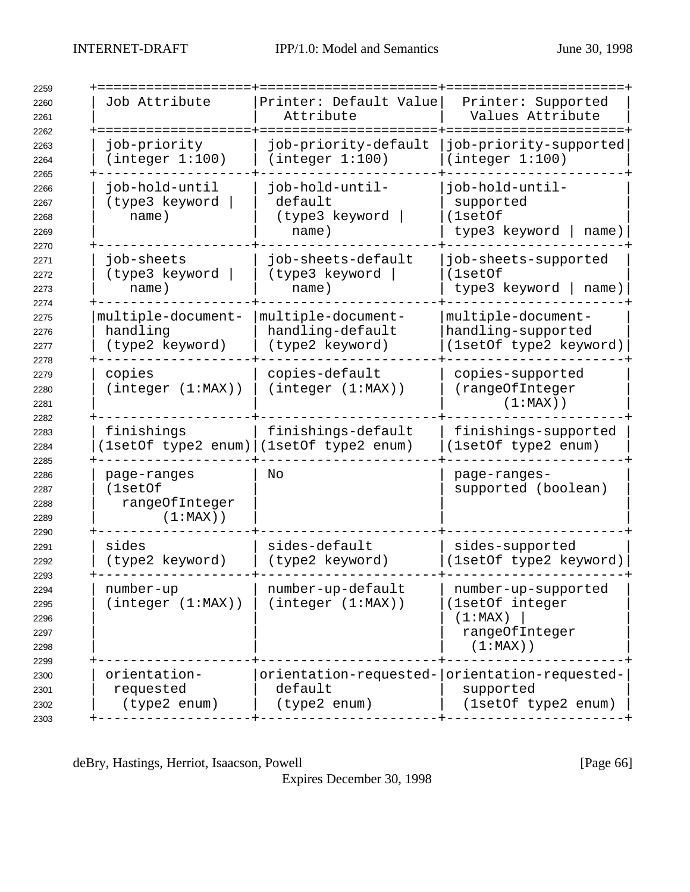| 2259                                         |                                                         |                                                                          |                                                                                    |
|----------------------------------------------|---------------------------------------------------------|--------------------------------------------------------------------------|------------------------------------------------------------------------------------|
| 2260<br>2261<br>2262                         | Job Attribute                                           | Printer: Default Value<br>Attribute                                      | Printer: Supported<br>Values Attribute                                             |
| 2263<br>2264<br>2265                         | job-priority<br>(integer 1:100)                         | job-priority-default<br>(integer 1:100)                                  | job-priority-supported<br>(integer 1:100)                                          |
| 2266<br>2267<br>2268<br>2269                 | job-hold-until<br>(type3 keyword<br>name)               | job-hold-until-<br>default<br>(type3 keyword<br>name)                    | job-hold-until-<br>supported<br>(1setOf<br>type3 keyword<br>name)                  |
| 2270<br>2271<br>2272<br>2273<br>2274         | job-sheets<br>(type3 keyword<br>name)                   | job-sheets-default<br>(type3 keyword<br>name)                            | job-sheets-supported<br>(1setOf<br>type3 keyword<br>name)                          |
| 2275<br>2276<br>2277<br>2278                 | multiple-document-<br>handling<br>(type2 keyword)       | multiple-document-<br>handling-default<br>(type2 keyword)                | multiple-document-<br>handling-supported<br>(1setOf type2 keyword)                 |
| 2279<br>2280<br>2281                         | copies<br>(integer (1:MAX))                             | copies-default<br>(integer (1:MAX))                                      | copies-supported<br>(rangeOfInteger<br>$(1:MAX)$ )                                 |
| 2282<br>2283<br>2284                         | finishings                                              | finishings-default<br>(1setOf type2 enum) (1setOf type2 enum)            | finishings-supported<br>(1setOf type2 enum)                                        |
| 2285<br>2286<br>2287<br>2288<br>2289         | page-ranges<br>(1setOf<br>rangeOfInteger<br>$(1:MAX)$ ) | No                                                                       | page-ranges-<br>supported (boolean)                                                |
| 2290<br>2291<br>2292                         | sides<br>(type2 keyword)                                | sides-default<br>(type2 keyword)                                         | sides-supported<br>(1setOf type2 keyword)                                          |
| 2293<br>2294<br>2295<br>2296<br>2297<br>2298 | number-up<br>(integer (1:MAX))                          | number-up-default<br>(integer (1:MAX))                                   | number-up-supported<br>(1setOf integer<br>(1:MAX)<br>rangeOfInteger<br>$(1:MAX)$ ) |
| 2299<br>2300<br>2301<br>2302<br>2303         | orientation-<br>requested<br>(type2 enum)               | orientation-requested- orientation-requested-<br>default<br>(type2 enum) | supported<br>(1setOf type2 enum)                                                   |

deBry, Hastings, Herriot, Isaacson, Powell [Page 66]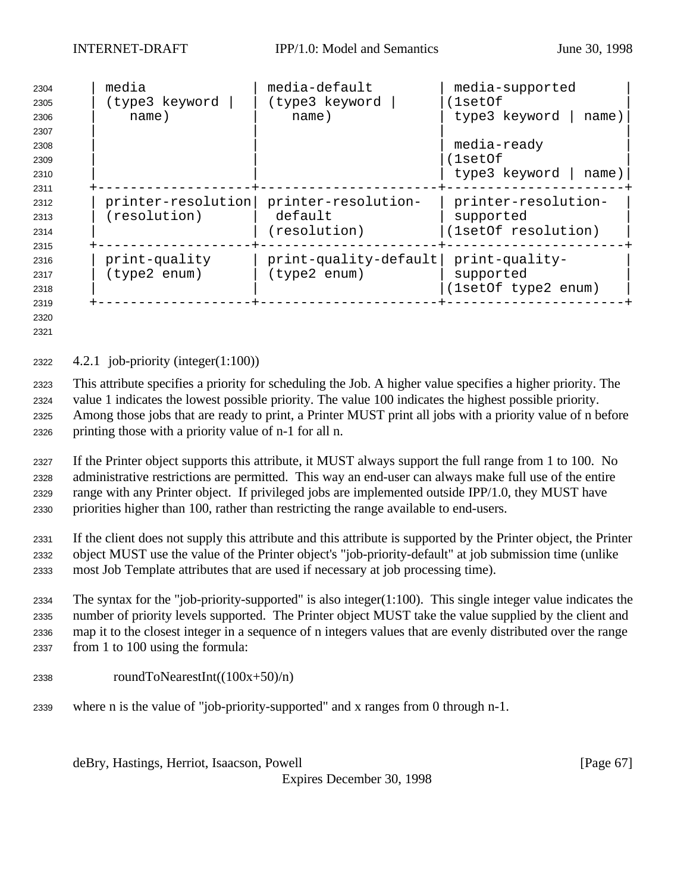| 2304<br>2305 | media<br>(type3 keyword | media-default<br>(type3 keyword | media-supported<br>1setOf) |
|--------------|-------------------------|---------------------------------|----------------------------|
| 2306         | name)                   | name)                           | type3 keyword<br>name)     |
| 2307         |                         |                                 |                            |
| 2308         |                         |                                 | media-ready                |
| 2309         |                         |                                 | (lsetOf                    |
| 2310         |                         |                                 | type3 keyword<br>name)     |
| 2311         |                         |                                 |                            |
| 2312         | printer-resolution      | printer-resolution-             | printer-resolution-        |
| 2313         | (resolution)            | default                         | supported                  |
| 2314         |                         | (resolution)                    | (1setOf resolution)        |
| 2315         |                         |                                 |                            |
| 2316         | print-quality           | print-quality-default           | print-quality-             |
| 2317         | (type2 enum)            | (type2 enum)                    | supported                  |
| 2318         |                         |                                 | (1setOf type2 enum)        |
| 2319         |                         |                                 |                            |
| 2320         |                         |                                 |                            |

2322  $4.2.1$  job-priority (integer $(1:100)$ )

 This attribute specifies a priority for scheduling the Job. A higher value specifies a higher priority. The value 1 indicates the lowest possible priority. The value 100 indicates the highest possible priority. Among those jobs that are ready to print, a Printer MUST print all jobs with a priority value of n before printing those with a priority value of n-1 for all n.

 If the Printer object supports this attribute, it MUST always support the full range from 1 to 100. No administrative restrictions are permitted. This way an end-user can always make full use of the entire range with any Printer object. If privileged jobs are implemented outside IPP/1.0, they MUST have priorities higher than 100, rather than restricting the range available to end-users.

 If the client does not supply this attribute and this attribute is supported by the Printer object, the Printer object MUST use the value of the Printer object's "job-priority-default" at job submission time (unlike most Job Template attributes that are used if necessary at job processing time).

 The syntax for the "job-priority-supported" is also integer(1:100). This single integer value indicates the number of priority levels supported. The Printer object MUST take the value supplied by the client and map it to the closest integer in a sequence of n integers values that are evenly distributed over the range from 1 to 100 using the formula:

- roundToNearestInt( $(100x+50)/n$ )
- where n is the value of "job-priority-supported" and x ranges from 0 through n-1.

deBry, Hastings, Herriot, Isaacson, Powell **Example 20** (Page 67)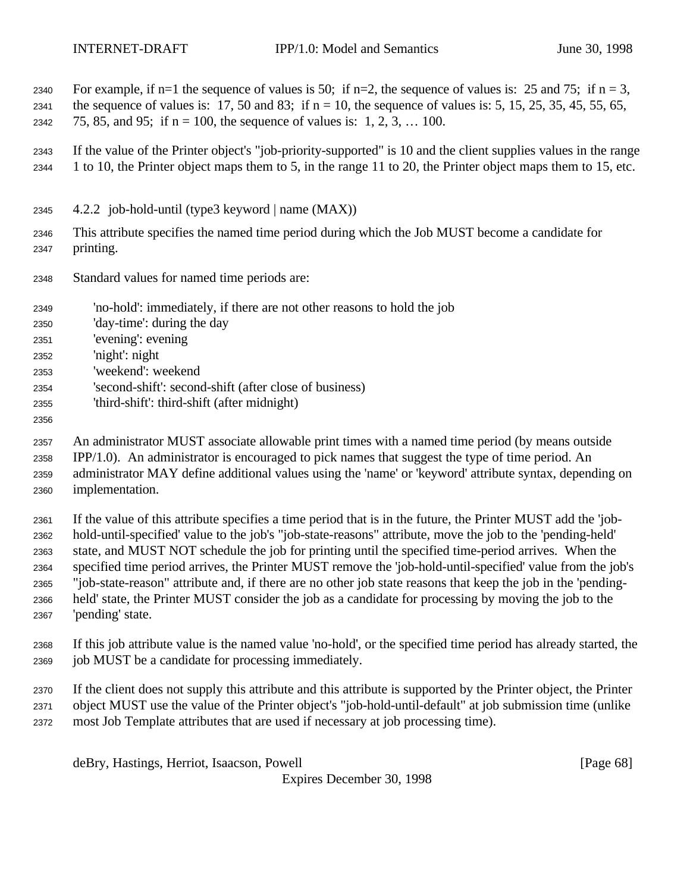- 2340 For example, if n=1 the sequence of values is 50; if n=2, the sequence of values is: 25 and 75; if n = 3, 2341 the sequence of values is: 17, 50 and 83; if  $n = 10$ , the sequence of values is: 5, 15, 25, 35, 45, 55, 65, 2342 75, 85, and 95; if  $n = 100$ , the sequence of values is: 1, 2, 3, ... 100.
- If the value of the Printer object's "job-priority-supported" is 10 and the client supplies values in the range 1 to 10, the Printer object maps them to 5, in the range 11 to 20, the Printer object maps them to 15, etc.
- 4.2.2 job-hold-until (type3 keyword | name (MAX))
- This attribute specifies the named time period during which the Job MUST become a candidate for printing.
- Standard values for named time periods are:
- 'no-hold': immediately, if there are not other reasons to hold the job
- 'day-time': during the day
- 'evening': evening
- 'night': night
- 'weekend': weekend
- 'second-shift': second-shift (after close of business)
- 'third-shift': third-shift (after midnight)
- 

 An administrator MUST associate allowable print times with a named time period (by means outside IPP/1.0). An administrator is encouraged to pick names that suggest the type of time period. An administrator MAY define additional values using the 'name' or 'keyword' attribute syntax, depending on implementation.

 If the value of this attribute specifies a time period that is in the future, the Printer MUST add the 'job- hold-until-specified' value to the job's "job-state-reasons" attribute, move the job to the 'pending-held' state, and MUST NOT schedule the job for printing until the specified time-period arrives. When the specified time period arrives, the Printer MUST remove the 'job-hold-until-specified' value from the job's "job-state-reason" attribute and, if there are no other job state reasons that keep the job in the 'pending- held' state, the Printer MUST consider the job as a candidate for processing by moving the job to the 'pending' state.

- If this job attribute value is the named value 'no-hold', or the specified time period has already started, the job MUST be a candidate for processing immediately.
- If the client does not supply this attribute and this attribute is supported by the Printer object, the Printer object MUST use the value of the Printer object's "job-hold-until-default" at job submission time (unlike most Job Template attributes that are used if necessary at job processing time).

deBry, Hastings, Herriot, Isaacson, Powell [Page 68]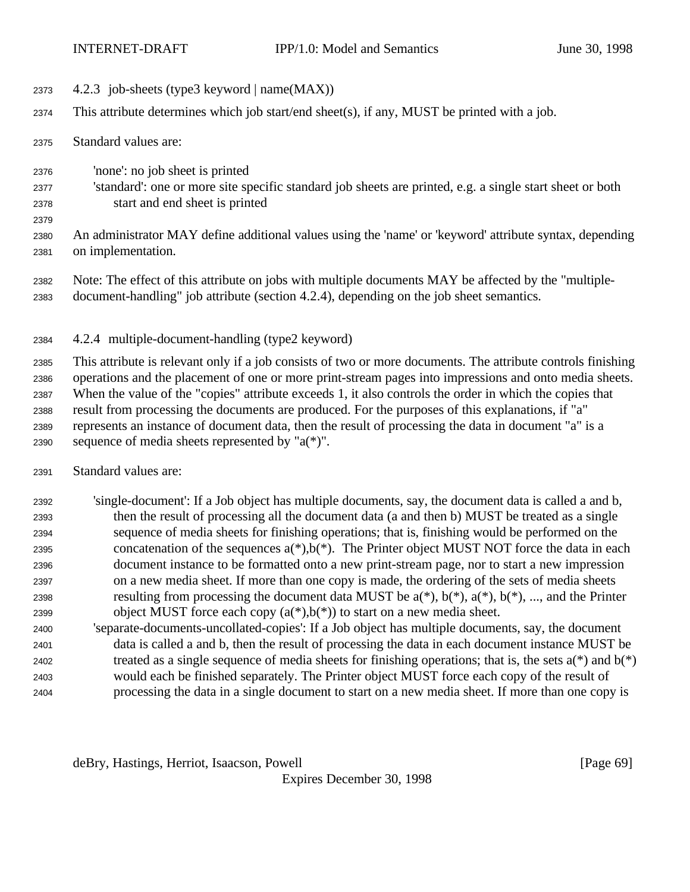- 2373  $4.2.3$  job-sheets (type3 keyword | name(MAX))
- This attribute determines which job start/end sheet(s), if any, MUST be printed with a job.
- Standard values are:

- 'none': no job sheet is printed
- 'standard': one or more site specific standard job sheets are printed, e.g. a single start sheet or both start and end sheet is printed
- An administrator MAY define additional values using the 'name' or 'keyword' attribute syntax, depending on implementation.
- Note: The effect of this attribute on jobs with multiple documents MAY be affected by the "multiple-document-handling" job attribute (section 4.2.4), depending on the job sheet semantics.
- 4.2.4 multiple-document-handling (type2 keyword)

 This attribute is relevant only if a job consists of two or more documents. The attribute controls finishing operations and the placement of one or more print-stream pages into impressions and onto media sheets. When the value of the "copies" attribute exceeds 1, it also controls the order in which the copies that result from processing the documents are produced. For the purposes of this explanations, if "a" represents an instance of document data, then the result of processing the data in document "a" is a 2390 sequence of media sheets represented by " $a(*)$ ".

Standard values are:

| 2392 | single-document: If a Job object has multiple documents, say, the document data is called a and b,        |
|------|-----------------------------------------------------------------------------------------------------------|
| 2393 | then the result of processing all the document data (a and then b) MUST be treated as a single            |
| 2394 | sequence of media sheets for finishing operations; that is, finishing would be performed on the           |
| 2395 | concatenation of the sequences $a(*)$ , $b(*)$ . The Printer object MUST NOT force the data in each       |
| 2396 | document instance to be formatted onto a new print-stream page, nor to start a new impression             |
| 2397 | on a new media sheet. If more than one copy is made, the ordering of the sets of media sheets             |
| 2398 | resulting from processing the document data MUST be $a(*)$ , $b(*)$ , $a(*)$ , $b(*)$ , , and the Printer |
| 2399 | object MUST force each copy $(a(*),b(*))$ to start on a new media sheet.                                  |
| 2400 | 'separate-documents-uncollated-copies': If a Job object has multiple documents, say, the document         |

 data is called a and b, then the result of processing the data in each document instance MUST be 2402 treated as a single sequence of media sheets for finishing operations; that is, the sets  $a(*)$  and  $b(*)$  would each be finished separately. The Printer object MUST force each copy of the result of processing the data in a single document to start on a new media sheet. If more than one copy is

deBry, Hastings, Herriot, Isaacson, Powell [Page 69]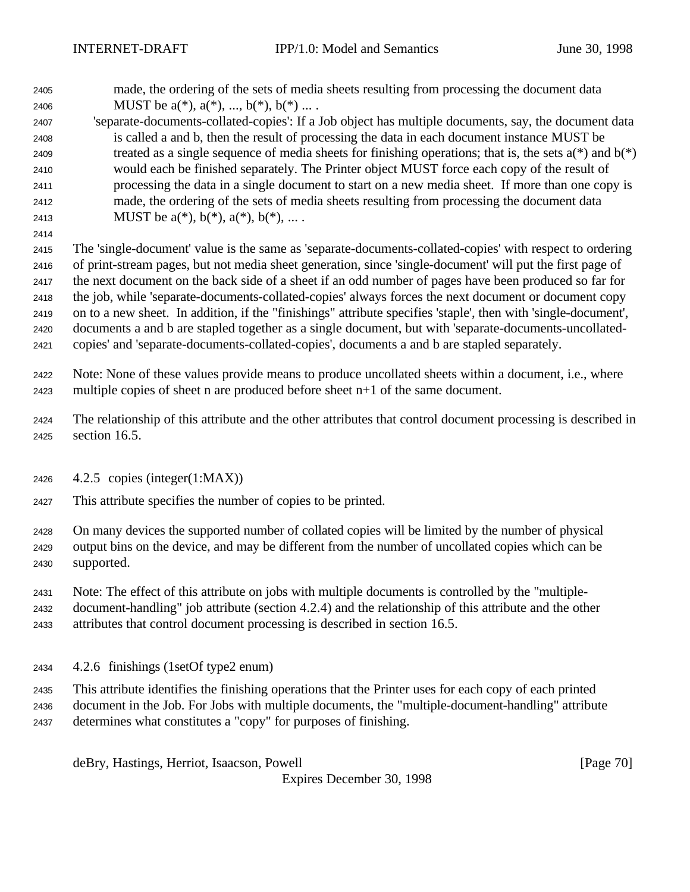made, the ordering of the sets of media sheets resulting from processing the document data 2406 MUST be  $a(*), a(*), ..., b(*), b(*)...$ .

 'separate-documents-collated-copies': If a Job object has multiple documents, say, the document data is called a and b, then the result of processing the data in each document instance MUST be 2409 treated as a single sequence of media sheets for finishing operations; that is, the sets  $a(*)$  and  $b(*)$  would each be finished separately. The Printer object MUST force each copy of the result of processing the data in a single document to start on a new media sheet. If more than one copy is made, the ordering of the sets of media sheets resulting from processing the document data 2413 MUST be  $a^{(*)}$ ,  $b^{(*)}$ ,  $a^{(*)}$ ,  $b^{(*)}$ , ...

 The 'single-document' value is the same as 'separate-documents-collated-copies' with respect to ordering of print-stream pages, but not media sheet generation, since 'single-document' will put the first page of the next document on the back side of a sheet if an odd number of pages have been produced so far for the job, while 'separate-documents-collated-copies' always forces the next document or document copy on to a new sheet. In addition, if the "finishings" attribute specifies 'staple', then with 'single-document', documents a and b are stapled together as a single document, but with 'separate-documents-uncollated-copies' and 'separate-documents-collated-copies', documents a and b are stapled separately.

- Note: None of these values provide means to produce uncollated sheets within a document, i.e., where multiple copies of sheet n are produced before sheet n+1 of the same document.
- The relationship of this attribute and the other attributes that control document processing is described in section 16.5.
- 4.2.5 copies (integer(1:MAX))
- This attribute specifies the number of copies to be printed.
- On many devices the supported number of collated copies will be limited by the number of physical output bins on the device, and may be different from the number of uncollated copies which can be supported.
- Note: The effect of this attribute on jobs with multiple documents is controlled by the "multiple- document-handling" job attribute (section 4.2.4) and the relationship of this attribute and the other attributes that control document processing is described in section 16.5.
- 4.2.6 finishings (1setOf type2 enum)
- This attribute identifies the finishing operations that the Printer uses for each copy of each printed document in the Job. For Jobs with multiple documents, the "multiple-document-handling" attribute determines what constitutes a "copy" for purposes of finishing.

deBry, Hastings, Herriot, Isaacson, Powell [Page 70]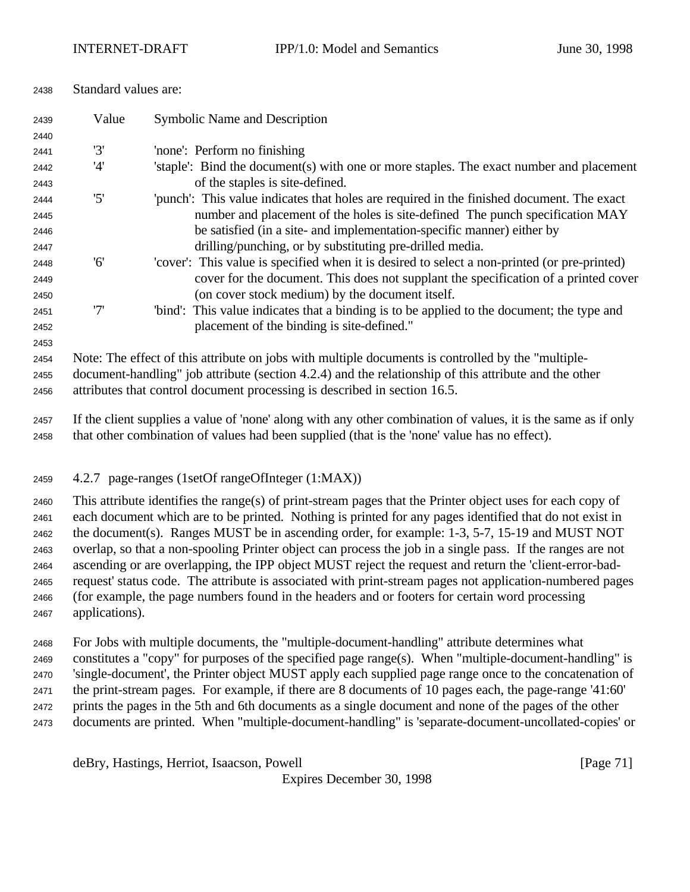| 2438 |  | Standard values are: |
|------|--|----------------------|
|------|--|----------------------|

| 2439 | Value                                                                                                 | Symbolic Name and Description                                                                                  |  |
|------|-------------------------------------------------------------------------------------------------------|----------------------------------------------------------------------------------------------------------------|--|
| 2440 |                                                                                                       |                                                                                                                |  |
| 2441 | '3'                                                                                                   | 'none': Perform no finishing                                                                                   |  |
| 2442 | '4'                                                                                                   | 'staple': Bind the document(s) with one or more staples. The exact number and placement                        |  |
| 2443 |                                                                                                       | of the staples is site-defined.                                                                                |  |
| 2444 | '5'                                                                                                   | 'punch': This value indicates that holes are required in the finished document. The exact                      |  |
| 2445 |                                                                                                       | number and placement of the holes is site-defined. The punch specification MAY                                 |  |
| 2446 |                                                                                                       | be satisfied (in a site- and implementation-specific manner) either by                                         |  |
| 2447 |                                                                                                       | drilling/punching, or by substituting pre-drilled media.                                                       |  |
| 2448 | '6'                                                                                                   | 'cover': This value is specified when it is desired to select a non-printed (or pre-printed)                   |  |
| 2449 |                                                                                                       | cover for the document. This does not supplant the specification of a printed cover                            |  |
| 2450 |                                                                                                       | (on cover stock medium) by the document itself.                                                                |  |
| 2451 | '7'                                                                                                   | "bind": This value indicates that a binding is to be applied to the document; the type and                     |  |
| 2452 |                                                                                                       | placement of the binding is site-defined."                                                                     |  |
| 2453 |                                                                                                       |                                                                                                                |  |
| 2454 | Note: The effect of this attribute on jobs with multiple documents is controlled by the "multiple-    |                                                                                                                |  |
| 2455 | document-handling" job attribute (section 4.2.4) and the relationship of this attribute and the other |                                                                                                                |  |
| 2456 | attributes that control document processing is described in section 16.5.                             |                                                                                                                |  |
| 2457 |                                                                                                       | If the client supplies a value of 'none' along with any other combination of values, it is the same as if only |  |
| 2458 | that other combination of values had been supplied (that is the 'none' value has no effect).          |                                                                                                                |  |

4.2.7 page-ranges (1setOf rangeOfInteger (1:MAX))

 This attribute identifies the range(s) of print-stream pages that the Printer object uses for each copy of each document which are to be printed. Nothing is printed for any pages identified that do not exist in the document(s). Ranges MUST be in ascending order, for example: 1-3, 5-7, 15-19 and MUST NOT overlap, so that a non-spooling Printer object can process the job in a single pass. If the ranges are not ascending or are overlapping, the IPP object MUST reject the request and return the 'client-error-bad- request' status code. The attribute is associated with print-stream pages not application-numbered pages (for example, the page numbers found in the headers and or footers for certain word processing applications).

 For Jobs with multiple documents, the "multiple-document-handling" attribute determines what constitutes a "copy" for purposes of the specified page range(s). When "multiple-document-handling" is

'single-document', the Printer object MUST apply each supplied page range once to the concatenation of

the print-stream pages. For example, if there are 8 documents of 10 pages each, the page-range '41:60'

prints the pages in the 5th and 6th documents as a single document and none of the pages of the other

documents are printed. When "multiple-document-handling" is 'separate-document-uncollated-copies' or

deBry, Hastings, Herriot, Isaacson, Powell [Page 71]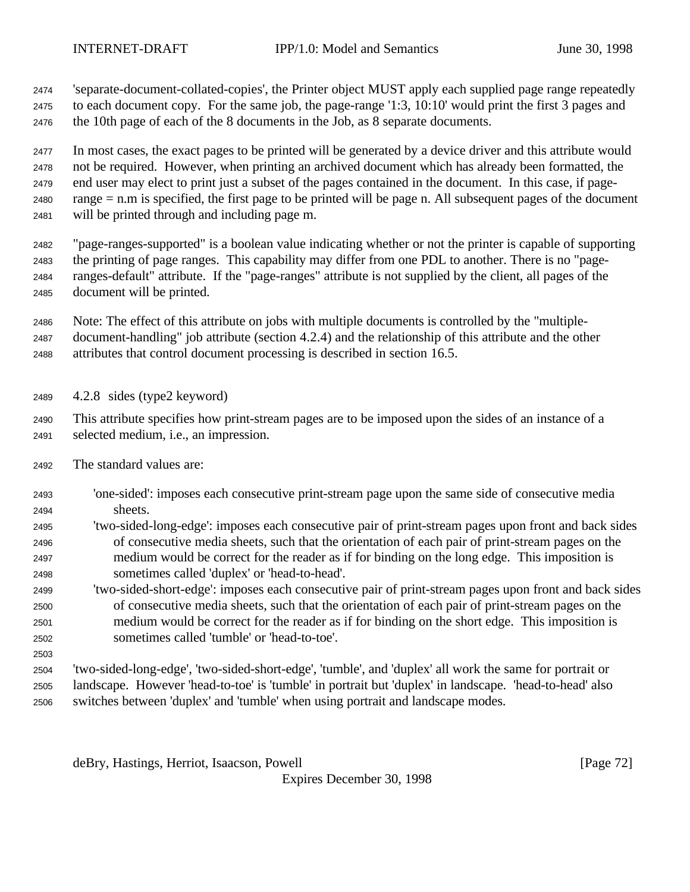'separate-document-collated-copies', the Printer object MUST apply each supplied page range repeatedly to each document copy. For the same job, the page-range '1:3, 10:10' would print the first 3 pages and the 10th page of each of the 8 documents in the Job, as 8 separate documents.

 In most cases, the exact pages to be printed will be generated by a device driver and this attribute would not be required. However, when printing an archived document which has already been formatted, the end user may elect to print just a subset of the pages contained in the document. In this case, if page- range = n.m is specified, the first page to be printed will be page n. All subsequent pages of the document will be printed through and including page m.

 "page-ranges-supported" is a boolean value indicating whether or not the printer is capable of supporting the printing of page ranges. This capability may differ from one PDL to another. There is no "page- ranges-default" attribute. If the "page-ranges" attribute is not supplied by the client, all pages of the document will be printed.

 Note: The effect of this attribute on jobs with multiple documents is controlled by the "multiple- document-handling" job attribute (section 4.2.4) and the relationship of this attribute and the other attributes that control document processing is described in section 16.5.

4.2.8 sides (type2 keyword)

 This attribute specifies how print-stream pages are to be imposed upon the sides of an instance of a selected medium, i.e., an impression.

- The standard values are:
- 'one-sided': imposes each consecutive print-stream page upon the same side of consecutive media sheets.
- 'two-sided-long-edge': imposes each consecutive pair of print-stream pages upon front and back sides of consecutive media sheets, such that the orientation of each pair of print-stream pages on the medium would be correct for the reader as if for binding on the long edge. This imposition is sometimes called 'duplex' or 'head-to-head'.
- 'two-sided-short-edge': imposes each consecutive pair of print-stream pages upon front and back sides of consecutive media sheets, such that the orientation of each pair of print-stream pages on the medium would be correct for the reader as if for binding on the short edge. This imposition is sometimes called 'tumble' or 'head-to-toe'.
- 

 'two-sided-long-edge', 'two-sided-short-edge', 'tumble', and 'duplex' all work the same for portrait or landscape. However 'head-to-toe' is 'tumble' in portrait but 'duplex' in landscape. 'head-to-head' also switches between 'duplex' and 'tumble' when using portrait and landscape modes.

deBry, Hastings, Herriot, Isaacson, Powell [Page 72]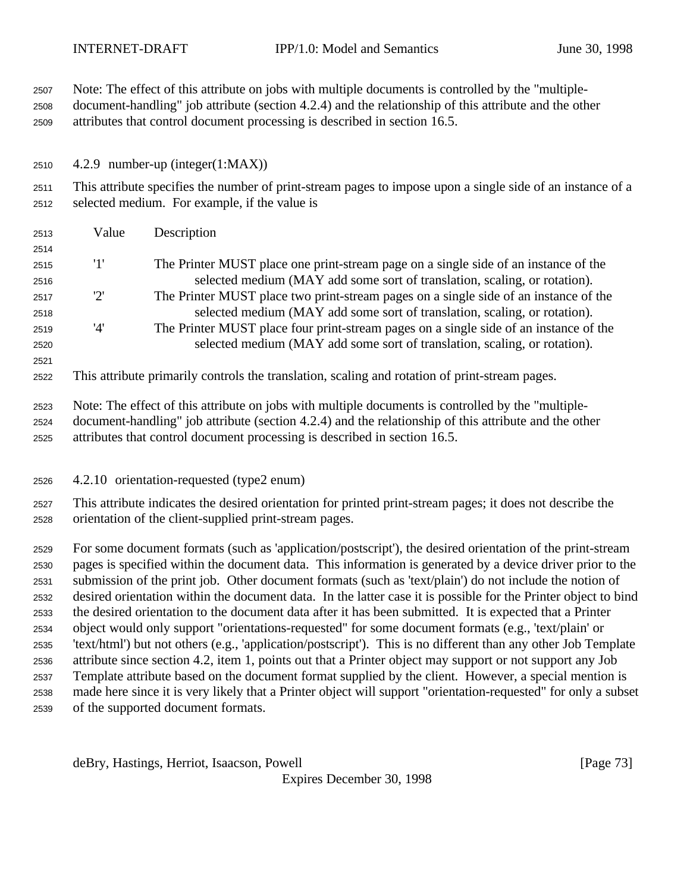| 2507<br>2508<br>2509 |                                                                                                                                                                     | Note: The effect of this attribute on jobs with multiple documents is controlled by the "multiple-<br>document-handling" job attribute (section 4.2.4) and the relationship of this attribute and the other<br>attributes that control document processing is described in section 16.5. |  |  |  |  |
|----------------------|---------------------------------------------------------------------------------------------------------------------------------------------------------------------|------------------------------------------------------------------------------------------------------------------------------------------------------------------------------------------------------------------------------------------------------------------------------------------|--|--|--|--|
| 2510                 |                                                                                                                                                                     | 4.2.9 number-up (integer(1:MAX))                                                                                                                                                                                                                                                         |  |  |  |  |
| 2511<br>2512         | This attribute specifies the number of print-stream pages to impose upon a single side of an instance of a<br>selected medium. For example, if the value is         |                                                                                                                                                                                                                                                                                          |  |  |  |  |
| 2513<br>2514         | Value                                                                                                                                                               | Description                                                                                                                                                                                                                                                                              |  |  |  |  |
| 2515<br>2516         | '1'                                                                                                                                                                 | The Printer MUST place one print-stream page on a single side of an instance of the<br>selected medium (MAY add some sort of translation, scaling, or rotation).                                                                                                                         |  |  |  |  |
| 2517<br>2518         | '2'                                                                                                                                                                 | The Printer MUST place two print-stream pages on a single side of an instance of the<br>selected medium (MAY add some sort of translation, scaling, or rotation).                                                                                                                        |  |  |  |  |
| 2519<br>2520<br>2521 | '4'                                                                                                                                                                 | The Printer MUST place four print-stream pages on a single side of an instance of the<br>selected medium (MAY add some sort of translation, scaling, or rotation).                                                                                                                       |  |  |  |  |
| 2522                 |                                                                                                                                                                     | This attribute primarily controls the translation, scaling and rotation of print-stream pages.                                                                                                                                                                                           |  |  |  |  |
| 2523<br>2524<br>2525 |                                                                                                                                                                     | Note: The effect of this attribute on jobs with multiple documents is controlled by the "multiple-<br>document-handling" job attribute (section 4.2.4) and the relationship of this attribute and the other<br>attributes that control document processing is described in section 16.5. |  |  |  |  |
| 2526                 |                                                                                                                                                                     | 4.2.10 orientation-requested (type2 enum)                                                                                                                                                                                                                                                |  |  |  |  |
| 2527<br>2528         | This attribute indicates the desired orientation for printed print-stream pages; it does not describe the<br>orientation of the client-supplied print-stream pages. |                                                                                                                                                                                                                                                                                          |  |  |  |  |
| 2529                 |                                                                                                                                                                     | For some document formats (such as 'application/postscript'), the desired orientation of the print-stream                                                                                                                                                                                |  |  |  |  |
| 2530                 |                                                                                                                                                                     | pages is specified within the document data. This information is generated by a device driver prior to the                                                                                                                                                                               |  |  |  |  |
| 2531                 |                                                                                                                                                                     | submission of the print job. Other document formats (such as 'text/plain') do not include the notion of                                                                                                                                                                                  |  |  |  |  |
| 2532                 |                                                                                                                                                                     | desired orientation within the document data. In the latter case it is possible for the Printer object to bind                                                                                                                                                                           |  |  |  |  |
| 2533                 |                                                                                                                                                                     | the desired orientation to the document data after it has been submitted. It is expected that a Printer                                                                                                                                                                                  |  |  |  |  |
| 2534                 |                                                                                                                                                                     | object would only support "orientations-requested" for some document formats (e.g., 'text/plain' or                                                                                                                                                                                      |  |  |  |  |
| 2535                 |                                                                                                                                                                     | 'text/html') but not others (e.g., 'application/postscript'). This is no different than any other Job Template                                                                                                                                                                           |  |  |  |  |
| 2536                 |                                                                                                                                                                     | attribute since section 4.2, item 1, points out that a Printer object may support or not support any Job                                                                                                                                                                                 |  |  |  |  |
| 2537                 |                                                                                                                                                                     | Template attribute based on the document format supplied by the client. However, a special mention is                                                                                                                                                                                    |  |  |  |  |
| 2538                 |                                                                                                                                                                     | made here since it is very likely that a Printer object will support "orientation-requested" for only a subset<br>of the supported document formats.                                                                                                                                     |  |  |  |  |
| 2539                 |                                                                                                                                                                     |                                                                                                                                                                                                                                                                                          |  |  |  |  |

deBry, Hastings, Herriot, Isaacson, Powell [Page 73]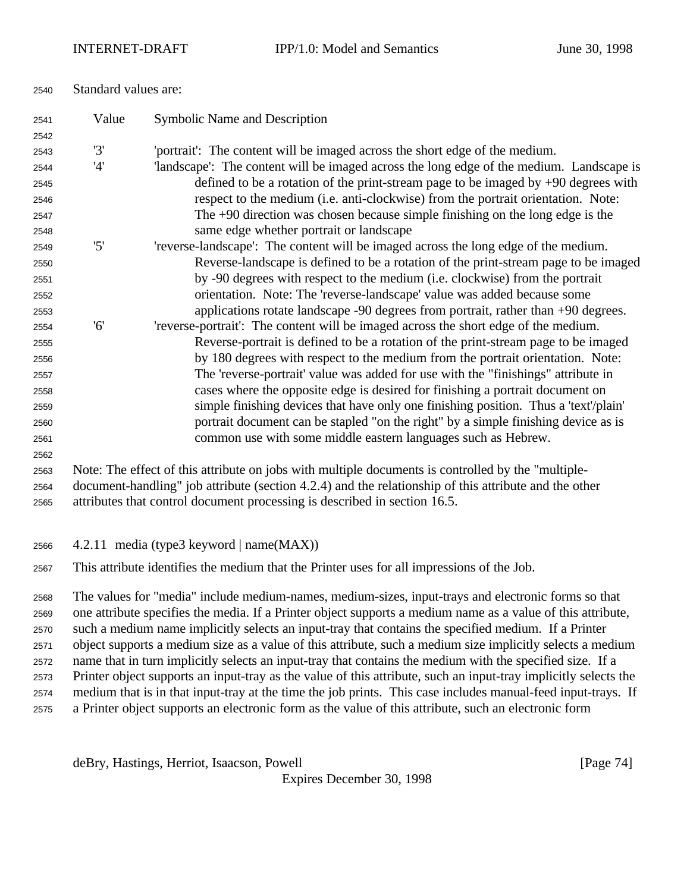| 2541                 | Value | Symbolic Name and Description                                                                                                                                                                                                                                                                                              |  |  |  |  |
|----------------------|-------|----------------------------------------------------------------------------------------------------------------------------------------------------------------------------------------------------------------------------------------------------------------------------------------------------------------------------|--|--|--|--|
| 2542                 |       |                                                                                                                                                                                                                                                                                                                            |  |  |  |  |
| 2543                 | '3'   | 'portrait': The content will be imaged across the short edge of the medium.                                                                                                                                                                                                                                                |  |  |  |  |
| 2544                 | '4'   | 'landscape': The content will be imaged across the long edge of the medium. Landscape is                                                                                                                                                                                                                                   |  |  |  |  |
| 2545                 |       | defined to be a rotation of the print-stream page to be imaged by $+90$ degrees with                                                                                                                                                                                                                                       |  |  |  |  |
| 2546                 |       | respect to the medium (i.e. anti-clockwise) from the portrait orientation. Note:                                                                                                                                                                                                                                           |  |  |  |  |
| 2547                 |       | The $+90$ direction was chosen because simple finishing on the long edge is the                                                                                                                                                                                                                                            |  |  |  |  |
| 2548                 |       | same edge whether portrait or landscape                                                                                                                                                                                                                                                                                    |  |  |  |  |
| 2549                 | '5'   | 'reverse-landscape': The content will be imaged across the long edge of the medium.                                                                                                                                                                                                                                        |  |  |  |  |
| 2550                 |       | Reverse-landscape is defined to be a rotation of the print-stream page to be imaged                                                                                                                                                                                                                                        |  |  |  |  |
| 2551                 |       | by -90 degrees with respect to the medium (i.e. clockwise) from the portrait                                                                                                                                                                                                                                               |  |  |  |  |
| 2552                 |       | orientation. Note: The 'reverse-landscape' value was added because some                                                                                                                                                                                                                                                    |  |  |  |  |
| 2553                 |       | applications rotate landscape -90 degrees from portrait, rather than +90 degrees.                                                                                                                                                                                                                                          |  |  |  |  |
| 2554                 | '6'   | 'reverse-portrait': The content will be imaged across the short edge of the medium.                                                                                                                                                                                                                                        |  |  |  |  |
| 2555                 |       | Reverse-portrait is defined to be a rotation of the print-stream page to be imaged                                                                                                                                                                                                                                         |  |  |  |  |
| 2556                 |       | by 180 degrees with respect to the medium from the portrait orientation. Note:                                                                                                                                                                                                                                             |  |  |  |  |
| 2557                 |       | The 'reverse-portrait' value was added for use with the "finishings" attribute in                                                                                                                                                                                                                                          |  |  |  |  |
| 2558                 |       | cases where the opposite edge is desired for finishing a portrait document on                                                                                                                                                                                                                                              |  |  |  |  |
| 2559                 |       | simple finishing devices that have only one finishing position. Thus a 'text'/plain'                                                                                                                                                                                                                                       |  |  |  |  |
| 2560                 |       | portrait document can be stapled "on the right" by a simple finishing device as is                                                                                                                                                                                                                                         |  |  |  |  |
| 2561                 |       | common use with some middle eastern languages such as Hebrew.                                                                                                                                                                                                                                                              |  |  |  |  |
| 2562                 |       |                                                                                                                                                                                                                                                                                                                            |  |  |  |  |
| 2563                 |       | Note: The effect of this attribute on jobs with multiple documents is controlled by the "multiple-                                                                                                                                                                                                                         |  |  |  |  |
| 2564                 |       | document-handling" job attribute (section 4.2.4) and the relationship of this attribute and the other                                                                                                                                                                                                                      |  |  |  |  |
| 2565                 |       | attributes that control document processing is described in section 16.5.                                                                                                                                                                                                                                                  |  |  |  |  |
| 2566                 |       | 4.2.11 media (type3 keyword   name(MAX))                                                                                                                                                                                                                                                                                   |  |  |  |  |
| 2567                 |       | This attribute identifies the medium that the Printer uses for all impressions of the Job.                                                                                                                                                                                                                                 |  |  |  |  |
| 2568<br>2569<br>2570 |       | The values for "media" include medium-names, medium-sizes, input-trays and electronic forms so that<br>one attribute specifies the media. If a Printer object supports a medium name as a value of this attribute,<br>such a medium name implicitly selects an input-tray that contains the specified medium. If a Printer |  |  |  |  |
| 2571                 |       | object supports a medium size as a value of this attribute, such a medium size implicitly selects a medium                                                                                                                                                                                                                 |  |  |  |  |

 name that in turn implicitly selects an input-tray that contains the medium with the specified size. If a Printer object supports an input-tray as the value of this attribute, such an input-tray implicitly selects the medium that is in that input-tray at the time the job prints. This case includes manual-feed input-trays. If a Printer object supports an electronic form as the value of this attribute, such an electronic form

deBry, Hastings, Herriot, Isaacson, Powell [Page 74]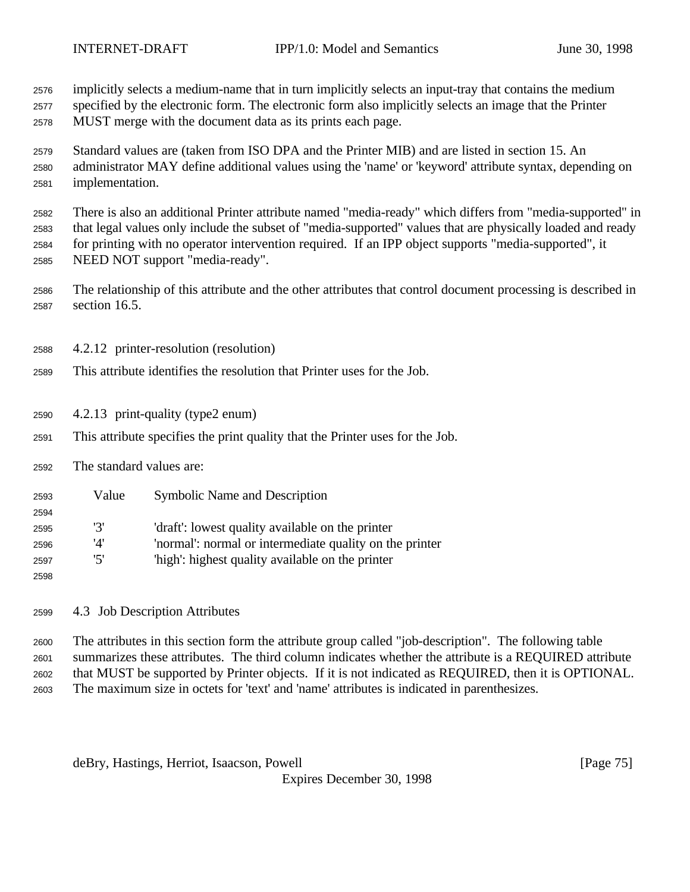implicitly selects a medium-name that in turn implicitly selects an input-tray that contains the medium

 specified by the electronic form. The electronic form also implicitly selects an image that the Printer MUST merge with the document data as its prints each page.

 Standard values are (taken from ISO DPA and the Printer MIB) and are listed in section 15. An administrator MAY define additional values using the 'name' or 'keyword' attribute syntax, depending on implementation.

 There is also an additional Printer attribute named "media-ready" which differs from "media-supported" in that legal values only include the subset of "media-supported" values that are physically loaded and ready for printing with no operator intervention required. If an IPP object supports "media-supported", it NEED NOT support "media-ready".

 The relationship of this attribute and the other attributes that control document processing is described in section 16.5.

4.2.12 printer-resolution (resolution)

- This attribute identifies the resolution that Printer uses for the Job.
- 4.2.13 print-quality (type2 enum)
- This attribute specifies the print quality that the Printer uses for the Job.
- The standard values are:

| 2593 | Value | <b>Symbolic Name and Description</b>                    |
|------|-------|---------------------------------------------------------|
| 2594 |       |                                                         |
| 2595 | '3'   | 'draft': lowest quality available on the printer        |
| 2596 | '4'   | 'normal': normal or intermediate quality on the printer |
| 2597 | '5'   | 'high': highest quality available on the printer        |
| 2598 |       |                                                         |

4.3 Job Description Attributes

 The attributes in this section form the attribute group called "job-description". The following table summarizes these attributes. The third column indicates whether the attribute is a REQUIRED attribute that MUST be supported by Printer objects. If it is not indicated as REQUIRED, then it is OPTIONAL. The maximum size in octets for 'text' and 'name' attributes is indicated in parenthesizes.

deBry, Hastings, Herriot, Isaacson, Powell [Page 75]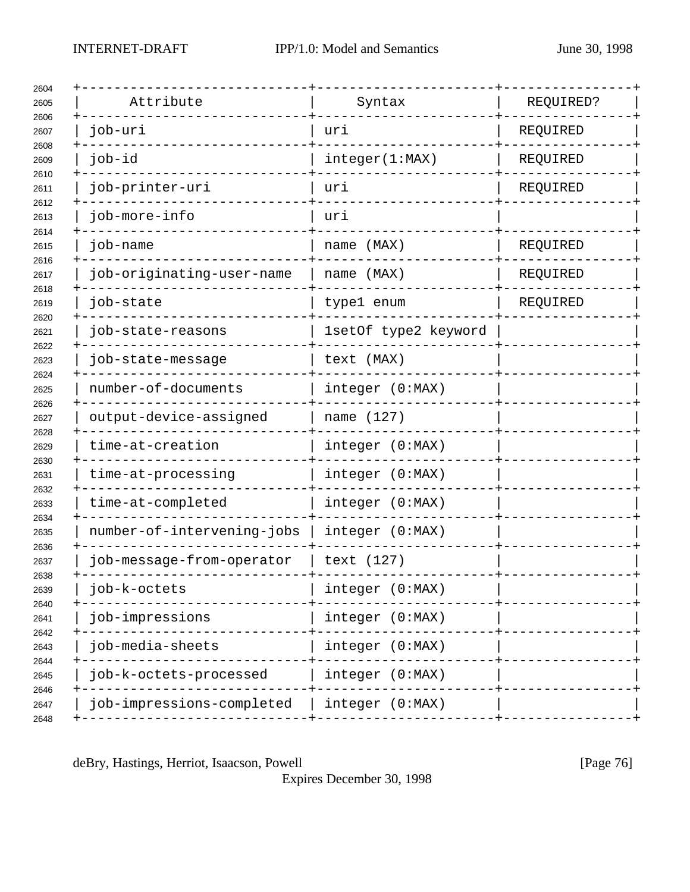| Attribute                  | Syntax               | REQUIRED? |
|----------------------------|----------------------|-----------|
| job-uri                    | uri                  | REQUIRED  |
| job-id                     | integer(1:MAX)       | REQUIRED  |
| job-printer-uri            | uri                  | REQUIRED  |
| job-more-info              | uri                  |           |
| job-name                   | name (MAX)           | REQUIRED  |
| job-originating-user-name  | name (MAX)           | REQUIRED  |
| job-state                  | type1 enum           | REQUIRED  |
| job-state-reasons          | 1setOf type2 keyword |           |
| job-state-message          | text (MAX)           |           |
| number-of-documents        | integer (0:MAX)      |           |
| output-device-assigned     | name (127)           |           |
| time-at-creation           | integer (0:MAX)      |           |
| time-at-processing         | integer (0:MAX)      |           |
| time-at-completed          | integer (0:MAX)      |           |
| number-of-intervening-jobs | integer (0:MAX)      |           |
| job-message-from-operator  | text (127)           |           |
| job-k-octets               | integer (0:MAX)      |           |
| job-impressions            | integer (0:MAX)      |           |
| job-media-sheets           | integer (0:MAX)      |           |
| job-k-octets-processed     | integer (0:MAX)      |           |
| job-impressions-completed  | integer (0:MAX)      |           |
|                            |                      |           |

deBry, Hastings, Herriot, Isaacson, Powell [Page 76]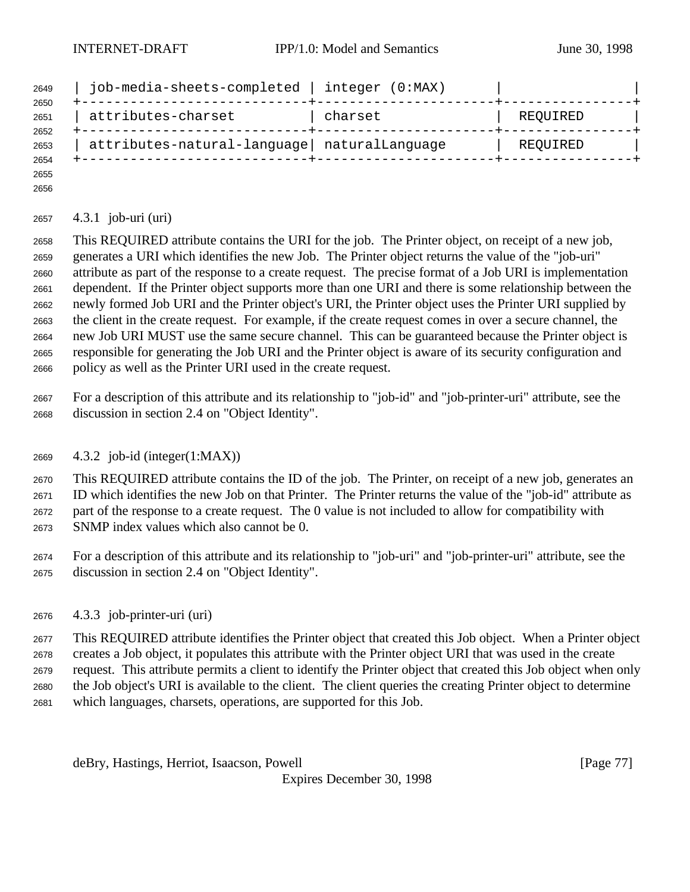| 2649<br>2650 | job-media-sheets-completed                    | integer (0:MAX) |          |
|--------------|-----------------------------------------------|-----------------|----------|
| 2651         | attributes-charset                            | charset         | REQUIRED |
| 2652<br>2653 | attributes-natural-language   naturalLanguage |                 | REQUIRED |
| 2654<br>2655 |                                               |                 |          |

## 4.3.1 job-uri (uri)

 This REQUIRED attribute contains the URI for the job. The Printer object, on receipt of a new job, generates a URI which identifies the new Job. The Printer object returns the value of the "job-uri" attribute as part of the response to a create request. The precise format of a Job URI is implementation dependent. If the Printer object supports more than one URI and there is some relationship between the newly formed Job URI and the Printer object's URI, the Printer object uses the Printer URI supplied by the client in the create request. For example, if the create request comes in over a secure channel, the new Job URI MUST use the same secure channel. This can be guaranteed because the Printer object is responsible for generating the Job URI and the Printer object is aware of its security configuration and policy as well as the Printer URI used in the create request.

 For a description of this attribute and its relationship to "job-id" and "job-printer-uri" attribute, see the discussion in section 2.4 on "Object Identity".

4.3.2 job-id (integer(1:MAX))

 This REQUIRED attribute contains the ID of the job. The Printer, on receipt of a new job, generates an ID which identifies the new Job on that Printer. The Printer returns the value of the "job-id" attribute as part of the response to a create request. The 0 value is not included to allow for compatibility with SNMP index values which also cannot be 0.

- For a description of this attribute and its relationship to "job-uri" and "job-printer-uri" attribute, see the discussion in section 2.4 on "Object Identity".
- 4.3.3 job-printer-uri (uri)

 This REQUIRED attribute identifies the Printer object that created this Job object. When a Printer object creates a Job object, it populates this attribute with the Printer object URI that was used in the create request. This attribute permits a client to identify the Printer object that created this Job object when only the Job object's URI is available to the client. The client queries the creating Printer object to determine

which languages, charsets, operations, are supported for this Job.

deBry, Hastings, Herriot, Isaacson, Powell **Example 20** (Page 77)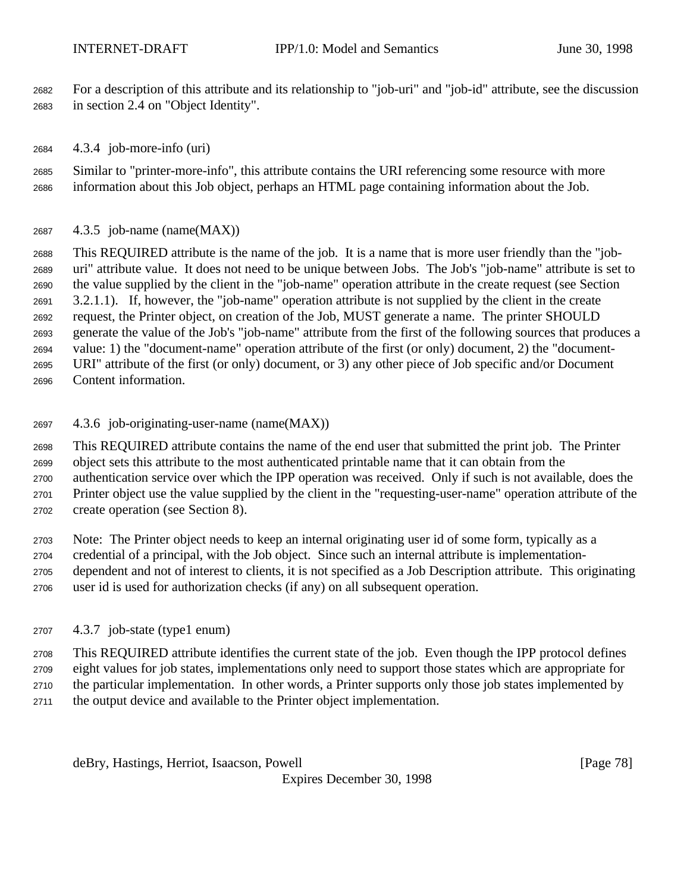For a description of this attribute and its relationship to "job-uri" and "job-id" attribute, see the discussion in section 2.4 on "Object Identity".

4.3.4 job-more-info (uri)

 Similar to "printer-more-info", this attribute contains the URI referencing some resource with more information about this Job object, perhaps an HTML page containing information about the Job.

4.3.5 job-name (name(MAX))

 This REQUIRED attribute is the name of the job. It is a name that is more user friendly than the "job- uri" attribute value. It does not need to be unique between Jobs. The Job's "job-name" attribute is set to the value supplied by the client in the "job-name" operation attribute in the create request (see Section 3.2.1.1). If, however, the "job-name" operation attribute is not supplied by the client in the create request, the Printer object, on creation of the Job, MUST generate a name. The printer SHOULD generate the value of the Job's "job-name" attribute from the first of the following sources that produces a value: 1) the "document-name" operation attribute of the first (or only) document, 2) the "document- URI" attribute of the first (or only) document, or 3) any other piece of Job specific and/or Document Content information.

4.3.6 job-originating-user-name (name(MAX))

 This REQUIRED attribute contains the name of the end user that submitted the print job. The Printer object sets this attribute to the most authenticated printable name that it can obtain from the authentication service over which the IPP operation was received. Only if such is not available, does the Printer object use the value supplied by the client in the "requesting-user-name" operation attribute of the

create operation (see Section 8).

 Note: The Printer object needs to keep an internal originating user id of some form, typically as a credential of a principal, with the Job object. Since such an internal attribute is implementation- dependent and not of interest to clients, it is not specified as a Job Description attribute. This originating user id is used for authorization checks (if any) on all subsequent operation.

4.3.7 job-state (type1 enum)

This REQUIRED attribute identifies the current state of the job. Even though the IPP protocol defines

eight values for job states, implementations only need to support those states which are appropriate for

the particular implementation. In other words, a Printer supports only those job states implemented by

the output device and available to the Printer object implementation.

deBry, Hastings, Herriot, Isaacson, Powell [Page 78]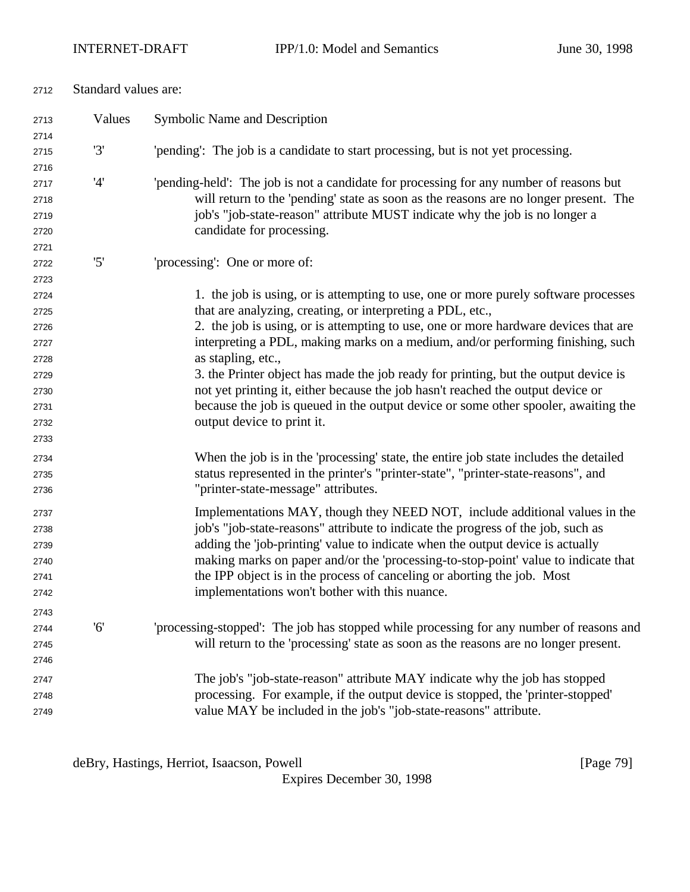| Standard values are:<br>2712 |        |                                                                                                                                                                     |  |
|------------------------------|--------|---------------------------------------------------------------------------------------------------------------------------------------------------------------------|--|
| 2713                         | Values | Symbolic Name and Description                                                                                                                                       |  |
| 2714                         |        |                                                                                                                                                                     |  |
| 2715                         | '3'    | 'pending': The job is a candidate to start processing, but is not yet processing.                                                                                   |  |
| 2716                         |        |                                                                                                                                                                     |  |
| 2717                         | '4'    | 'pending-held': The job is not a candidate for processing for any number of reasons but                                                                             |  |
| 2718<br>2719                 |        | will return to the 'pending' state as soon as the reasons are no longer present. The<br>job's "job-state-reason" attribute MUST indicate why the job is no longer a |  |
| 2720                         |        | candidate for processing.                                                                                                                                           |  |
| 2721                         |        |                                                                                                                                                                     |  |
| 2722                         | '5'    | 'processing': One or more of:                                                                                                                                       |  |
| 2723                         |        |                                                                                                                                                                     |  |
| 2724                         |        | 1. the job is using, or is attempting to use, one or more purely software processes                                                                                 |  |
| 2725                         |        | that are analyzing, creating, or interpreting a PDL, etc.,                                                                                                          |  |
| 2726                         |        | 2. the job is using, or is attempting to use, one or more hardware devices that are                                                                                 |  |
| 2727                         |        | interpreting a PDL, making marks on a medium, and/or performing finishing, such                                                                                     |  |
| 2728                         |        | as stapling, etc.,                                                                                                                                                  |  |
| 2729                         |        | 3. the Printer object has made the job ready for printing, but the output device is                                                                                 |  |
| 2730                         |        | not yet printing it, either because the job hasn't reached the output device or                                                                                     |  |
| 2731                         |        | because the job is queued in the output device or some other spooler, awaiting the                                                                                  |  |
| 2732                         |        | output device to print it.                                                                                                                                          |  |
| 2733                         |        |                                                                                                                                                                     |  |
| 2734                         |        | When the job is in the 'processing' state, the entire job state includes the detailed                                                                               |  |
| 2735                         |        | status represented in the printer's "printer-state", "printer-state-reasons", and                                                                                   |  |
| 2736                         |        | "printer-state-message" attributes.                                                                                                                                 |  |
| 2737                         |        | Implementations MAY, though they NEED NOT, include additional values in the                                                                                         |  |
| 2738                         |        | job's "job-state-reasons" attribute to indicate the progress of the job, such as                                                                                    |  |
| 2739                         |        | adding the 'job-printing' value to indicate when the output device is actually                                                                                      |  |
| 2740                         |        | making marks on paper and/or the 'processing-to-stop-point' value to indicate that                                                                                  |  |
| 2741                         |        | the IPP object is in the process of canceling or aborting the job. Most                                                                                             |  |
| 2742                         |        | implementations won't bother with this nuance.                                                                                                                      |  |
| 2743                         |        |                                                                                                                                                                     |  |
| 2744                         | '6'    | 'processing-stopped': The job has stopped while processing for any number of reasons and                                                                            |  |
| 2745                         |        | will return to the 'processing' state as soon as the reasons are no longer present.                                                                                 |  |
| 2746                         |        |                                                                                                                                                                     |  |
| 2747                         |        | The job's "job-state-reason" attribute MAY indicate why the job has stopped                                                                                         |  |
| 2748                         |        | processing. For example, if the output device is stopped, the 'printer-stopped'                                                                                     |  |
| 2749                         |        | value MAY be included in the job's "job-state-reasons" attribute.                                                                                                   |  |

deBry, Hastings, Herriot, Isaacson, Powell [Page 79]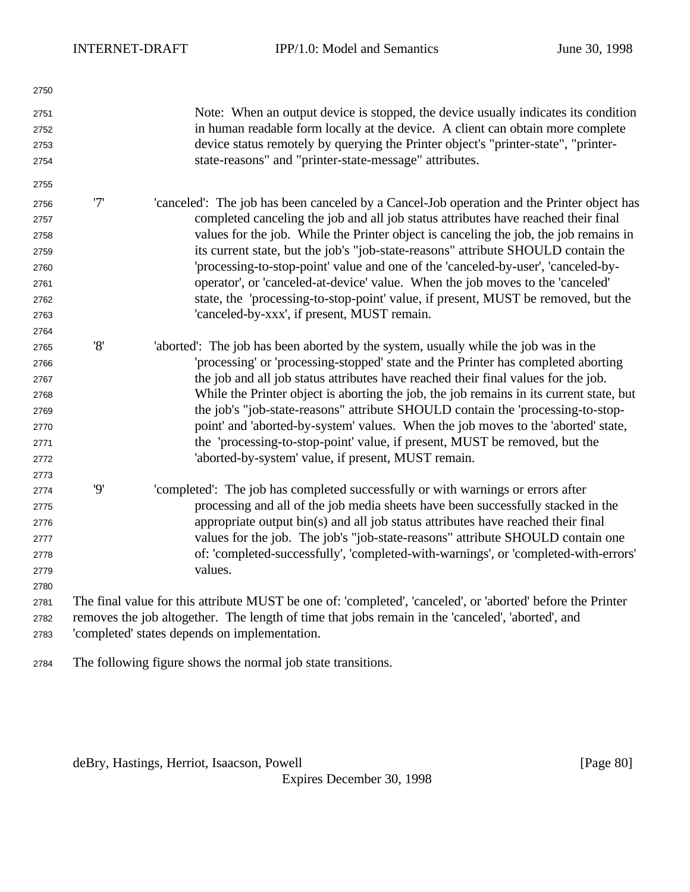| 2750 |     |                                                                                                                                                    |
|------|-----|----------------------------------------------------------------------------------------------------------------------------------------------------|
| 2751 |     | Note: When an output device is stopped, the device usually indicates its condition                                                                 |
| 2752 |     | in human readable form locally at the device. A client can obtain more complete                                                                    |
| 2753 |     | device status remotely by querying the Printer object's "printer-state", "printer-                                                                 |
| 2754 |     | state-reasons" and "printer-state-message" attributes.                                                                                             |
| 2755 |     |                                                                                                                                                    |
| 2756 | '7' | 'canceled': The job has been canceled by a Cancel-Job operation and the Printer object has                                                         |
| 2757 |     | completed canceling the job and all job status attributes have reached their final                                                                 |
| 2758 |     | values for the job. While the Printer object is canceling the job, the job remains in                                                              |
| 2759 |     | its current state, but the job's "job-state-reasons" attribute SHOULD contain the                                                                  |
| 2760 |     | 'processing-to-stop-point' value and one of the 'canceled-by-user', 'canceled-by-                                                                  |
| 2761 |     | operator', or 'canceled-at-device' value. When the job moves to the 'canceled'                                                                     |
| 2762 |     | state, the 'processing-to-stop-point' value, if present, MUST be removed, but the                                                                  |
| 2763 |     | 'canceled-by-xxx', if present, MUST remain.                                                                                                        |
| 2764 |     |                                                                                                                                                    |
| 2765 | '8' | 'aborted': The job has been aborted by the system, usually while the job was in the                                                                |
| 2766 |     | 'processing' or 'processing-stopped' state and the Printer has completed aborting                                                                  |
| 2767 |     | the job and all job status attributes have reached their final values for the job.                                                                 |
| 2768 |     | While the Printer object is aborting the job, the job remains in its current state, but                                                            |
| 2769 |     | the job's "job-state-reasons" attribute SHOULD contain the 'processing-to-stop-                                                                    |
| 2770 |     | point' and 'aborted-by-system' values. When the job moves to the 'aborted' state,                                                                  |
| 2771 |     | the 'processing-to-stop-point' value, if present, MUST be removed, but the                                                                         |
| 2772 |     | 'aborted-by-system' value, if present, MUST remain.                                                                                                |
| 2773 |     |                                                                                                                                                    |
| 2774 | '9' | 'completed': The job has completed successfully or with warnings or errors after                                                                   |
| 2775 |     | processing and all of the job media sheets have been successfully stacked in the                                                                   |
| 2776 |     | appropriate output bin(s) and all job status attributes have reached their final                                                                   |
| 2777 |     | values for the job. The job's "job-state-reasons" attribute SHOULD contain one                                                                     |
| 2778 |     | of: 'completed-successfully', 'completed-with-warnings', or 'completed-with-errors'                                                                |
| 2779 |     | values.                                                                                                                                            |
| 2780 |     |                                                                                                                                                    |
| 2781 |     | The final value for this attribute MUST be one of: 'completed', 'canceled', or 'aborted' before the Printer                                        |
| 2782 |     | removes the job altogether. The length of time that jobs remain in the 'canceled', 'aborted', and<br>'completed' states depends on implementation. |
| 2783 |     |                                                                                                                                                    |
| 2784 |     | The following figure shows the normal job state transitions.                                                                                       |

deBry, Hastings, Herriot, Isaacson, Powell [Page 80]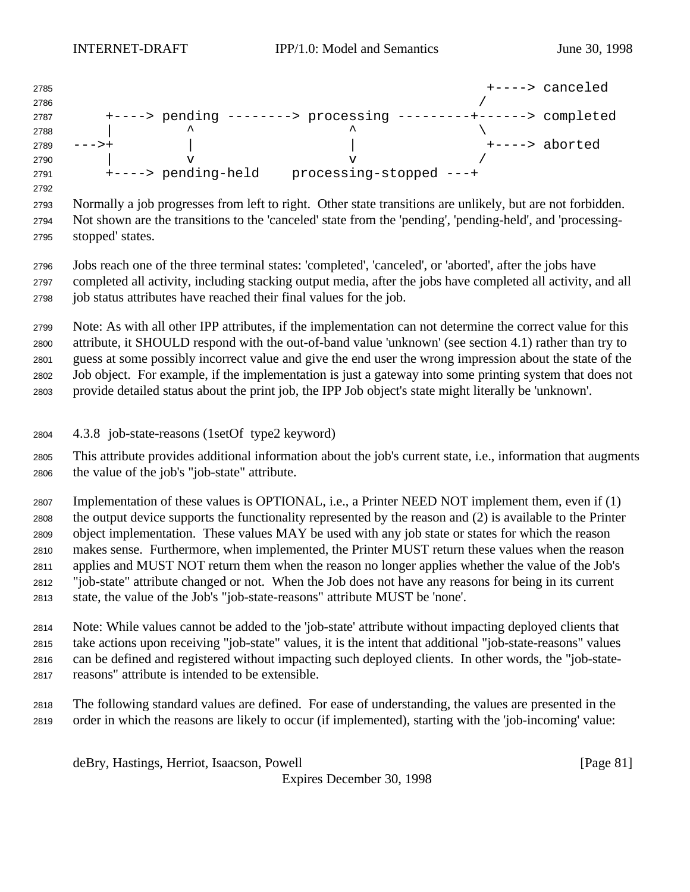| 2785 |                     |                                     |                           | +----> canceled |
|------|---------------------|-------------------------------------|---------------------------|-----------------|
| 2786 |                     |                                     |                           |                 |
| 2787 |                     | $+--->$ pending $----->$ processing | ------+-------> completed |                 |
| 2788 |                     | ㅅ                                   |                           |                 |
| 2789 |                     |                                     |                           | +----> aborted  |
| 2790 |                     |                                     |                           |                 |
| 2791 | +----> pending-held | processing-stopped ---+             |                           |                 |

 Normally a job progresses from left to right. Other state transitions are unlikely, but are not forbidden. Not shown are the transitions to the 'canceled' state from the 'pending', 'pending-held', and 'processing-stopped' states.

 Jobs reach one of the three terminal states: 'completed', 'canceled', or 'aborted', after the jobs have completed all activity, including stacking output media, after the jobs have completed all activity, and all job status attributes have reached their final values for the job.

 Note: As with all other IPP attributes, if the implementation can not determine the correct value for this attribute, it SHOULD respond with the out-of-band value 'unknown' (see section 4.1) rather than try to guess at some possibly incorrect value and give the end user the wrong impression about the state of the Job object. For example, if the implementation is just a gateway into some printing system that does not provide detailed status about the print job, the IPP Job object's state might literally be 'unknown'.

4.3.8 job-state-reasons (1setOf type2 keyword)

 This attribute provides additional information about the job's current state, i.e., information that augments the value of the job's "job-state" attribute.

 Implementation of these values is OPTIONAL, i.e., a Printer NEED NOT implement them, even if (1) the output device supports the functionality represented by the reason and (2) is available to the Printer object implementation. These values MAY be used with any job state or states for which the reason makes sense. Furthermore, when implemented, the Printer MUST return these values when the reason applies and MUST NOT return them when the reason no longer applies whether the value of the Job's "job-state" attribute changed or not. When the Job does not have any reasons for being in its current state, the value of the Job's "job-state-reasons" attribute MUST be 'none'.

 Note: While values cannot be added to the 'job-state' attribute without impacting deployed clients that take actions upon receiving "job-state" values, it is the intent that additional "job-state-reasons" values can be defined and registered without impacting such deployed clients. In other words, the "job-state-reasons" attribute is intended to be extensible.

 The following standard values are defined. For ease of understanding, the values are presented in the order in which the reasons are likely to occur (if implemented), starting with the 'job-incoming' value:

deBry, Hastings, Herriot, Isaacson, Powell [Page 81]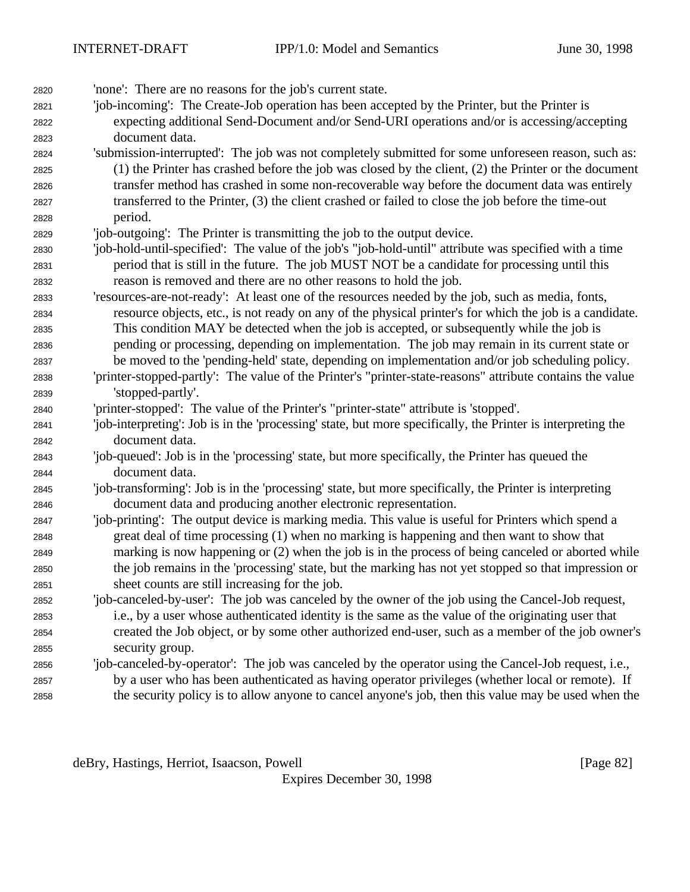| 2820 | 'none': There are no reasons for the job's current state.                                                    |
|------|--------------------------------------------------------------------------------------------------------------|
| 2821 | 'job-incoming': The Create-Job operation has been accepted by the Printer, but the Printer is                |
| 2822 | expecting additional Send-Document and/or Send-URI operations and/or is accessing/accepting                  |
| 2823 | document data.                                                                                               |
| 2824 | 'submission-interrupted': The job was not completely submitted for some unforeseen reason, such as:          |
| 2825 | (1) the Printer has crashed before the job was closed by the client, (2) the Printer or the document         |
| 2826 | transfer method has crashed in some non-recoverable way before the document data was entirely                |
| 2827 | transferred to the Printer, (3) the client crashed or failed to close the job before the time-out            |
| 2828 | period.                                                                                                      |
| 2829 | 'job-outgoing': The Printer is transmitting the job to the output device.                                    |
| 2830 | 'job-hold-until-specified': The value of the job's "job-hold-until" attribute was specified with a time      |
| 2831 | period that is still in the future. The job MUST NOT be a candidate for processing until this                |
| 2832 | reason is removed and there are no other reasons to hold the job.                                            |
| 2833 | 'resources-are-not-ready': At least one of the resources needed by the job, such as media, fonts,            |
| 2834 | resource objects, etc., is not ready on any of the physical printer's for which the job is a candidate.      |
| 2835 | This condition MAY be detected when the job is accepted, or subsequently while the job is                    |
| 2836 | pending or processing, depending on implementation. The job may remain in its current state or               |
| 2837 | be moved to the 'pending-held' state, depending on implementation and/or job scheduling policy.              |
| 2838 | 'printer-stopped-partly': The value of the Printer's "printer-state-reasons" attribute contains the value    |
| 2839 | 'stopped-partly'.                                                                                            |
| 2840 | 'printer-stopped': The value of the Printer's "printer-state" attribute is 'stopped'.                        |
| 2841 | 'job-interpreting': Job is in the 'processing' state, but more specifically, the Printer is interpreting the |
| 2842 | document data.                                                                                               |
| 2843 | 'job-queued': Job is in the 'processing' state, but more specifically, the Printer has queued the            |
| 2844 | document data.                                                                                               |
| 2845 | 'job-transforming': Job is in the 'processing' state, but more specifically, the Printer is interpreting     |
| 2846 | document data and producing another electronic representation.                                               |
| 2847 | 'job-printing': The output device is marking media. This value is useful for Printers which spend a          |
| 2848 | great deal of time processing (1) when no marking is happening and then want to show that                    |
| 2849 | marking is now happening or (2) when the job is in the process of being canceled or aborted while            |
| 2850 | the job remains in the 'processing' state, but the marking has not yet stopped so that impression or         |
| 2851 | sheet counts are still increasing for the job.                                                               |
| 2852 | 'job-canceled-by-user': The job was canceled by the owner of the job using the Cancel-Job request,           |
| 2853 | i.e., by a user whose authenticated identity is the same as the value of the originating user that           |
| 2854 | created the Job object, or by some other authorized end-user, such as a member of the job owner's            |
| 2855 | security group.                                                                                              |
| 2856 | 'job-canceled-by-operator': The job was canceled by the operator using the Cancel-Job request, i.e.,         |
| 2857 | by a user who has been authenticated as having operator privileges (whether local or remote). If             |
| 2858 | the security policy is to allow anyone to cancel anyone's job, then this value may be used when the          |

deBry, Hastings, Herriot, Isaacson, Powell [Page 82]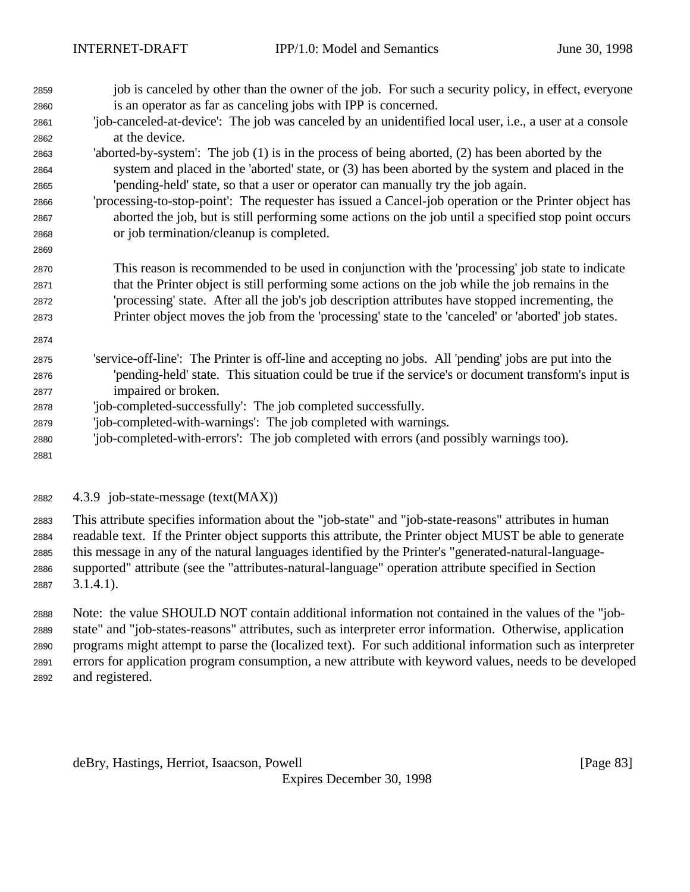job is canceled by other than the owner of the job. For such a security policy, in effect, everyone is an operator as far as canceling jobs with IPP is concerned. 'job-canceled-at-device': The job was canceled by an unidentified local user, i.e., a user at a console at the device. 'aborted-by-system': The job (1) is in the process of being aborted, (2) has been aborted by the system and placed in the 'aborted' state, or (3) has been aborted by the system and placed in the 'pending-held' state, so that a user or operator can manually try the job again. 'processing-to-stop-point': The requester has issued a Cancel-job operation or the Printer object has aborted the job, but is still performing some actions on the job until a specified stop point occurs or job termination/cleanup is completed. This reason is recommended to be used in conjunction with the 'processing' job state to indicate that the Printer object is still performing some actions on the job while the job remains in the 'processing' state. After all the job's job description attributes have stopped incrementing, the Printer object moves the job from the 'processing' state to the 'canceled' or 'aborted' job states. 'service-off-line': The Printer is off-line and accepting no jobs. All 'pending' jobs are put into the 'pending-held' state. This situation could be true if the service's or document transform's input is impaired or broken. 'job-completed-successfully': The job completed successfully. 'job-completed-with-warnings': The job completed with warnings. 'job-completed-with-errors': The job completed with errors (and possibly warnings too). 4.3.9 job-state-message (text(MAX))

 This attribute specifies information about the "job-state" and "job-state-reasons" attributes in human readable text. If the Printer object supports this attribute, the Printer object MUST be able to generate this message in any of the natural languages identified by the Printer's "generated-natural-language- supported" attribute (see the "attributes-natural-language" operation attribute specified in Section 3.1.4.1).

 Note: the value SHOULD NOT contain additional information not contained in the values of the "job- state" and "job-states-reasons" attributes, such as interpreter error information. Otherwise, application programs might attempt to parse the (localized text). For such additional information such as interpreter errors for application program consumption, a new attribute with keyword values, needs to be developed and registered.

deBry, Hastings, Herriot, Isaacson, Powell **Example 20** and the same control in the same control in the same of  $\left[\text{Page } 83\right]$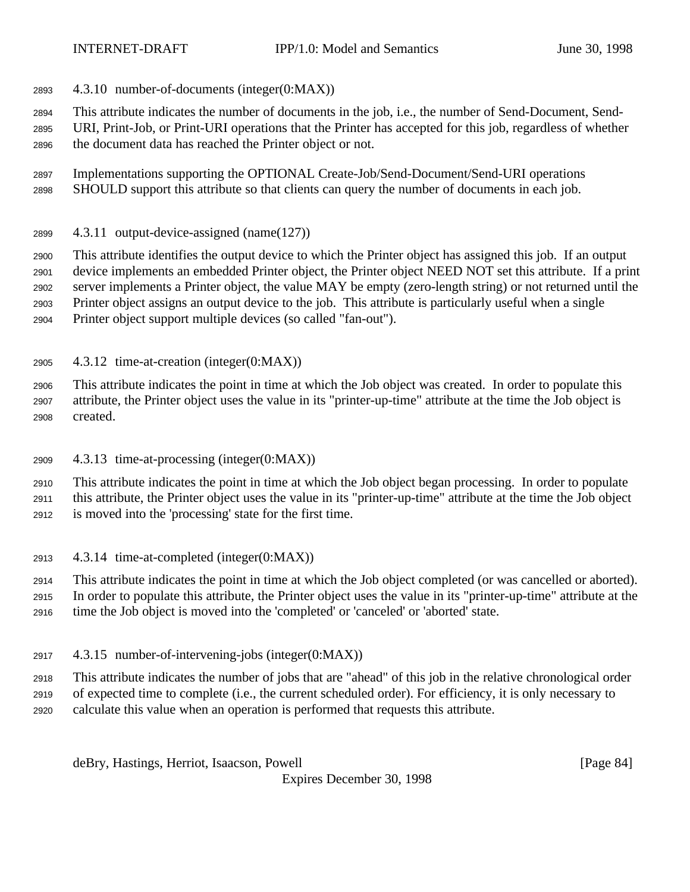- 4.3.10 number-of-documents (integer(0:MAX))
- This attribute indicates the number of documents in the job, i.e., the number of Send-Document, Send-
- URI, Print-Job, or Print-URI operations that the Printer has accepted for this job, regardless of whether the document data has reached the Printer object or not.
- Implementations supporting the OPTIONAL Create-Job/Send-Document/Send-URI operations SHOULD support this attribute so that clients can query the number of documents in each job.
- 4.3.11 output-device-assigned (name(127))

 This attribute identifies the output device to which the Printer object has assigned this job. If an output device implements an embedded Printer object, the Printer object NEED NOT set this attribute. If a print server implements a Printer object, the value MAY be empty (zero-length string) or not returned until the Printer object assigns an output device to the job. This attribute is particularly useful when a single Printer object support multiple devices (so called "fan-out").

4.3.12 time-at-creation (integer(0:MAX))

 This attribute indicates the point in time at which the Job object was created. In order to populate this attribute, the Printer object uses the value in its "printer-up-time" attribute at the time the Job object is created.

4.3.13 time-at-processing (integer(0:MAX))

 This attribute indicates the point in time at which the Job object began processing. In order to populate this attribute, the Printer object uses the value in its "printer-up-time" attribute at the time the Job object is moved into the 'processing' state for the first time.

4.3.14 time-at-completed (integer(0:MAX))

 This attribute indicates the point in time at which the Job object completed (or was cancelled or aborted). In order to populate this attribute, the Printer object uses the value in its "printer-up-time" attribute at the time the Job object is moved into the 'completed' or 'canceled' or 'aborted' state.

4.3.15 number-of-intervening-jobs (integer(0:MAX))

 This attribute indicates the number of jobs that are "ahead" of this job in the relative chronological order of expected time to complete (i.e., the current scheduled order). For efficiency, it is only necessary to

calculate this value when an operation is performed that requests this attribute.

deBry, Hastings, Herriot, Isaacson, Powell **compared and Contract Contract Contract Contract Contract Contract Contract Contract Contract Contract Contract Contract Contract Contract Contract Contract Contract Contract Con**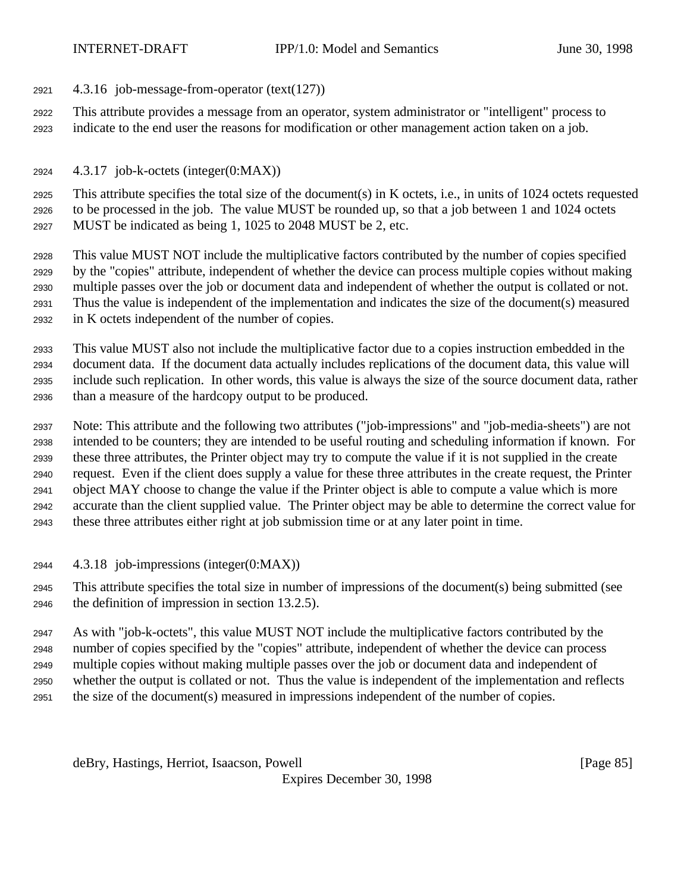- 4.3.16 job-message-from-operator (text(127))
- This attribute provides a message from an operator, system administrator or "intelligent" process to indicate to the end user the reasons for modification or other management action taken on a job.
- 4.3.17 job-k-octets (integer(0:MAX))

 This attribute specifies the total size of the document(s) in K octets, i.e., in units of 1024 octets requested to be processed in the job. The value MUST be rounded up, so that a job between 1 and 1024 octets MUST be indicated as being 1, 1025 to 2048 MUST be 2, etc.

 This value MUST NOT include the multiplicative factors contributed by the number of copies specified by the "copies" attribute, independent of whether the device can process multiple copies without making multiple passes over the job or document data and independent of whether the output is collated or not. Thus the value is independent of the implementation and indicates the size of the document(s) measured in K octets independent of the number of copies.

 This value MUST also not include the multiplicative factor due to a copies instruction embedded in the document data. If the document data actually includes replications of the document data, this value will include such replication. In other words, this value is always the size of the source document data, rather than a measure of the hardcopy output to be produced.

 Note: This attribute and the following two attributes ("job-impressions" and "job-media-sheets") are not intended to be counters; they are intended to be useful routing and scheduling information if known. For these three attributes, the Printer object may try to compute the value if it is not supplied in the create request. Even if the client does supply a value for these three attributes in the create request, the Printer object MAY choose to change the value if the Printer object is able to compute a value which is more accurate than the client supplied value. The Printer object may be able to determine the correct value for these three attributes either right at job submission time or at any later point in time.

4.3.18 job-impressions (integer(0:MAX))

 This attribute specifies the total size in number of impressions of the document(s) being submitted (see the definition of impression in section 13.2.5).

 As with "job-k-octets", this value MUST NOT include the multiplicative factors contributed by the number of copies specified by the "copies" attribute, independent of whether the device can process multiple copies without making multiple passes over the job or document data and independent of whether the output is collated or not. Thus the value is independent of the implementation and reflects the size of the document(s) measured in impressions independent of the number of copies.

deBry, Hastings, Herriot, Isaacson, Powell [Page 85]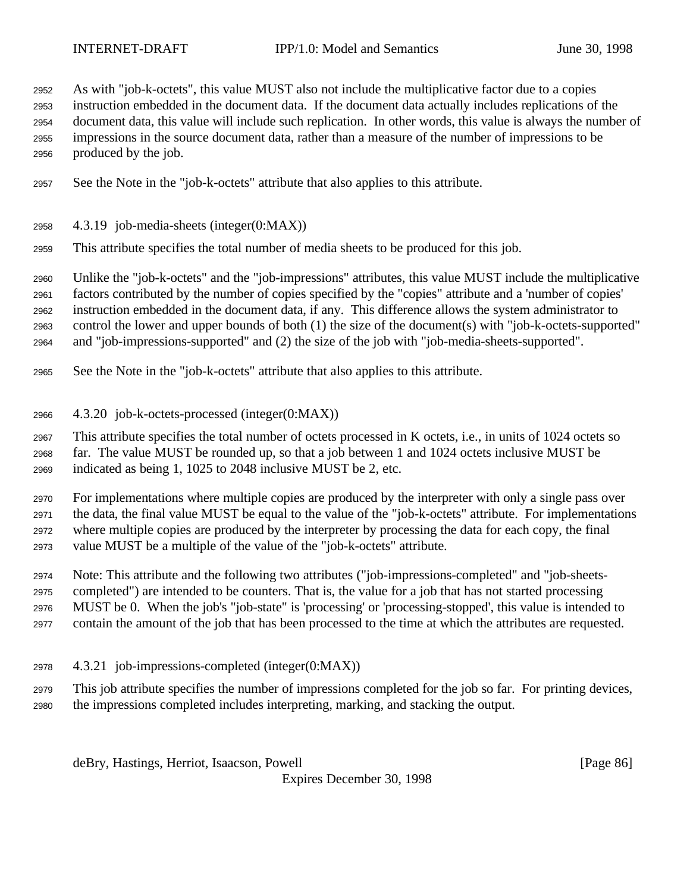As with "job-k-octets", this value MUST also not include the multiplicative factor due to a copies instruction embedded in the document data. If the document data actually includes replications of the document data, this value will include such replication. In other words, this value is always the number of impressions in the source document data, rather than a measure of the number of impressions to be produced by the job.

- See the Note in the "job-k-octets" attribute that also applies to this attribute.
- 4.3.19 job-media-sheets (integer(0:MAX))
- This attribute specifies the total number of media sheets to be produced for this job.

 Unlike the "job-k-octets" and the "job-impressions" attributes, this value MUST include the multiplicative factors contributed by the number of copies specified by the "copies" attribute and a 'number of copies' instruction embedded in the document data, if any. This difference allows the system administrator to control the lower and upper bounds of both (1) the size of the document(s) with "job-k-octets-supported" and "job-impressions-supported" and (2) the size of the job with "job-media-sheets-supported".

- See the Note in the "job-k-octets" attribute that also applies to this attribute.
- 4.3.20 job-k-octets-processed (integer(0:MAX))

 This attribute specifies the total number of octets processed in K octets, i.e., in units of 1024 octets so far. The value MUST be rounded up, so that a job between 1 and 1024 octets inclusive MUST be indicated as being 1, 1025 to 2048 inclusive MUST be 2, etc.

 For implementations where multiple copies are produced by the interpreter with only a single pass over the data, the final value MUST be equal to the value of the "job-k-octets" attribute. For implementations where multiple copies are produced by the interpreter by processing the data for each copy, the final value MUST be a multiple of the value of the "job-k-octets" attribute.

 Note: This attribute and the following two attributes ("job-impressions-completed" and "job-sheets- completed") are intended to be counters. That is, the value for a job that has not started processing MUST be 0. When the job's "job-state" is 'processing' or 'processing-stopped', this value is intended to

contain the amount of the job that has been processed to the time at which the attributes are requested.

4.3.21 job-impressions-completed (integer(0:MAX))

 This job attribute specifies the number of impressions completed for the job so far. For printing devices, the impressions completed includes interpreting, marking, and stacking the output.

deBry, Hastings, Herriot, Isaacson, Powell [Page 86]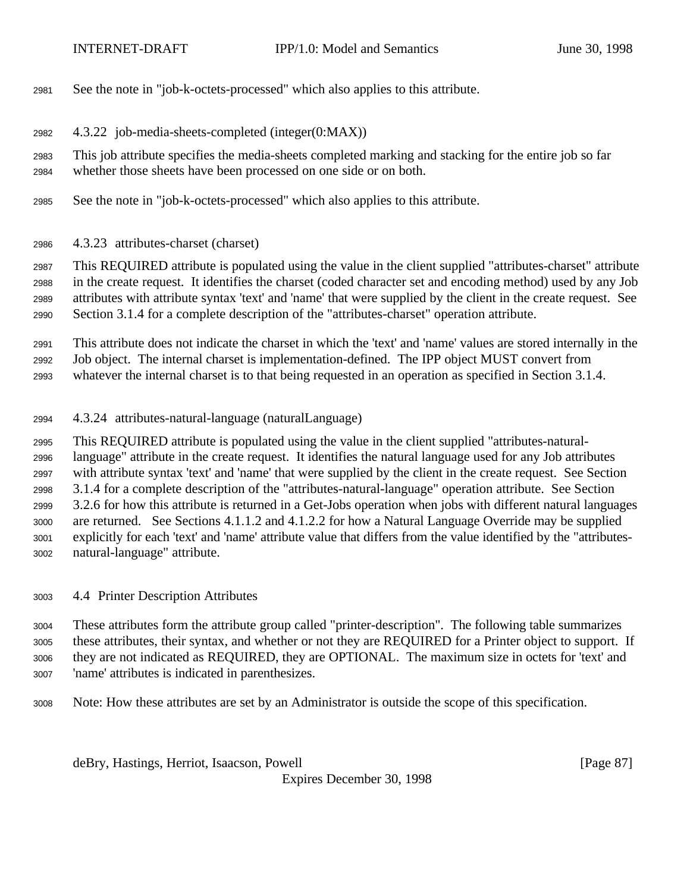- See the note in "job-k-octets-processed" which also applies to this attribute.
- 4.3.22 job-media-sheets-completed (integer(0:MAX))
- This job attribute specifies the media-sheets completed marking and stacking for the entire job so far whether those sheets have been processed on one side or on both.
- See the note in "job-k-octets-processed" which also applies to this attribute.
- 4.3.23 attributes-charset (charset)

 This REQUIRED attribute is populated using the value in the client supplied "attributes-charset" attribute in the create request. It identifies the charset (coded character set and encoding method) used by any Job attributes with attribute syntax 'text' and 'name' that were supplied by the client in the create request. See Section 3.1.4 for a complete description of the "attributes-charset" operation attribute.

 This attribute does not indicate the charset in which the 'text' and 'name' values are stored internally in the Job object. The internal charset is implementation-defined. The IPP object MUST convert from

whatever the internal charset is to that being requested in an operation as specified in Section 3.1.4.

4.3.24 attributes-natural-language (naturalLanguage)

 This REQUIRED attribute is populated using the value in the client supplied "attributes-natural- language" attribute in the create request. It identifies the natural language used for any Job attributes with attribute syntax 'text' and 'name' that were supplied by the client in the create request. See Section 3.1.4 for a complete description of the "attributes-natural-language" operation attribute. See Section 3.2.6 for how this attribute is returned in a Get-Jobs operation when jobs with different natural languages are returned. See Sections 4.1.1.2 and 4.1.2.2 for how a Natural Language Override may be supplied explicitly for each 'text' and 'name' attribute value that differs from the value identified by the "attributes-natural-language" attribute.

4.4 Printer Description Attributes

 These attributes form the attribute group called "printer-description". The following table summarizes these attributes, their syntax, and whether or not they are REQUIRED for a Printer object to support. If they are not indicated as REQUIRED, they are OPTIONAL. The maximum size in octets for 'text' and 'name' attributes is indicated in parenthesizes.

Note: How these attributes are set by an Administrator is outside the scope of this specification.

deBry, Hastings, Herriot, Isaacson, Powell [Page 87]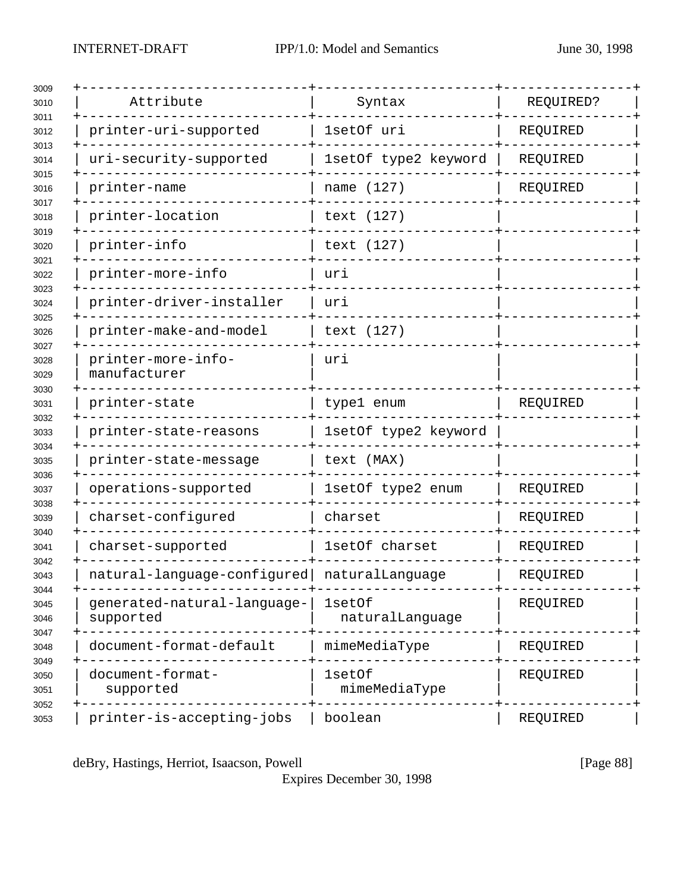| 3009<br>3010         | Attribute                                   | Syntax                    | REQUIRED? |
|----------------------|---------------------------------------------|---------------------------|-----------|
| 3011<br>3012         | printer-uri-supported                       | 1setOf uri                | REQUIRED  |
| 3013<br>3014         | uri-security-supported                      | 1setOf type2 keyword      | REQUIRED  |
| 3015<br>3016         | printer-name                                | name (127)                | REQUIRED  |
| 3017<br>3018         | printer-location                            | text (127)                |           |
| 3019<br>3020         | printer-info                                | text (127)                |           |
| 3021<br>3022         | printer-more-info                           | uri                       |           |
| 3023<br>3024         | printer-driver-installer                    | uri                       |           |
| 3025<br>3026         | printer-make-and-model                      | text (127)                |           |
| 3027<br>3028<br>3029 | printer-more-info-<br>manufacturer          | uri                       |           |
| 3030<br>3031         | printer-state                               | type1 enum                | REQUIRED  |
| 3032<br>3033         | printer-state-reasons                       | 1setOf type2 keyword      |           |
| 3034<br>3035         | printer-state-message                       | text (MAX)                |           |
| 3036<br>3037         | operations-supported                        | 1setOf type2 enum         | REQUIRED  |
| 3038<br>3039         | charset-configured                          | charset                   | REQUIRED  |
| 3040<br>3041         | charset-supported                           | 1setOf charset            | REQUIRED  |
| 3042<br>3043         | natural-language-configured naturalLanguage |                           | REQUIRED  |
| 3044<br>3045<br>3046 | generated-natural-language-<br>supported    | 1setOf<br>naturalLanguage | REQUIRED  |
| 3047<br>3048         | document-format-default                     | mimeMediaType             | REQUIRED  |
| 3049<br>3050<br>3051 | document-format-<br>supported               | 1set0f<br>mimeMediaType   | REQUIRED  |
| 3052<br>3053         | printer-is-accepting-jobs                   | boolean                   | REQUIRED  |

deBry, Hastings, Herriot, Isaacson, Powell [Page 88]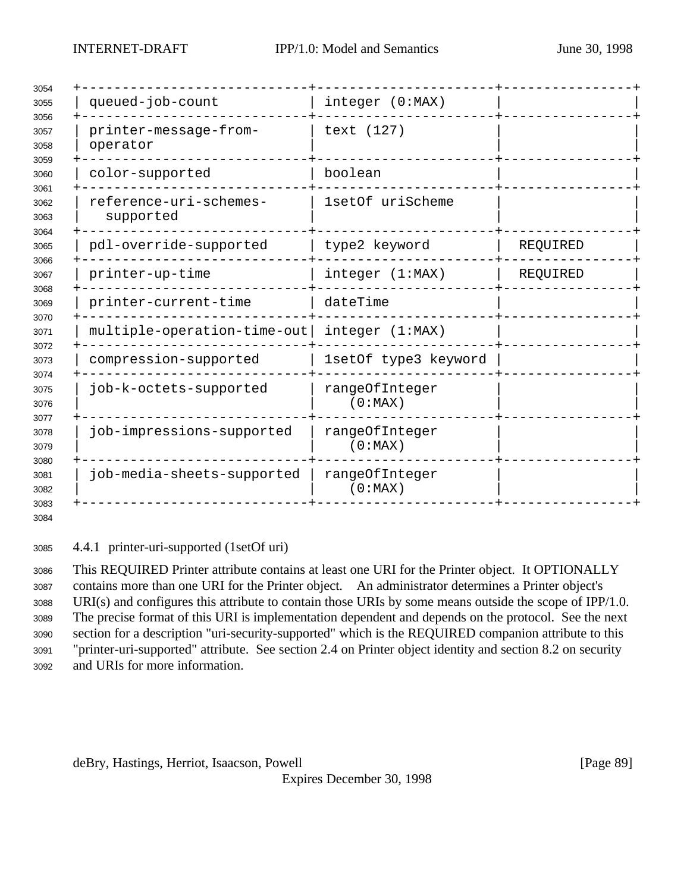| 3054                                                                                         |                                     |                           |          |  |
|----------------------------------------------------------------------------------------------|-------------------------------------|---------------------------|----------|--|
| 3055<br>3056<br>3057<br>3058                                                                 | queued-job-count                    | integer (0:MAX)           |          |  |
|                                                                                              | printer-message-from-<br>operator   | text (127)                |          |  |
| 3059<br>3060<br>3061                                                                         | color-supported                     | boolean                   |          |  |
| 3062<br>3063<br>3064                                                                         | reference-uri-schemes-<br>supported | 1setOf uriScheme          |          |  |
| 3065                                                                                         | pdl-override-supported              | type2 keyword             | REQUIRED |  |
| 3066<br>3067                                                                                 | printer-up-time                     | integer (1:MAX)           | REQUIRED |  |
| 3068<br>3069<br>3070<br>3071<br>3072<br>3073<br>3074<br>3075<br>3076<br>3077<br>3078<br>3079 | printer-current-time                | dateTime                  |          |  |
|                                                                                              | multiple-operation-time-out         | integer (1:MAX)           |          |  |
|                                                                                              | compression-supported               | 1setOf type3 keyword      |          |  |
|                                                                                              | job-k-octets-supported              | rangeOfInteger<br>(0:MAX) |          |  |
|                                                                                              | job-impressions-supported           | rangeOfInteger<br>(0:MAX) |          |  |
| 3080<br>3081<br>3082                                                                         | job-media-sheets-supported          | rangeOfInteger<br>(0:MAX) |          |  |
| 3083<br>3084                                                                                 |                                     |                           |          |  |

4.4.1 printer-uri-supported (1setOf uri)

 This REQUIRED Printer attribute contains at least one URI for the Printer object. It OPTIONALLY contains more than one URI for the Printer object. An administrator determines a Printer object's URI(s) and configures this attribute to contain those URIs by some means outside the scope of IPP/1.0. The precise format of this URI is implementation dependent and depends on the protocol. See the next section for a description "uri-security-supported" which is the REQUIRED companion attribute to this "printer-uri-supported" attribute. See section 2.4 on Printer object identity and section 8.2 on security and URIs for more information.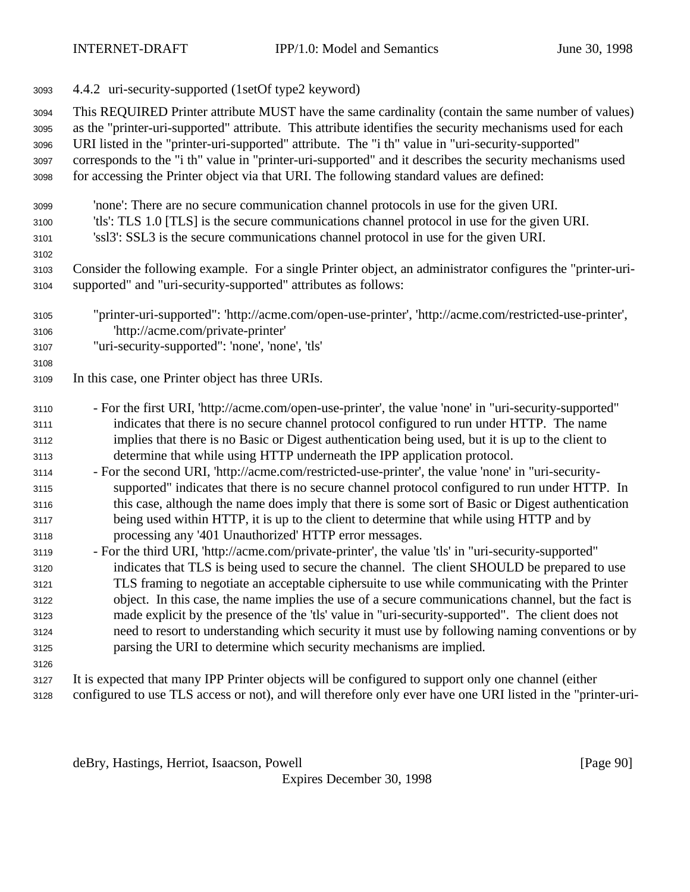4.4.2 uri-security-supported (1setOf type2 keyword)

 This REQUIRED Printer attribute MUST have the same cardinality (contain the same number of values) as the "printer-uri-supported" attribute. This attribute identifies the security mechanisms used for each URI listed in the "printer-uri-supported" attribute. The "i th" value in "uri-security-supported" corresponds to the "i th" value in "printer-uri-supported" and it describes the security mechanisms used

for accessing the Printer object via that URI. The following standard values are defined:

- 'none': There are no secure communication channel protocols in use for the given URI.
- 'tls': TLS 1.0 [TLS] is the secure communications channel protocol in use for the given URI.
- 'ssl3': SSL3 is the secure communications channel protocol in use for the given URI.

 Consider the following example. For a single Printer object, an administrator configures the "printer-uri-supported" and "uri-security-supported" attributes as follows:

- "printer-uri-supported": 'http://acme.com/open-use-printer', 'http://acme.com/restricted-use-printer', 'http://acme.com/private-printer'
- "uri-security-supported": 'none', 'none', 'tls'
- 

- In this case, one Printer object has three URIs.
- For the first URI, 'http://acme.com/open-use-printer', the value 'none' in "uri-security-supported" indicates that there is no secure channel protocol configured to run under HTTP. The name implies that there is no Basic or Digest authentication being used, but it is up to the client to determine that while using HTTP underneath the IPP application protocol.
- For the second URI, 'http://acme.com/restricted-use-printer', the value 'none' in "uri-security- supported" indicates that there is no secure channel protocol configured to run under HTTP. In this case, although the name does imply that there is some sort of Basic or Digest authentication being used within HTTP, it is up to the client to determine that while using HTTP and by processing any '401 Unauthorized' HTTP error messages.
- For the third URI, 'http://acme.com/private-printer', the value 'tls' in "uri-security-supported" indicates that TLS is being used to secure the channel. The client SHOULD be prepared to use TLS framing to negotiate an acceptable ciphersuite to use while communicating with the Printer object. In this case, the name implies the use of a secure communications channel, but the fact is made explicit by the presence of the 'tls' value in "uri-security-supported". The client does not need to resort to understanding which security it must use by following naming conventions or by parsing the URI to determine which security mechanisms are implied.
- It is expected that many IPP Printer objects will be configured to support only one channel (either configured to use TLS access or not), and will therefore only ever have one URI listed in the "printer-uri-

deBry, Hastings, Herriot, Isaacson, Powell [Page 90]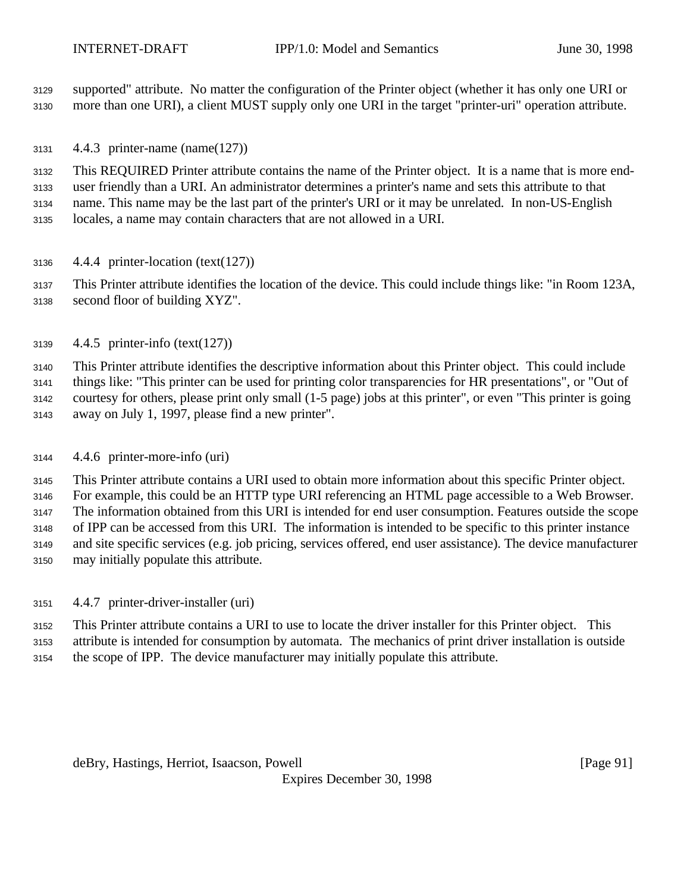supported" attribute. No matter the configuration of the Printer object (whether it has only one URI or more than one URI), a client MUST supply only one URI in the target "printer-uri" operation attribute.

4.4.3 printer-name (name(127))

 This REQUIRED Printer attribute contains the name of the Printer object. It is a name that is more end- user friendly than a URI. An administrator determines a printer's name and sets this attribute to that name. This name may be the last part of the printer's URI or it may be unrelated. In non-US-English locales, a name may contain characters that are not allowed in a URI.

4.4.4 printer-location (text(127))

 This Printer attribute identifies the location of the device. This could include things like: "in Room 123A, second floor of building XYZ".

4.4.5 printer-info (text(127))

 This Printer attribute identifies the descriptive information about this Printer object. This could include things like: "This printer can be used for printing color transparencies for HR presentations", or "Out of courtesy for others, please print only small (1-5 page) jobs at this printer", or even "This printer is going away on July 1, 1997, please find a new printer".

4.4.6 printer-more-info (uri)

 This Printer attribute contains a URI used to obtain more information about this specific Printer object. For example, this could be an HTTP type URI referencing an HTML page accessible to a Web Browser. The information obtained from this URI is intended for end user consumption. Features outside the scope of IPP can be accessed from this URI. The information is intended to be specific to this printer instance and site specific services (e.g. job pricing, services offered, end user assistance). The device manufacturer may initially populate this attribute.

4.4.7 printer-driver-installer (uri)

 This Printer attribute contains a URI to use to locate the driver installer for this Printer object. This attribute is intended for consumption by automata. The mechanics of print driver installation is outside the scope of IPP. The device manufacturer may initially populate this attribute.

deBry, Hastings, Herriot, Isaacson, Powell [Page 91]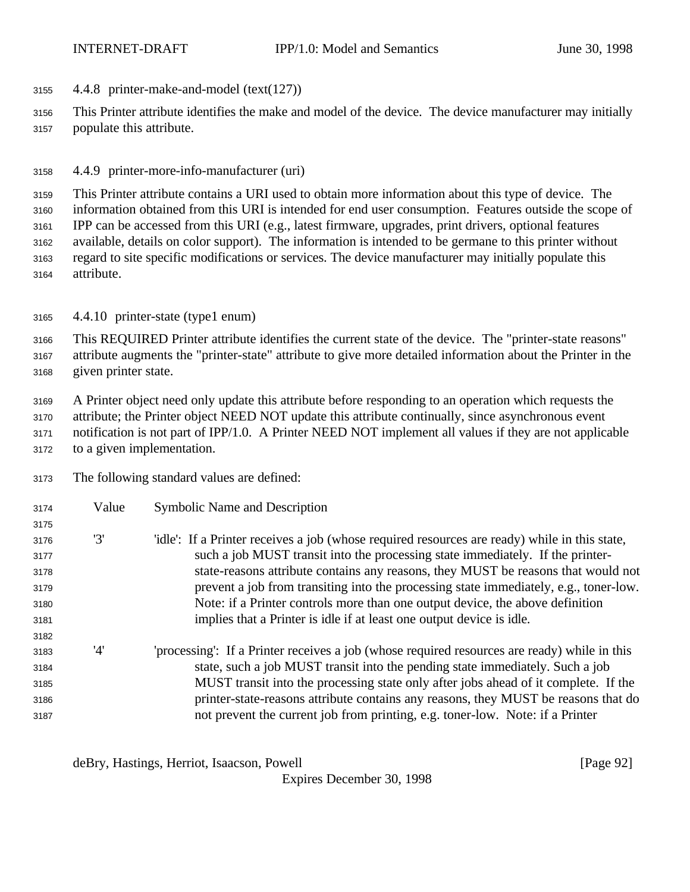4.4.8 printer-make-and-model (text(127))

 This Printer attribute identifies the make and model of the device. The device manufacturer may initially populate this attribute.

4.4.9 printer-more-info-manufacturer (uri)

 This Printer attribute contains a URI used to obtain more information about this type of device. The information obtained from this URI is intended for end user consumption. Features outside the scope of IPP can be accessed from this URI (e.g., latest firmware, upgrades, print drivers, optional features available, details on color support). The information is intended to be germane to this printer without regard to site specific modifications or services. The device manufacturer may initially populate this attribute.

4.4.10 printer-state (type1 enum)

 This REQUIRED Printer attribute identifies the current state of the device. The "printer-state reasons" attribute augments the "printer-state" attribute to give more detailed information about the Printer in the given printer state.

 A Printer object need only update this attribute before responding to an operation which requests the attribute; the Printer object NEED NOT update this attribute continually, since asynchronous event notification is not part of IPP/1.0. A Printer NEED NOT implement all values if they are not applicable to a given implementation.

The following standard values are defined:

| 3174 | Value | <b>Symbolic Name and Description</b>                                                          |
|------|-------|-----------------------------------------------------------------------------------------------|
| 3175 |       |                                                                                               |
| 3176 | '3'   | 'idle': If a Printer receives a job (whose required resources are ready) while in this state, |
| 3177 |       | such a job MUST transit into the processing state immediately. If the printer-                |
| 3178 |       | state-reasons attribute contains any reasons, they MUST be reasons that would not             |
| 3179 |       | prevent a job from transiting into the processing state immediately, e.g., toner-low.         |
| 3180 |       | Note: if a Printer controls more than one output device, the above definition                 |
| 3181 |       | implies that a Printer is idle if at least one output device is idle.                         |
| 3182 |       |                                                                                               |
| 3183 | '4'   | 'processing': If a Printer receives a job (whose required resources are ready) while in this  |
| 3184 |       | state, such a job MUST transit into the pending state immediately. Such a job                 |
| 3185 |       | MUST transit into the processing state only after jobs ahead of it complete. If the           |
| 3186 |       | printer-state-reasons attribute contains any reasons, they MUST be reasons that do            |
| 3187 |       | not prevent the current job from printing, e.g. toner-low. Note: if a Printer                 |

deBry, Hastings, Herriot, Isaacson, Powell [Page 92]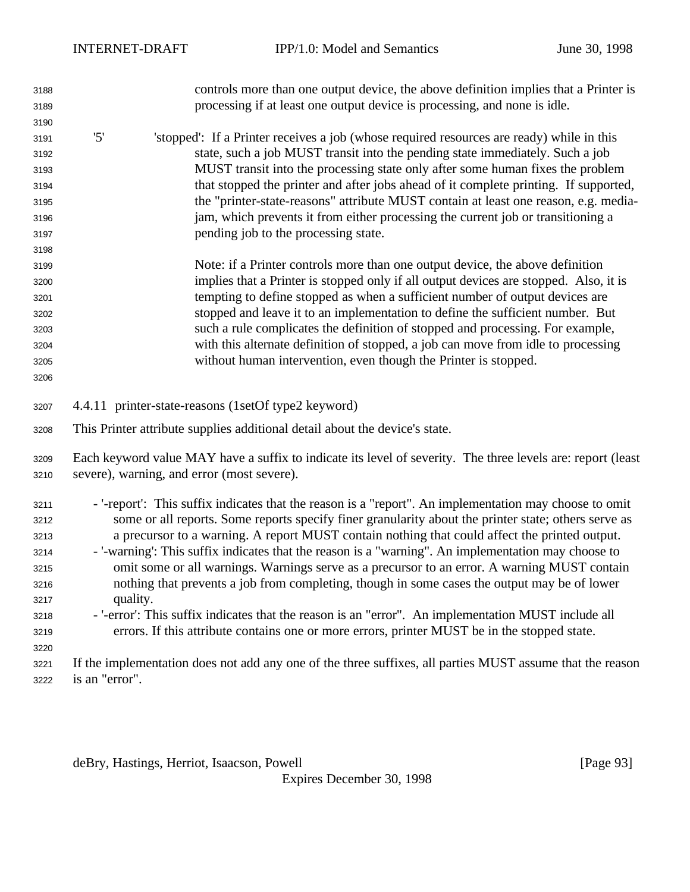| 3188 | controls more than one output device, the above definition implies that a Printer is                        |  |  |  |  |
|------|-------------------------------------------------------------------------------------------------------------|--|--|--|--|
| 3189 | processing if at least one output device is processing, and none is idle.                                   |  |  |  |  |
| 3190 |                                                                                                             |  |  |  |  |
| 3191 | '5'<br>'stopped': If a Printer receives a job (whose required resources are ready) while in this            |  |  |  |  |
| 3192 | state, such a job MUST transit into the pending state immediately. Such a job                               |  |  |  |  |
| 3193 | MUST transit into the processing state only after some human fixes the problem                              |  |  |  |  |
| 3194 | that stopped the printer and after jobs ahead of it complete printing. If supported,                        |  |  |  |  |
| 3195 | the "printer-state-reasons" attribute MUST contain at least one reason, e.g. media-                         |  |  |  |  |
| 3196 | jam, which prevents it from either processing the current job or transitioning a                            |  |  |  |  |
| 3197 | pending job to the processing state.                                                                        |  |  |  |  |
| 3198 |                                                                                                             |  |  |  |  |
| 3199 | Note: if a Printer controls more than one output device, the above definition                               |  |  |  |  |
| 3200 | implies that a Printer is stopped only if all output devices are stopped. Also, it is                       |  |  |  |  |
| 3201 | tempting to define stopped as when a sufficient number of output devices are                                |  |  |  |  |
| 3202 | stopped and leave it to an implementation to define the sufficient number. But                              |  |  |  |  |
| 3203 | such a rule complicates the definition of stopped and processing. For example,                              |  |  |  |  |
| 3204 | with this alternate definition of stopped, a job can move from idle to processing                           |  |  |  |  |
| 3205 | without human intervention, even though the Printer is stopped.                                             |  |  |  |  |
| 3206 |                                                                                                             |  |  |  |  |
|      |                                                                                                             |  |  |  |  |
| 3207 | 4.4.11 printer-state-reasons (1setOf type2 keyword)                                                         |  |  |  |  |
| 3208 | This Printer attribute supplies additional detail about the device's state.                                 |  |  |  |  |
| 3209 | Each keyword value MAY have a suffix to indicate its level of severity. The three levels are: report (least |  |  |  |  |
| 3210 | severe), warning, and error (most severe).                                                                  |  |  |  |  |
|      |                                                                                                             |  |  |  |  |
| 3211 | - '-report': This suffix indicates that the reason is a "report". An implementation may choose to omit      |  |  |  |  |
| 3212 | some or all reports. Some reports specify finer granularity about the printer state; others serve as        |  |  |  |  |
| 3213 | a precursor to a warning. A report MUST contain nothing that could affect the printed output.               |  |  |  |  |
| 3214 | - '-warning': This suffix indicates that the reason is a "warning". An implementation may choose to         |  |  |  |  |
| 3215 | omit some or all warnings. Warnings serve as a precursor to an error. A warning MUST contain                |  |  |  |  |
| 3216 | nothing that prevents a job from completing, though in some cases the output may be of lower                |  |  |  |  |
| 3217 | quality.                                                                                                    |  |  |  |  |
| 3218 | - '-error': This suffix indicates that the reason is an "error". An implementation MUST include all         |  |  |  |  |
| 3219 | errors. If this attribute contains one or more errors, printer MUST be in the stopped state.                |  |  |  |  |
| 3220 |                                                                                                             |  |  |  |  |
| 3221 | If the implementation does not add any one of the three suffixes, all parties MUST assume that the reason   |  |  |  |  |
| 3222 | is an "error".                                                                                              |  |  |  |  |

deBry, Hastings, Herriot, Isaacson, Powell [Page 93]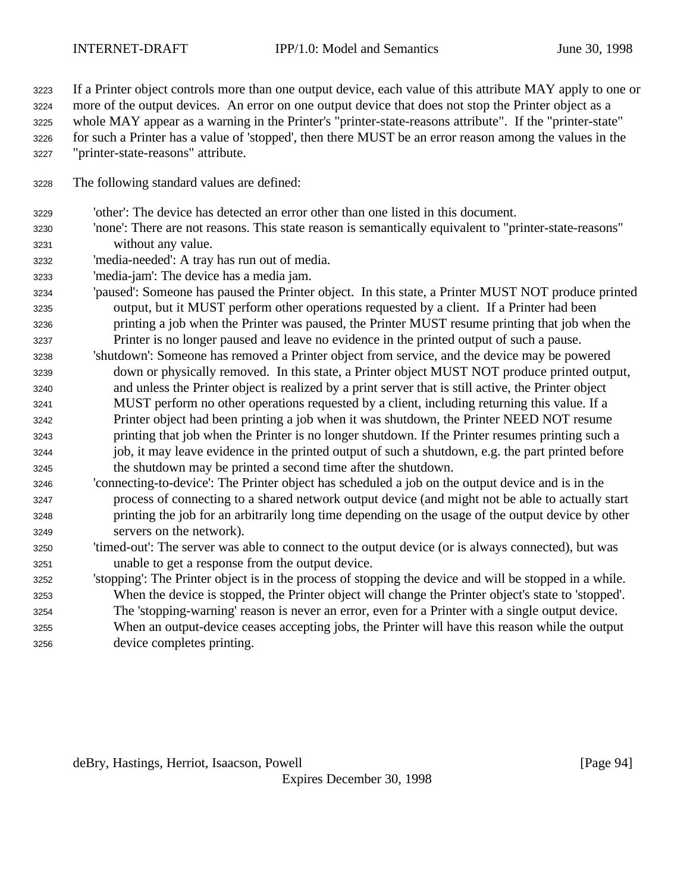If a Printer object controls more than one output device, each value of this attribute MAY apply to one or

more of the output devices. An error on one output device that does not stop the Printer object as a

whole MAY appear as a warning in the Printer's "printer-state-reasons attribute". If the "printer-state"

- for such a Printer has a value of 'stopped', then there MUST be an error reason among the values in the "printer-state-reasons" attribute.
- The following standard values are defined:
- 'other': The device has detected an error other than one listed in this document.
- 'none': There are not reasons. This state reason is semantically equivalent to "printer-state-reasons" without any value.
- 'media-needed': A tray has run out of media.
- 'media-jam': The device has a media jam.
- 'paused': Someone has paused the Printer object. In this state, a Printer MUST NOT produce printed output, but it MUST perform other operations requested by a client. If a Printer had been printing a job when the Printer was paused, the Printer MUST resume printing that job when the Printer is no longer paused and leave no evidence in the printed output of such a pause.
- 'shutdown': Someone has removed a Printer object from service, and the device may be powered down or physically removed. In this state, a Printer object MUST NOT produce printed output, and unless the Printer object is realized by a print server that is still active, the Printer object MUST perform no other operations requested by a client, including returning this value. If a Printer object had been printing a job when it was shutdown, the Printer NEED NOT resume printing that job when the Printer is no longer shutdown. If the Printer resumes printing such a job, it may leave evidence in the printed output of such a shutdown, e.g. the part printed before the shutdown may be printed a second time after the shutdown.
- 'connecting-to-device': The Printer object has scheduled a job on the output device and is in the process of connecting to a shared network output device (and might not be able to actually start printing the job for an arbitrarily long time depending on the usage of the output device by other servers on the network).
- 'timed-out': The server was able to connect to the output device (or is always connected), but was unable to get a response from the output device.
- 'stopping': The Printer object is in the process of stopping the device and will be stopped in a while. When the device is stopped, the Printer object will change the Printer object's state to 'stopped'. The 'stopping-warning' reason is never an error, even for a Printer with a single output device.
- When an output-device ceases accepting jobs, the Printer will have this reason while the output device completes printing.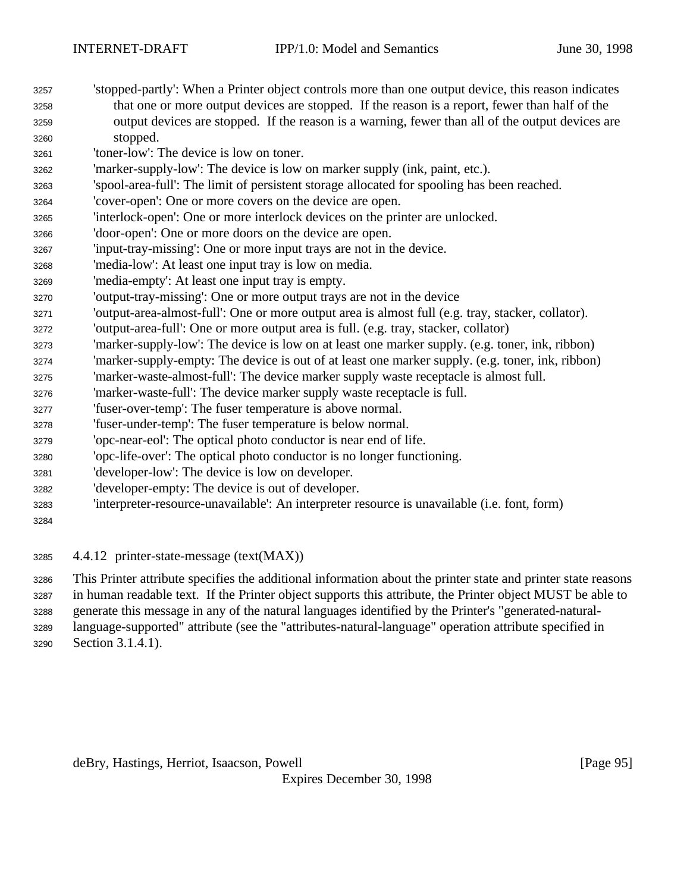- 'stopped-partly': When a Printer object controls more than one output device, this reason indicates that one or more output devices are stopped. If the reason is a report, fewer than half of the output devices are stopped. If the reason is a warning, fewer than all of the output devices are stopped.
- 'toner-low': The device is low on toner.
- 'marker-supply-low': The device is low on marker supply (ink, paint, etc.).
- 'spool-area-full': The limit of persistent storage allocated for spooling has been reached.
- 'cover-open': One or more covers on the device are open.
- 'interlock-open': One or more interlock devices on the printer are unlocked.
- 'door-open': One or more doors on the device are open.
- 'input-tray-missing': One or more input trays are not in the device.
- 'media-low': At least one input tray is low on media.
- 'media-empty': At least one input tray is empty.
- 'output-tray-missing': One or more output trays are not in the device
- 'output-area-almost-full': One or more output area is almost full (e.g. tray, stacker, collator).
- 'output-area-full': One or more output area is full. (e.g. tray, stacker, collator)
- 'marker-supply-low': The device is low on at least one marker supply. (e.g. toner, ink, ribbon)
- 'marker-supply-empty: The device is out of at least one marker supply. (e.g. toner, ink, ribbon)
- 'marker-waste-almost-full': The device marker supply waste receptacle is almost full.
- 'marker-waste-full': The device marker supply waste receptacle is full.
- 'fuser-over-temp': The fuser temperature is above normal.
- 'fuser-under-temp': The fuser temperature is below normal.
- 'opc-near-eol': The optical photo conductor is near end of life.
- 'opc-life-over': The optical photo conductor is no longer functioning.
- 'developer-low': The device is low on developer.
- 'developer-empty: The device is out of developer.
- 'interpreter-resource-unavailable': An interpreter resource is unavailable (i.e. font, form)
- 

4.4.12 printer-state-message (text(MAX))

This Printer attribute specifies the additional information about the printer state and printer state reasons

in human readable text. If the Printer object supports this attribute, the Printer object MUST be able to

generate this message in any of the natural languages identified by the Printer's "generated-natural-

language-supported" attribute (see the "attributes-natural-language" operation attribute specified in

Section 3.1.4.1).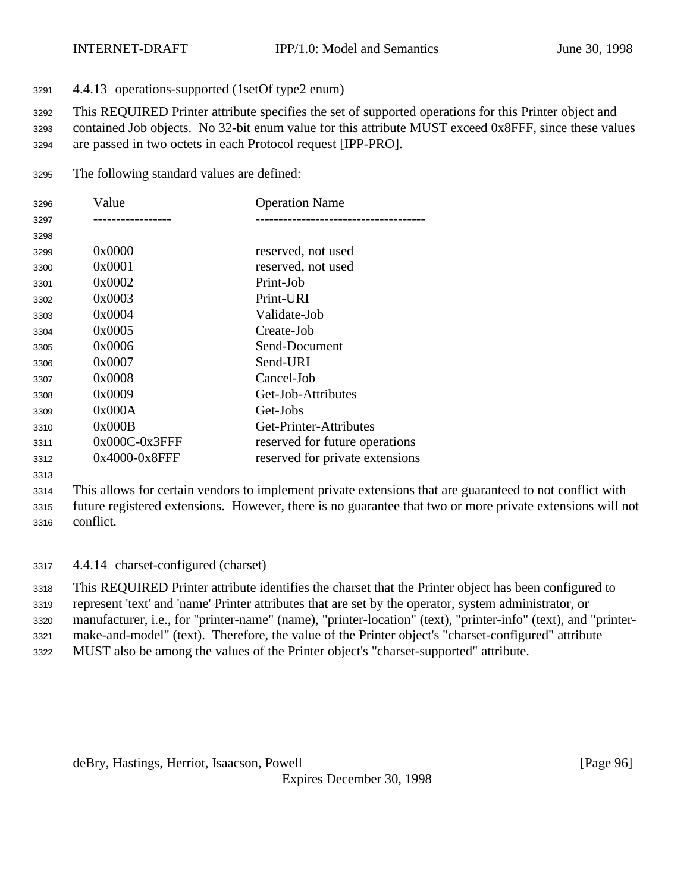4.4.13 operations-supported (1setOf type2 enum)

This REQUIRED Printer attribute specifies the set of supported operations for this Printer object and

 contained Job objects. No 32-bit enum value for this attribute MUST exceed 0x8FFF, since these values are passed in two octets in each Protocol request [IPP-PRO].

The following standard values are defined:

| 3296 | Value            | <b>Operation Name</b>           |
|------|------------------|---------------------------------|
| 3297 |                  |                                 |
| 3298 |                  |                                 |
| 3299 | 0x0000           | reserved, not used              |
| 3300 | 0x0001           | reserved, not used              |
| 3301 | 0x0002           | Print-Job                       |
| 3302 | 0x0003           | Print-URI                       |
| 3303 | 0x0004           | Validate-Job                    |
| 3304 | 0x0005           | Create-Job                      |
| 3305 | 0x0006           | Send-Document                   |
| 3306 | 0x0007           | Send-URI                        |
| 3307 | 0x0008           | Cancel-Job                      |
| 3308 | 0x0009           | Get-Job-Attributes              |
| 3309 | 0x000A           | Get-Jobs                        |
| 3310 | 0x000B           | Get-Printer-Attributes          |
| 3311 | $0x000C-0x3$ FFF | reserved for future operations  |
| 3312 | 0x4000-0x8FFF    | reserved for private extensions |

 This allows for certain vendors to implement private extensions that are guaranteed to not conflict with future registered extensions. However, there is no guarantee that two or more private extensions will not conflict.

4.4.14 charset-configured (charset)

 This REQUIRED Printer attribute identifies the charset that the Printer object has been configured to represent 'text' and 'name' Printer attributes that are set by the operator, system administrator, or

manufacturer, i.e., for "printer-name" (name), "printer-location" (text), "printer-info" (text), and "printer-

make-and-model" (text). Therefore, the value of the Printer object's "charset-configured" attribute

MUST also be among the values of the Printer object's "charset-supported" attribute.

deBry, Hastings, Herriot, Isaacson, Powell [Page 96]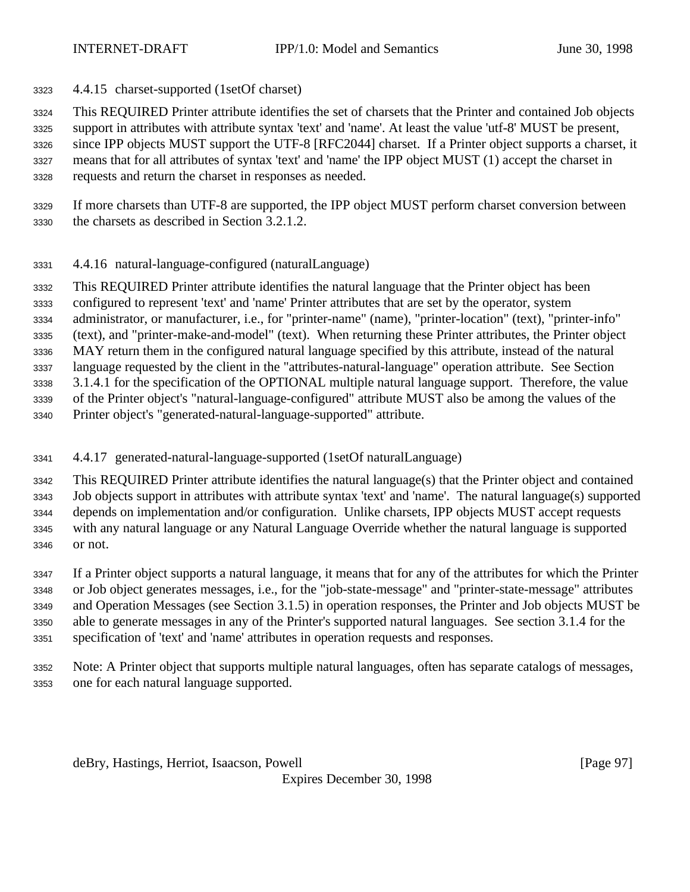4.4.15 charset-supported (1setOf charset)

This REQUIRED Printer attribute identifies the set of charsets that the Printer and contained Job objects

 support in attributes with attribute syntax 'text' and 'name'. At least the value 'utf-8' MUST be present, since IPP objects MUST support the UTF-8 [RFC2044] charset. If a Printer object supports a charset, it means that for all attributes of syntax 'text' and 'name' the IPP object MUST (1) accept the charset in

requests and return the charset in responses as needed.

- If more charsets than UTF-8 are supported, the IPP object MUST perform charset conversion between the charsets as described in Section 3.2.1.2.
- 4.4.16 natural-language-configured (naturalLanguage)

 This REQUIRED Printer attribute identifies the natural language that the Printer object has been configured to represent 'text' and 'name' Printer attributes that are set by the operator, system administrator, or manufacturer, i.e., for "printer-name" (name), "printer-location" (text), "printer-info" (text), and "printer-make-and-model" (text). When returning these Printer attributes, the Printer object MAY return them in the configured natural language specified by this attribute, instead of the natural language requested by the client in the "attributes-natural-language" operation attribute. See Section 3.1.4.1 for the specification of the OPTIONAL multiple natural language support. Therefore, the value of the Printer object's "natural-language-configured" attribute MUST also be among the values of the Printer object's "generated-natural-language-supported" attribute.

- 
- 4.4.17 generated-natural-language-supported (1setOf naturalLanguage)

 This REQUIRED Printer attribute identifies the natural language(s) that the Printer object and contained Job objects support in attributes with attribute syntax 'text' and 'name'. The natural language(s) supported depends on implementation and/or configuration. Unlike charsets, IPP objects MUST accept requests with any natural language or any Natural Language Override whether the natural language is supported or not.

 If a Printer object supports a natural language, it means that for any of the attributes for which the Printer or Job object generates messages, i.e., for the "job-state-message" and "printer-state-message" attributes and Operation Messages (see Section 3.1.5) in operation responses, the Printer and Job objects MUST be able to generate messages in any of the Printer's supported natural languages. See section 3.1.4 for the specification of 'text' and 'name' attributes in operation requests and responses.

 Note: A Printer object that supports multiple natural languages, often has separate catalogs of messages, one for each natural language supported.

deBry, Hastings, Herriot, Isaacson, Powell [Page 97]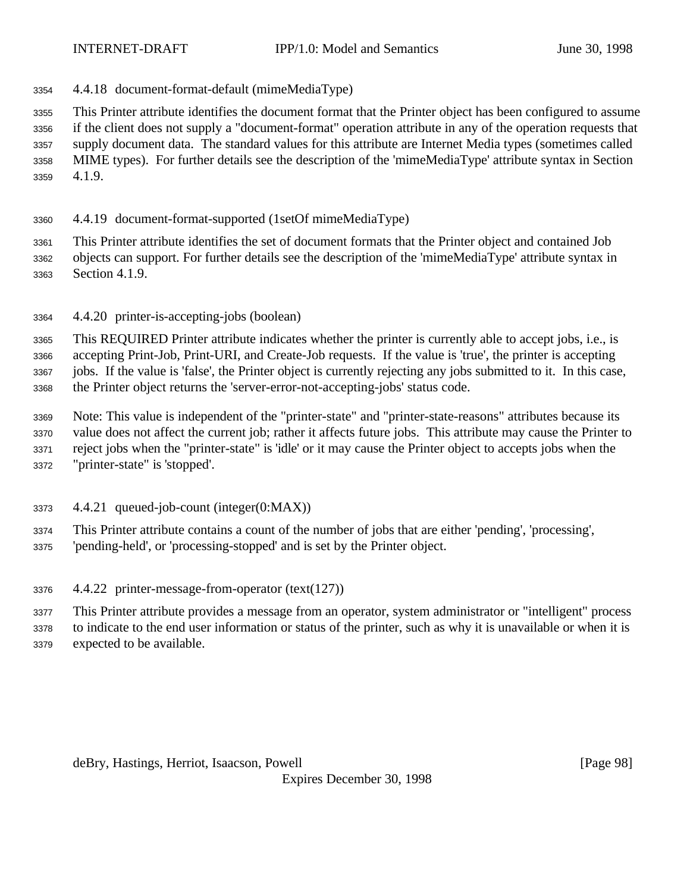4.4.18 document-format-default (mimeMediaType)

 This Printer attribute identifies the document format that the Printer object has been configured to assume if the client does not supply a "document-format" operation attribute in any of the operation requests that supply document data. The standard values for this attribute are Internet Media types (sometimes called MIME types). For further details see the description of the 'mimeMediaType' attribute syntax in Section 4.1.9.

4.4.19 document-format-supported (1setOf mimeMediaType)

 This Printer attribute identifies the set of document formats that the Printer object and contained Job objects can support. For further details see the description of the 'mimeMediaType' attribute syntax in Section 4.1.9.

4.4.20 printer-is-accepting-jobs (boolean)

 This REQUIRED Printer attribute indicates whether the printer is currently able to accept jobs, i.e., is accepting Print-Job, Print-URI, and Create-Job requests. If the value is 'true', the printer is accepting jobs. If the value is 'false', the Printer object is currently rejecting any jobs submitted to it. In this case, the Printer object returns the 'server-error-not-accepting-jobs' status code.

 Note: This value is independent of the "printer-state" and "printer-state-reasons" attributes because its value does not affect the current job; rather it affects future jobs. This attribute may cause the Printer to reject jobs when the "printer-state" is 'idle' or it may cause the Printer object to accepts jobs when the "printer-state" is 'stopped'.

4.4.21 queued-job-count (integer(0:MAX))

This Printer attribute contains a count of the number of jobs that are either 'pending', 'processing',

- 'pending-held', or 'processing-stopped' and is set by the Printer object.
- 4.4.22 printer-message-from-operator (text(127))
- This Printer attribute provides a message from an operator, system administrator or "intelligent" process

to indicate to the end user information or status of the printer, such as why it is unavailable or when it is

expected to be available.

deBry, Hastings, Herriot, Isaacson, Powell [Page 98]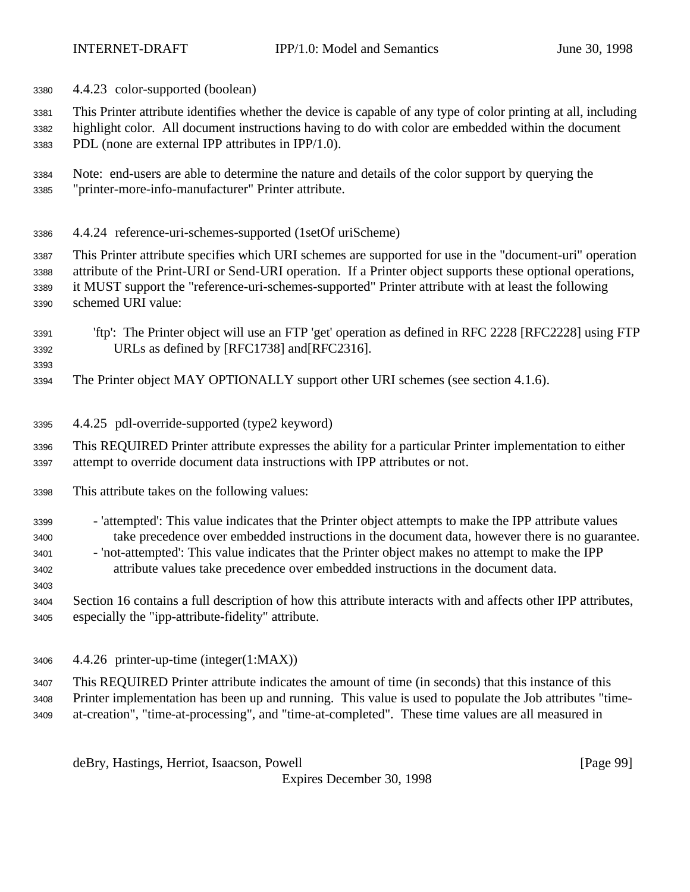4.4.23 color-supported (boolean)

 This Printer attribute identifies whether the device is capable of any type of color printing at all, including highlight color. All document instructions having to do with color are embedded within the document

PDL (none are external IPP attributes in IPP/1.0).

- Note: end-users are able to determine the nature and details of the color support by querying the "printer-more-info-manufacturer" Printer attribute.
- 4.4.24 reference-uri-schemes-supported (1setOf uriScheme)

 This Printer attribute specifies which URI schemes are supported for use in the "document-uri" operation attribute of the Print-URI or Send-URI operation. If a Printer object supports these optional operations, it MUST support the "reference-uri-schemes-supported" Printer attribute with at least the following schemed URI value:

- 'ftp': The Printer object will use an FTP 'get' operation as defined in RFC 2228 [RFC2228] using FTP URLs as defined by [RFC1738] and[RFC2316].
- The Printer object MAY OPTIONALLY support other URI schemes (see section 4.1.6).
- 4.4.25 pdl-override-supported (type2 keyword)

 This REQUIRED Printer attribute expresses the ability for a particular Printer implementation to either attempt to override document data instructions with IPP attributes or not.

- This attribute takes on the following values:
- 'attempted': This value indicates that the Printer object attempts to make the IPP attribute values take precedence over embedded instructions in the document data, however there is no guarantee.
- 'not-attempted': This value indicates that the Printer object makes no attempt to make the IPP attribute values take precedence over embedded instructions in the document data.
- Section 16 contains a full description of how this attribute interacts with and affects other IPP attributes, especially the "ipp-attribute-fidelity" attribute.
- 4.4.26 printer-up-time (integer(1:MAX))

 This REQUIRED Printer attribute indicates the amount of time (in seconds) that this instance of this Printer implementation has been up and running. This value is used to populate the Job attributes "time-at-creation", "time-at-processing", and "time-at-completed". These time values are all measured in

deBry, Hastings, Herriot, Isaacson, Powell [Page 99]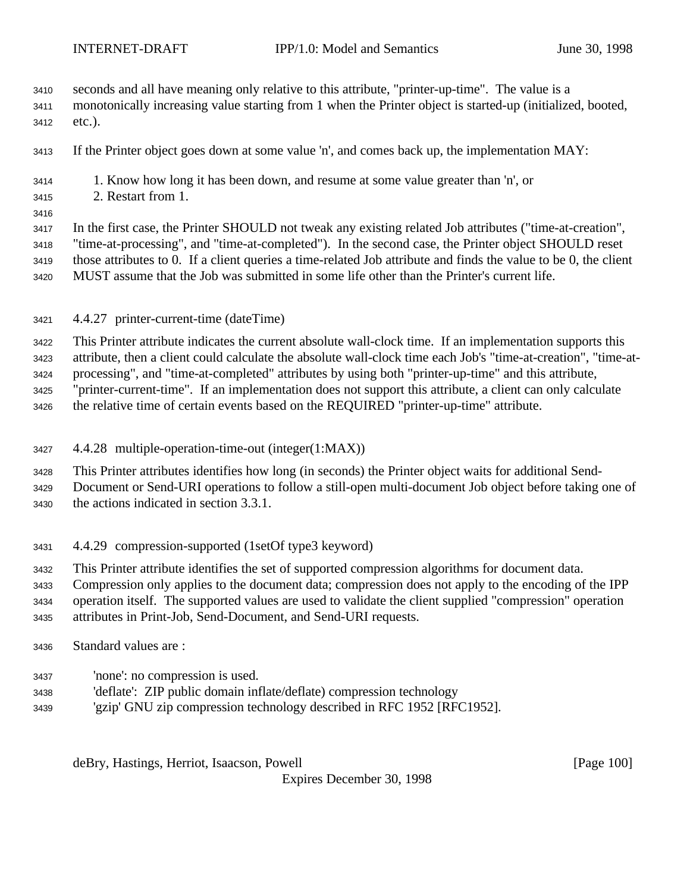- seconds and all have meaning only relative to this attribute, "printer-up-time". The value is a
- monotonically increasing value starting from 1 when the Printer object is started-up (initialized, booted, etc.).
- If the Printer object goes down at some value 'n', and comes back up, the implementation MAY:
- 1. Know how long it has been down, and resume at some value greater than 'n', or
- 2. Restart from 1.
- 

 In the first case, the Printer SHOULD not tweak any existing related Job attributes ("time-at-creation", "time-at-processing", and "time-at-completed"). In the second case, the Printer object SHOULD reset those attributes to 0. If a client queries a time-related Job attribute and finds the value to be 0, the client MUST assume that the Job was submitted in some life other than the Printer's current life.

4.4.27 printer-current-time (dateTime)

This Printer attribute indicates the current absolute wall-clock time. If an implementation supports this

 attribute, then a client could calculate the absolute wall-clock time each Job's "time-at-creation", "time-at-processing", and "time-at-completed" attributes by using both "printer-up-time" and this attribute,

"printer-current-time". If an implementation does not support this attribute, a client can only calculate

the relative time of certain events based on the REQUIRED "printer-up-time" attribute.

4.4.28 multiple-operation-time-out (integer(1:MAX))

 This Printer attributes identifies how long (in seconds) the Printer object waits for additional Send- Document or Send-URI operations to follow a still-open multi-document Job object before taking one of the actions indicated in section 3.3.1.

- 4.4.29 compression-supported (1setOf type3 keyword)
- This Printer attribute identifies the set of supported compression algorithms for document data.

 Compression only applies to the document data; compression does not apply to the encoding of the IPP operation itself. The supported values are used to validate the client supplied "compression" operation

- attributes in Print-Job, Send-Document, and Send-URI requests.
- Standard values are :
- 'none': no compression is used.
- 'deflate': ZIP public domain inflate/deflate) compression technology
- 'gzip' GNU zip compression technology described in RFC 1952 [RFC1952].

deBry, Hastings, Herriot, Isaacson, Powell [Page 100]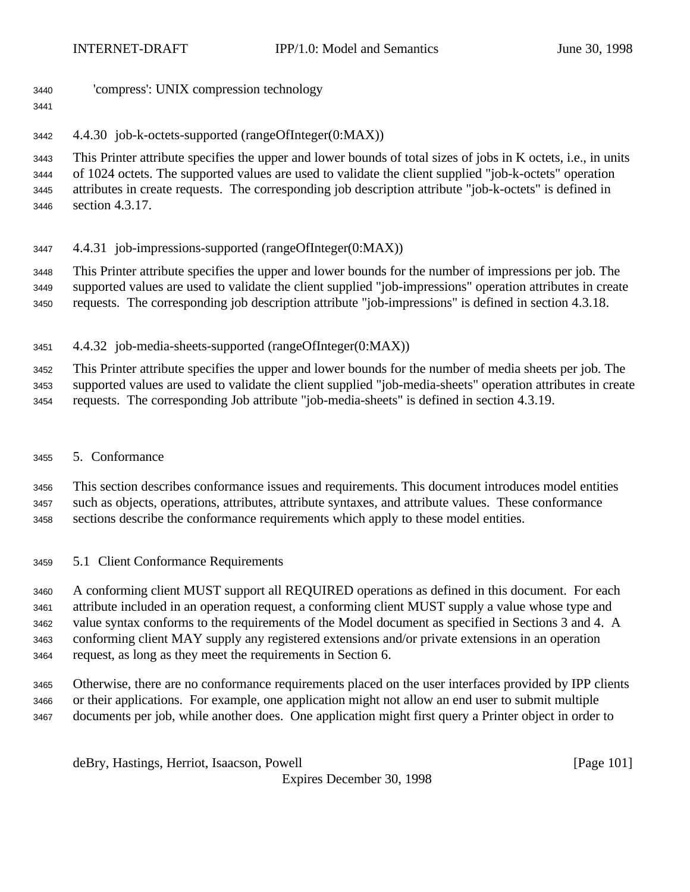- 'compress': UNIX compression technology
- 

4.4.30 job-k-octets-supported (rangeOfInteger(0:MAX))

 This Printer attribute specifies the upper and lower bounds of total sizes of jobs in K octets, i.e., in units of 1024 octets. The supported values are used to validate the client supplied "job-k-octets" operation attributes in create requests. The corresponding job description attribute "job-k-octets" is defined in section 4.3.17.

4.4.31 job-impressions-supported (rangeOfInteger(0:MAX))

 This Printer attribute specifies the upper and lower bounds for the number of impressions per job. The supported values are used to validate the client supplied "job-impressions" operation attributes in create requests. The corresponding job description attribute "job-impressions" is defined in section 4.3.18.

4.4.32 job-media-sheets-supported (rangeOfInteger(0:MAX))

 This Printer attribute specifies the upper and lower bounds for the number of media sheets per job. The supported values are used to validate the client supplied "job-media-sheets" operation attributes in create

requests. The corresponding Job attribute "job-media-sheets" is defined in section 4.3.19.

5. Conformance

 This section describes conformance issues and requirements. This document introduces model entities such as objects, operations, attributes, attribute syntaxes, and attribute values. These conformance sections describe the conformance requirements which apply to these model entities.

5.1 Client Conformance Requirements

 A conforming client MUST support all REQUIRED operations as defined in this document. For each attribute included in an operation request, a conforming client MUST supply a value whose type and value syntax conforms to the requirements of the Model document as specified in Sections 3 and 4. A conforming client MAY supply any registered extensions and/or private extensions in an operation request, as long as they meet the requirements in Section 6.

 Otherwise, there are no conformance requirements placed on the user interfaces provided by IPP clients or their applications. For example, one application might not allow an end user to submit multiple documents per job, while another does. One application might first query a Printer object in order to

deBry, Hastings, Herriot, Isaacson, Powell [Page 101]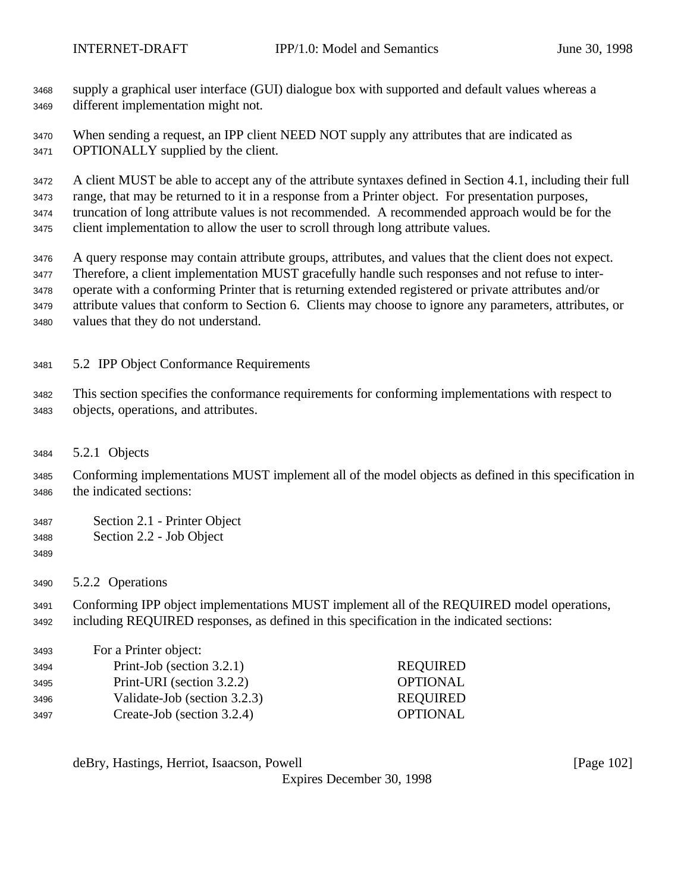supply a graphical user interface (GUI) dialogue box with supported and default values whereas a different implementation might not.

 When sending a request, an IPP client NEED NOT supply any attributes that are indicated as OPTIONALLY supplied by the client.

A client MUST be able to accept any of the attribute syntaxes defined in Section 4.1, including their full

 range, that may be returned to it in a response from a Printer object. For presentation purposes, truncation of long attribute values is not recommended. A recommended approach would be for the client implementation to allow the user to scroll through long attribute values.

 A query response may contain attribute groups, attributes, and values that the client does not expect. Therefore, a client implementation MUST gracefully handle such responses and not refuse to inter- operate with a conforming Printer that is returning extended registered or private attributes and/or attribute values that conform to Section 6. Clients may choose to ignore any parameters, attributes, or values that they do not understand.

5.2 IPP Object Conformance Requirements

 This section specifies the conformance requirements for conforming implementations with respect to objects, operations, and attributes.

5.2.1 Objects

 Conforming implementations MUST implement all of the model objects as defined in this specification in the indicated sections:

- Section 2.1 Printer Object
- Section 2.2 Job Object
- 
- 5.2.2 Operations

 Conforming IPP object implementations MUST implement all of the REQUIRED model operations, including REQUIRED responses, as defined in this specification in the indicated sections:

| <b>REQUIRED</b> |
|-----------------|
| <b>OPTIONAL</b> |
| <b>REQUIRED</b> |
| <b>OPTIONAL</b> |
|                 |

deBry, Hastings, Herriot, Isaacson, Powell [Page 102]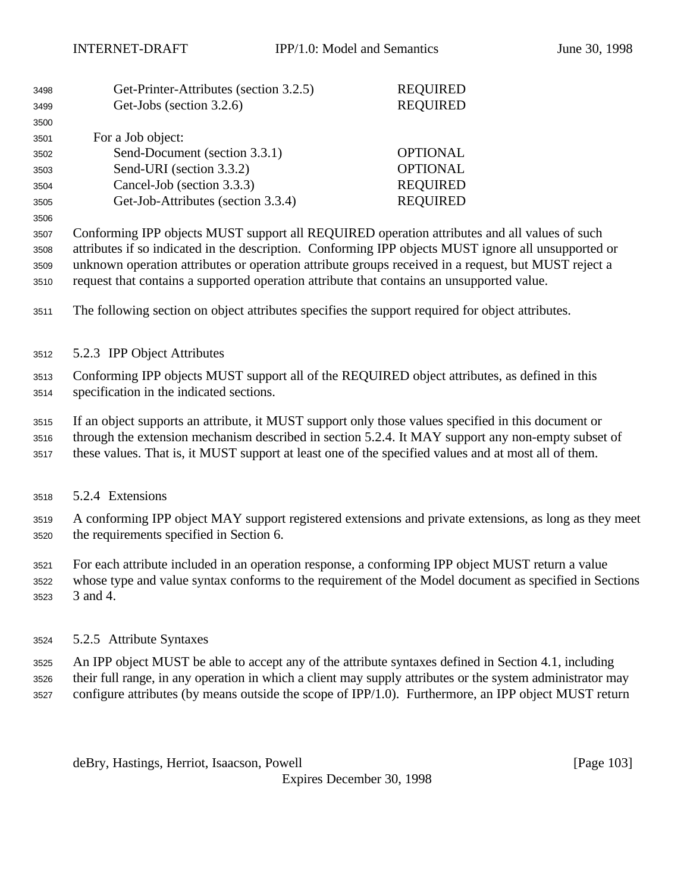| 3498 | Get-Printer-Attributes (section 3.2.5) | <b>REQUIRED</b> |
|------|----------------------------------------|-----------------|
| 3499 | Get-Jobs (section 3.2.6)               | <b>REQUIRED</b> |
| 3500 |                                        |                 |
| 3501 | For a Job object:                      |                 |
| 3502 | Send-Document (section 3.3.1)          | <b>OPTIONAL</b> |
| 3503 | Send-URI (section 3.3.2)               | <b>OPTIONAL</b> |
| 3504 | Cancel-Job (section 3.3.3)             | <b>REQUIRED</b> |
| 3505 | Get-Job-Attributes (section 3.3.4)     | <b>REQUIRED</b> |
|      |                                        |                 |

 Conforming IPP objects MUST support all REQUIRED operation attributes and all values of such attributes if so indicated in the description. Conforming IPP objects MUST ignore all unsupported or unknown operation attributes or operation attribute groups received in a request, but MUST reject a request that contains a supported operation attribute that contains an unsupported value.

The following section on object attributes specifies the support required for object attributes.

5.2.3 IPP Object Attributes

 Conforming IPP objects MUST support all of the REQUIRED object attributes, as defined in this specification in the indicated sections.

If an object supports an attribute, it MUST support only those values specified in this document or

through the extension mechanism described in section 5.2.4. It MAY support any non-empty subset of

- these values. That is, it MUST support at least one of the specified values and at most all of them.
- 5.2.4 Extensions

 A conforming IPP object MAY support registered extensions and private extensions, as long as they meet the requirements specified in Section 6.

 For each attribute included in an operation response, a conforming IPP object MUST return a value whose type and value syntax conforms to the requirement of the Model document as specified in Sections 3 and 4.

- 5.2.5 Attribute Syntaxes
- An IPP object MUST be able to accept any of the attribute syntaxes defined in Section 4.1, including
- their full range, in any operation in which a client may supply attributes or the system administrator may configure attributes (by means outside the scope of IPP/1.0). Furthermore, an IPP object MUST return

deBry, Hastings, Herriot, Isaacson, Powell **compared and Contract and Contract Contract (Page 103**)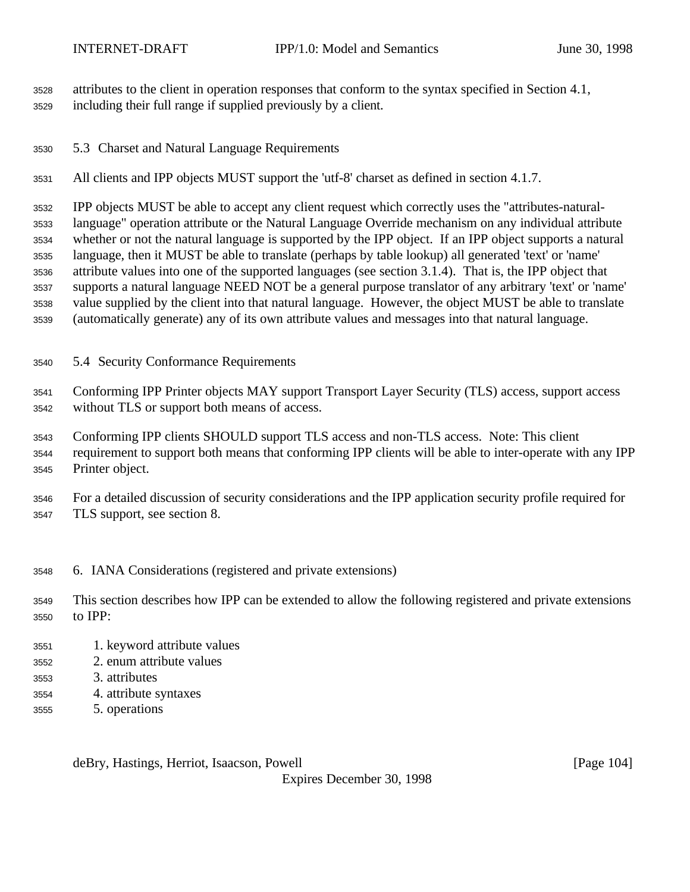attributes to the client in operation responses that conform to the syntax specified in Section 4.1,

- including their full range if supplied previously by a client.
- 5.3 Charset and Natural Language Requirements

All clients and IPP objects MUST support the 'utf-8' charset as defined in section 4.1.7.

 IPP objects MUST be able to accept any client request which correctly uses the "attributes-natural- language" operation attribute or the Natural Language Override mechanism on any individual attribute whether or not the natural language is supported by the IPP object. If an IPP object supports a natural language, then it MUST be able to translate (perhaps by table lookup) all generated 'text' or 'name' attribute values into one of the supported languages (see section 3.1.4). That is, the IPP object that supports a natural language NEED NOT be a general purpose translator of any arbitrary 'text' or 'name' value supplied by the client into that natural language. However, the object MUST be able to translate (automatically generate) any of its own attribute values and messages into that natural language.

5.4 Security Conformance Requirements

 Conforming IPP Printer objects MAY support Transport Layer Security (TLS) access, support access without TLS or support both means of access.

 Conforming IPP clients SHOULD support TLS access and non-TLS access. Note: This client requirement to support both means that conforming IPP clients will be able to inter-operate with any IPP Printer object.

 For a detailed discussion of security considerations and the IPP application security profile required for TLS support, see section 8.

6. IANA Considerations (registered and private extensions)

 This section describes how IPP can be extended to allow the following registered and private extensions to IPP:

- 1. keyword attribute values
- 2. enum attribute values
- 3. attributes
- 4. attribute syntaxes
- 5. operations

deBry, Hastings, Herriot, Isaacson, Powell [Page 104]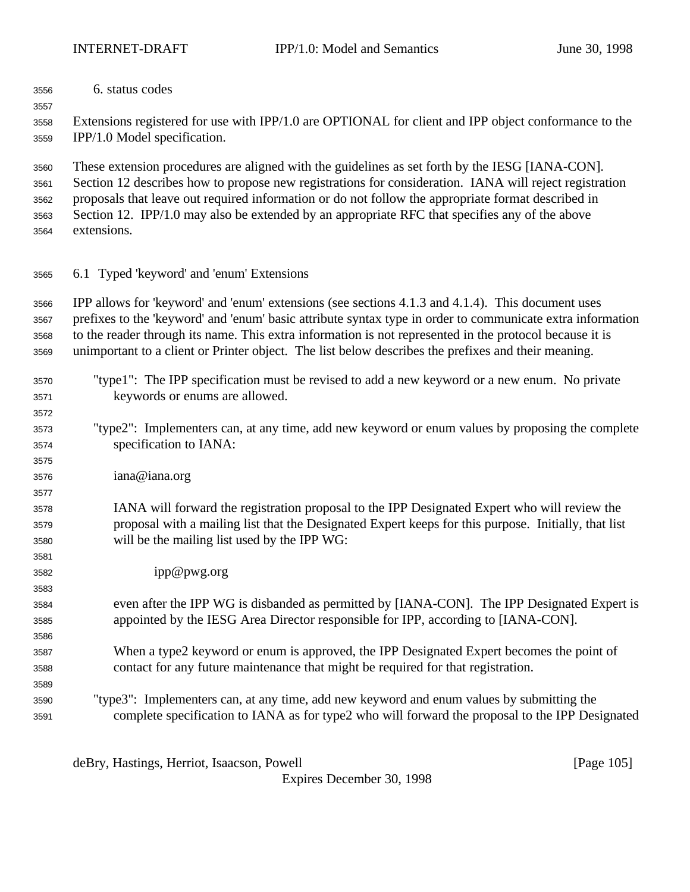6. status codes

 Extensions registered for use with IPP/1.0 are OPTIONAL for client and IPP object conformance to the IPP/1.0 Model specification.

 These extension procedures are aligned with the guidelines as set forth by the IESG [IANA-CON]. Section 12 describes how to propose new registrations for consideration. IANA will reject registration proposals that leave out required information or do not follow the appropriate format described in Section 12. IPP/1.0 may also be extended by an appropriate RFC that specifies any of the above extensions.

6.1 Typed 'keyword' and 'enum' Extensions

 IPP allows for 'keyword' and 'enum' extensions (see sections 4.1.3 and 4.1.4). This document uses prefixes to the 'keyword' and 'enum' basic attribute syntax type in order to communicate extra information to the reader through its name. This extra information is not represented in the protocol because it is unimportant to a client or Printer object. The list below describes the prefixes and their meaning.

- "type1": The IPP specification must be revised to add a new keyword or a new enum. No private keywords or enums are allowed.
- "type2": Implementers can, at any time, add new keyword or enum values by proposing the complete specification to IANA:
- iana@iana.org
- IANA will forward the registration proposal to the IPP Designated Expert who will review the proposal with a mailing list that the Designated Expert keeps for this purpose. Initially, that list will be the mailing list used by the IPP WG:
- ipp@pwg.org
- even after the IPP WG is disbanded as permitted by [IANA-CON]. The IPP Designated Expert is appointed by the IESG Area Director responsible for IPP, according to [IANA-CON].
- When a type2 keyword or enum is approved, the IPP Designated Expert becomes the point of contact for any future maintenance that might be required for that registration.
- "type3": Implementers can, at any time, add new keyword and enum values by submitting the complete specification to IANA as for type2 who will forward the proposal to the IPP Designated

deBry, Hastings, Herriot, Isaacson, Powell **compared and Contract and Contract Contract (Page 105**)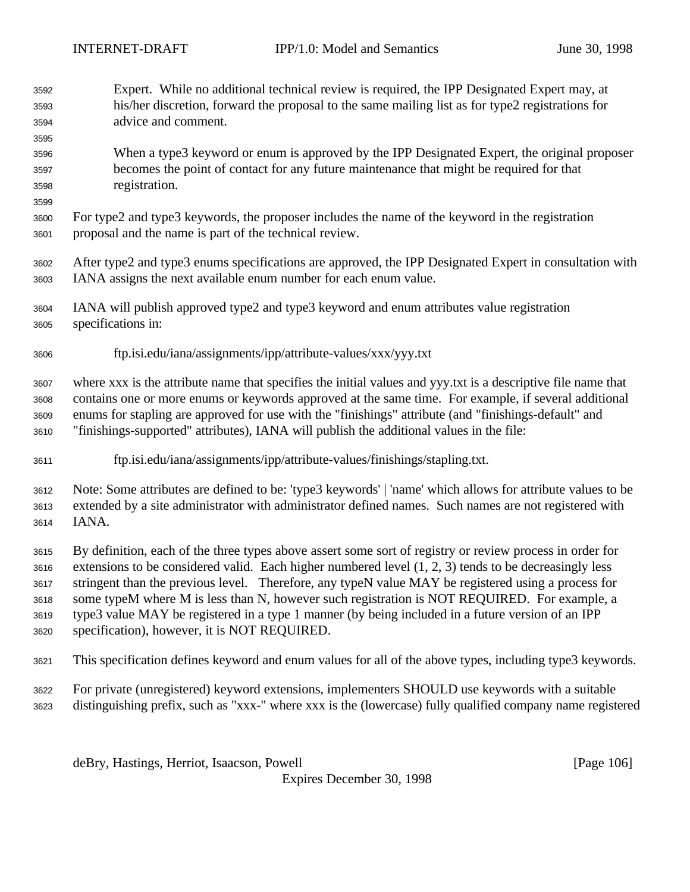- Expert. While no additional technical review is required, the IPP Designated Expert may, at his/her discretion, forward the proposal to the same mailing list as for type2 registrations for advice and comment.
- When a type3 keyword or enum is approved by the IPP Designated Expert, the original proposer becomes the point of contact for any future maintenance that might be required for that registration.
- For type2 and type3 keywords, the proposer includes the name of the keyword in the registration proposal and the name is part of the technical review.
- After type2 and type3 enums specifications are approved, the IPP Designated Expert in consultation with IANA assigns the next available enum number for each enum value.
- IANA will publish approved type2 and type3 keyword and enum attributes value registration specifications in:
- ftp.isi.edu/iana/assignments/ipp/attribute-values/xxx/yyy.txt

 where xxx is the attribute name that specifies the initial values and yyy.txt is a descriptive file name that contains one or more enums or keywords approved at the same time. For example, if several additional enums for stapling are approved for use with the "finishings" attribute (and "finishings-default" and "finishings-supported" attributes), IANA will publish the additional values in the file:

ftp.isi.edu/iana/assignments/ipp/attribute-values/finishings/stapling.txt.

 Note: Some attributes are defined to be: 'type3 keywords' | 'name' which allows for attribute values to be extended by a site administrator with administrator defined names. Such names are not registered with IANA.

 By definition, each of the three types above assert some sort of registry or review process in order for extensions to be considered valid. Each higher numbered level (1, 2, 3) tends to be decreasingly less stringent than the previous level. Therefore, any typeN value MAY be registered using a process for some typeM where M is less than N, however such registration is NOT REQUIRED. For example, a type3 value MAY be registered in a type 1 manner (by being included in a future version of an IPP specification), however, it is NOT REQUIRED.

- This specification defines keyword and enum values for all of the above types, including type3 keywords.
- For private (unregistered) keyword extensions, implementers SHOULD use keywords with a suitable distinguishing prefix, such as "xxx-" where xxx is the (lowercase) fully qualified company name registered

deBry, Hastings, Herriot, Isaacson, Powell [Page 106]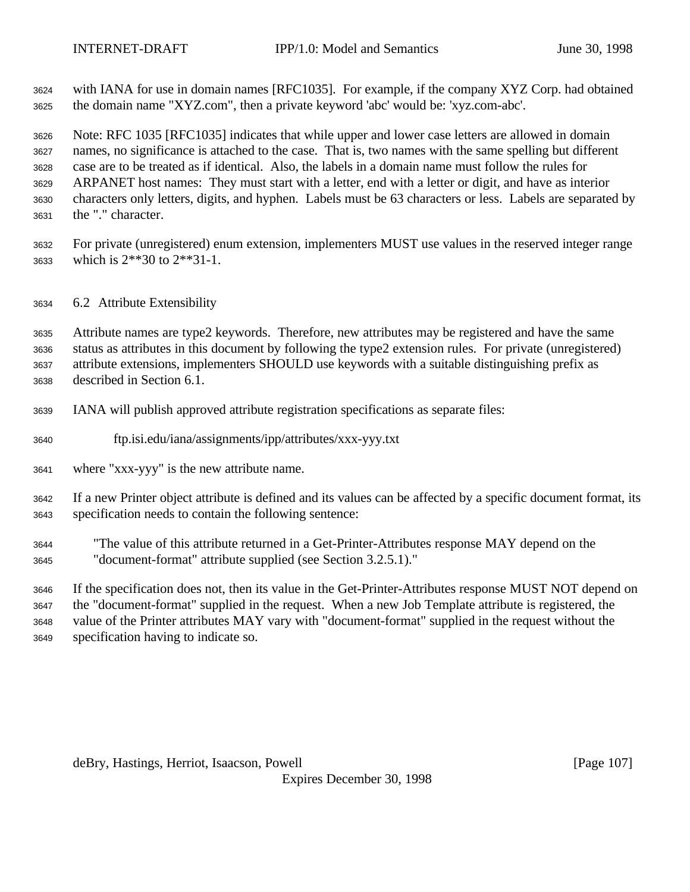with IANA for use in domain names [RFC1035]. For example, if the company XYZ Corp. had obtained the domain name "XYZ.com", then a private keyword 'abc' would be: 'xyz.com-abc'.

 Note: RFC 1035 [RFC1035] indicates that while upper and lower case letters are allowed in domain names, no significance is attached to the case. That is, two names with the same spelling but different case are to be treated as if identical. Also, the labels in a domain name must follow the rules for ARPANET host names: They must start with a letter, end with a letter or digit, and have as interior characters only letters, digits, and hyphen. Labels must be 63 characters or less. Labels are separated by the "." character.

 For private (unregistered) enum extension, implementers MUST use values in the reserved integer range which is 2\*\*30 to 2\*\*31-1.

6.2 Attribute Extensibility

 Attribute names are type2 keywords. Therefore, new attributes may be registered and have the same status as attributes in this document by following the type2 extension rules. For private (unregistered) attribute extensions, implementers SHOULD use keywords with a suitable distinguishing prefix as described in Section 6.1.

- IANA will publish approved attribute registration specifications as separate files:
- ftp.isi.edu/iana/assignments/ipp/attributes/xxx-yyy.txt
- where "xxx-yyy" is the new attribute name.

 If a new Printer object attribute is defined and its values can be affected by a specific document format, its specification needs to contain the following sentence:

 "The value of this attribute returned in a Get-Printer-Attributes response MAY depend on the "document-format" attribute supplied (see Section 3.2.5.1)."

 If the specification does not, then its value in the Get-Printer-Attributes response MUST NOT depend on the "document-format" supplied in the request. When a new Job Template attribute is registered, the value of the Printer attributes MAY vary with "document-format" supplied in the request without the specification having to indicate so.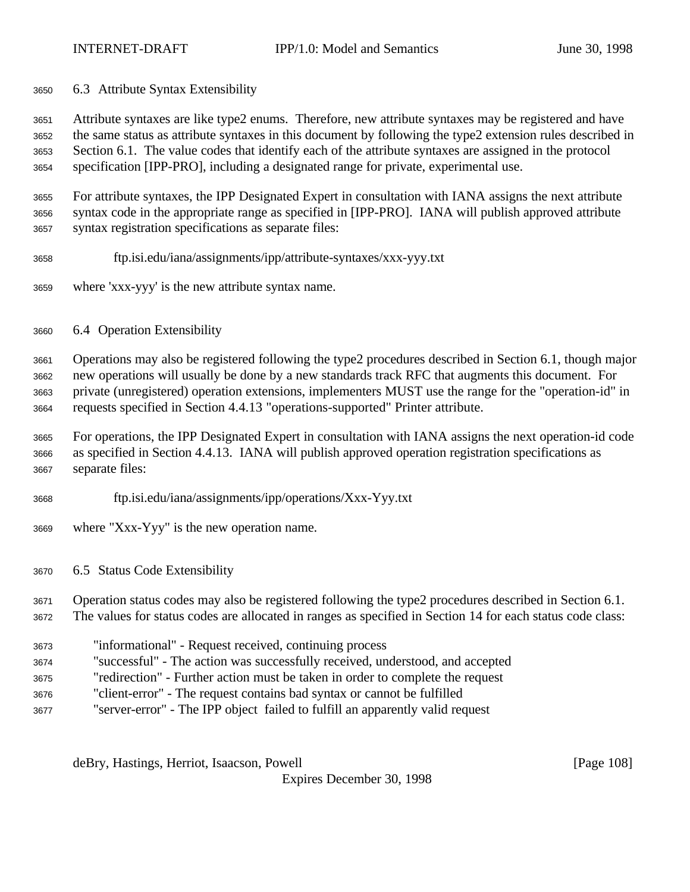6.3 Attribute Syntax Extensibility

 Attribute syntaxes are like type2 enums. Therefore, new attribute syntaxes may be registered and have the same status as attribute syntaxes in this document by following the type2 extension rules described in Section 6.1. The value codes that identify each of the attribute syntaxes are assigned in the protocol specification [IPP-PRO], including a designated range for private, experimental use.

 For attribute syntaxes, the IPP Designated Expert in consultation with IANA assigns the next attribute syntax code in the appropriate range as specified in [IPP-PRO]. IANA will publish approved attribute syntax registration specifications as separate files:

- ftp.isi.edu/iana/assignments/ipp/attribute-syntaxes/xxx-yyy.txt
- where 'xxx-yyy' is the new attribute syntax name.
- 6.4 Operation Extensibility

 Operations may also be registered following the type2 procedures described in Section 6.1, though major new operations will usually be done by a new standards track RFC that augments this document. For private (unregistered) operation extensions, implementers MUST use the range for the "operation-id" in requests specified in Section 4.4.13 "operations-supported" Printer attribute.

 For operations, the IPP Designated Expert in consultation with IANA assigns the next operation-id code as specified in Section 4.4.13. IANA will publish approved operation registration specifications as separate files:

- ftp.isi.edu/iana/assignments/ipp/operations/Xxx-Yyy.txt
- where "Xxx-Yyy" is the new operation name.
- 6.5 Status Code Extensibility

 Operation status codes may also be registered following the type2 procedures described in Section 6.1. The values for status codes are allocated in ranges as specified in Section 14 for each status code class:

- "informational" Request received, continuing process
- "successful" The action was successfully received, understood, and accepted
- "redirection" Further action must be taken in order to complete the request
- "client-error" The request contains bad syntax or cannot be fulfilled
- "server-error" The IPP object failed to fulfill an apparently valid request

deBry, Hastings, Herriot, Isaacson, Powell **compared and Contract and Contract Contract (Page 108**)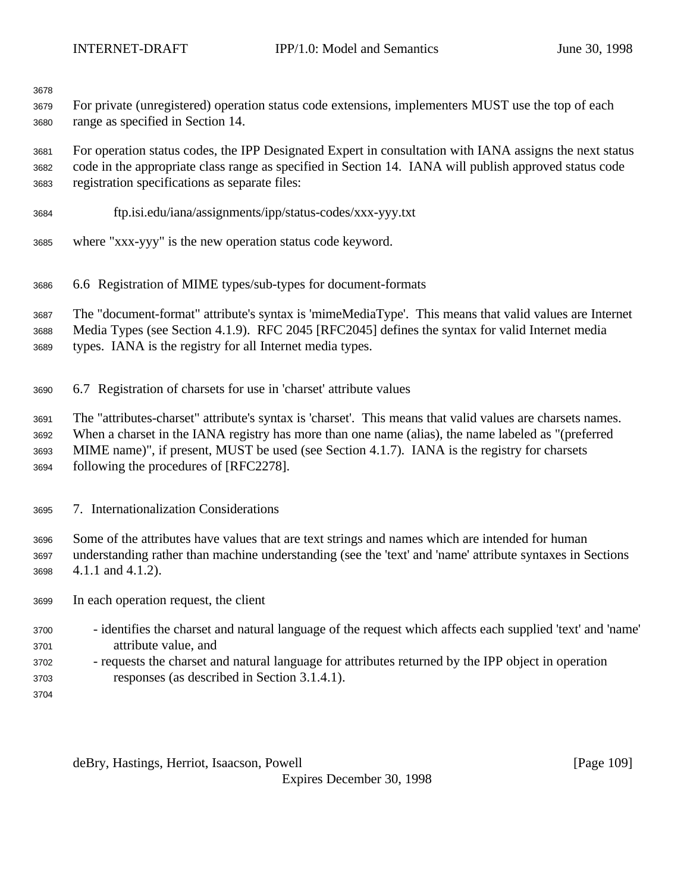For private (unregistered) operation status code extensions, implementers MUST use the top of each range as specified in Section 14.

 For operation status codes, the IPP Designated Expert in consultation with IANA assigns the next status code in the appropriate class range as specified in Section 14. IANA will publish approved status code registration specifications as separate files:

- ftp.isi.edu/iana/assignments/ipp/status-codes/xxx-yyy.txt
- where "xxx-yyy" is the new operation status code keyword.
- 6.6 Registration of MIME types/sub-types for document-formats

The "document-format" attribute's syntax is 'mimeMediaType'. This means that valid values are Internet

Media Types (see Section 4.1.9). RFC 2045 [RFC2045] defines the syntax for valid Internet media

- types. IANA is the registry for all Internet media types.
- 6.7 Registration of charsets for use in 'charset' attribute values

 The "attributes-charset" attribute's syntax is 'charset'. This means that valid values are charsets names. When a charset in the IANA registry has more than one name (alias), the name labeled as "(preferred MIME name)", if present, MUST be used (see Section 4.1.7). IANA is the registry for charsets following the procedures of [RFC2278].

7. Internationalization Considerations

 Some of the attributes have values that are text strings and names which are intended for human understanding rather than machine understanding (see the 'text' and 'name' attribute syntaxes in Sections 4.1.1 and 4.1.2).

In each operation request, the client

- identifies the charset and natural language of the request which affects each supplied 'text' and 'name' attribute value, and
- requests the charset and natural language for attributes returned by the IPP object in operation responses (as described in Section 3.1.4.1).
- 

deBry, Hastings, Herriot, Isaacson, Powell **compared and Contract and Contract Contract (Page 109**)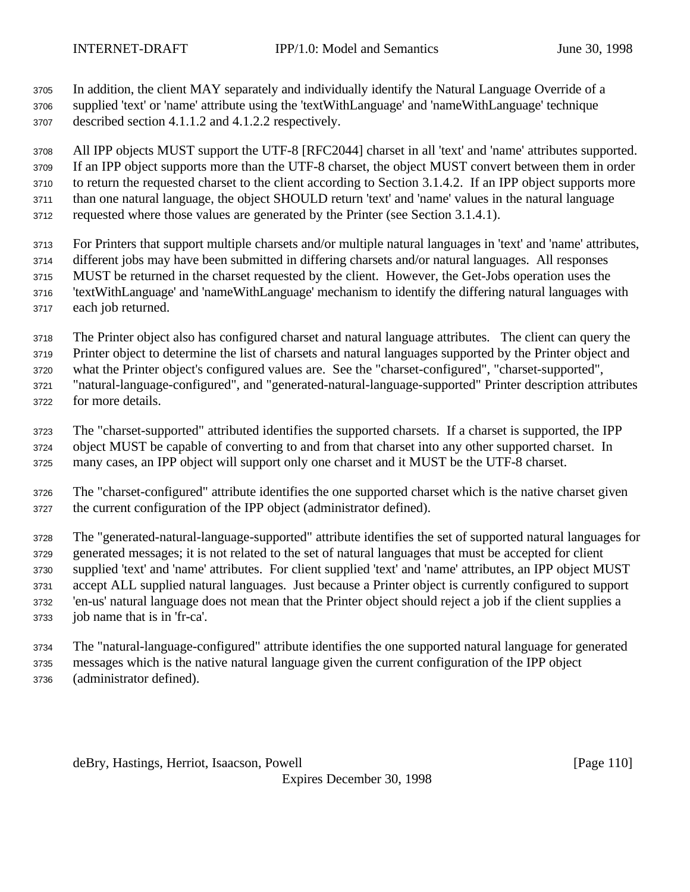In addition, the client MAY separately and individually identify the Natural Language Override of a supplied 'text' or 'name' attribute using the 'textWithLanguage' and 'nameWithLanguage' technique

described section 4.1.1.2 and 4.1.2.2 respectively.

 All IPP objects MUST support the UTF-8 [RFC2044] charset in all 'text' and 'name' attributes supported. If an IPP object supports more than the UTF-8 charset, the object MUST convert between them in order to return the requested charset to the client according to Section 3.1.4.2. If an IPP object supports more than one natural language, the object SHOULD return 'text' and 'name' values in the natural language requested where those values are generated by the Printer (see Section 3.1.4.1).

- For Printers that support multiple charsets and/or multiple natural languages in 'text' and 'name' attributes, different jobs may have been submitted in differing charsets and/or natural languages. All responses MUST be returned in the charset requested by the client. However, the Get-Jobs operation uses the 'textWithLanguage' and 'nameWithLanguage' mechanism to identify the differing natural languages with each job returned.
- The Printer object also has configured charset and natural language attributes. The client can query the
- Printer object to determine the list of charsets and natural languages supported by the Printer object and what the Printer object's configured values are. See the "charset-configured", "charset-supported",
- "natural-language-configured", and "generated-natural-language-supported" Printer description attributes
- for more details.
- The "charset-supported" attributed identifies the supported charsets. If a charset is supported, the IPP object MUST be capable of converting to and from that charset into any other supported charset. In many cases, an IPP object will support only one charset and it MUST be the UTF-8 charset.
- The "charset-configured" attribute identifies the one supported charset which is the native charset given the current configuration of the IPP object (administrator defined).
- The "generated-natural-language-supported" attribute identifies the set of supported natural languages for generated messages; it is not related to the set of natural languages that must be accepted for client supplied 'text' and 'name' attributes. For client supplied 'text' and 'name' attributes, an IPP object MUST accept ALL supplied natural languages. Just because a Printer object is currently configured to support 'en-us' natural language does not mean that the Printer object should reject a job if the client supplies a job name that is in 'fr-ca'.
- The "natural-language-configured" attribute identifies the one supported natural language for generated messages which is the native natural language given the current configuration of the IPP object (administrator defined).

deBry, Hastings, Herriot, Isaacson, Powell [Page 110]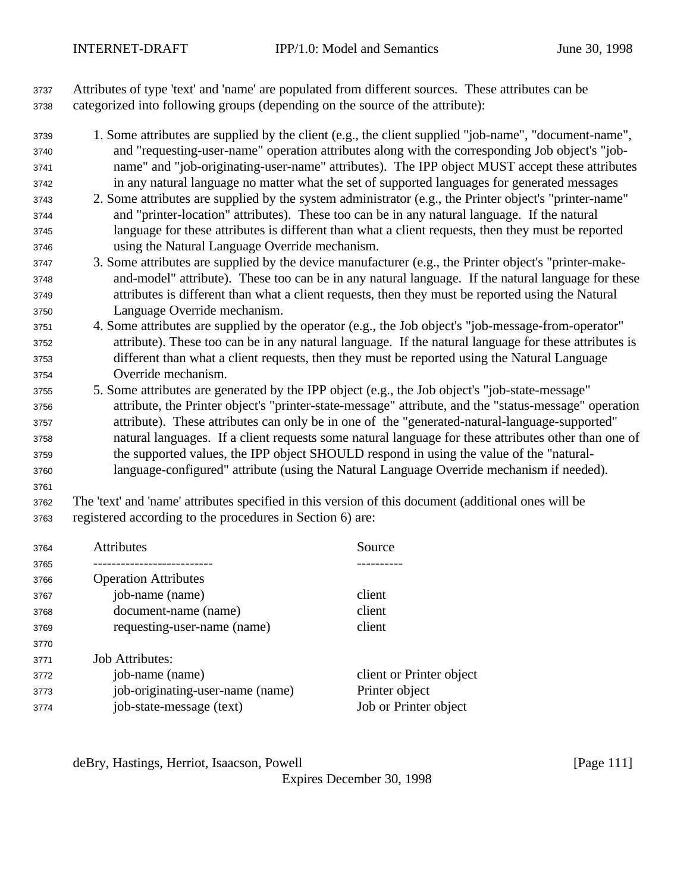Attributes of type 'text' and 'name' are populated from different sources. These attributes can be categorized into following groups (depending on the source of the attribute):

- 1. Some attributes are supplied by the client (e.g., the client supplied "job-name", "document-name", and "requesting-user-name" operation attributes along with the corresponding Job object's "job- name" and "job-originating-user-name" attributes). The IPP object MUST accept these attributes in any natural language no matter what the set of supported languages for generated messages
- 2. Some attributes are supplied by the system administrator (e.g., the Printer object's "printer-name" and "printer-location" attributes). These too can be in any natural language. If the natural language for these attributes is different than what a client requests, then they must be reported using the Natural Language Override mechanism.
- 3. Some attributes are supplied by the device manufacturer (e.g., the Printer object's "printer-make- and-model" attribute). These too can be in any natural language. If the natural language for these attributes is different than what a client requests, then they must be reported using the Natural Language Override mechanism.
- 4. Some attributes are supplied by the operator (e.g., the Job object's "job-message-from-operator" attribute). These too can be in any natural language. If the natural language for these attributes is different than what a client requests, then they must be reported using the Natural Language Override mechanism.
- 5. Some attributes are generated by the IPP object (e.g., the Job object's "job-state-message" attribute, the Printer object's "printer-state-message" attribute, and the "status-message" operation attribute). These attributes can only be in one of the "generated-natural-language-supported" natural languages. If a client requests some natural language for these attributes other than one of the supported values, the IPP object SHOULD respond in using the value of the "natural-language-configured" attribute (using the Natural Language Override mechanism if needed).
- 
- The 'text' and 'name' attributes specified in this version of this document (additional ones will be registered according to the procedures in Section 6) are:

| 3764 | <b>Attributes</b>                | Source                   |
|------|----------------------------------|--------------------------|
| 3765 |                                  |                          |
| 3766 | <b>Operation Attributes</b>      |                          |
| 3767 | job-name (name)                  | client                   |
| 3768 | document-name (name)             | client                   |
| 3769 | requesting-user-name (name)      | client                   |
| 3770 |                                  |                          |
| 3771 | <b>Job Attributes:</b>           |                          |
| 3772 | job-name (name)                  | client or Printer object |
| 3773 | job-originating-user-name (name) | Printer object           |
| 3774 | job-state-message (text)         | Job or Printer object    |
|      |                                  |                          |

deBry, Hastings, Herriot, Isaacson, Powell [Page 111]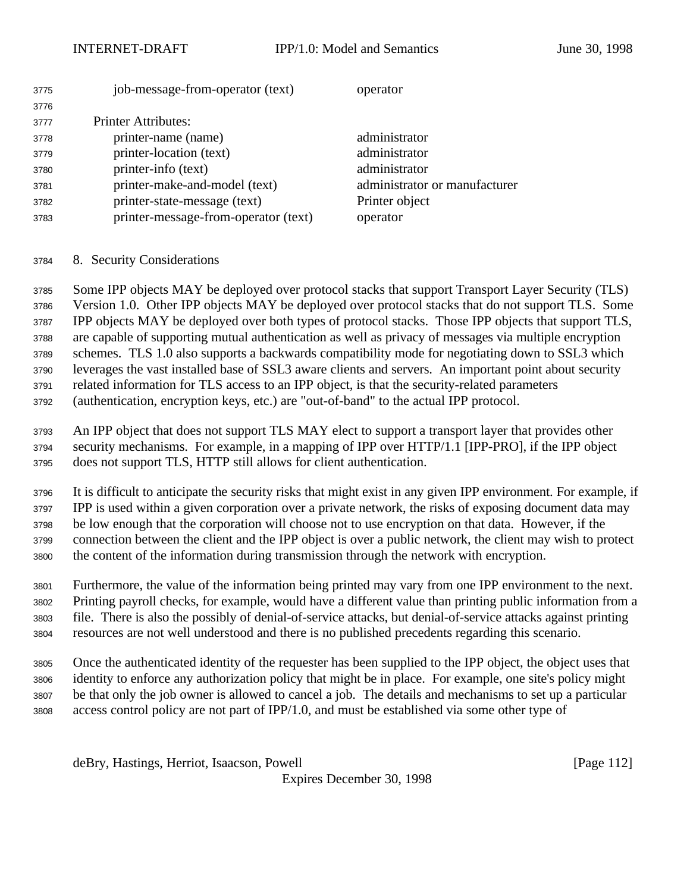### INTERNET-DRAFT **IPP/1.0:** Model and Semantics June 30, 1998

| 3775 | job-message-from-operator (text)     | operator                      |
|------|--------------------------------------|-------------------------------|
| 3776 |                                      |                               |
| 3777 | <b>Printer Attributes:</b>           |                               |
| 3778 | printer-name (name)                  | administrator                 |
| 3779 | printer-location (text)              | administrator                 |
| 3780 | printer-info (text)                  | administrator                 |
| 3781 | printer-make-and-model (text)        | administrator or manufacturer |
| 3782 | printer-state-message (text)         | Printer object                |
| 3783 | printer-message-from-operator (text) | operator                      |
|      |                                      |                               |

8. Security Considerations

 Some IPP objects MAY be deployed over protocol stacks that support Transport Layer Security (TLS) Version 1.0. Other IPP objects MAY be deployed over protocol stacks that do not support TLS. Some IPP objects MAY be deployed over both types of protocol stacks. Those IPP objects that support TLS, are capable of supporting mutual authentication as well as privacy of messages via multiple encryption schemes. TLS 1.0 also supports a backwards compatibility mode for negotiating down to SSL3 which leverages the vast installed base of SSL3 aware clients and servers. An important point about security related information for TLS access to an IPP object, is that the security-related parameters (authentication, encryption keys, etc.) are "out-of-band" to the actual IPP protocol.

 An IPP object that does not support TLS MAY elect to support a transport layer that provides other security mechanisms. For example, in a mapping of IPP over HTTP/1.1 [IPP-PRO], if the IPP object does not support TLS, HTTP still allows for client authentication.

 It is difficult to anticipate the security risks that might exist in any given IPP environment. For example, if IPP is used within a given corporation over a private network, the risks of exposing document data may be low enough that the corporation will choose not to use encryption on that data. However, if the connection between the client and the IPP object is over a public network, the client may wish to protect the content of the information during transmission through the network with encryption.

 Furthermore, the value of the information being printed may vary from one IPP environment to the next. Printing payroll checks, for example, would have a different value than printing public information from a file. There is also the possibly of denial-of-service attacks, but denial-of-service attacks against printing resources are not well understood and there is no published precedents regarding this scenario.

 Once the authenticated identity of the requester has been supplied to the IPP object, the object uses that identity to enforce any authorization policy that might be in place. For example, one site's policy might be that only the job owner is allowed to cancel a job. The details and mechanisms to set up a particular access control policy are not part of IPP/1.0, and must be established via some other type of

deBry, Hastings, Herriot, Isaacson, Powell [Page 112]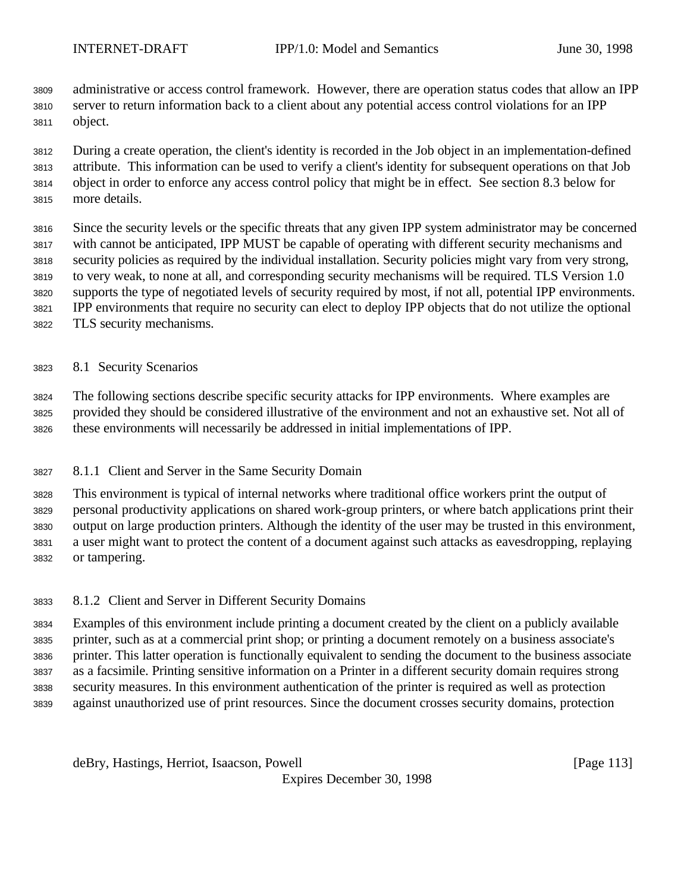administrative or access control framework. However, there are operation status codes that allow an IPP server to return information back to a client about any potential access control violations for an IPP object.

 During a create operation, the client's identity is recorded in the Job object in an implementation-defined attribute. This information can be used to verify a client's identity for subsequent operations on that Job object in order to enforce any access control policy that might be in effect. See section 8.3 below for more details.

 Since the security levels or the specific threats that any given IPP system administrator may be concerned with cannot be anticipated, IPP MUST be capable of operating with different security mechanisms and security policies as required by the individual installation. Security policies might vary from very strong, to very weak, to none at all, and corresponding security mechanisms will be required. TLS Version 1.0 supports the type of negotiated levels of security required by most, if not all, potential IPP environments. IPP environments that require no security can elect to deploy IPP objects that do not utilize the optional TLS security mechanisms.

# 8.1 Security Scenarios

 The following sections describe specific security attacks for IPP environments. Where examples are provided they should be considered illustrative of the environment and not an exhaustive set. Not all of these environments will necessarily be addressed in initial implementations of IPP.

8.1.1 Client and Server in the Same Security Domain

 This environment is typical of internal networks where traditional office workers print the output of personal productivity applications on shared work-group printers, or where batch applications print their output on large production printers. Although the identity of the user may be trusted in this environment, a user might want to protect the content of a document against such attacks as eavesdropping, replaying or tampering.

8.1.2 Client and Server in Different Security Domains

 Examples of this environment include printing a document created by the client on a publicly available printer, such as at a commercial print shop; or printing a document remotely on a business associate's printer. This latter operation is functionally equivalent to sending the document to the business associate as a facsimile. Printing sensitive information on a Printer in a different security domain requires strong security measures. In this environment authentication of the printer is required as well as protection against unauthorized use of print resources. Since the document crosses security domains, protection

deBry, Hastings, Herriot, Isaacson, Powell [Page 113]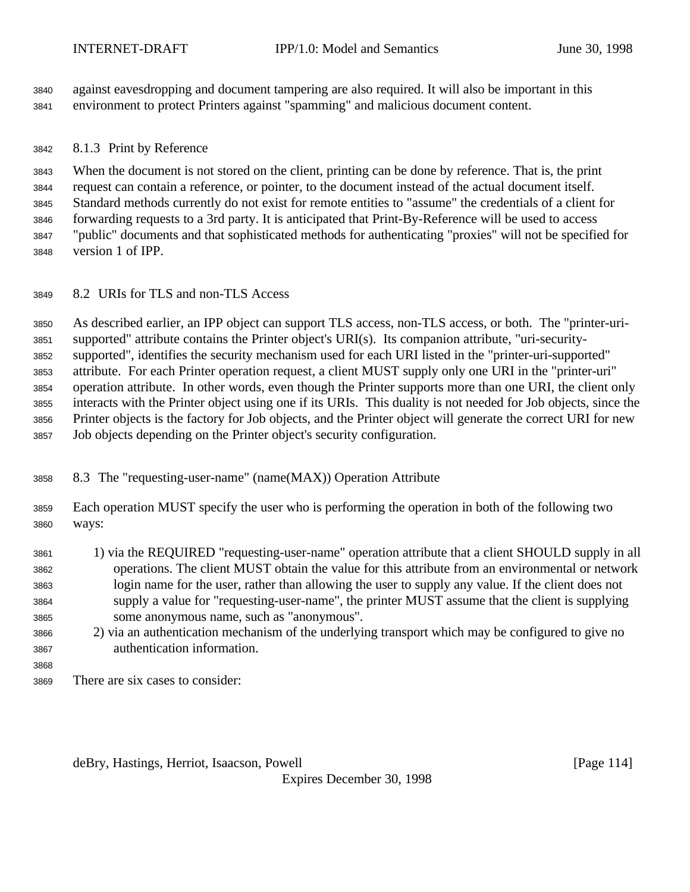against eavesdropping and document tampering are also required. It will also be important in this environment to protect Printers against "spamming" and malicious document content.

## 8.1.3 Print by Reference

 When the document is not stored on the client, printing can be done by reference. That is, the print request can contain a reference, or pointer, to the document instead of the actual document itself. Standard methods currently do not exist for remote entities to "assume" the credentials of a client for forwarding requests to a 3rd party. It is anticipated that Print-By-Reference will be used to access "public" documents and that sophisticated methods for authenticating "proxies" will not be specified for version 1 of IPP.

8.2 URIs for TLS and non-TLS Access

 As described earlier, an IPP object can support TLS access, non-TLS access, or both. The "printer-uri- supported" attribute contains the Printer object's URI(s). Its companion attribute, "uri-security- supported", identifies the security mechanism used for each URI listed in the "printer-uri-supported" attribute. For each Printer operation request, a client MUST supply only one URI in the "printer-uri" operation attribute. In other words, even though the Printer supports more than one URI, the client only interacts with the Printer object using one if its URIs. This duality is not needed for Job objects, since the Printer objects is the factory for Job objects, and the Printer object will generate the correct URI for new Job objects depending on the Printer object's security configuration.

- 8.3 The "requesting-user-name" (name(MAX)) Operation Attribute
- Each operation MUST specify the user who is performing the operation in both of the following two ways:
- 1) via the REQUIRED "requesting-user-name" operation attribute that a client SHOULD supply in all operations. The client MUST obtain the value for this attribute from an environmental or network login name for the user, rather than allowing the user to supply any value. If the client does not supply a value for "requesting-user-name", the printer MUST assume that the client is supplying some anonymous name, such as "anonymous".
- 2) via an authentication mechanism of the underlying transport which may be configured to give no authentication information.
- There are six cases to consider:

deBry, Hastings, Herriot, Isaacson, Powell **compared and Containers** and Containers and Containers and Container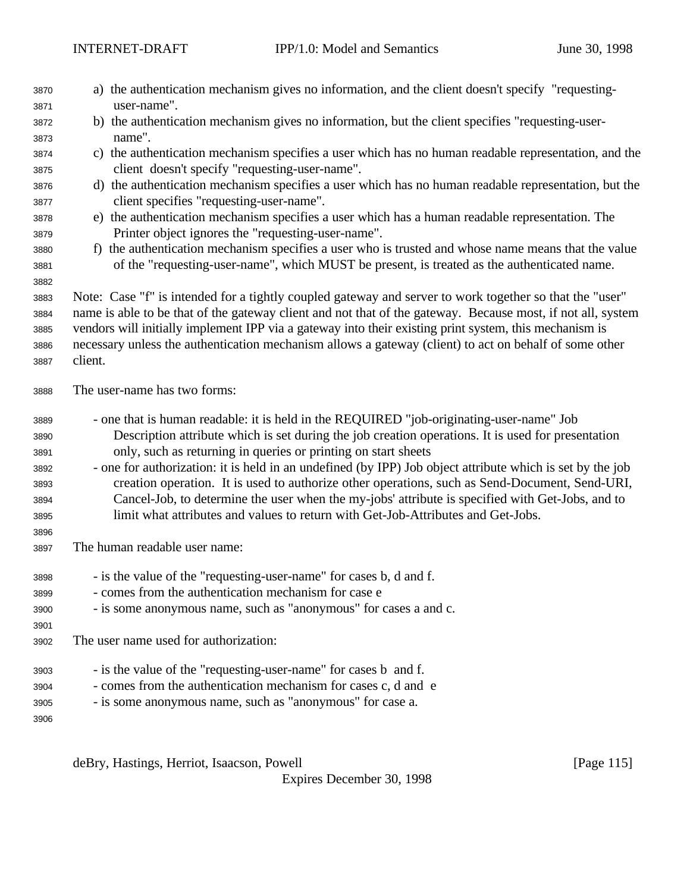| 3870<br>3871 | a) the authentication mechanism gives no information, and the client doesn't specify "requesting-<br>user-name".                  |
|--------------|-----------------------------------------------------------------------------------------------------------------------------------|
| 3872         | b) the authentication mechanism gives no information, but the client specifies "requesting-user-                                  |
| 3873         | name".                                                                                                                            |
| 3874         | c) the authentication mechanism specifies a user which has no human readable representation, and the                              |
| 3875         | client doesn't specify "requesting-user-name".                                                                                    |
| 3876         | d) the authentication mechanism specifies a user which has no human readable representation, but the                              |
| 3877         | client specifies "requesting-user-name".                                                                                          |
| 3878         | e) the authentication mechanism specifies a user which has a human readable representation. The                                   |
| 3879         | Printer object ignores the "requesting-user-name".                                                                                |
| 3880         | f) the authentication mechanism specifies a user who is trusted and whose name means that the value                               |
| 3881         | of the "requesting-user-name", which MUST be present, is treated as the authenticated name.                                       |
| 3882         |                                                                                                                                   |
| 3883         | Note: Case "f" is intended for a tightly coupled gateway and server to work together so that the "user"                           |
| 3884         | name is able to be that of the gateway client and not that of the gateway. Because most, if not all, system                       |
| 3885         | vendors will initially implement IPP via a gateway into their existing print system, this mechanism is                            |
| 3886         | necessary unless the authentication mechanism allows a gateway (client) to act on behalf of some other                            |
| 3887         | client.                                                                                                                           |
| 3888         | The user-name has two forms:                                                                                                      |
| 3889         | - one that is human readable: it is held in the REQUIRED "job-originating-user-name" Job                                          |
| 3890         | Description attribute which is set during the job creation operations. It is used for presentation                                |
| 3891         | only, such as returning in queries or printing on start sheets                                                                    |
| 3892         | - one for authorization: it is held in an undefined (by IPP) Job object attribute which is set by the job                         |
| 3893         | creation operation. It is used to authorize other operations, such as Send-Document, Send-URI,                                    |
| 3894         | Cancel-Job, to determine the user when the my-jobs' attribute is specified with Get-Jobs, and to                                  |
| 3895         | limit what attributes and values to return with Get-Job-Attributes and Get-Jobs.                                                  |
| 3896         |                                                                                                                                   |
| 3897         | The human readable user name:                                                                                                     |
| 3898         | - is the value of the "requesting-user-name" for cases b, d and f.                                                                |
| 3899         | - comes from the authentication mechanism for case e                                                                              |
| 3900         | - is some anonymous name, such as "anonymous" for cases a and c.                                                                  |
| 3901         |                                                                                                                                   |
| 3902         | The user name used for authorization:                                                                                             |
|              |                                                                                                                                   |
| 3903         |                                                                                                                                   |
| 3904         | - is the value of the "requesting-user-name" for cases b and f.<br>- comes from the authentication mechanism for cases c, d and e |
| 3905         |                                                                                                                                   |
| 3906         | - is some anonymous name, such as "anonymous" for case a.                                                                         |

deBry, Hastings, Herriot, Isaacson, Powell [Page 115]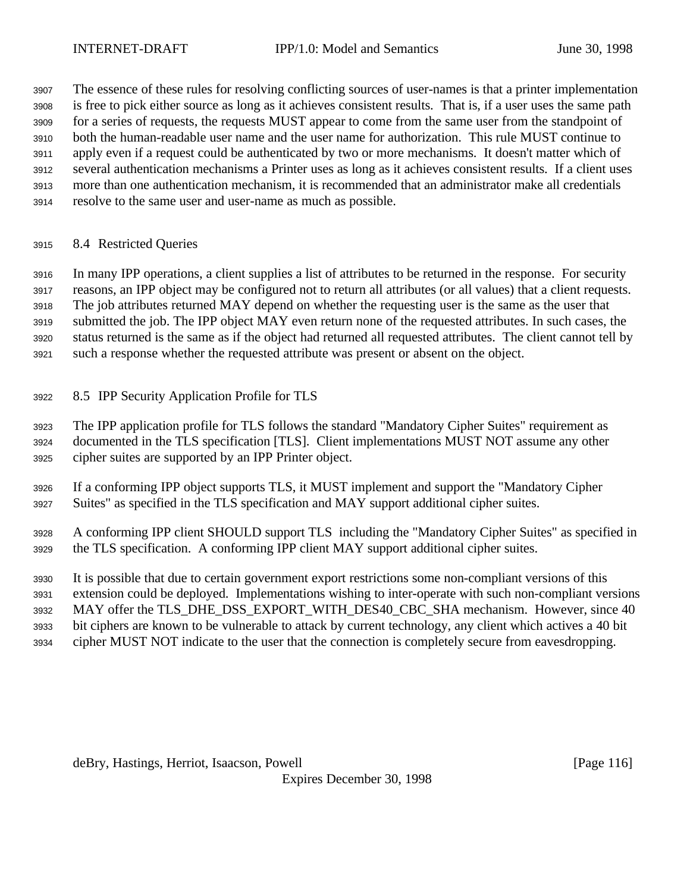The essence of these rules for resolving conflicting sources of user-names is that a printer implementation is free to pick either source as long as it achieves consistent results. That is, if a user uses the same path for a series of requests, the requests MUST appear to come from the same user from the standpoint of both the human-readable user name and the user name for authorization. This rule MUST continue to apply even if a request could be authenticated by two or more mechanisms. It doesn't matter which of several authentication mechanisms a Printer uses as long as it achieves consistent results. If a client uses more than one authentication mechanism, it is recommended that an administrator make all credentials

- resolve to the same user and user-name as much as possible.
- 8.4 Restricted Queries

 In many IPP operations, a client supplies a list of attributes to be returned in the response. For security reasons, an IPP object may be configured not to return all attributes (or all values) that a client requests. The job attributes returned MAY depend on whether the requesting user is the same as the user that submitted the job. The IPP object MAY even return none of the requested attributes. In such cases, the status returned is the same as if the object had returned all requested attributes. The client cannot tell by such a response whether the requested attribute was present or absent on the object.

8.5 IPP Security Application Profile for TLS

 The IPP application profile for TLS follows the standard "Mandatory Cipher Suites" requirement as documented in the TLS specification [TLS]. Client implementations MUST NOT assume any other cipher suites are supported by an IPP Printer object.

 If a conforming IPP object supports TLS, it MUST implement and support the "Mandatory Cipher Suites" as specified in the TLS specification and MAY support additional cipher suites.

 A conforming IPP client SHOULD support TLS including the "Mandatory Cipher Suites" as specified in the TLS specification. A conforming IPP client MAY support additional cipher suites.

It is possible that due to certain government export restrictions some non-compliant versions of this

extension could be deployed. Implementations wishing to inter-operate with such non-compliant versions

3932 MAY offer the TLS\_DHE\_DSS\_EXPORT\_WITH\_DES40\_CBC\_SHA mechanism. However, since 40

bit ciphers are known to be vulnerable to attack by current technology, any client which actives a 40 bit

cipher MUST NOT indicate to the user that the connection is completely secure from eavesdropping.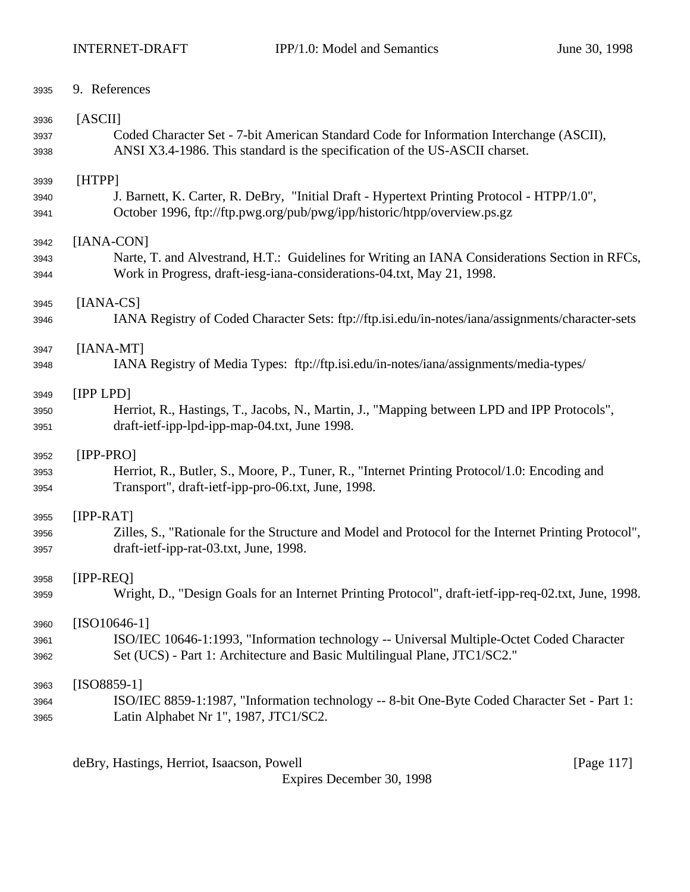| 3935 | 9. References                                                                                        |
|------|------------------------------------------------------------------------------------------------------|
| 3936 | [ASCII]                                                                                              |
| 3937 | Coded Character Set - 7-bit American Standard Code for Information Interchange (ASCII),              |
| 3938 | ANSI X3.4-1986. This standard is the specification of the US-ASCII charset.                          |
| 3939 | [HTPP]                                                                                               |
| 3940 | J. Barnett, K. Carter, R. DeBry, "Initial Draft - Hypertext Printing Protocol - HTPP/1.0",           |
| 3941 | October 1996, ftp://ftp.pwg.org/pub/pwg/ipp/historic/htpp/overview.ps.gz                             |
| 3942 | [IANA-CON]                                                                                           |
| 3943 | Narte, T. and Alvestrand, H.T.: Guidelines for Writing an IANA Considerations Section in RFCs,       |
| 3944 | Work in Progress, draft-iesg-iana-considerations-04.txt, May 21, 1998.                               |
| 3945 | $[IANA-CS]$                                                                                          |
| 3946 | IANA Registry of Coded Character Sets: ftp://ftp.isi.edu/in-notes/iana/assignments/character-sets    |
| 3947 | $[IANA-MT]$                                                                                          |
| 3948 | IANA Registry of Media Types: ftp://ftp.isi.edu/in-notes/iana/assignments/media-types/               |
| 3949 | [IPP LPD]                                                                                            |
| 3950 | Herriot, R., Hastings, T., Jacobs, N., Martin, J., "Mapping between LPD and IPP Protocols",          |
| 3951 | draft-ietf-ipp-lpd-ipp-map-04.txt, June 1998.                                                        |
| 3952 | $[IPP-PRO]$                                                                                          |
| 3953 | Herriot, R., Butler, S., Moore, P., Tuner, R., "Internet Printing Protocol/1.0: Encoding and         |
| 3954 | Transport", draft-ietf-ipp-pro-06.txt, June, 1998.                                                   |
| 3955 | $[IPP-RAT]$                                                                                          |
| 3956 | Zilles, S., "Rationale for the Structure and Model and Protocol for the Internet Printing Protocol", |
| 3957 | draft-ietf-ipp-rat-03.txt, June, 1998.                                                               |
| 3958 | [IPP-REQ]                                                                                            |
| 3959 | Wright, D., "Design Goals for an Internet Printing Protocol", draft-ietf-ipp-req-02.txt, June, 1998. |
| 3960 | $[ISO10646-1]$                                                                                       |
| 3961 | ISO/IEC 10646-1:1993, "Information technology -- Universal Multiple-Octet Coded Character            |
| 3962 | Set (UCS) - Part 1: Architecture and Basic Multilingual Plane, JTC1/SC2."                            |
| 3963 | $[ISO8859-1]$                                                                                        |
| 3964 | ISO/IEC 8859-1:1987, "Information technology -- 8-bit One-Byte Coded Character Set - Part 1:         |
| 3965 | Latin Alphabet Nr 1", 1987, JTC1/SC2.                                                                |

deBry, Hastings, Herriot, Isaacson, Powell [Page 117]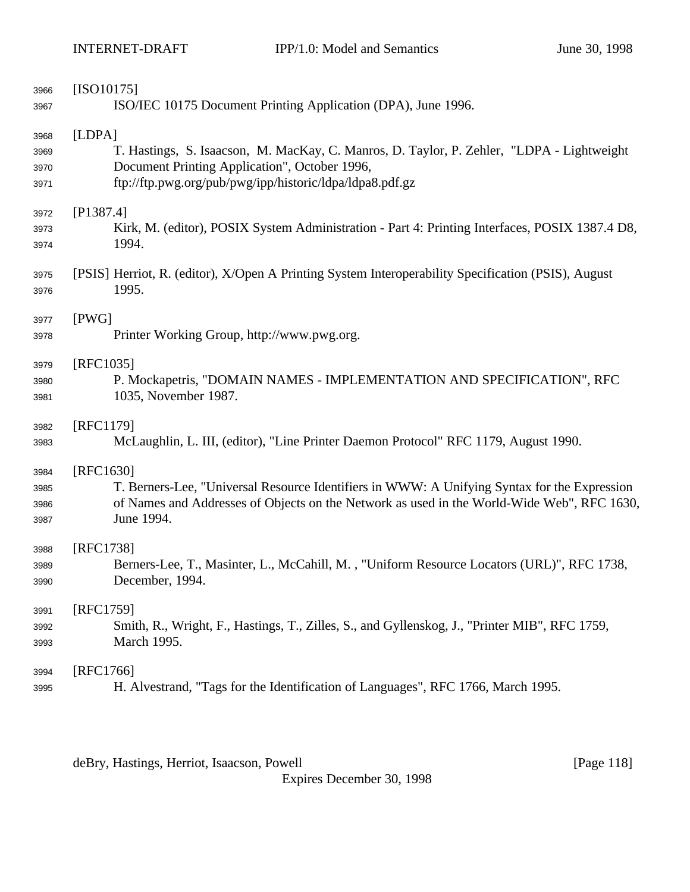| 3966 | $[ISO10175]$                                                                                        |
|------|-----------------------------------------------------------------------------------------------------|
| 3967 | ISO/IEC 10175 Document Printing Application (DPA), June 1996.                                       |
| 3968 | [LDPA]                                                                                              |
| 3969 | T. Hastings, S. Isaacson, M. MacKay, C. Manros, D. Taylor, P. Zehler, "LDPA - Lightweight           |
| 3970 | Document Printing Application", October 1996,                                                       |
| 3971 | ftp://ftp.pwg.org/pub/pwg/ipp/historic/ldpa/ldpa8.pdf.gz                                            |
| 3972 | [P1387.4]                                                                                           |
| 3973 | Kirk, M. (editor), POSIX System Administration - Part 4: Printing Interfaces, POSIX 1387.4 D8,      |
| 3974 | 1994.                                                                                               |
| 3975 | [PSIS] Herriot, R. (editor), X/Open A Printing System Interoperability Specification (PSIS), August |
| 3976 | 1995.                                                                                               |
| 3977 | [PWG]                                                                                               |
| 3978 | Printer Working Group, http://www.pwg.org.                                                          |
| 3979 | [RFC1035]                                                                                           |
| 3980 | P. Mockapetris, "DOMAIN NAMES - IMPLEMENTATION AND SPECIFICATION", RFC                              |
| 3981 | 1035, November 1987.                                                                                |
| 3982 | [RFC1179]                                                                                           |
| 3983 | McLaughlin, L. III, (editor), "Line Printer Daemon Protocol" RFC 1179, August 1990.                 |
| 3984 | [RFC1630]                                                                                           |
| 3985 | T. Berners-Lee, "Universal Resource Identifiers in WWW: A Unifying Syntax for the Expression        |
| 3986 | of Names and Addresses of Objects on the Network as used in the World-Wide Web", RFC 1630,          |
| 3987 | June 1994.                                                                                          |
| 3988 | [RFC1738]                                                                                           |
| 3989 | Berners-Lee, T., Masinter, L., McCahill, M., "Uniform Resource Locators (URL)", RFC 1738,           |
| 3990 | December, 1994.                                                                                     |
| 3991 | [RFC1759]                                                                                           |
| 3992 | Smith, R., Wright, F., Hastings, T., Zilles, S., and Gyllenskog, J., "Printer MIB", RFC 1759,       |
| 3993 | March 1995.                                                                                         |
| 3994 | [RFC1766]                                                                                           |
| 3995 | H. Alvestrand, "Tags for the Identification of Languages", RFC 1766, March 1995.                    |

deBry, Hastings, Herriot, Isaacson, Powell [Page 118]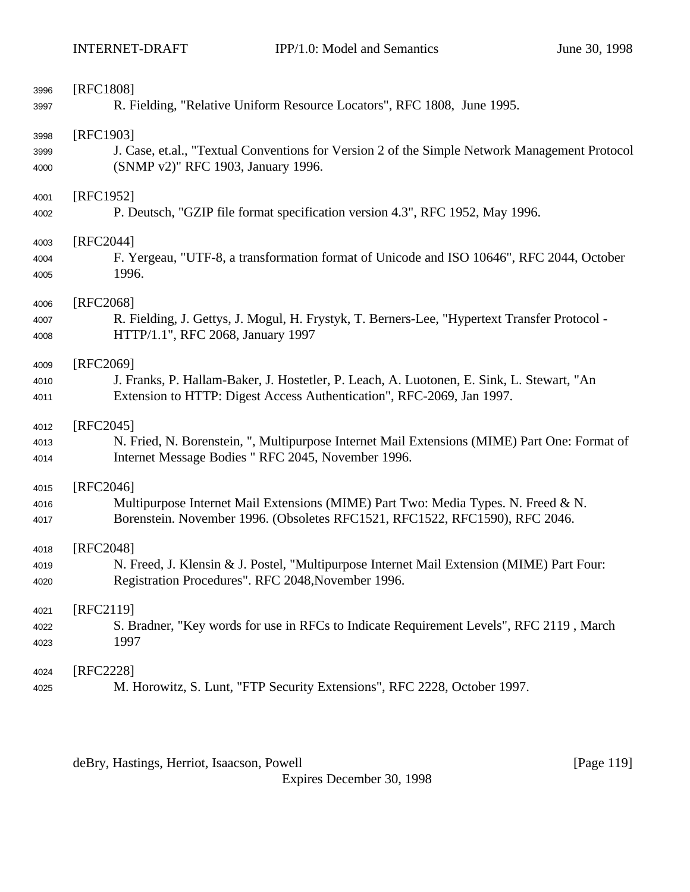| 3996 | [RFC1808]                                                                                     |
|------|-----------------------------------------------------------------------------------------------|
| 3997 | R. Fielding, "Relative Uniform Resource Locators", RFC 1808, June 1995.                       |
| 3998 | [RFC1903]                                                                                     |
| 3999 | J. Case, et.al., "Textual Conventions for Version 2 of the Simple Network Management Protocol |
| 4000 | (SNMP v2)" RFC 1903, January 1996.                                                            |
| 4001 | [RFC1952]                                                                                     |
| 4002 | P. Deutsch, "GZIP file format specification version 4.3", RFC 1952, May 1996.                 |
| 4003 | [RFC2044]                                                                                     |
| 4004 | F. Yergeau, "UTF-8, a transformation format of Unicode and ISO 10646", RFC 2044, October      |
| 4005 | 1996.                                                                                         |
| 4006 | [RFC2068]                                                                                     |
| 4007 | R. Fielding, J. Gettys, J. Mogul, H. Frystyk, T. Berners-Lee, "Hypertext Transfer Protocol -  |
| 4008 | HTTP/1.1", RFC 2068, January 1997                                                             |
| 4009 | [RFC2069]                                                                                     |
| 4010 | J. Franks, P. Hallam-Baker, J. Hostetler, P. Leach, A. Luotonen, E. Sink, L. Stewart, "An     |
| 4011 | Extension to HTTP: Digest Access Authentication", RFC-2069, Jan 1997.                         |
| 4012 | $[RFC2045]$                                                                                   |
| 4013 | N. Fried, N. Borenstein, ", Multipurpose Internet Mail Extensions (MIME) Part One: Format of  |
| 4014 | Internet Message Bodies " RFC 2045, November 1996.                                            |
| 4015 | $[RFC2046]$                                                                                   |
| 4016 | Multipurpose Internet Mail Extensions (MIME) Part Two: Media Types. N. Freed & N.             |
| 4017 | Borenstein. November 1996. (Obsoletes RFC1521, RFC1522, RFC1590), RFC 2046.                   |
| 4018 | [RFC2048]                                                                                     |
| 4019 | N. Freed, J. Klensin & J. Postel, "Multipurpose Internet Mail Extension (MIME) Part Four:     |
| 4020 | Registration Procedures". RFC 2048, November 1996.                                            |
| 4021 | [RFC2119]                                                                                     |
| 4022 | S. Bradner, "Key words for use in RFCs to Indicate Requirement Levels", RFC 2119, March       |
| 4023 | 1997                                                                                          |
| 4024 | [RFC2228]                                                                                     |
| 4025 | M. Horowitz, S. Lunt, "FTP Security Extensions", RFC 2228, October 1997.                      |

deBry, Hastings, Herriot, Isaacson, Powell [Page 119]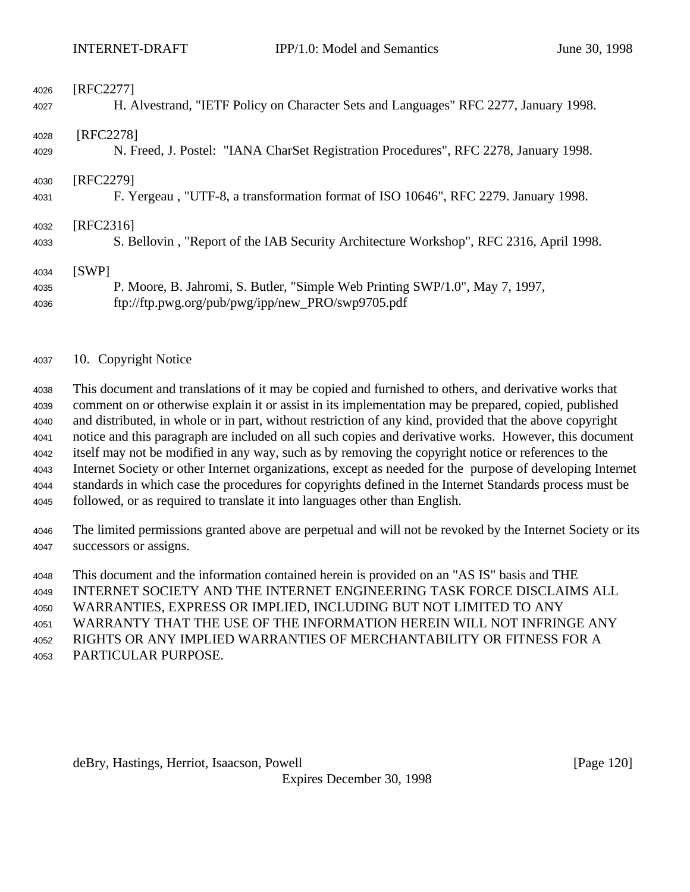| 4026 | [RFC2277]                                                                              |
|------|----------------------------------------------------------------------------------------|
| 4027 | H. Alvestrand, "IETF Policy on Character Sets and Languages" RFC 2277, January 1998.   |
| 4028 | [RFC2278]                                                                              |
| 4029 | N. Freed, J. Postel: "IANA CharSet Registration Procedures", RFC 2278, January 1998.   |
| 4030 | [RFC2279]                                                                              |
| 4031 | F. Yergeau, "UTF-8, a transformation format of ISO 10646", RFC 2279. January 1998.     |
| 4032 | [RFC2316]                                                                              |
| 4033 | S. Bellovin, "Report of the IAB Security Architecture Workshop", RFC 2316, April 1998. |
| 4034 | [SWP]                                                                                  |
| 4035 | P. Moore, B. Jahromi, S. Butler, "Simple Web Printing SWP/1.0", May 7, 1997,           |
| 4036 | ftp://ftp.pwg.org/pub/pwg/ipp/new_PRO/swp9705.pdf                                      |

10. Copyright Notice

 This document and translations of it may be copied and furnished to others, and derivative works that comment on or otherwise explain it or assist in its implementation may be prepared, copied, published and distributed, in whole or in part, without restriction of any kind, provided that the above copyright notice and this paragraph are included on all such copies and derivative works. However, this document itself may not be modified in any way, such as by removing the copyright notice or references to the Internet Society or other Internet organizations, except as needed for the purpose of developing Internet standards in which case the procedures for copyrights defined in the Internet Standards process must be followed, or as required to translate it into languages other than English.

 The limited permissions granted above are perpetual and will not be revoked by the Internet Society or its successors or assigns.

This document and the information contained herein is provided on an "AS IS" basis and THE

INTERNET SOCIETY AND THE INTERNET ENGINEERING TASK FORCE DISCLAIMS ALL

WARRANTIES, EXPRESS OR IMPLIED, INCLUDING BUT NOT LIMITED TO ANY

WARRANTY THAT THE USE OF THE INFORMATION HEREIN WILL NOT INFRINGE ANY

RIGHTS OR ANY IMPLIED WARRANTIES OF MERCHANTABILITY OR FITNESS FOR A

PARTICULAR PURPOSE.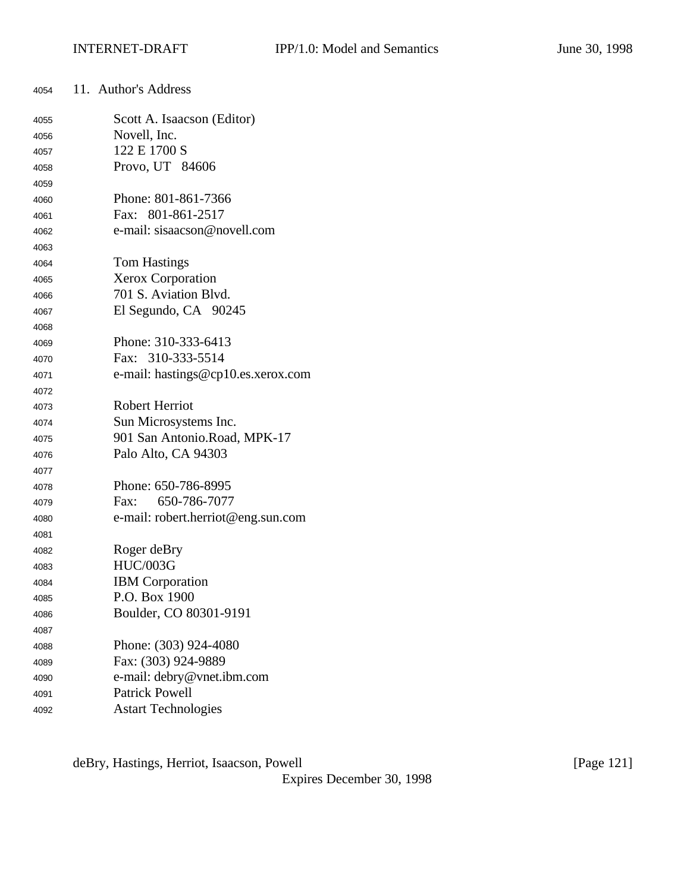| 4054 | 11. Author's Address               |
|------|------------------------------------|
| 4055 | Scott A. Isaacson (Editor)         |
| 4056 | Novell, Inc.                       |
| 4057 | 122 E 1700 S                       |
| 4058 | Provo, UT 84606                    |
| 4059 |                                    |
| 4060 | Phone: 801-861-7366                |
| 4061 | Fax: 801-861-2517                  |
| 4062 | e-mail: sisaacson@novell.com       |
| 4063 |                                    |
| 4064 | <b>Tom Hastings</b>                |
| 4065 | Xerox Corporation                  |
| 4066 | 701 S. Aviation Blvd.              |
| 4067 | El Segundo, CA 90245               |
| 4068 |                                    |
| 4069 | Phone: 310-333-6413                |
| 4070 | Fax: 310-333-5514                  |
| 4071 | e-mail: hastings@cp10.es.xerox.com |
| 4072 |                                    |
| 4073 | <b>Robert Herriot</b>              |
| 4074 | Sun Microsystems Inc.              |
| 4075 | 901 San Antonio.Road, MPK-17       |
| 4076 | Palo Alto, CA 94303                |
| 4077 |                                    |
| 4078 | Phone: 650-786-8995                |
| 4079 | 650-786-7077<br>Fax:               |
| 4080 | e-mail: robert.herriot@eng.sun.com |
| 4081 |                                    |
| 4082 | Roger deBry                        |
| 4083 | <b>HUC/003G</b>                    |
| 4084 | <b>IBM</b> Corporation             |
| 4085 | P.O. Box 1900                      |
| 4086 | Boulder, CO 80301-9191             |
| 4087 |                                    |
| 4088 | Phone: (303) 924-4080              |
| 4089 | Fax: (303) 924-9889                |
| 4090 | e-mail: debry@vnet.ibm.com         |
| 4091 | <b>Patrick Powell</b>              |
| 4092 | <b>Astart Technologies</b>         |

deBry, Hastings, Herriot, Isaacson, Powell [Page 121]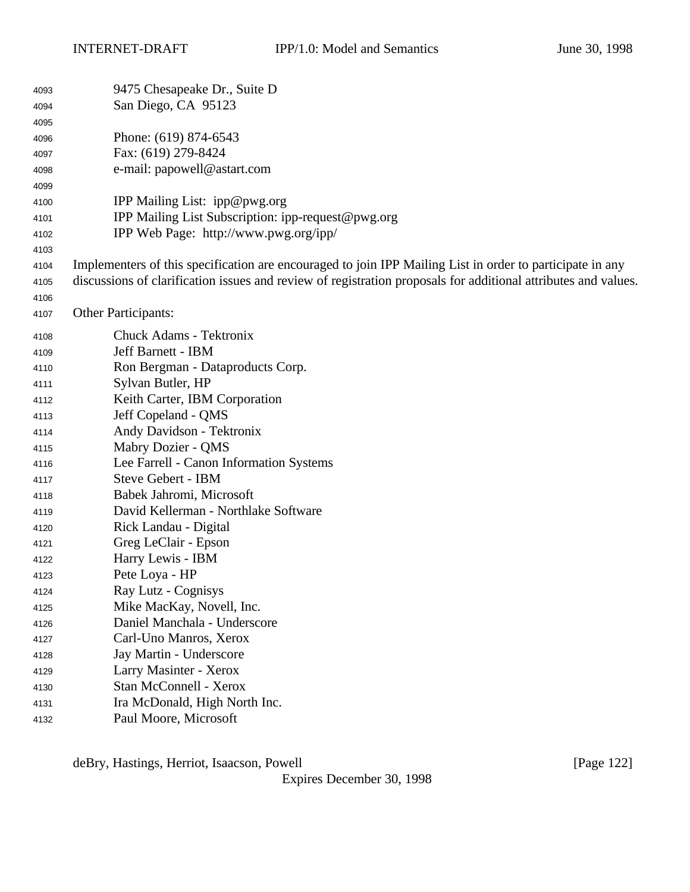| 4093 | 9475 Chesapeake Dr., Suite D                                                                                   |
|------|----------------------------------------------------------------------------------------------------------------|
| 4094 | San Diego, CA 95123                                                                                            |
| 4095 |                                                                                                                |
| 4096 | Phone: (619) 874-6543                                                                                          |
| 4097 | Fax: (619) 279-8424                                                                                            |
| 4098 | e-mail: papowell@astart.com                                                                                    |
| 4099 |                                                                                                                |
| 4100 | IPP Mailing List: ipp@pwg.org                                                                                  |
| 4101 | IPP Mailing List Subscription: ipp-request@pwg.org                                                             |
| 4102 | IPP Web Page: http://www.pwg.org/ipp/                                                                          |
| 4103 |                                                                                                                |
| 4104 | Implementers of this specification are encouraged to join IPP Mailing List in order to participate in any      |
| 4105 | discussions of clarification issues and review of registration proposals for additional attributes and values. |
| 4106 |                                                                                                                |
| 4107 | <b>Other Participants:</b>                                                                                     |
| 4108 | Chuck Adams - Tektronix                                                                                        |
| 4109 | Jeff Barnett - IBM                                                                                             |
| 4110 | Ron Bergman - Dataproducts Corp.                                                                               |
| 4111 | Sylvan Butler, HP                                                                                              |
| 4112 | Keith Carter, IBM Corporation                                                                                  |
| 4113 | Jeff Copeland - QMS                                                                                            |
| 4114 | Andy Davidson - Tektronix                                                                                      |
| 4115 | Mabry Dozier - QMS                                                                                             |
| 4116 | Lee Farrell - Canon Information Systems                                                                        |
| 4117 | <b>Steve Gebert - IBM</b>                                                                                      |
| 4118 | Babek Jahromi, Microsoft                                                                                       |
| 4119 | David Kellerman - Northlake Software                                                                           |
| 4120 | Rick Landau - Digital                                                                                          |
| 4121 | Greg LeClair - Epson                                                                                           |
| 4122 | Harry Lewis - IBM                                                                                              |
| 4123 | Pete Loya - HP                                                                                                 |
| 4124 | Ray Lutz - Cognisys                                                                                            |
| 4125 | Mike MacKay, Novell, Inc.                                                                                      |
| 4126 | Daniel Manchala - Underscore                                                                                   |
| 4127 | Carl-Uno Manros, Xerox                                                                                         |
| 4128 | Jay Martin - Underscore                                                                                        |
| 4129 | Larry Masinter - Xerox                                                                                         |
| 4130 | <b>Stan McConnell - Xerox</b>                                                                                  |
| 4131 | Ira McDonald, High North Inc.                                                                                  |
| 4132 | Paul Moore, Microsoft                                                                                          |

deBry, Hastings, Herriot, Isaacson, Powell [Page 122]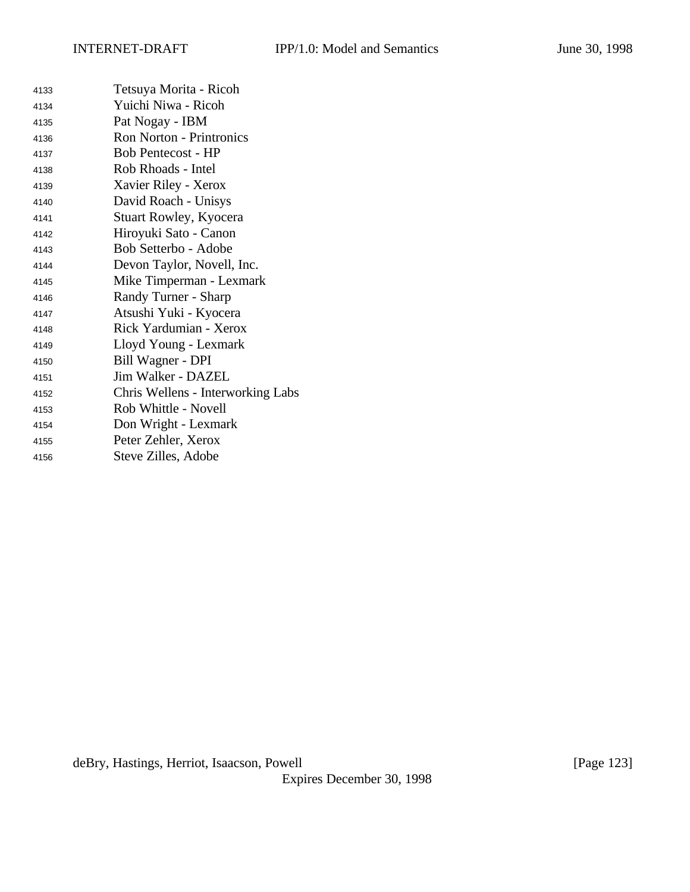| 4133 | Tetsuya Morita - Ricoh            |
|------|-----------------------------------|
| 4134 | Yuichi Niwa - Ricoh               |
| 4135 | Pat Nogay - IBM                   |
| 4136 | <b>Ron Norton - Printronics</b>   |
| 4137 | <b>Bob Pentecost - HP</b>         |
| 4138 | Rob Rhoads - Intel                |
| 4139 | Xavier Riley - Xerox              |
| 4140 | David Roach - Unisys              |
| 4141 | <b>Stuart Rowley, Kyocera</b>     |
| 4142 | Hiroyuki Sato - Canon             |
| 4143 | Bob Setterbo - Adobe              |
| 4144 | Devon Taylor, Novell, Inc.        |
| 4145 | Mike Timperman - Lexmark          |
| 4146 | Randy Turner - Sharp              |
| 4147 | Atsushi Yuki - Kyocera            |
| 4148 | Rick Yardumian - Xerox            |
| 4149 | Lloyd Young - Lexmark             |
| 4150 | Bill Wagner - DPI                 |
| 4151 | Jim Walker - DAZEL                |
| 4152 | Chris Wellens - Interworking Labs |
| 4153 | Rob Whittle - Novell              |
| 4154 | Don Wright - Lexmark              |
| 4155 | Peter Zehler, Xerox               |
| 4156 | Steve Zilles, Adobe               |
|      |                                   |

deBry, Hastings, Herriot, Isaacson, Powell [Page 123]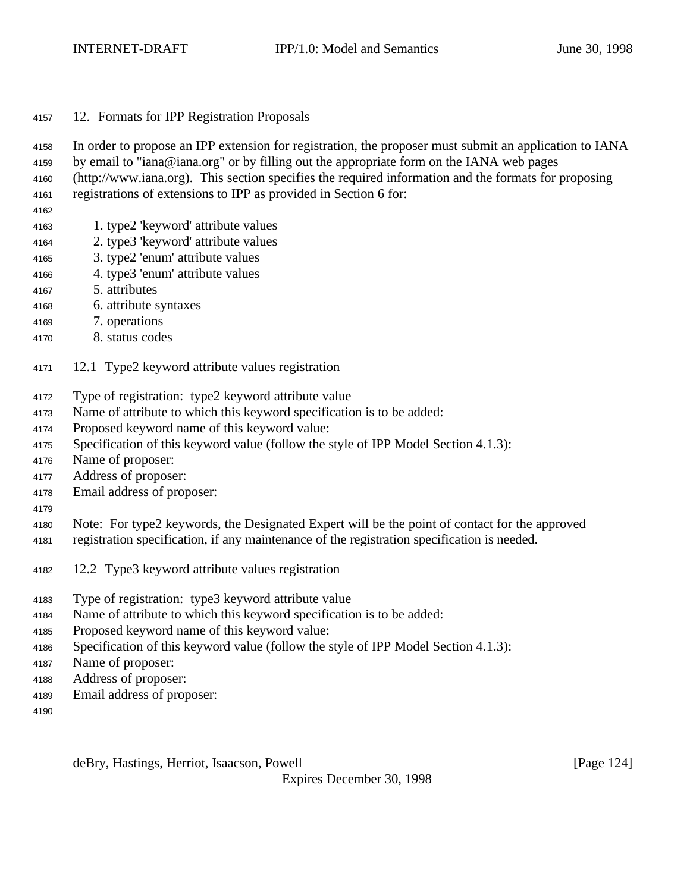- 12. Formats for IPP Registration Proposals
- In order to propose an IPP extension for registration, the proposer must submit an application to IANA
- by email to "iana@iana.org" or by filling out the appropriate form on the IANA web pages
- (http://www.iana.org). This section specifies the required information and the formats for proposing
- registrations of extensions to IPP as provided in Section 6 for:
- 
- 1. type2 'keyword' attribute values
- 2. type3 'keyword' attribute values
- 3. type2 'enum' attribute values
- 4. type3 'enum' attribute values
- 5. attributes
- 6. attribute syntaxes
- 7. operations
- 8. status codes
- 12.1 Type2 keyword attribute values registration
- Type of registration: type2 keyword attribute value
- Name of attribute to which this keyword specification is to be added:
- Proposed keyword name of this keyword value:
- Specification of this keyword value (follow the style of IPP Model Section 4.1.3):
- Name of proposer:
- Address of proposer:
- Email address of proposer:
- 
- Note: For type2 keywords, the Designated Expert will be the point of contact for the approved
- registration specification, if any maintenance of the registration specification is needed.
- 12.2 Type3 keyword attribute values registration
- Type of registration: type3 keyword attribute value
- Name of attribute to which this keyword specification is to be added:
- Proposed keyword name of this keyword value:
- Specification of this keyword value (follow the style of IPP Model Section 4.1.3):
- Name of proposer:
- Address of proposer:
- Email address of proposer:
- 

deBry, Hastings, Herriot, Isaacson, Powell **compare 1241** [Page 124]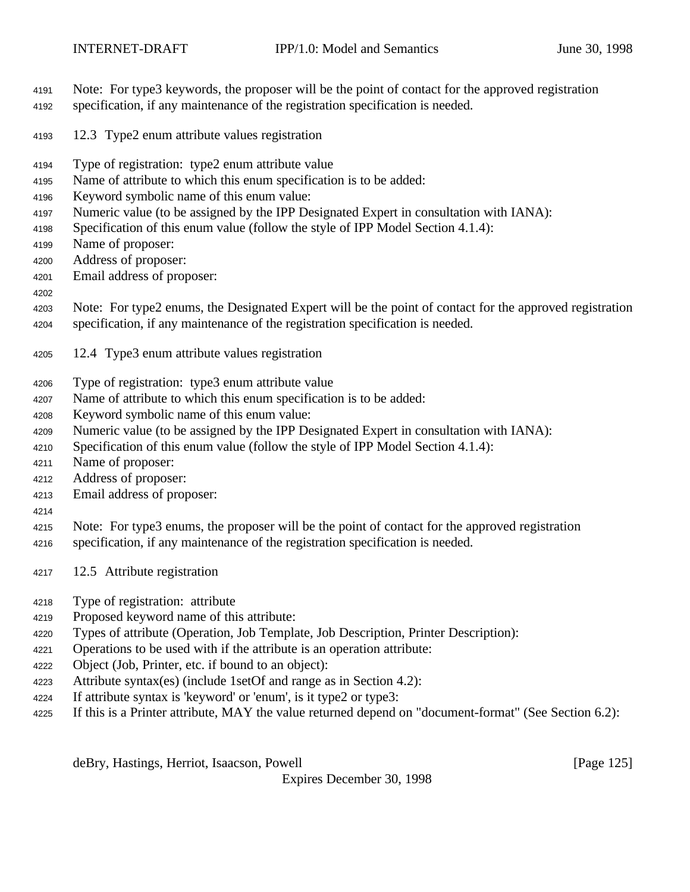- Note: For type3 keywords, the proposer will be the point of contact for the approved registration
- specification, if any maintenance of the registration specification is needed.
- 12.3 Type2 enum attribute values registration
- Type of registration: type2 enum attribute value
- Name of attribute to which this enum specification is to be added:
- Keyword symbolic name of this enum value:
- Numeric value (to be assigned by the IPP Designated Expert in consultation with IANA):
- Specification of this enum value (follow the style of IPP Model Section 4.1.4):
- Name of proposer:
- Address of proposer:
- Email address of proposer:
- 
- Note: For type2 enums, the Designated Expert will be the point of contact for the approved registration specification, if any maintenance of the registration specification is needed.
- 12.4 Type3 enum attribute values registration
- Type of registration: type3 enum attribute value
- Name of attribute to which this enum specification is to be added:
- Keyword symbolic name of this enum value:
- Numeric value (to be assigned by the IPP Designated Expert in consultation with IANA):
- Specification of this enum value (follow the style of IPP Model Section 4.1.4):
- Name of proposer:
- Address of proposer:
- Email address of proposer:
- 

Note: For type3 enums, the proposer will be the point of contact for the approved registration

- specification, if any maintenance of the registration specification is needed.
- 12.5 Attribute registration
- Type of registration: attribute
- Proposed keyword name of this attribute:
- Types of attribute (Operation, Job Template, Job Description, Printer Description):
- Operations to be used with if the attribute is an operation attribute:
- Object (Job, Printer, etc. if bound to an object):
- Attribute syntax(es) (include 1setOf and range as in Section 4.2):
- If attribute syntax is 'keyword' or 'enum', is it type2 or type3:
- If this is a Printer attribute, MAY the value returned depend on "document-format" (See Section 6.2):

deBry, Hastings, Herriot, Isaacson, Powell [Page 125]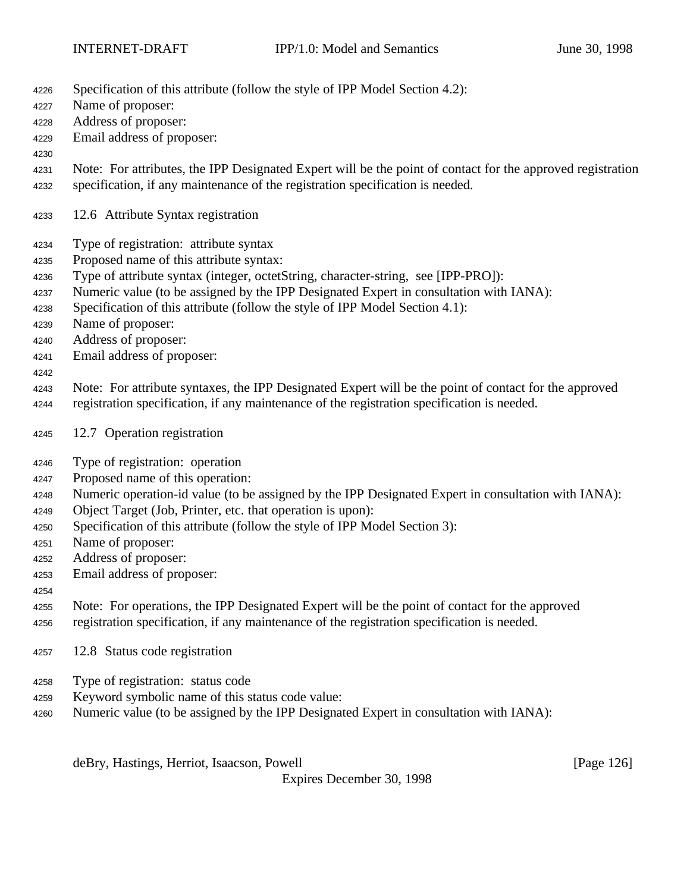- Specification of this attribute (follow the style of IPP Model Section 4.2):
- Name of proposer:
- Address of proposer:
- Email address of proposer:
- 
- Note: For attributes, the IPP Designated Expert will be the point of contact for the approved registration specification, if any maintenance of the registration specification is needed.
- 12.6 Attribute Syntax registration
- Type of registration: attribute syntax
- Proposed name of this attribute syntax:
- Type of attribute syntax (integer, octetString, character-string, see [IPP-PRO]):
- Numeric value (to be assigned by the IPP Designated Expert in consultation with IANA):
- Specification of this attribute (follow the style of IPP Model Section 4.1):
- Name of proposer:
- Address of proposer:
- Email address of proposer:
- 
- Note: For attribute syntaxes, the IPP Designated Expert will be the point of contact for the approved
- registration specification, if any maintenance of the registration specification is needed.
- 12.7 Operation registration
- Type of registration: operation
- Proposed name of this operation:
- Numeric operation-id value (to be assigned by the IPP Designated Expert in consultation with IANA):
- Object Target (Job, Printer, etc. that operation is upon):
- Specification of this attribute (follow the style of IPP Model Section 3):
- Name of proposer:
- Address of proposer:
- Email address of proposer:
- 

 Note: For operations, the IPP Designated Expert will be the point of contact for the approved registration specification, if any maintenance of the registration specification is needed.

- 12.8 Status code registration
- Type of registration: status code
- Keyword symbolic name of this status code value:
- Numeric value (to be assigned by the IPP Designated Expert in consultation with IANA):

deBry, Hastings, Herriot, Isaacson, Powell [Page 126]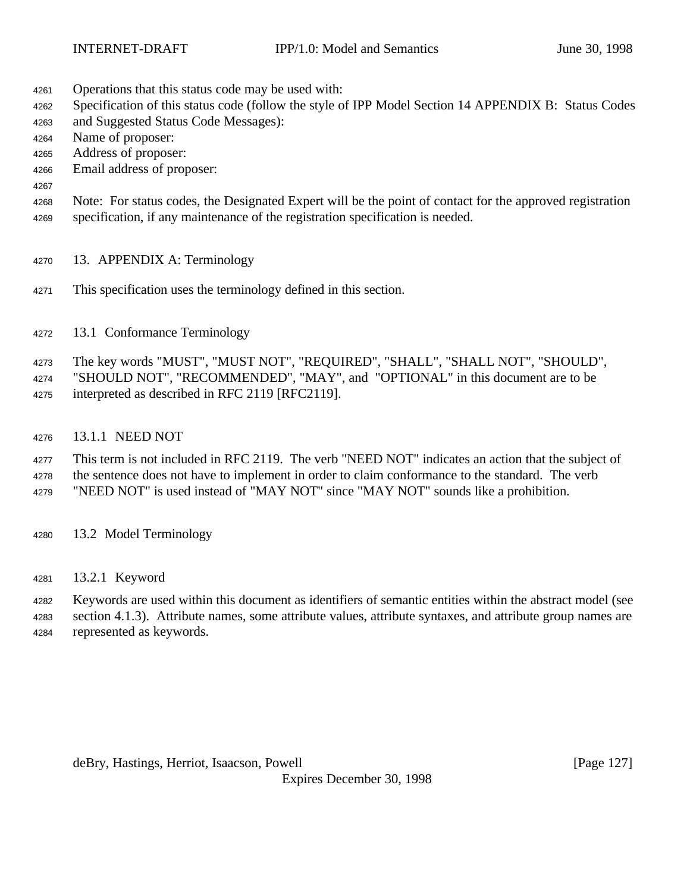- Operations that this status code may be used with:
- Specification of this status code (follow the style of IPP Model Section 14 APPENDIX B: Status Codes
- and Suggested Status Code Messages):
- Name of proposer:
- Address of proposer:
- Email address of proposer:
- 

 Note: For status codes, the Designated Expert will be the point of contact for the approved registration specification, if any maintenance of the registration specification is needed.

- 13. APPENDIX A: Terminology
- This specification uses the terminology defined in this section.
- 13.1 Conformance Terminology

The key words "MUST", "MUST NOT", "REQUIRED", "SHALL", "SHALL NOT", "SHOULD",

 "SHOULD NOT", "RECOMMENDED", "MAY", and "OPTIONAL" in this document are to be interpreted as described in RFC 2119 [RFC2119].

13.1.1 NEED NOT

 This term is not included in RFC 2119. The verb "NEED NOT" indicates an action that the subject of the sentence does not have to implement in order to claim conformance to the standard. The verb "NEED NOT" is used instead of "MAY NOT" since "MAY NOT" sounds like a prohibition.

- 13.2 Model Terminology
- 13.2.1 Keyword

 Keywords are used within this document as identifiers of semantic entities within the abstract model (see section 4.1.3). Attribute names, some attribute values, attribute syntaxes, and attribute group names are represented as keywords.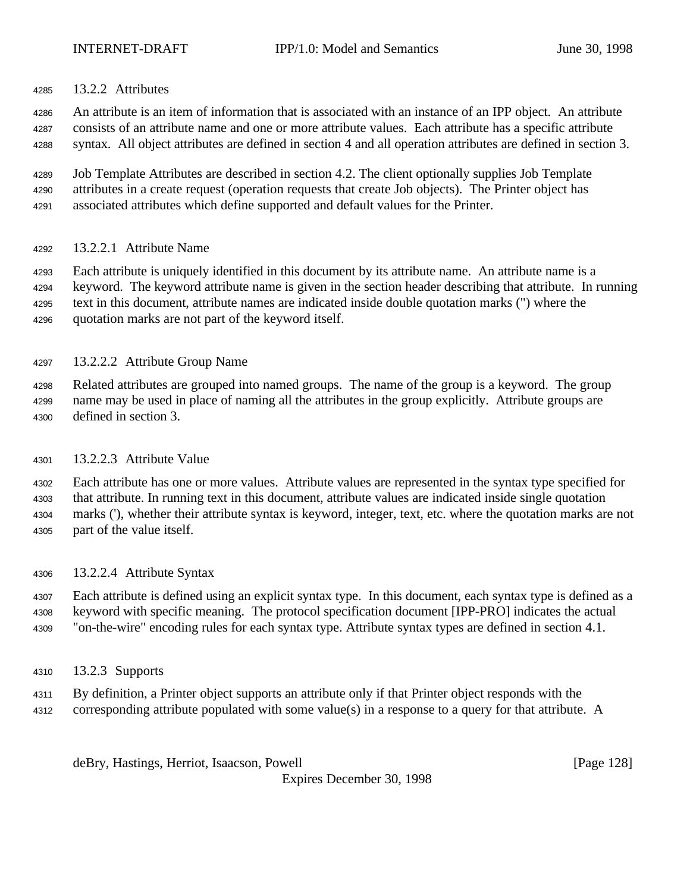13.2.2 Attributes

 An attribute is an item of information that is associated with an instance of an IPP object. An attribute consists of an attribute name and one or more attribute values. Each attribute has a specific attribute

syntax. All object attributes are defined in section 4 and all operation attributes are defined in section 3.

 Job Template Attributes are described in section 4.2. The client optionally supplies Job Template attributes in a create request (operation requests that create Job objects). The Printer object has associated attributes which define supported and default values for the Printer.

13.2.2.1 Attribute Name

 Each attribute is uniquely identified in this document by its attribute name. An attribute name is a keyword. The keyword attribute name is given in the section header describing that attribute. In running text in this document, attribute names are indicated inside double quotation marks (") where the quotation marks are not part of the keyword itself.

13.2.2.2 Attribute Group Name

 Related attributes are grouped into named groups. The name of the group is a keyword. The group name may be used in place of naming all the attributes in the group explicitly. Attribute groups are defined in section 3.

### 13.2.2.3 Attribute Value

 Each attribute has one or more values. Attribute values are represented in the syntax type specified for that attribute. In running text in this document, attribute values are indicated inside single quotation marks ('), whether their attribute syntax is keyword, integer, text, etc. where the quotation marks are not part of the value itself.

13.2.2.4 Attribute Syntax

 Each attribute is defined using an explicit syntax type. In this document, each syntax type is defined as a keyword with specific meaning. The protocol specification document [IPP-PRO] indicates the actual "on-the-wire" encoding rules for each syntax type. Attribute syntax types are defined in section 4.1.

- 13.2.3 Supports
- By definition, a Printer object supports an attribute only if that Printer object responds with the
- corresponding attribute populated with some value(s) in a response to a query for that attribute. A

deBry, Hastings, Herriot, Isaacson, Powell **compared and Containers** and Containers and Containers and Container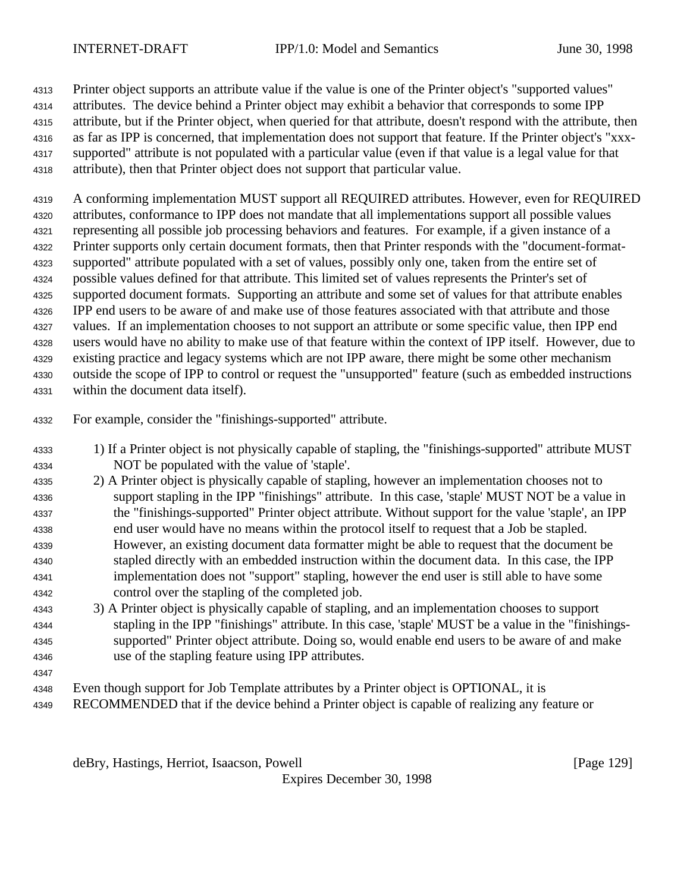Printer object supports an attribute value if the value is one of the Printer object's "supported values" attributes. The device behind a Printer object may exhibit a behavior that corresponds to some IPP attribute, but if the Printer object, when queried for that attribute, doesn't respond with the attribute, then as far as IPP is concerned, that implementation does not support that feature. If the Printer object's "xxx- supported" attribute is not populated with a particular value (even if that value is a legal value for that attribute), then that Printer object does not support that particular value.

 A conforming implementation MUST support all REQUIRED attributes. However, even for REQUIRED attributes, conformance to IPP does not mandate that all implementations support all possible values representing all possible job processing behaviors and features. For example, if a given instance of a Printer supports only certain document formats, then that Printer responds with the "document-format- supported" attribute populated with a set of values, possibly only one, taken from the entire set of possible values defined for that attribute. This limited set of values represents the Printer's set of supported document formats. Supporting an attribute and some set of values for that attribute enables IPP end users to be aware of and make use of those features associated with that attribute and those values. If an implementation chooses to not support an attribute or some specific value, then IPP end users would have no ability to make use of that feature within the context of IPP itself. However, due to existing practice and legacy systems which are not IPP aware, there might be some other mechanism outside the scope of IPP to control or request the "unsupported" feature (such as embedded instructions within the document data itself).

- For example, consider the "finishings-supported" attribute.
- 1) If a Printer object is not physically capable of stapling, the "finishings-supported" attribute MUST NOT be populated with the value of 'staple'.
- 2) A Printer object is physically capable of stapling, however an implementation chooses not to support stapling in the IPP "finishings" attribute. In this case, 'staple' MUST NOT be a value in the "finishings-supported" Printer object attribute. Without support for the value 'staple', an IPP end user would have no means within the protocol itself to request that a Job be stapled. However, an existing document data formatter might be able to request that the document be stapled directly with an embedded instruction within the document data. In this case, the IPP implementation does not "support" stapling, however the end user is still able to have some control over the stapling of the completed job.
- 3) A Printer object is physically capable of stapling, and an implementation chooses to support stapling in the IPP "finishings" attribute. In this case, 'staple' MUST be a value in the "finishings- supported" Printer object attribute. Doing so, would enable end users to be aware of and make use of the stapling feature using IPP attributes.
- 
- Even though support for Job Template attributes by a Printer object is OPTIONAL, it is
- RECOMMENDED that if the device behind a Printer object is capable of realizing any feature or

deBry, Hastings, Herriot, Isaacson, Powell [Page 129]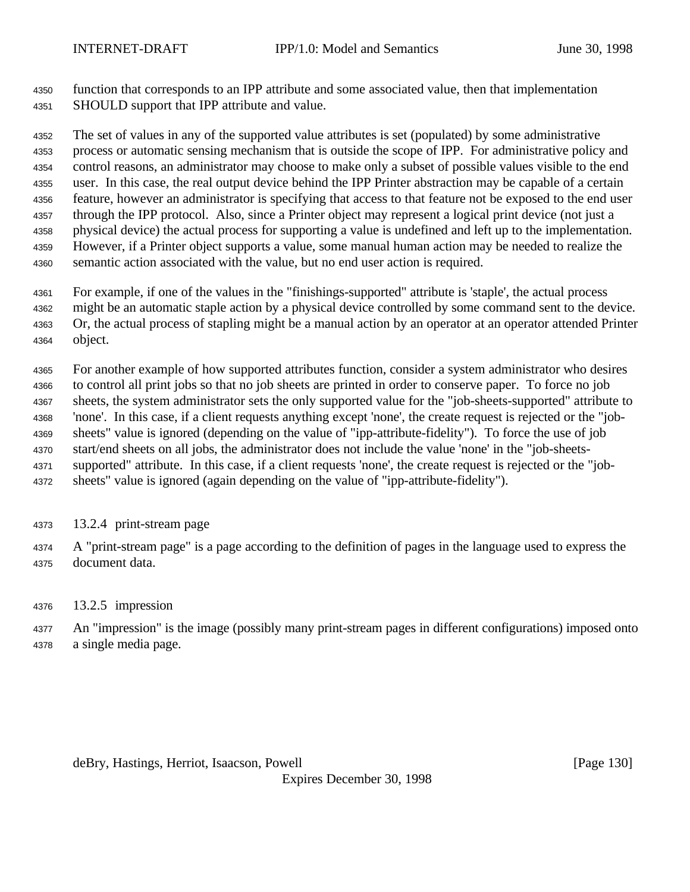function that corresponds to an IPP attribute and some associated value, then that implementation SHOULD support that IPP attribute and value.

 The set of values in any of the supported value attributes is set (populated) by some administrative process or automatic sensing mechanism that is outside the scope of IPP. For administrative policy and control reasons, an administrator may choose to make only a subset of possible values visible to the end user. In this case, the real output device behind the IPP Printer abstraction may be capable of a certain feature, however an administrator is specifying that access to that feature not be exposed to the end user through the IPP protocol. Also, since a Printer object may represent a logical print device (not just a physical device) the actual process for supporting a value is undefined and left up to the implementation. However, if a Printer object supports a value, some manual human action may be needed to realize the semantic action associated with the value, but no end user action is required.

For example, if one of the values in the "finishings-supported" attribute is 'staple', the actual process

 might be an automatic staple action by a physical device controlled by some command sent to the device. Or, the actual process of stapling might be a manual action by an operator at an operator attended Printer

object.

 For another example of how supported attributes function, consider a system administrator who desires to control all print jobs so that no job sheets are printed in order to conserve paper. To force no job sheets, the system administrator sets the only supported value for the "job-sheets-supported" attribute to 'none'. In this case, if a client requests anything except 'none', the create request is rejected or the "job- sheets" value is ignored (depending on the value of "ipp-attribute-fidelity"). To force the use of job start/end sheets on all jobs, the administrator does not include the value 'none' in the "job-sheets- supported" attribute. In this case, if a client requests 'none', the create request is rejected or the "job-sheets" value is ignored (again depending on the value of "ipp-attribute-fidelity").

- 13.2.4 print-stream page
- A "print-stream page" is a page according to the definition of pages in the language used to express the document data.
- 13.2.5 impression

 An "impression" is the image (possibly many print-stream pages in different configurations) imposed onto a single media page.

deBry, Hastings, Herriot, Isaacson, Powell [Page 130]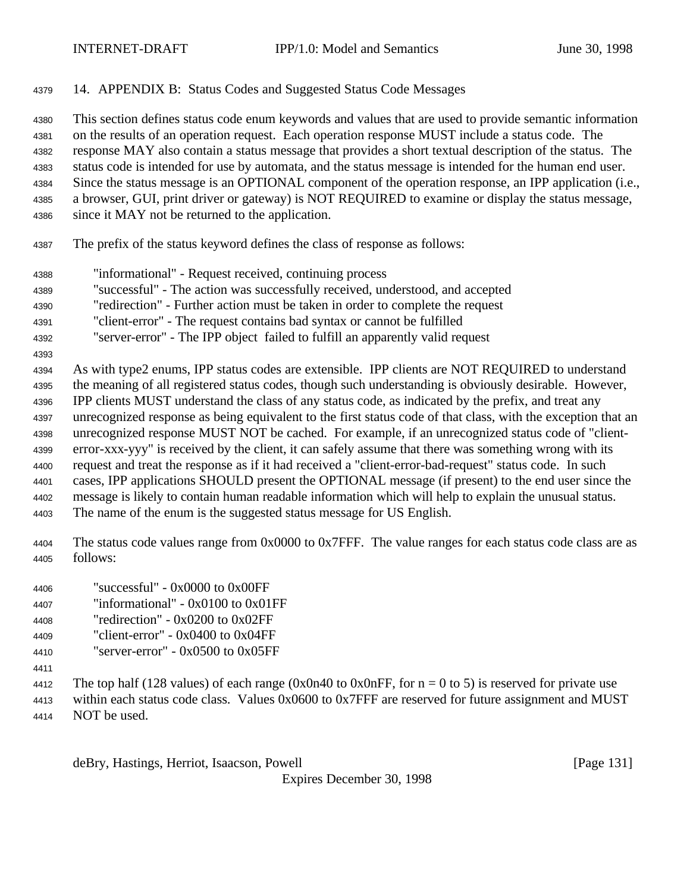- 14. APPENDIX B: Status Codes and Suggested Status Code Messages This section defines status code enum keywords and values that are used to provide semantic information on the results of an operation request. Each operation response MUST include a status code. The response MAY also contain a status message that provides a short textual description of the status. The status code is intended for use by automata, and the status message is intended for the human end user. Since the status message is an OPTIONAL component of the operation response, an IPP application (i.e., a browser, GUI, print driver or gateway) is NOT REQUIRED to examine or display the status message, since it MAY not be returned to the application.
- The prefix of the status keyword defines the class of response as follows:
- "informational" Request received, continuing process "successful" - The action was successfully received, understood, and accepted
- "redirection" Further action must be taken in order to complete the request
- "client-error" The request contains bad syntax or cannot be fulfilled
- "server-error" The IPP object failed to fulfill an apparently valid request
- 

 As with type2 enums, IPP status codes are extensible. IPP clients are NOT REQUIRED to understand the meaning of all registered status codes, though such understanding is obviously desirable. However, IPP clients MUST understand the class of any status code, as indicated by the prefix, and treat any unrecognized response as being equivalent to the first status code of that class, with the exception that an unrecognized response MUST NOT be cached. For example, if an unrecognized status code of "client- error-xxx-yyy" is received by the client, it can safely assume that there was something wrong with its request and treat the response as if it had received a "client-error-bad-request" status code. In such cases, IPP applications SHOULD present the OPTIONAL message (if present) to the end user since the message is likely to contain human readable information which will help to explain the unusual status. The name of the enum is the suggested status message for US English.

 The status code values range from 0x0000 to 0x7FFF. The value ranges for each status code class are as follows:

- "successful" 0x0000 to 0x00FF "informational" - 0x0100 to 0x01FF
- "redirection" 0x0200 to 0x02FF
- "client-error"  $0x0400$  to  $0x04FF$
- 4410 "server-error"  $0x0500$  to  $0x05FF$
- 

4412 The top half (128 values) of each range (0x0n40 to 0x0nFF, for  $n = 0$  to 5) is reserved for private use within each status code class. Values 0x0600 to 0x7FFF are reserved for future assignment and MUST NOT be used.

deBry, Hastings, Herriot, Isaacson, Powell **compared and Containers** and Containers and Containers and Container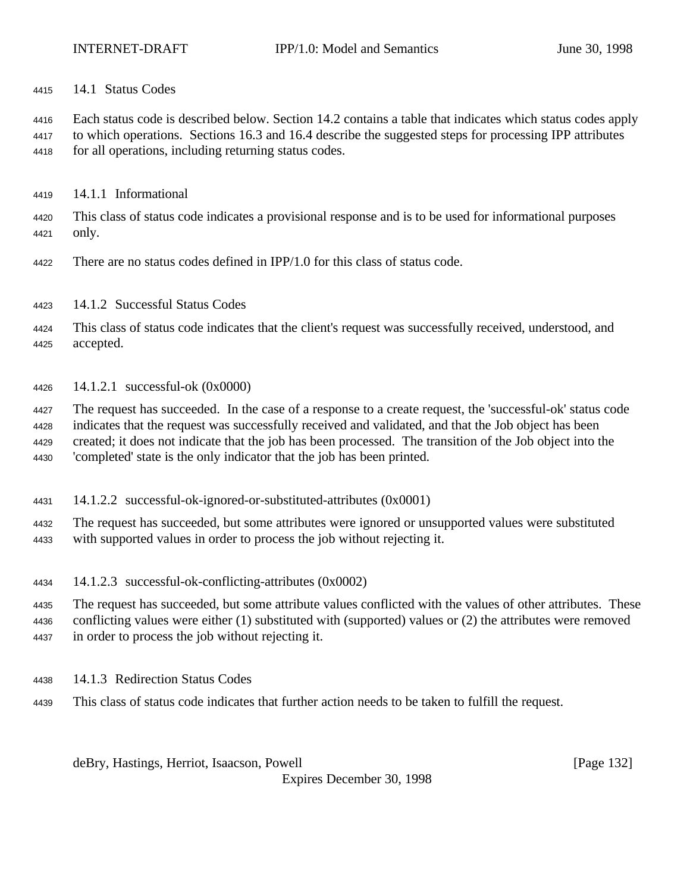14.1 Status Codes

 Each status code is described below. Section 14.2 contains a table that indicates which status codes apply to which operations. Sections 16.3 and 16.4 describe the suggested steps for processing IPP attributes for all operations, including returning status codes.

14.1.1 Informational

 This class of status code indicates a provisional response and is to be used for informational purposes only.

- There are no status codes defined in IPP/1.0 for this class of status code.
- 14.1.2 Successful Status Codes

 This class of status code indicates that the client's request was successfully received, understood, and accepted.

14.1.2.1 successful-ok (0x0000)

 The request has succeeded. In the case of a response to a create request, the 'successful-ok' status code indicates that the request was successfully received and validated, and that the Job object has been created; it does not indicate that the job has been processed. The transition of the Job object into the 'completed' state is the only indicator that the job has been printed.

14.1.2.2 successful-ok-ignored-or-substituted-attributes (0x0001)

 The request has succeeded, but some attributes were ignored or unsupported values were substituted with supported values in order to process the job without rejecting it.

14.1.2.3 successful-ok-conflicting-attributes (0x0002)

 The request has succeeded, but some attribute values conflicted with the values of other attributes. These conflicting values were either (1) substituted with (supported) values or (2) the attributes were removed in order to process the job without rejecting it.

- 14.1.3 Redirection Status Codes
- This class of status code indicates that further action needs to be taken to fulfill the request.

deBry, Hastings, Herriot, Isaacson, Powell **compared and Contract and Contract Contract (Page 132**)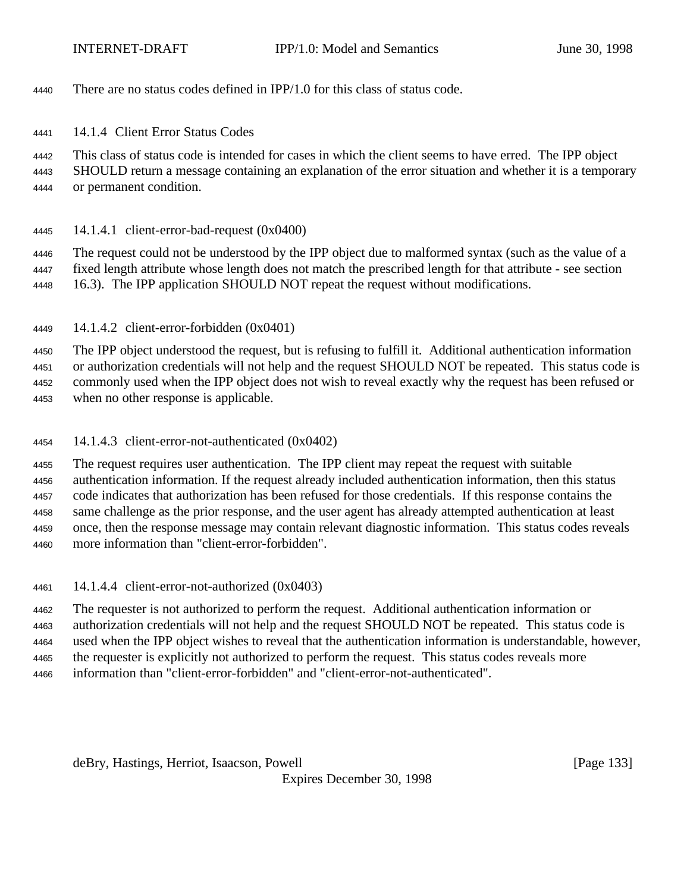There are no status codes defined in IPP/1.0 for this class of status code.

14.1.4 Client Error Status Codes

 This class of status code is intended for cases in which the client seems to have erred. The IPP object SHOULD return a message containing an explanation of the error situation and whether it is a temporary or permanent condition.

14.1.4.1 client-error-bad-request (0x0400)

 The request could not be understood by the IPP object due to malformed syntax (such as the value of a fixed length attribute whose length does not match the prescribed length for that attribute - see section 16.3). The IPP application SHOULD NOT repeat the request without modifications.

14.1.4.2 client-error-forbidden (0x0401)

 The IPP object understood the request, but is refusing to fulfill it. Additional authentication information or authorization credentials will not help and the request SHOULD NOT be repeated. This status code is commonly used when the IPP object does not wish to reveal exactly why the request has been refused or when no other response is applicable.

14.1.4.3 client-error-not-authenticated (0x0402)

 The request requires user authentication. The IPP client may repeat the request with suitable authentication information. If the request already included authentication information, then this status code indicates that authorization has been refused for those credentials. If this response contains the same challenge as the prior response, and the user agent has already attempted authentication at least once, then the response message may contain relevant diagnostic information. This status codes reveals more information than "client-error-forbidden".

14.1.4.4 client-error-not-authorized (0x0403)

 The requester is not authorized to perform the request. Additional authentication information or authorization credentials will not help and the request SHOULD NOT be repeated. This status code is used when the IPP object wishes to reveal that the authentication information is understandable, however, the requester is explicitly not authorized to perform the request. This status codes reveals more information than "client-error-forbidden" and "client-error-not-authenticated".

deBry, Hastings, Herriot, Isaacson, Powell [Page 133]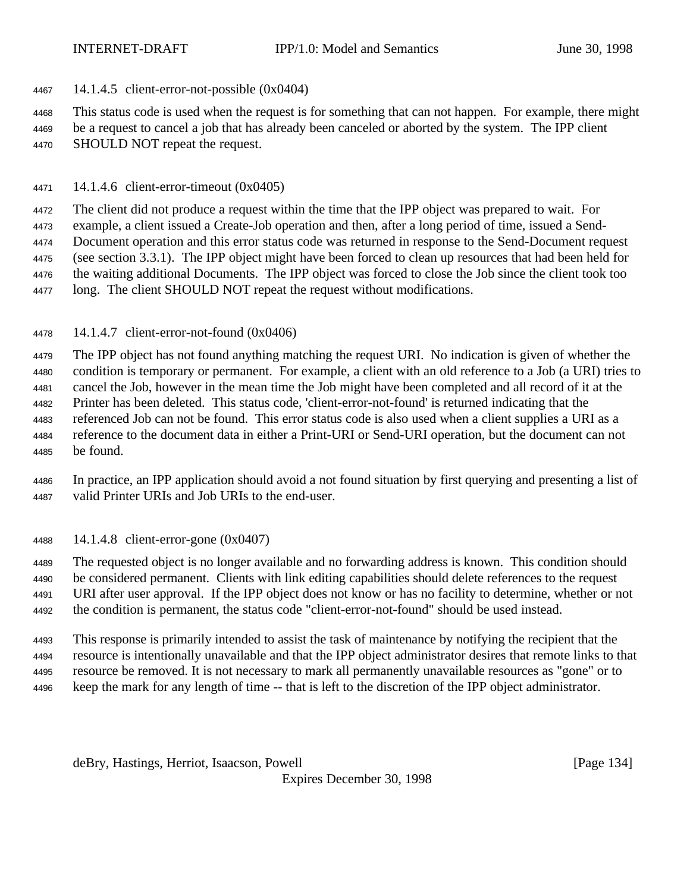14.1.4.5 client-error-not-possible (0x0404)

 This status code is used when the request is for something that can not happen. For example, there might be a request to cancel a job that has already been canceled or aborted by the system. The IPP client SHOULD NOT repeat the request.

14.1.4.6 client-error-timeout (0x0405)

 The client did not produce a request within the time that the IPP object was prepared to wait. For example, a client issued a Create-Job operation and then, after a long period of time, issued a Send- Document operation and this error status code was returned in response to the Send-Document request (see section 3.3.1). The IPP object might have been forced to clean up resources that had been held for the waiting additional Documents. The IPP object was forced to close the Job since the client took too long. The client SHOULD NOT repeat the request without modifications.

14.1.4.7 client-error-not-found (0x0406)

 The IPP object has not found anything matching the request URI. No indication is given of whether the condition is temporary or permanent. For example, a client with an old reference to a Job (a URI) tries to cancel the Job, however in the mean time the Job might have been completed and all record of it at the Printer has been deleted. This status code, 'client-error-not-found' is returned indicating that the referenced Job can not be found. This error status code is also used when a client supplies a URI as a reference to the document data in either a Print-URI or Send-URI operation, but the document can not be found.

 In practice, an IPP application should avoid a not found situation by first querying and presenting a list of valid Printer URIs and Job URIs to the end-user.

14.1.4.8 client-error-gone (0x0407)

 The requested object is no longer available and no forwarding address is known. This condition should be considered permanent. Clients with link editing capabilities should delete references to the request URI after user approval. If the IPP object does not know or has no facility to determine, whether or not the condition is permanent, the status code "client-error-not-found" should be used instead.

 This response is primarily intended to assist the task of maintenance by notifying the recipient that the resource is intentionally unavailable and that the IPP object administrator desires that remote links to that resource be removed. It is not necessary to mark all permanently unavailable resources as "gone" or to keep the mark for any length of time -- that is left to the discretion of the IPP object administrator.

deBry, Hastings, Herriot, Isaacson, Powell **compared and Contract and Contract Contract (Page 134**)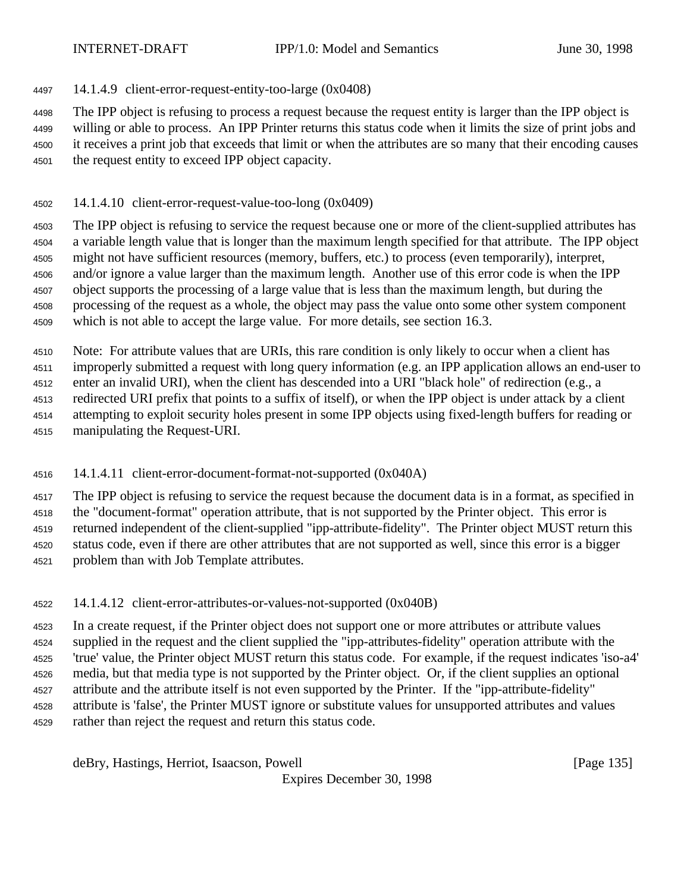14.1.4.9 client-error-request-entity-too-large (0x0408)

The IPP object is refusing to process a request because the request entity is larger than the IPP object is

 willing or able to process. An IPP Printer returns this status code when it limits the size of print jobs and it receives a print job that exceeds that limit or when the attributes are so many that their encoding causes the request entity to exceed IPP object capacity.

14.1.4.10 client-error-request-value-too-long (0x0409)

 The IPP object is refusing to service the request because one or more of the client-supplied attributes has a variable length value that is longer than the maximum length specified for that attribute. The IPP object might not have sufficient resources (memory, buffers, etc.) to process (even temporarily), interpret, and/or ignore a value larger than the maximum length. Another use of this error code is when the IPP object supports the processing of a large value that is less than the maximum length, but during the processing of the request as a whole, the object may pass the value onto some other system component which is not able to accept the large value. For more details, see section 16.3.

 Note: For attribute values that are URIs, this rare condition is only likely to occur when a client has improperly submitted a request with long query information (e.g. an IPP application allows an end-user to

enter an invalid URI), when the client has descended into a URI "black hole" of redirection (e.g., a

redirected URI prefix that points to a suffix of itself), or when the IPP object is under attack by a client

attempting to exploit security holes present in some IPP objects using fixed-length buffers for reading or

manipulating the Request-URI.

14.1.4.11 client-error-document-format-not-supported (0x040A)

 The IPP object is refusing to service the request because the document data is in a format, as specified in the "document-format" operation attribute, that is not supported by the Printer object. This error is returned independent of the client-supplied "ipp-attribute-fidelity". The Printer object MUST return this status code, even if there are other attributes that are not supported as well, since this error is a bigger problem than with Job Template attributes.

14.1.4.12 client-error-attributes-or-values-not-supported (0x040B)

 In a create request, if the Printer object does not support one or more attributes or attribute values supplied in the request and the client supplied the "ipp-attributes-fidelity" operation attribute with the 'true' value, the Printer object MUST return this status code. For example, if the request indicates 'iso-a4' media, but that media type is not supported by the Printer object. Or, if the client supplies an optional attribute and the attribute itself is not even supported by the Printer. If the "ipp-attribute-fidelity" attribute is 'false', the Printer MUST ignore or substitute values for unsupported attributes and values rather than reject the request and return this status code.

deBry, Hastings, Herriot, Isaacson, Powell [Page 135]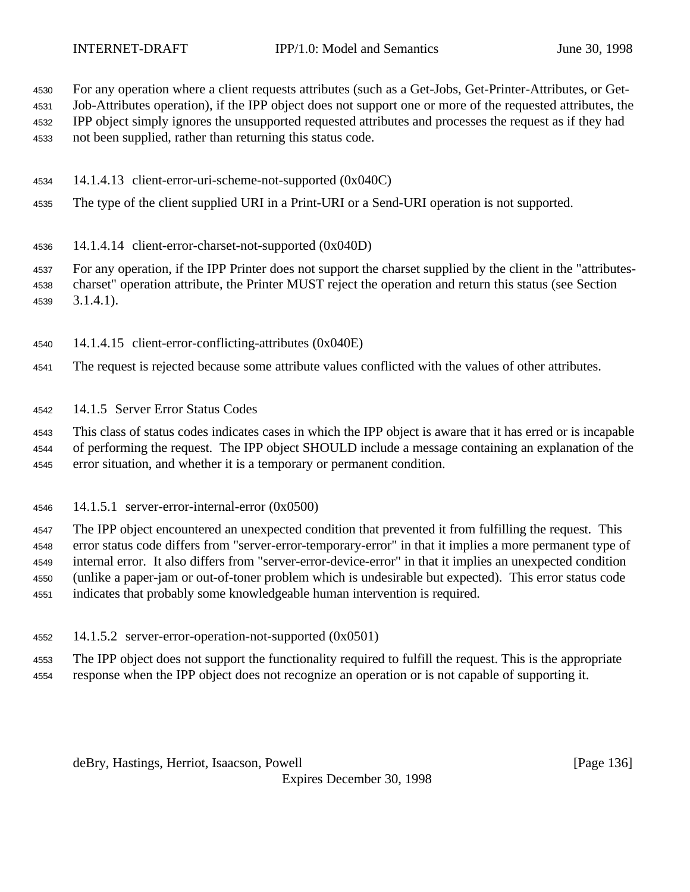For any operation where a client requests attributes (such as a Get-Jobs, Get-Printer-Attributes, or Get-

 Job-Attributes operation), if the IPP object does not support one or more of the requested attributes, the IPP object simply ignores the unsupported requested attributes and processes the request as if they had

not been supplied, rather than returning this status code.

- 14.1.4.13 client-error-uri-scheme-not-supported (0x040C)
- The type of the client supplied URI in a Print-URI or a Send-URI operation is not supported.
- 14.1.4.14 client-error-charset-not-supported (0x040D)

 For any operation, if the IPP Printer does not support the charset supplied by the client in the "attributes- charset" operation attribute, the Printer MUST reject the operation and return this status (see Section 3.1.4.1).

- 14.1.4.15 client-error-conflicting-attributes (0x040E)
- The request is rejected because some attribute values conflicted with the values of other attributes.
- 14.1.5 Server Error Status Codes

 This class of status codes indicates cases in which the IPP object is aware that it has erred or is incapable of performing the request. The IPP object SHOULD include a message containing an explanation of the error situation, and whether it is a temporary or permanent condition.

14.1.5.1 server-error-internal-error (0x0500)

 The IPP object encountered an unexpected condition that prevented it from fulfilling the request. This error status code differs from "server-error-temporary-error" in that it implies a more permanent type of internal error. It also differs from "server-error-device-error" in that it implies an unexpected condition (unlike a paper-jam or out-of-toner problem which is undesirable but expected). This error status code indicates that probably some knowledgeable human intervention is required.

14.1.5.2 server-error-operation-not-supported (0x0501)

 The IPP object does not support the functionality required to fulfill the request. This is the appropriate response when the IPP object does not recognize an operation or is not capable of supporting it.

deBry, Hastings, Herriot, Isaacson, Powell **compared and Contract and Contract Contract (Page 136**)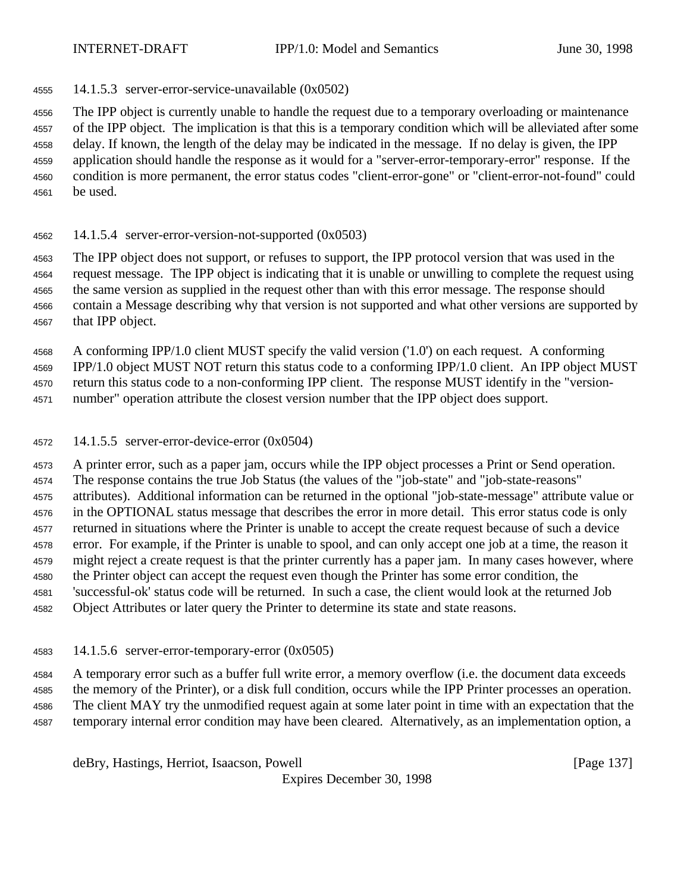14.1.5.3 server-error-service-unavailable (0x0502)

 The IPP object is currently unable to handle the request due to a temporary overloading or maintenance of the IPP object. The implication is that this is a temporary condition which will be alleviated after some delay. If known, the length of the delay may be indicated in the message. If no delay is given, the IPP application should handle the response as it would for a "server-error-temporary-error" response. If the condition is more permanent, the error status codes "client-error-gone" or "client-error-not-found" could be used.

14.1.5.4 server-error-version-not-supported (0x0503)

 The IPP object does not support, or refuses to support, the IPP protocol version that was used in the request message. The IPP object is indicating that it is unable or unwilling to complete the request using the same version as supplied in the request other than with this error message. The response should contain a Message describing why that version is not supported and what other versions are supported by that IPP object.

A conforming IPP/1.0 client MUST specify the valid version ('1.0') on each request. A conforming

 IPP/1.0 object MUST NOT return this status code to a conforming IPP/1.0 client. An IPP object MUST return this status code to a non-conforming IPP client. The response MUST identify in the "version-

number" operation attribute the closest version number that the IPP object does support.

14.1.5.5 server-error-device-error (0x0504)

 A printer error, such as a paper jam, occurs while the IPP object processes a Print or Send operation. The response contains the true Job Status (the values of the "job-state" and "job-state-reasons" attributes). Additional information can be returned in the optional "job-state-message" attribute value or in the OPTIONAL status message that describes the error in more detail. This error status code is only returned in situations where the Printer is unable to accept the create request because of such a device error. For example, if the Printer is unable to spool, and can only accept one job at a time, the reason it might reject a create request is that the printer currently has a paper jam. In many cases however, where the Printer object can accept the request even though the Printer has some error condition, the 'successful-ok' status code will be returned. In such a case, the client would look at the returned Job Object Attributes or later query the Printer to determine its state and state reasons.

14.1.5.6 server-error-temporary-error (0x0505)

 A temporary error such as a buffer full write error, a memory overflow (i.e. the document data exceeds the memory of the Printer), or a disk full condition, occurs while the IPP Printer processes an operation. The client MAY try the unmodified request again at some later point in time with an expectation that the temporary internal error condition may have been cleared. Alternatively, as an implementation option, a

deBry, Hastings, Herriot, Isaacson, Powell [Page 137]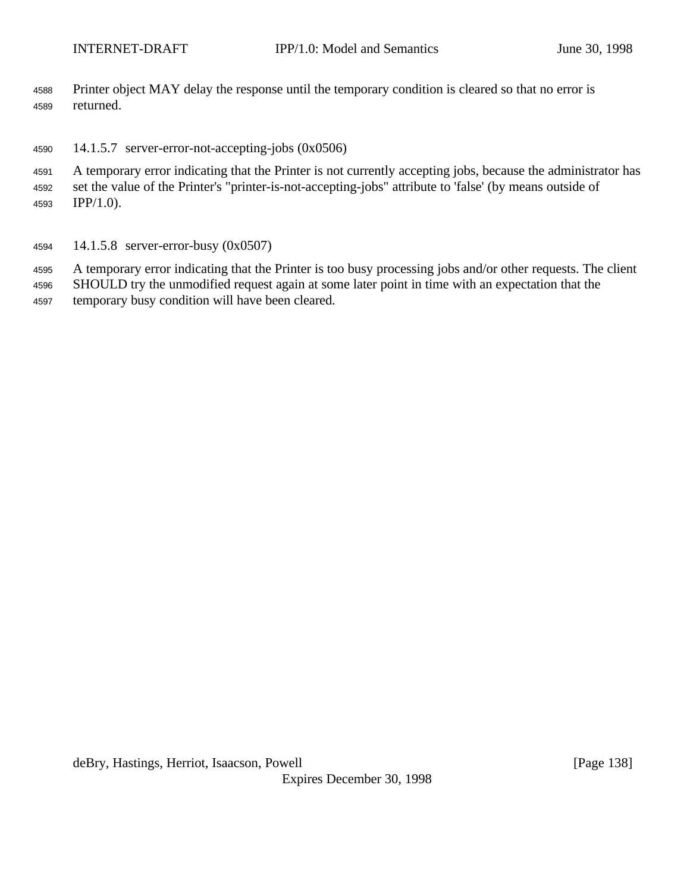- Printer object MAY delay the response until the temporary condition is cleared so that no error is returned.
- 14.1.5.7 server-error-not-accepting-jobs (0x0506)
- A temporary error indicating that the Printer is not currently accepting jobs, because the administrator has set the value of the Printer's "printer-is-not-accepting-jobs" attribute to 'false' (by means outside of IPP/1.0).
- 14.1.5.8 server-error-busy (0x0507)

 A temporary error indicating that the Printer is too busy processing jobs and/or other requests. The client SHOULD try the unmodified request again at some later point in time with an expectation that the temporary busy condition will have been cleared.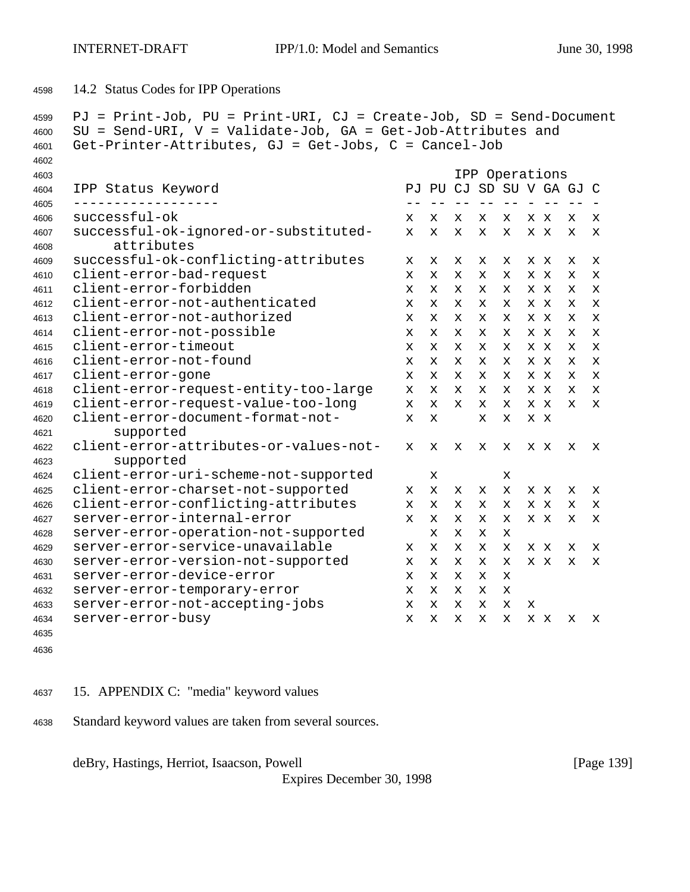14.2 Status Codes for IPP Operations

```
4599 PJ = Print-Job, PU = Print-URI, CJ = Create-Job, SD = Send-Document
4600 SU = Send-URI, V = Validate-Job, GA = Get-Job-Attributes and
4601 Get-Printer-Attributes, GJ = Get-Jobs, C = Cancel-Job
4602
4603 IPP Operations
4604 IPP Status Keyword PJ PU CJ SD SU V GA GJ C
4605 ------------------ -- -- -- -- -- - -- -- -
4606 successful-ok x x x x x x x x x
4607 successful-ok-ignored-or-substituted- x x x x x x x x x
4608 attributes
4609 successful-ok-conflicting-attributes x x x x x x x x x
4610 client-error-bad-request x x x x x x x x x
4611 client-error-forbidden x x x x x x x x x
4612 client-error-not-authenticated x x x x x x x x x
4613 client-error-not-authorized x x x x x x x x x
4614 client-error-not-possible x x x x x x x x x
4615 client-error-timeout x x x x x x x x x
4616 client-error-not-found x x x x x x x x x
4617 client-error-gone x x x x x x x x x
4618 client-error-request-entity-too-large x x x x x x x x x
4619 client-error-request-value-too-long x x x x x x x x x
4620 client-error-document-format-not- x x x x x x
4621 supported
4622 client-error-attributes-or-values-not- x x x x x x x x x
4623 supported
4624 client-error-uri-scheme-not-supported x x
4625 client-error-charset-not-supported x x x x x x x x x
4626 client-error-conflicting-attributes x x x x x x x x x
4627 server-error-internal-error x x x x x x x x x
4628 server-error-operation-not-supported x x x x
4629 server-error-service-unavailable x x x x x x x x x
4630 server-error-version-not-supported x x x x x x x x x
4631 server-error-device-error x x x x x
4632 server-error-temporary-error x x x x x
4633 server-error-not-accepting-jobs x x x x x x
4634 server-error-busy x x x x x x x x x
4635
```
- 15. APPENDIX C: "media" keyword values
- Standard keyword values are taken from several sources.

deBry, Hastings, Herriot, Isaacson, Powell **company** and the same of the same of the same of the same of the same of the same of the same of the same of the same of the same of the same of the same of the same of the same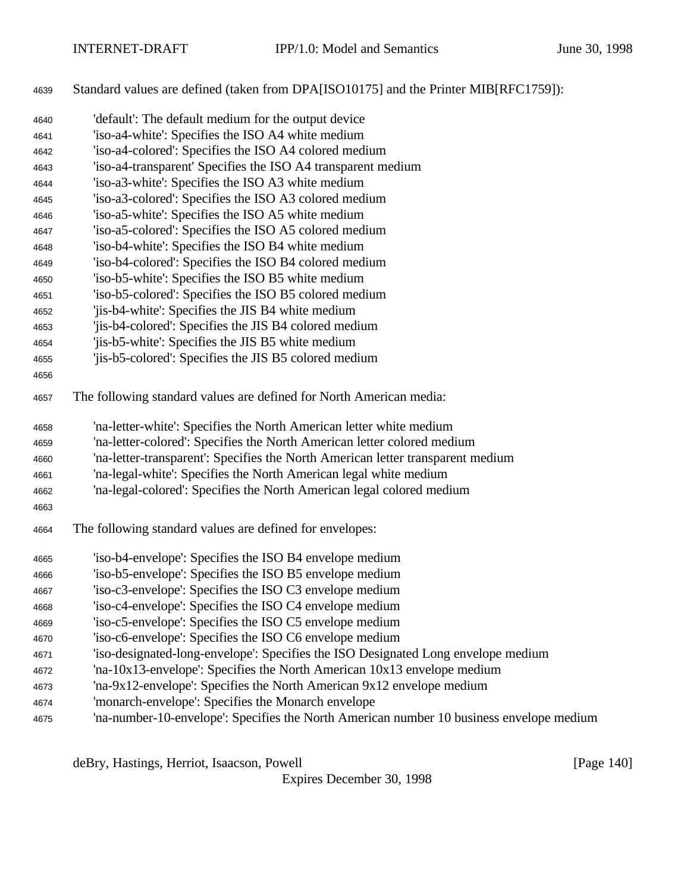Standard values are defined (taken from DPA[ISO10175] and the Printer MIB[RFC1759]):

| 4640 | 'default': The default medium for the output device                                      |
|------|------------------------------------------------------------------------------------------|
| 4641 | 'iso-a4-white': Specifies the ISO A4 white medium                                        |
| 4642 | 'iso-a4-colored': Specifies the ISO A4 colored medium                                    |
| 4643 | 'iso-a4-transparent' Specifies the ISO A4 transparent medium                             |
| 4644 | 'iso-a3-white': Specifies the ISO A3 white medium                                        |
| 4645 | 'iso-a3-colored': Specifies the ISO A3 colored medium                                    |
| 4646 | 'iso-a5-white': Specifies the ISO A5 white medium                                        |
| 4647 | 'iso-a5-colored': Specifies the ISO A5 colored medium                                    |
| 4648 | 'iso-b4-white': Specifies the ISO B4 white medium                                        |
| 4649 | 'iso-b4-colored': Specifies the ISO B4 colored medium                                    |
| 4650 | 'iso-b5-white': Specifies the ISO B5 white medium                                        |
| 4651 | 'iso-b5-colored': Specifies the ISO B5 colored medium                                    |
| 4652 | 'jis-b4-white': Specifies the JIS B4 white medium                                        |
| 4653 | 'jis-b4-colored': Specifies the JIS B4 colored medium                                    |
| 4654 | 'jis-b5-white': Specifies the JIS B5 white medium                                        |
| 4655 | 'jis-b5-colored': Specifies the JIS B5 colored medium                                    |
| 4656 |                                                                                          |
| 4657 | The following standard values are defined for North American media:                      |
| 4658 | 'na-letter-white': Specifies the North American letter white medium                      |
| 4659 | 'na-letter-colored': Specifies the North American letter colored medium                  |
| 4660 | 'na-letter-transparent': Specifies the North American letter transparent medium          |
| 4661 | 'na-legal-white': Specifies the North American legal white medium                        |
| 4662 | 'na-legal-colored': Specifies the North American legal colored medium                    |
| 4663 |                                                                                          |
| 4664 | The following standard values are defined for envelopes:                                 |
| 4665 | 'iso-b4-envelope': Specifies the ISO B4 envelope medium                                  |
| 4666 | 'iso-b5-envelope': Specifies the ISO B5 envelope medium                                  |
| 4667 | 'iso-c3-envelope': Specifies the ISO C3 envelope medium                                  |
| 4668 | 'iso-c4-envelope': Specifies the ISO C4 envelope medium                                  |
| 4669 | 'iso-c5-envelope': Specifies the ISO C5 envelope medium                                  |
| 4670 | 'iso-c6-envelope': Specifies the ISO C6 envelope medium                                  |
| 4671 | 'iso-designated-long-envelope': Specifies the ISO Designated Long envelope medium        |
| 4672 | 'na-10x13-envelope': Specifies the North American 10x13 envelope medium                  |
| 4673 | 'na-9x12-envelope': Specifies the North American 9x12 envelope medium                    |
| 4674 | 'monarch-envelope': Specifies the Monarch envelope                                       |
| 4675 | 'na-number-10-envelope': Specifies the North American number 10 business envelope medium |

deBry, Hastings, Herriot, Isaacson, Powell [Page 140]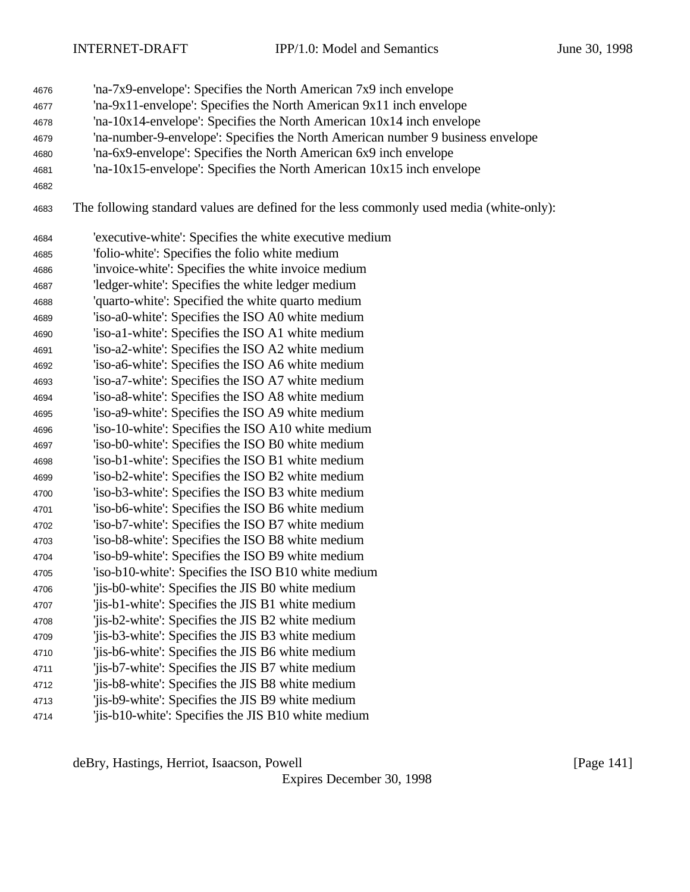- 'na-7x9-envelope': Specifies the North American 7x9 inch envelope
- 'na-9x11-envelope': Specifies the North American 9x11 inch envelope
- 'na-10x14-envelope': Specifies the North American 10x14 inch envelope
- 'na-number-9-envelope': Specifies the North American number 9 business envelope
- 'na-6x9-envelope': Specifies the North American 6x9 inch envelope
- 'na-10x15-envelope': Specifies the North American 10x15 inch envelope
- 
- The following standard values are defined for the less commonly used media (white-only):

| 4684 | 'executive-white': Specifies the white executive medium |
|------|---------------------------------------------------------|
| 4685 | 'folio-white': Specifies the folio white medium         |
| 4686 | 'invoice-white': Specifies the white invoice medium     |
| 4687 | 'ledger-white': Specifies the white ledger medium       |
| 4688 | 'quarto-white': Specified the white quarto medium       |
| 4689 | 'iso-a0-white': Specifies the ISO A0 white medium       |
| 4690 | 'iso-a1-white': Specifies the ISO A1 white medium       |
| 4691 | 'iso-a2-white': Specifies the ISO A2 white medium       |
| 4692 | 'iso-a6-white': Specifies the ISO A6 white medium       |
| 4693 | 'iso-a7-white': Specifies the ISO A7 white medium       |
| 4694 | 'iso-a8-white': Specifies the ISO A8 white medium       |
| 4695 | 'iso-a9-white': Specifies the ISO A9 white medium       |
| 4696 | 'iso-10-white': Specifies the ISO A10 white medium      |
| 4697 | 'iso-b0-white': Specifies the ISO B0 white medium       |
| 4698 | 'iso-b1-white': Specifies the ISO B1 white medium       |
| 4699 | 'iso-b2-white': Specifies the ISO B2 white medium       |
| 4700 | 'iso-b3-white': Specifies the ISO B3 white medium       |
| 4701 | 'iso-b6-white': Specifies the ISO B6 white medium       |
| 4702 | 'iso-b7-white': Specifies the ISO B7 white medium       |
| 4703 | 'iso-b8-white': Specifies the ISO B8 white medium       |
| 4704 | 'iso-b9-white': Specifies the ISO B9 white medium       |
| 4705 | 'iso-b10-white': Specifies the ISO B10 white medium     |
| 4706 | 'jis-b0-white': Specifies the JIS B0 white medium       |
| 4707 | 'jis-b1-white': Specifies the JIS B1 white medium       |
| 4708 | 'jis-b2-white': Specifies the JIS B2 white medium       |
| 4709 | 'jis-b3-white': Specifies the JIS B3 white medium       |
| 4710 | 'jis-b6-white': Specifies the JIS B6 white medium       |
| 4711 | 'jis-b7-white': Specifies the JIS B7 white medium       |
| 4712 | 'jis-b8-white': Specifies the JIS B8 white medium       |
| 4713 | 'jis-b9-white': Specifies the JIS B9 white medium       |
| 4714 | 'jis-b10-white': Specifies the JIS B10 white medium     |

deBry, Hastings, Herriot, Isaacson, Powell [Page 141]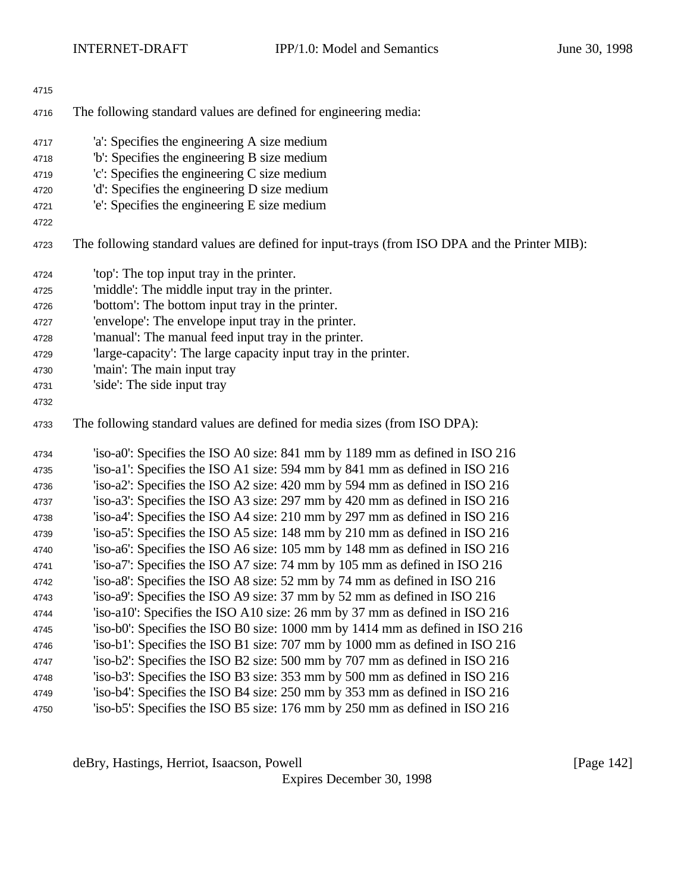| 4715 |                                                                                               |
|------|-----------------------------------------------------------------------------------------------|
| 4716 | The following standard values are defined for engineering media:                              |
| 4717 | 'a': Specifies the engineering A size medium                                                  |
| 4718 | b: Specifies the engineering B size medium                                                    |
| 4719 | 'c': Specifies the engineering C size medium                                                  |
| 4720 | 'd': Specifies the engineering D size medium                                                  |
| 4721 | 'e': Specifies the engineering E size medium                                                  |
| 4722 |                                                                                               |
| 4723 | The following standard values are defined for input-trays (from ISO DPA and the Printer MIB): |
| 4724 | 'top': The top input tray in the printer.                                                     |
| 4725 | 'middle': The middle input tray in the printer.                                               |
| 4726 | "bottom": The bottom input tray in the printer.                                               |
| 4727 | 'envelope': The envelope input tray in the printer.                                           |
| 4728 | 'manual': The manual feed input tray in the printer.                                          |
| 4729 | 'large-capacity': The large capacity input tray in the printer.                               |
| 4730 | 'main': The main input tray                                                                   |
| 4731 | 'side': The side input tray                                                                   |
| 4732 |                                                                                               |
| 4733 | The following standard values are defined for media sizes (from ISO DPA):                     |
| 4734 | 'iso-a0': Specifies the ISO A0 size: 841 mm by 1189 mm as defined in ISO 216                  |
| 4735 | 'iso-a1': Specifies the ISO A1 size: 594 mm by 841 mm as defined in ISO 216                   |
| 4736 | 'iso-a2': Specifies the ISO A2 size: 420 mm by 594 mm as defined in ISO 216                   |
| 4737 | 'iso-a3': Specifies the ISO A3 size: 297 mm by 420 mm as defined in ISO 216                   |
| 4738 | 'iso-a4': Specifies the ISO A4 size: 210 mm by 297 mm as defined in ISO 216                   |
| 4739 | 'iso-a5': Specifies the ISO A5 size: 148 mm by 210 mm as defined in ISO 216                   |
| 4740 | 'iso-a6': Specifies the ISO A6 size: 105 mm by 148 mm as defined in ISO 216                   |
| 4741 | 'iso-a7': Specifies the ISO A7 size: 74 mm by 105 mm as defined in ISO 216                    |
| 4742 | 'iso-a8': Specifies the ISO A8 size: 52 mm by 74 mm as defined in ISO 216                     |
| 4743 | 'iso-a9': Specifies the ISO A9 size: 37 mm by 52 mm as defined in ISO 216                     |
| 4744 | 'iso-a10': Specifies the ISO A10 size: 26 mm by 37 mm as defined in ISO 216                   |
| 4745 | 'iso-b0': Specifies the ISO B0 size: 1000 mm by 1414 mm as defined in ISO 216                 |
| 4746 | 'iso-b1': Specifies the ISO B1 size: 707 mm by 1000 mm as defined in ISO 216                  |
| 4747 | 'iso-b2': Specifies the ISO B2 size: 500 mm by 707 mm as defined in ISO 216                   |
| 4748 | 'iso-b3': Specifies the ISO B3 size: 353 mm by 500 mm as defined in ISO 216                   |
| 4749 | 'iso-b4': Specifies the ISO B4 size: 250 mm by 353 mm as defined in ISO 216                   |
| 4750 | 'iso-b5': Specifies the ISO B5 size: 176 mm by 250 mm as defined in ISO 216                   |

deBry, Hastings, Herriot, Isaacson, Powell [Page 142]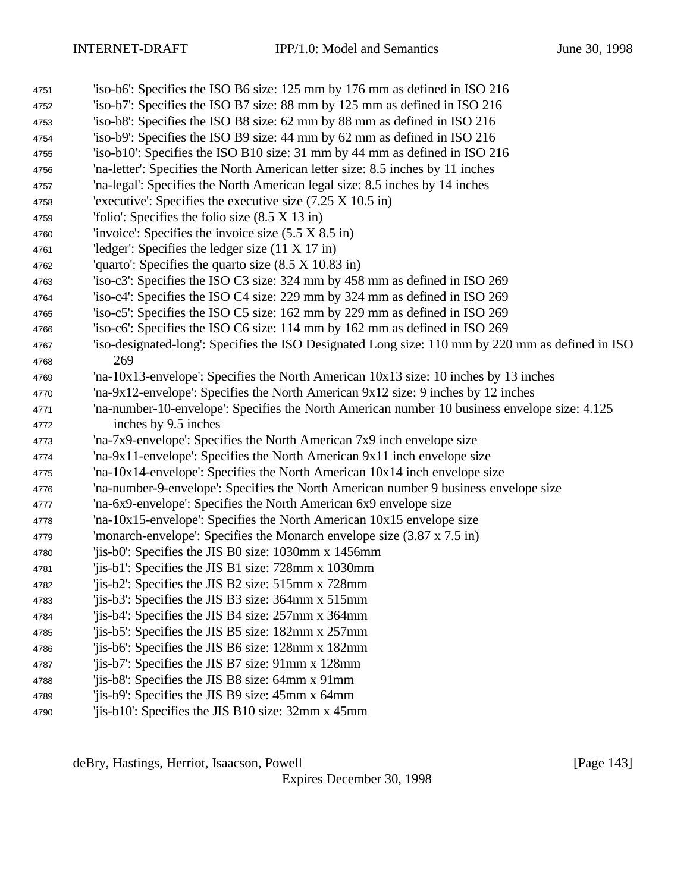- 'iso-b6': Specifies the ISO B6 size: 125 mm by 176 mm as defined in ISO 216
- 'iso-b7': Specifies the ISO B7 size: 88 mm by 125 mm as defined in ISO 216
- 'iso-b8': Specifies the ISO B8 size: 62 mm by 88 mm as defined in ISO 216
- 'iso-b9': Specifies the ISO B9 size: 44 mm by 62 mm as defined in ISO 216
- 'iso-b10': Specifies the ISO B10 size: 31 mm by 44 mm as defined in ISO 216 'na-letter': Specifies the North American letter size: 8.5 inches by 11 inches
- 'na-legal': Specifies the North American legal size: 8.5 inches by 14 inches
- 'executive': Specifies the executive size (7.25 X 10.5 in)
- 'folio': Specifies the folio size (8.5 X 13 in)
- 'invoice': Specifies the invoice size (5.5 X 8.5 in)
- 'ledger': Specifies the ledger size (11 X 17 in)
- 'quarto': Specifies the quarto size (8.5 X 10.83 in)
- 'iso-c3': Specifies the ISO C3 size: 324 mm by 458 mm as defined in ISO 269
- 'iso-c4': Specifies the ISO C4 size: 229 mm by 324 mm as defined in ISO 269
- 'iso-c5': Specifies the ISO C5 size: 162 mm by 229 mm as defined in ISO 269
- 'iso-c6': Specifies the ISO C6 size: 114 mm by 162 mm as defined in ISO 269
- 'iso-designated-long': Specifies the ISO Designated Long size: 110 mm by 220 mm as defined in ISO 269
- 'na-10x13-envelope': Specifies the North American 10x13 size: 10 inches by 13 inches
- 'na-9x12-envelope': Specifies the North American 9x12 size: 9 inches by 12 inches
- 'na-number-10-envelope': Specifies the North American number 10 business envelope size: 4.125 inches by 9.5 inches
- 'na-7x9-envelope': Specifies the North American 7x9 inch envelope size
- 'na-9x11-envelope': Specifies the North American 9x11 inch envelope size
- 'na-10x14-envelope': Specifies the North American 10x14 inch envelope size
- 'na-number-9-envelope': Specifies the North American number 9 business envelope size
- 'na-6x9-envelope': Specifies the North American 6x9 envelope size
- 'na-10x15-envelope': Specifies the North American 10x15 envelope size
- 'monarch-envelope': Specifies the Monarch envelope size (3.87 x 7.5 in)
- 'jis-b0': Specifies the JIS B0 size: 1030mm x 1456mm
- 'jis-b1': Specifies the JIS B1 size: 728mm x 1030mm
- 'jis-b2': Specifies the JIS B2 size: 515mm x 728mm
- 'jis-b3': Specifies the JIS B3 size: 364mm x 515mm
- 'jis-b4': Specifies the JIS B4 size: 257mm x 364mm
- 'jis-b5': Specifies the JIS B5 size: 182mm x 257mm
- 'jis-b6': Specifies the JIS B6 size: 128mm x 182mm
- 'jis-b7': Specifies the JIS B7 size: 91mm x 128mm
- 'jis-b8': Specifies the JIS B8 size: 64mm x 91mm
- 'jis-b9': Specifies the JIS B9 size: 45mm x 64mm
- 'jis-b10': Specifies the JIS B10 size: 32mm x 45mm

deBry, Hastings, Herriot, Isaacson, Powell **company** and the company of the company in the company of the company of the company of the company of the company of the company of the company of the company of the company of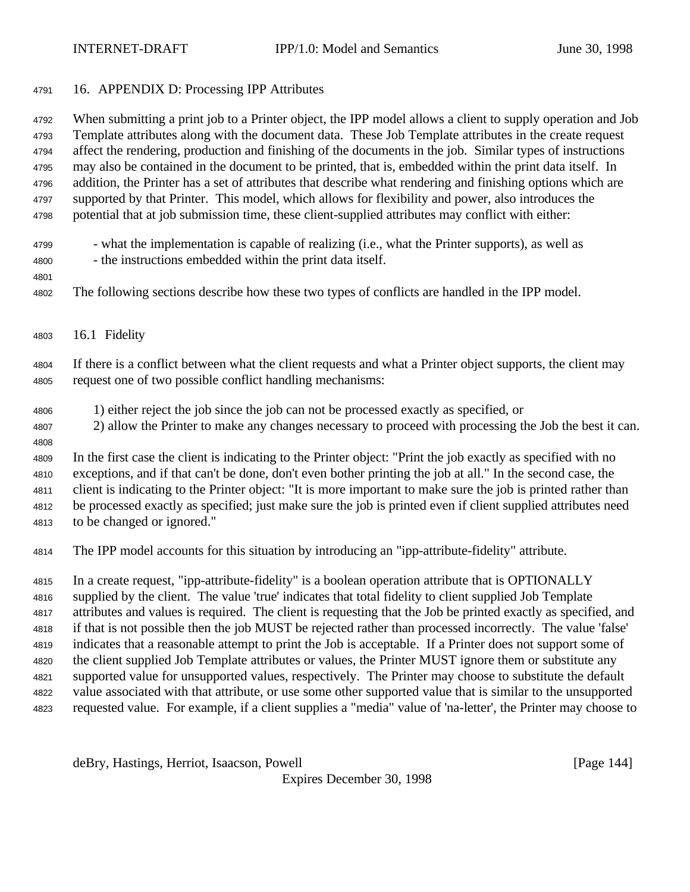16. APPENDIX D: Processing IPP Attributes

 When submitting a print job to a Printer object, the IPP model allows a client to supply operation and Job Template attributes along with the document data. These Job Template attributes in the create request affect the rendering, production and finishing of the documents in the job. Similar types of instructions may also be contained in the document to be printed, that is, embedded within the print data itself. In addition, the Printer has a set of attributes that describe what rendering and finishing options which are supported by that Printer. This model, which allows for flexibility and power, also introduces the potential that at job submission time, these client-supplied attributes may conflict with either:

- what the implementation is capable of realizing (i.e., what the Printer supports), as well as - the instructions embedded within the print data itself.
- 

The following sections describe how these two types of conflicts are handled in the IPP model.

16.1 Fidelity

 If there is a conflict between what the client requests and what a Printer object supports, the client may request one of two possible conflict handling mechanisms:

- 1) either reject the job since the job can not be processed exactly as specified, or
- 2) allow the Printer to make any changes necessary to proceed with processing the Job the best it can.

 In the first case the client is indicating to the Printer object: "Print the job exactly as specified with no exceptions, and if that can't be done, don't even bother printing the job at all." In the second case, the client is indicating to the Printer object: "It is more important to make sure the job is printed rather than be processed exactly as specified; just make sure the job is printed even if client supplied attributes need to be changed or ignored."

The IPP model accounts for this situation by introducing an "ipp-attribute-fidelity" attribute.

 In a create request, "ipp-attribute-fidelity" is a boolean operation attribute that is OPTIONALLY supplied by the client. The value 'true' indicates that total fidelity to client supplied Job Template attributes and values is required. The client is requesting that the Job be printed exactly as specified, and if that is not possible then the job MUST be rejected rather than processed incorrectly. The value 'false' indicates that a reasonable attempt to print the Job is acceptable. If a Printer does not support some of the client supplied Job Template attributes or values, the Printer MUST ignore them or substitute any supported value for unsupported values, respectively. The Printer may choose to substitute the default value associated with that attribute, or use some other supported value that is similar to the unsupported requested value. For example, if a client supplies a "media" value of 'na-letter', the Printer may choose to

deBry, Hastings, Herriot, Isaacson, Powell [Page 144]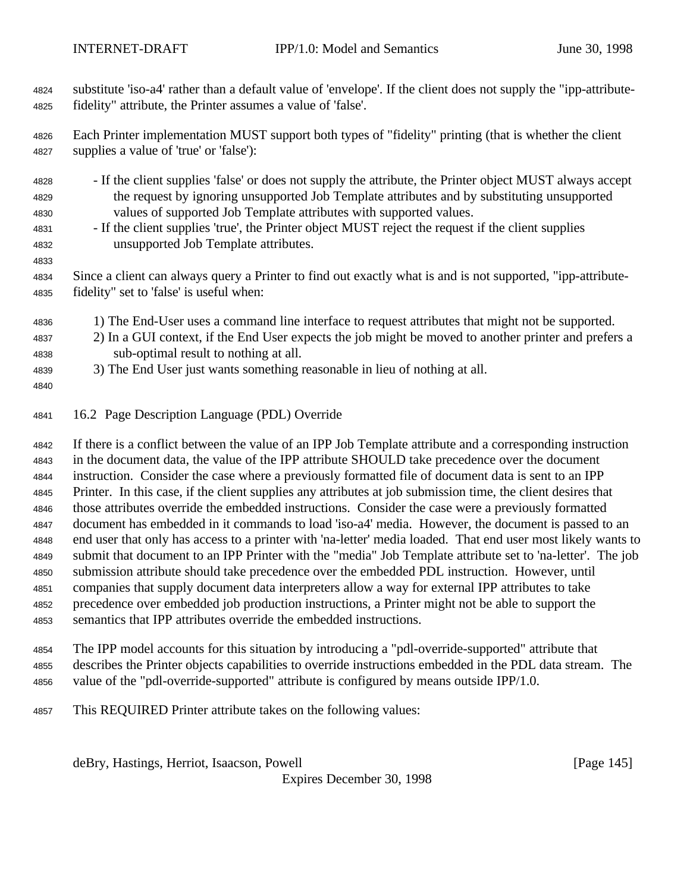substitute 'iso-a4' rather than a default value of 'envelope'. If the client does not supply the "ipp-attribute-fidelity" attribute, the Printer assumes a value of 'false'.

 Each Printer implementation MUST support both types of "fidelity" printing (that is whether the client supplies a value of 'true' or 'false'):

- If the client supplies 'false' or does not supply the attribute, the Printer object MUST always accept the request by ignoring unsupported Job Template attributes and by substituting unsupported values of supported Job Template attributes with supported values.
- If the client supplies 'true', the Printer object MUST reject the request if the client supplies unsupported Job Template attributes.
- 

 Since a client can always query a Printer to find out exactly what is and is not supported, "ipp-attribute-fidelity" set to 'false' is useful when:

- 1) The End-User uses a command line interface to request attributes that might not be supported.
- 2) In a GUI context, if the End User expects the job might be moved to another printer and prefers a sub-optimal result to nothing at all.
- 3) The End User just wants something reasonable in lieu of nothing at all.
- 
- 16.2 Page Description Language (PDL) Override

 If there is a conflict between the value of an IPP Job Template attribute and a corresponding instruction in the document data, the value of the IPP attribute SHOULD take precedence over the document instruction. Consider the case where a previously formatted file of document data is sent to an IPP Printer. In this case, if the client supplies any attributes at job submission time, the client desires that those attributes override the embedded instructions. Consider the case were a previously formatted document has embedded in it commands to load 'iso-a4' media. However, the document is passed to an end user that only has access to a printer with 'na-letter' media loaded. That end user most likely wants to submit that document to an IPP Printer with the "media" Job Template attribute set to 'na-letter'. The job submission attribute should take precedence over the embedded PDL instruction. However, until companies that supply document data interpreters allow a way for external IPP attributes to take precedence over embedded job production instructions, a Printer might not be able to support the semantics that IPP attributes override the embedded instructions.

- The IPP model accounts for this situation by introducing a "pdl-override-supported" attribute that describes the Printer objects capabilities to override instructions embedded in the PDL data stream. The value of the "pdl-override-supported" attribute is configured by means outside IPP/1.0.
- This REQUIRED Printer attribute takes on the following values:

deBry, Hastings, Herriot, Isaacson, Powell [Page 145]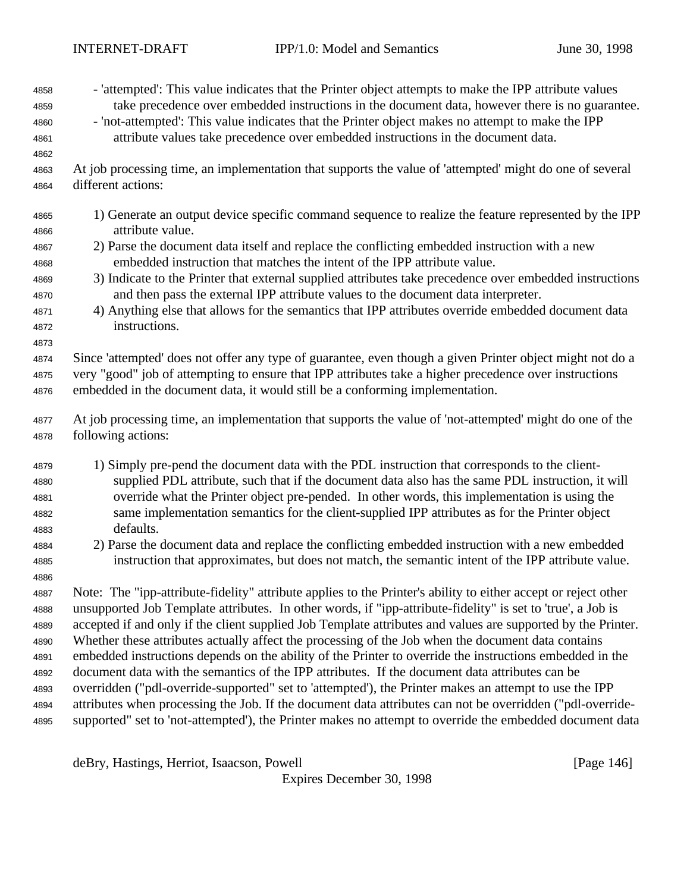- 'attempted': This value indicates that the Printer object attempts to make the IPP attribute values

deBry, Hastings, Herriot, Isaacson, Powell [Page 146] Expires December 30, 1998 take precedence over embedded instructions in the document data, however there is no guarantee. - 'not-attempted': This value indicates that the Printer object makes no attempt to make the IPP attribute values take precedence over embedded instructions in the document data. At job processing time, an implementation that supports the value of 'attempted' might do one of several different actions: 1) Generate an output device specific command sequence to realize the feature represented by the IPP attribute value. 2) Parse the document data itself and replace the conflicting embedded instruction with a new embedded instruction that matches the intent of the IPP attribute value. 3) Indicate to the Printer that external supplied attributes take precedence over embedded instructions and then pass the external IPP attribute values to the document data interpreter. 4) Anything else that allows for the semantics that IPP attributes override embedded document data instructions. Since 'attempted' does not offer any type of guarantee, even though a given Printer object might not do a very "good" job of attempting to ensure that IPP attributes take a higher precedence over instructions embedded in the document data, it would still be a conforming implementation. At job processing time, an implementation that supports the value of 'not-attempted' might do one of the following actions: 1) Simply pre-pend the document data with the PDL instruction that corresponds to the client- supplied PDL attribute, such that if the document data also has the same PDL instruction, it will override what the Printer object pre-pended. In other words, this implementation is using the same implementation semantics for the client-supplied IPP attributes as for the Printer object defaults. 2) Parse the document data and replace the conflicting embedded instruction with a new embedded instruction that approximates, but does not match, the semantic intent of the IPP attribute value. Note: The "ipp-attribute-fidelity" attribute applies to the Printer's ability to either accept or reject other unsupported Job Template attributes. In other words, if "ipp-attribute-fidelity" is set to 'true', a Job is accepted if and only if the client supplied Job Template attributes and values are supported by the Printer. Whether these attributes actually affect the processing of the Job when the document data contains embedded instructions depends on the ability of the Printer to override the instructions embedded in the document data with the semantics of the IPP attributes. If the document data attributes can be overridden ("pdl-override-supported" set to 'attempted'), the Printer makes an attempt to use the IPP attributes when processing the Job. If the document data attributes can not be overridden ("pdl-override-supported" set to 'not-attempted'), the Printer makes no attempt to override the embedded document data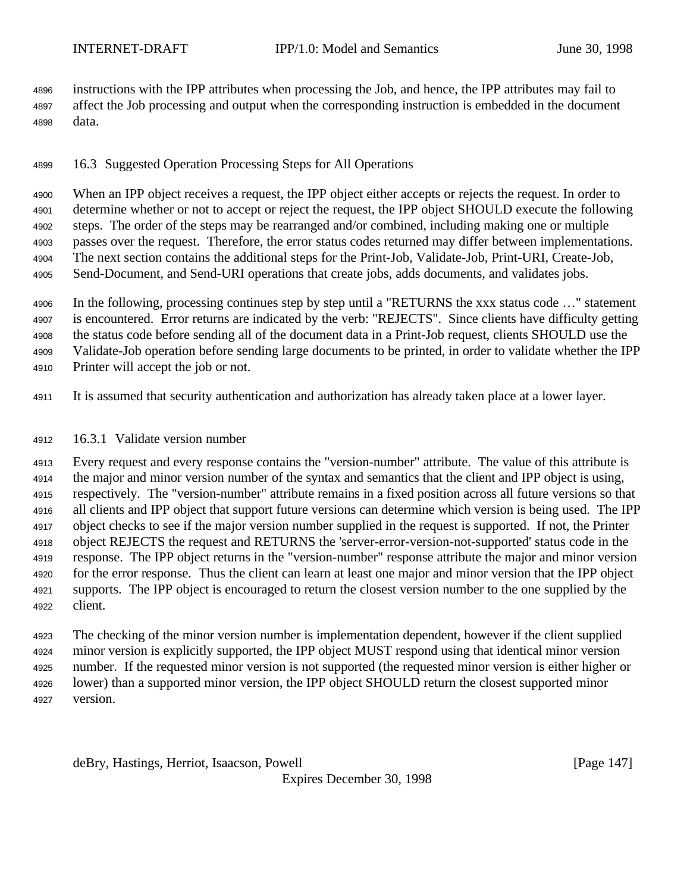instructions with the IPP attributes when processing the Job, and hence, the IPP attributes may fail to affect the Job processing and output when the corresponding instruction is embedded in the document data.

16.3 Suggested Operation Processing Steps for All Operations

 When an IPP object receives a request, the IPP object either accepts or rejects the request. In order to determine whether or not to accept or reject the request, the IPP object SHOULD execute the following steps. The order of the steps may be rearranged and/or combined, including making one or multiple passes over the request. Therefore, the error status codes returned may differ between implementations. The next section contains the additional steps for the Print-Job, Validate-Job, Print-URI, Create-Job, Send-Document, and Send-URI operations that create jobs, adds documents, and validates jobs.

 In the following, processing continues step by step until a "RETURNS the xxx status code …" statement is encountered. Error returns are indicated by the verb: "REJECTS". Since clients have difficulty getting the status code before sending all of the document data in a Print-Job request, clients SHOULD use the Validate-Job operation before sending large documents to be printed, in order to validate whether the IPP Printer will accept the job or not.

It is assumed that security authentication and authorization has already taken place at a lower layer.

## 16.3.1 Validate version number

 Every request and every response contains the "version-number" attribute. The value of this attribute is the major and minor version number of the syntax and semantics that the client and IPP object is using, respectively. The "version-number" attribute remains in a fixed position across all future versions so that all clients and IPP object that support future versions can determine which version is being used. The IPP object checks to see if the major version number supplied in the request is supported. If not, the Printer object REJECTS the request and RETURNS the 'server-error-version-not-supported' status code in the response. The IPP object returns in the "version-number" response attribute the major and minor version for the error response. Thus the client can learn at least one major and minor version that the IPP object supports. The IPP object is encouraged to return the closest version number to the one supplied by the client.

 The checking of the minor version number is implementation dependent, however if the client supplied minor version is explicitly supported, the IPP object MUST respond using that identical minor version number. If the requested minor version is not supported (the requested minor version is either higher or lower) than a supported minor version, the IPP object SHOULD return the closest supported minor version.

deBry, Hastings, Herriot, Isaacson, Powell [Page 147]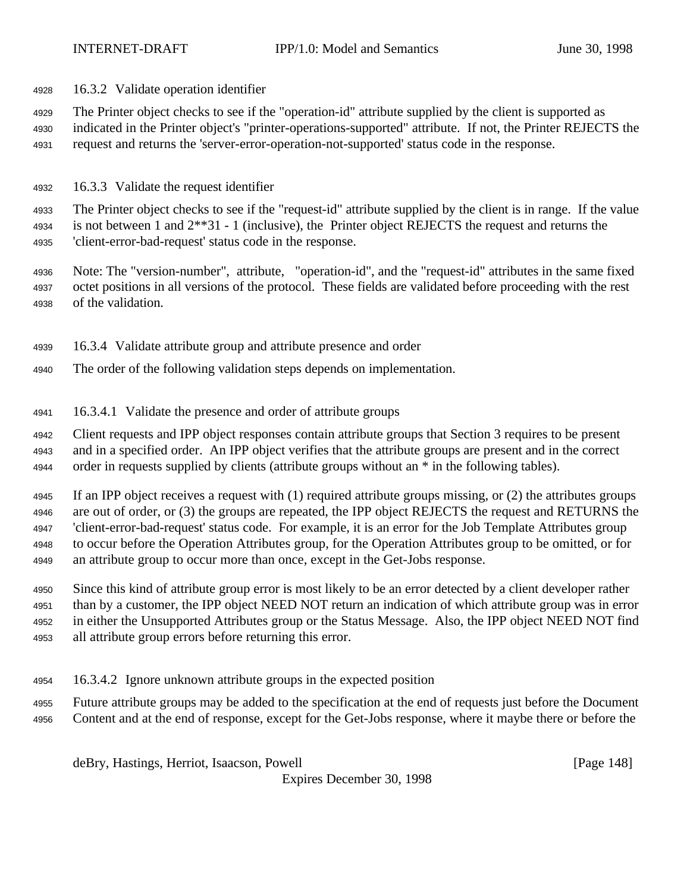16.3.2 Validate operation identifier

The Printer object checks to see if the "operation-id" attribute supplied by the client is supported as

- indicated in the Printer object's "printer-operations-supported" attribute. If not, the Printer REJECTS the request and returns the 'server-error-operation-not-supported' status code in the response.
- 16.3.3 Validate the request identifier

 The Printer object checks to see if the "request-id" attribute supplied by the client is in range. If the value 4934 is not between 1 and  $2^{**}31 - 1$  (inclusive), the Printer object REJECTS the request and returns the 'client-error-bad-request' status code in the response.

- Note: The "version-number", attribute, "operation-id", and the "request-id" attributes in the same fixed octet positions in all versions of the protocol. These fields are validated before proceeding with the rest of the validation.
- 16.3.4 Validate attribute group and attribute presence and order
- The order of the following validation steps depends on implementation.
- 16.3.4.1 Validate the presence and order of attribute groups

 Client requests and IPP object responses contain attribute groups that Section 3 requires to be present and in a specified order. An IPP object verifies that the attribute groups are present and in the correct 4944 order in requests supplied by clients (attribute groups without an  $*$  in the following tables).

 If an IPP object receives a request with (1) required attribute groups missing, or (2) the attributes groups are out of order, or (3) the groups are repeated, the IPP object REJECTS the request and RETURNS the 'client-error-bad-request' status code. For example, it is an error for the Job Template Attributes group to occur before the Operation Attributes group, for the Operation Attributes group to be omitted, or for an attribute group to occur more than once, except in the Get-Jobs response.

 Since this kind of attribute group error is most likely to be an error detected by a client developer rather than by a customer, the IPP object NEED NOT return an indication of which attribute group was in error in either the Unsupported Attributes group or the Status Message. Also, the IPP object NEED NOT find all attribute group errors before returning this error.

- 16.3.4.2 Ignore unknown attribute groups in the expected position
- Future attribute groups may be added to the specification at the end of requests just before the Document Content and at the end of response, except for the Get-Jobs response, where it maybe there or before the

deBry, Hastings, Herriot, Isaacson, Powell [Page 148]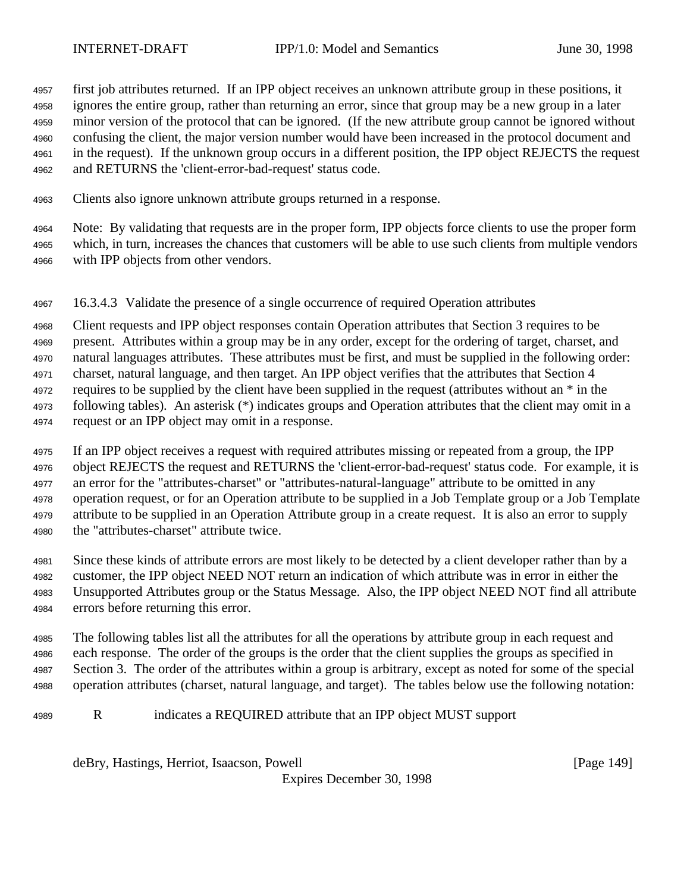first job attributes returned. If an IPP object receives an unknown attribute group in these positions, it ignores the entire group, rather than returning an error, since that group may be a new group in a later minor version of the protocol that can be ignored. (If the new attribute group cannot be ignored without confusing the client, the major version number would have been increased in the protocol document and in the request). If the unknown group occurs in a different position, the IPP object REJECTS the request and RETURNS the 'client-error-bad-request' status code.

Clients also ignore unknown attribute groups returned in a response.

 Note: By validating that requests are in the proper form, IPP objects force clients to use the proper form which, in turn, increases the chances that customers will be able to use such clients from multiple vendors with IPP objects from other vendors.

16.3.4.3 Validate the presence of a single occurrence of required Operation attributes

 Client requests and IPP object responses contain Operation attributes that Section 3 requires to be present. Attributes within a group may be in any order, except for the ordering of target, charset, and natural languages attributes. These attributes must be first, and must be supplied in the following order: charset, natural language, and then target. An IPP object verifies that the attributes that Section 4 4972 requires to be supplied by the client have been supplied in the request (attributes without an  $*$  in the following tables). An asterisk (\*) indicates groups and Operation attributes that the client may omit in a request or an IPP object may omit in a response.

 If an IPP object receives a request with required attributes missing or repeated from a group, the IPP object REJECTS the request and RETURNS the 'client-error-bad-request' status code. For example, it is an error for the "attributes-charset" or "attributes-natural-language" attribute to be omitted in any operation request, or for an Operation attribute to be supplied in a Job Template group or a Job Template attribute to be supplied in an Operation Attribute group in a create request. It is also an error to supply the "attributes-charset" attribute twice.

 Since these kinds of attribute errors are most likely to be detected by a client developer rather than by a customer, the IPP object NEED NOT return an indication of which attribute was in error in either the Unsupported Attributes group or the Status Message. Also, the IPP object NEED NOT find all attribute errors before returning this error.

 The following tables list all the attributes for all the operations by attribute group in each request and each response. The order of the groups is the order that the client supplies the groups as specified in Section 3. The order of the attributes within a group is arbitrary, except as noted for some of the special operation attributes (charset, natural language, and target). The tables below use the following notation:

R indicates a REQUIRED attribute that an IPP object MUST support

deBry, Hastings, Herriot, Isaacson, Powell [Page 149]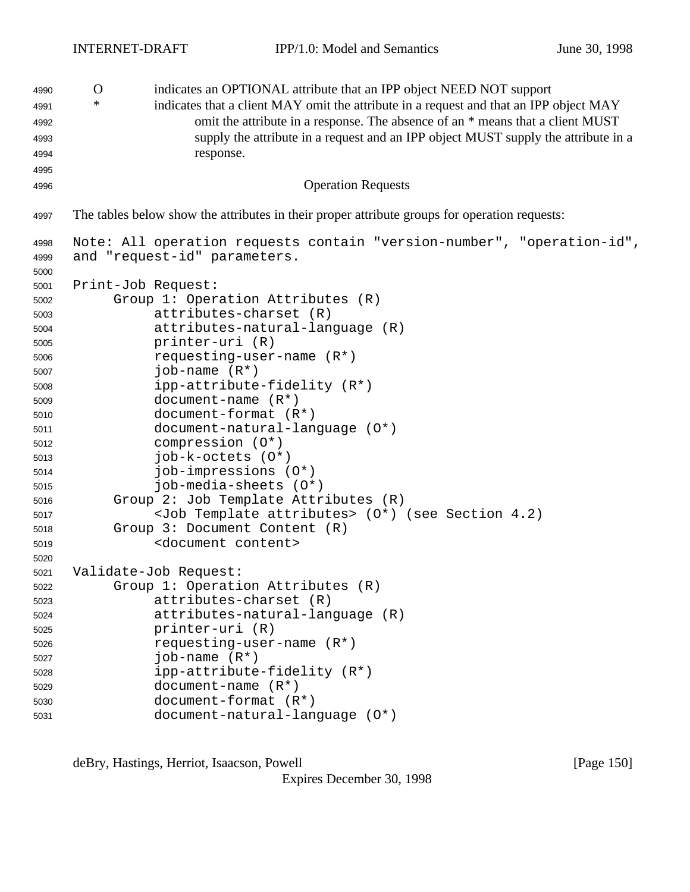O indicates an OPTIONAL attribute that an IPP object NEED NOT support \* indicates that a client MAY omit the attribute in a request and that an IPP object MAY omit the attribute in a response. The absence of an \* means that a client MUST supply the attribute in a request and an IPP object MUST supply the attribute in a response. Operation Requests The tables below show the attributes in their proper attribute groups for operation requests: Note: All operation requests contain "version-number", "operation-id", and "request-id" parameters. Print-Job Request: Group 1: Operation Attributes (R) attributes-charset (R) attributes-natural-language (R) printer-uri (R) requesting-user-name (R\*) job-name (R\*) ipp-attribute-fidelity (R\*) document-name (R\*) document-format (R\*) document-natural-language (O\*) compression (O\*) job-k-octets (O\*) job-impressions (O\*) job-media-sheets (O\*) Group 2: Job Template Attributes (R) <Job Template attributes> (O\*) (see Section 4.2) Group 3: Document Content (R) <document content> Validate-Job Request: Group 1: Operation Attributes (R) attributes-charset (R) attributes-natural-language (R) printer-uri (R) requesting-user-name (R\*) job-name  $(R<sup>*</sup>)$  ipp-attribute-fidelity (R\*) document-name (R\*) document-format (R\*) document-natural-language (O\*)

deBry, Hastings, Herriot, Isaacson, Powell **company** and the same of the same of the same of the same of the same of the same of the same of the same of the same of the same of the same of the same of the same of the same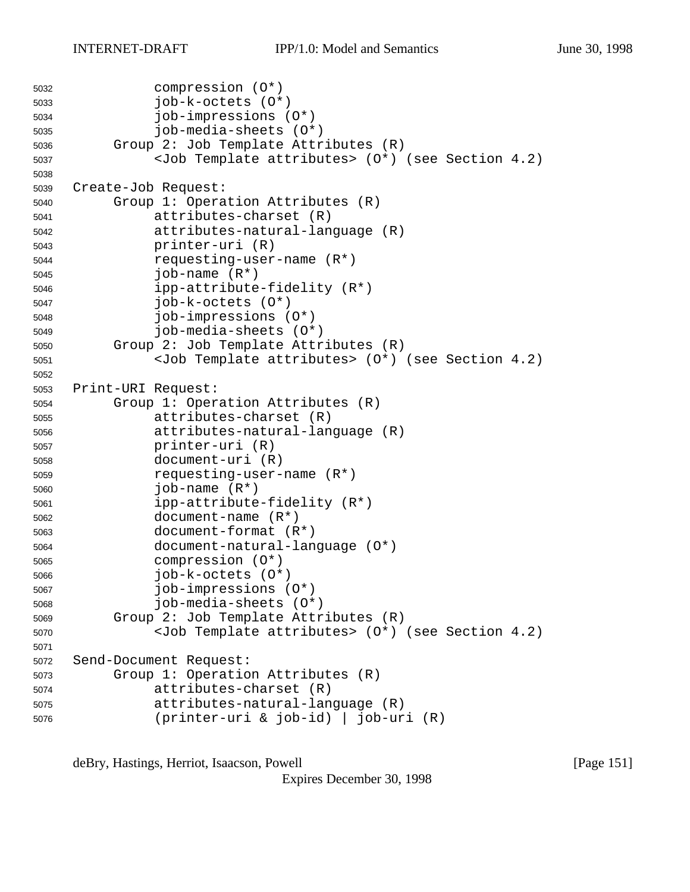```
5032 compression (O*)
5033 job-k-octets (O*)
5034 job-impressions (O*)
5035 job-media-sheets (O*)
5036 Group 2: Job Template Attributes (R)
5037 <Job Template attributes> (O*) (see Section 4.2)
5038
5039 Create-Job Request:
5040 Group 1: Operation Attributes (R)
5041 attributes-charset (R)
5042 attributes-natural-language (R)
5043 printer-uri (R)
5044 requesting-user-name (R*)
5045 job-name (R*)
5046 ipp-attribute-fidelity (R*)
5047 job-k-octets (O*)
5048 job-impressions (O*)
5049 job-media-sheets (O*)
5050 Group 2: Job Template Attributes (R)
5051 <Job Template attributes> (O*) (see Section 4.2)
5052
5053 Print-URI Request:
5054 Group 1: Operation Attributes (R)
5055 attributes-charset (R)
5056 attributes-natural-language (R)
5057 printer-uri (R)
5058 document-uri (R)
5059 requesting-user-name (R*)
5060 job-name (R*)
5061 ipp-attribute-fidelity (R*)
5062 document-name (R*)
5063 document-format (R*)
5064 document-natural-language (O*)
5065 compression (O*)
5066 job-k-octets (O*)
5067 job-impressions (O*)
5068 job-media-sheets (O*)
5069 Group 2: Job Template Attributes (R)
5070 <Job Template attributes> (O*) (see Section 4.2)
5071
5072 Send-Document Request:
5073 Group 1: Operation Attributes (R)
5074 attributes-charset (R)
5075 attributes-natural-language (R)
5076 (printer-uri & job-id) | job-uri (R)
```
deBry, Hastings, Herriot, Isaacson, Powell [Page 151]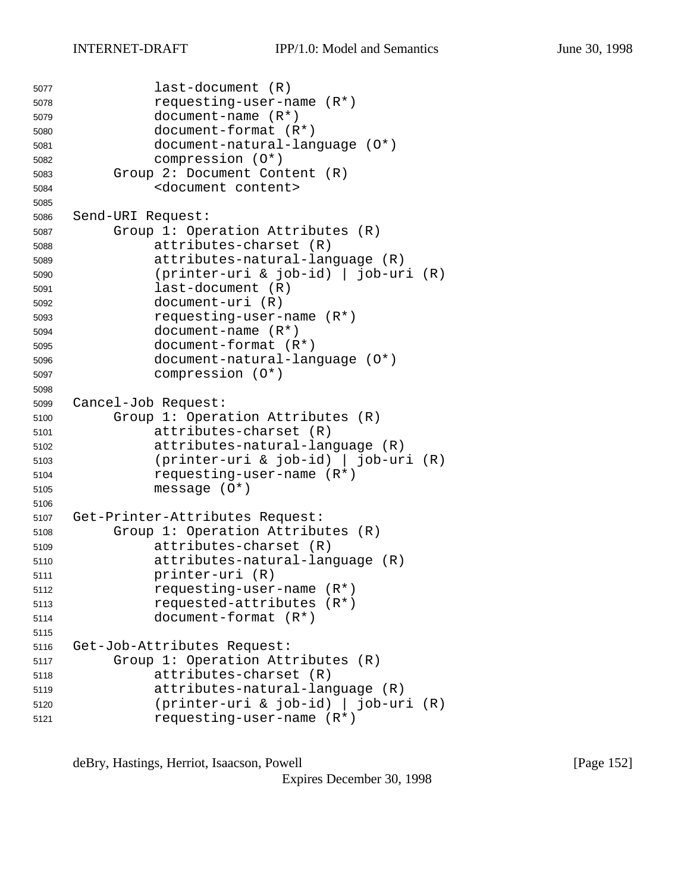```
5077 last-document (R)
5078 requesting-user-name (R*)
5079 document-name (R*)
5080 document-format (R*)
5081 document-natural-language (O*)
5082 compression (O*)
5083 Group 2: Document Content (R)
5084 <document content>
5085
5086 Send-URI Request:
5087 Group 1: Operation Attributes (R)
5088 attributes-charset (R)
5089 attributes-natural-language (R)
5090 (printer-uri & job-id) | job-uri (R)
5091 last-document (R)
5092 document-uri (R)
5093 requesting-user-name (R*)
5094 document-name (R*)
5095 document-format (R*)
5096 document-natural-language (O*)
5097 compression (O*)
5098
5099 Cancel-Job Request:
5100 Group 1: Operation Attributes (R)
5101 attributes-charset (R)
5102 attributes-natural-language (R)
5103 (printer-uri & job-id) | job-uri (R)
5104 requesting-user-name (R*)
5105 message (O*)
5106
5107 Get-Printer-Attributes Request:
5108 Group 1: Operation Attributes (R)
5109 attributes-charset (R)
5110 attributes-natural-language (R)
5111 printer-uri (R)
5112 requesting-user-name (R*)
5113 requested-attributes (R*)
5114 document-format (R*)
5115
5116 Get-Job-Attributes Request:
5117 Group 1: Operation Attributes (R)
5118 attributes-charset (R)
5119 attributes-natural-language (R)
5120 (printer-uri & job-id) | job-uri (R)
5121 requesting-user-name (R*)
```
deBry, Hastings, Herriot, Isaacson, Powell [Page 152]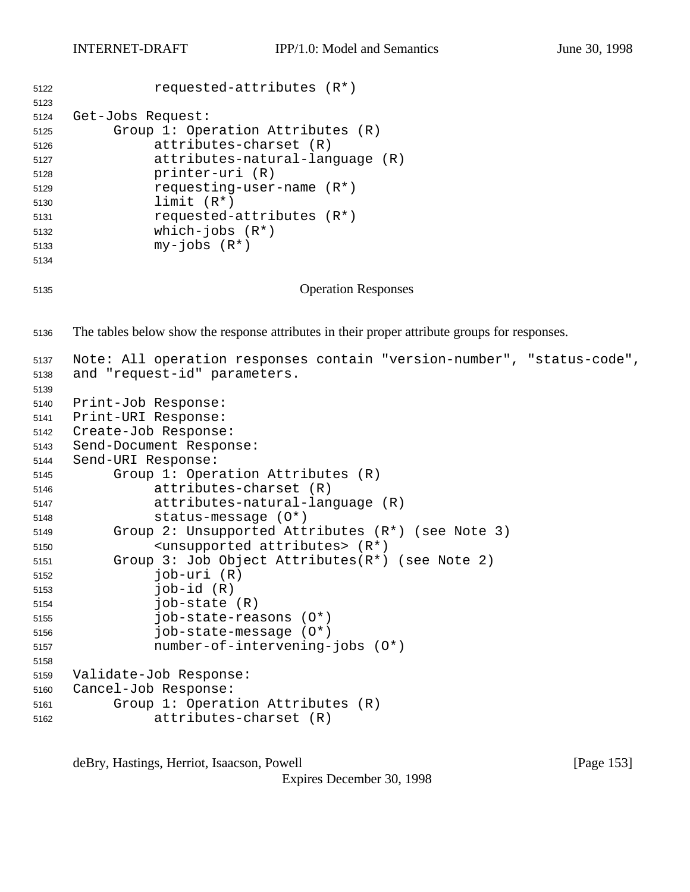```
5122 requested-attributes (R*)
5123
5124 Get-Jobs Request:
5125 Group 1: Operation Attributes (R)
5126 attributes-charset (R)
5127 attributes-natural-language (R)
5128 printer-uri (R)
5129 requesting-user-name (R*)
5130 limit (R*)
5131 requested-attributes (R*)
5132 which-jobs (R*)
5133 my-jobs (R*)
5134
5135 Operation Responses
5136 The tables below show the response attributes in their proper attribute groups for responses.
5137 Note: All operation responses contain "version-number", "status-code",
5138 and "request-id" parameters.
5139
5140 Print-Job Response:
5141 Print-URI Response:
5142 Create-Job Response:
5143 Send-Document Response:
5144 Send-URI Response:
5145 Group 1: Operation Attributes (R)
5146 attributes-charset (R)
5147 attributes-natural-language (R)
5148 status-message (O*)
5149 Group 2: Unsupported Attributes (R*) (see Note 3)
5150 <unsupported attributes> (R*)
5151 Group 3: Job Object Attributes(R*) (see Note 2)
5152 job-uri (R)
5153 job-id (R)
5154 job-state (R)
5155 job-state-reasons (O*)
5156 job-state-message (O*)
5157 number-of-intervening-jobs (O*)
5158
5159 Validate-Job Response:
5160 Cancel-Job Response:
5161 Group 1: Operation Attributes (R)
5162 attributes-charset (R)
```
deBry, Hastings, Herriot, Isaacson, Powell **compared as a set of the Contract Contract (Page 153**)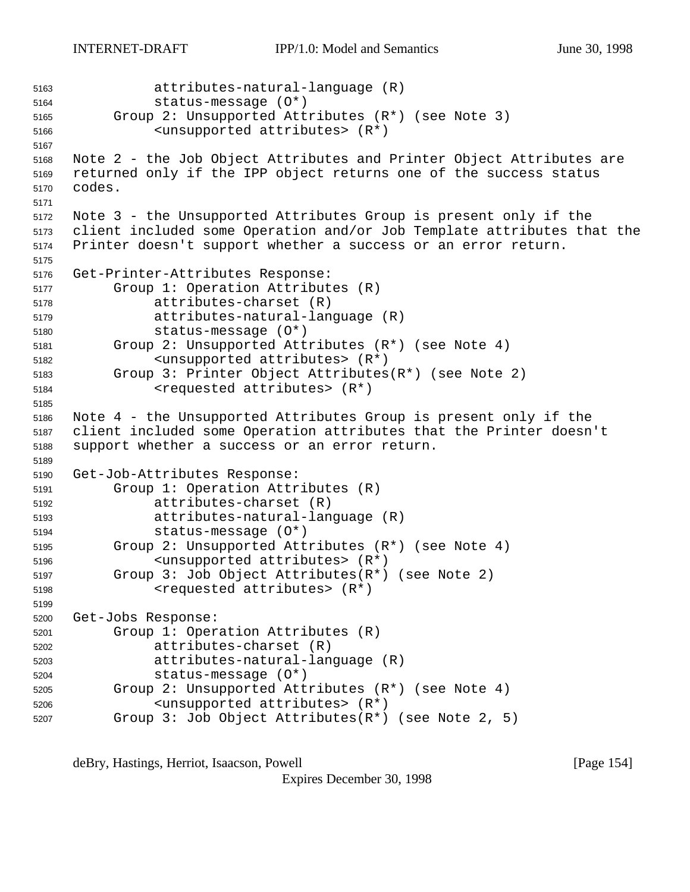attributes-natural-language (R) status-message (O\*) Group 2: Unsupported Attributes (R\*) (see Note 3) <unsupported attributes> (R\*) Note 2 - the Job Object Attributes and Printer Object Attributes are returned only if the IPP object returns one of the success status codes. Note 3 - the Unsupported Attributes Group is present only if the client included some Operation and/or Job Template attributes that the Printer doesn't support whether a success or an error return. Get-Printer-Attributes Response: Group 1: Operation Attributes (R) attributes-charset (R) attributes-natural-language (R) status-message (O\*) Group 2: Unsupported Attributes (R\*) (see Note 4) <unsupported attributes> (R\*) Group 3: Printer Object Attributes(R\*) (see Note 2) <requested attributes> (R\*) Note 4 - the Unsupported Attributes Group is present only if the client included some Operation attributes that the Printer doesn't support whether a success or an error return. Get-Job-Attributes Response: Group 1: Operation Attributes (R) attributes-charset (R) attributes-natural-language (R) status-message (O\*) Group 2: Unsupported Attributes (R\*) (see Note 4) <unsupported attributes> (R\*) Group 3: Job Object Attributes(R\*) (see Note 2) <requested attributes> (R\*) Get-Jobs Response: Group 1: Operation Attributes (R) attributes-charset (R) attributes-natural-language (R) status-message (O\*) Group 2: Unsupported Attributes (R\*) (see Note 4) <unsupported attributes> (R\*) Group 3: Job Object Attributes(R\*) (see Note 2, 5)

deBry, Hastings, Herriot, Isaacson, Powell **compared as a set of the Contract Contract Contract Contract Contract**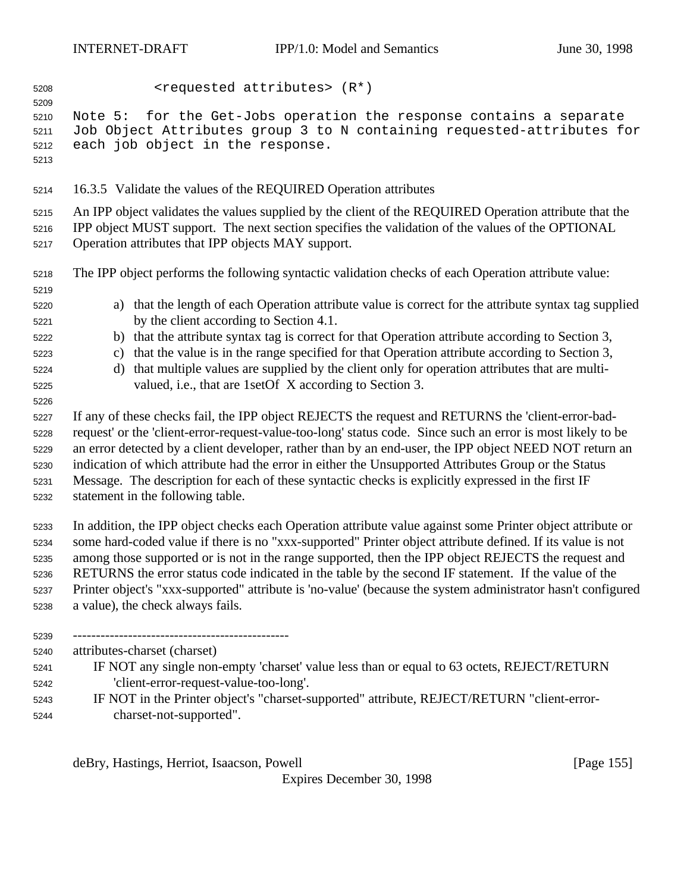<requested attributes> (R\*) Note 5: for the Get-Jobs operation the response contains a separate Job Object Attributes group 3 to N containing requested-attributes for each job object in the response. 16.3.5 Validate the values of the REQUIRED Operation attributes An IPP object validates the values supplied by the client of the REQUIRED Operation attribute that the IPP object MUST support. The next section specifies the validation of the values of the OPTIONAL Operation attributes that IPP objects MAY support. The IPP object performs the following syntactic validation checks of each Operation attribute value: a) that the length of each Operation attribute value is correct for the attribute syntax tag supplied by the client according to Section 4.1. b) that the attribute syntax tag is correct for that Operation attribute according to Section 3, c) that the value is in the range specified for that Operation attribute according to Section 3, d) that multiple values are supplied by the client only for operation attributes that are multi- valued, i.e., that are 1setOf X according to Section 3. If any of these checks fail, the IPP object REJECTS the request and RETURNS the 'client-error-bad- request' or the 'client-error-request-value-too-long' status code. Since such an error is most likely to be an error detected by a client developer, rather than by an end-user, the IPP object NEED NOT return an indication of which attribute had the error in either the Unsupported Attributes Group or the Status Message. The description for each of these syntactic checks is explicitly expressed in the first IF statement in the following table. In addition, the IPP object checks each Operation attribute value against some Printer object attribute or some hard-coded value if there is no "xxx-supported" Printer object attribute defined. If its value is not among those supported or is not in the range supported, then the IPP object REJECTS the request and RETURNS the error status code indicated in the table by the second IF statement. If the value of the Printer object's "xxx-supported" attribute is 'no-value' (because the system administrator hasn't configured a value), the check always fails. ----------------------------------------------- attributes-charset (charset) IF NOT any single non-empty 'charset' value less than or equal to 63 octets, REJECT/RETURN 'client-error-request-value-too-long'. IF NOT in the Printer object's "charset-supported" attribute, REJECT/RETURN "client-error-charset-not-supported".

deBry, Hastings, Herriot, Isaacson, Powell **compared as a set of the set of the set of the set of the set of the**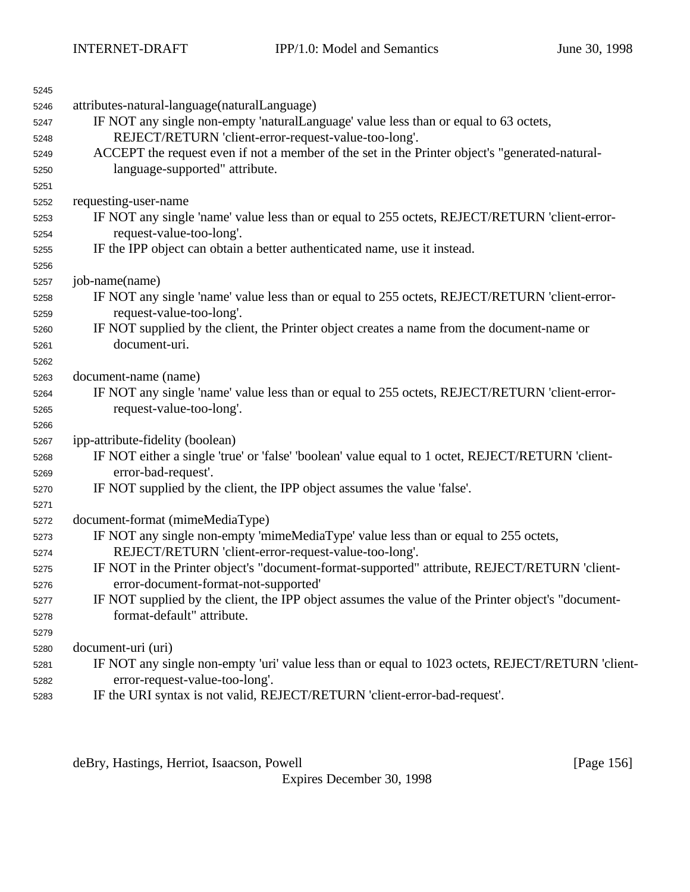| 5245 |                                                                                                    |
|------|----------------------------------------------------------------------------------------------------|
| 5246 | attributes-natural-language(naturalLanguage)                                                       |
| 5247 | IF NOT any single non-empty 'naturalLanguage' value less than or equal to 63 octets,               |
| 5248 | REJECT/RETURN 'client-error-request-value-too-long'.                                               |
| 5249 | ACCEPT the request even if not a member of the set in the Printer object's "generated-natural-     |
| 5250 | language-supported" attribute.                                                                     |
| 5251 |                                                                                                    |
| 5252 | requesting-user-name                                                                               |
| 5253 | IF NOT any single 'name' value less than or equal to 255 octets, REJECT/RETURN 'client-error-      |
| 5254 | request-value-too-long'.                                                                           |
| 5255 | IF the IPP object can obtain a better authenticated name, use it instead.                          |
| 5256 |                                                                                                    |
| 5257 | job-name(name)                                                                                     |
| 5258 | IF NOT any single 'name' value less than or equal to 255 octets, REJECT/RETURN 'client-error-      |
| 5259 | request-value-too-long'.                                                                           |
| 5260 | IF NOT supplied by the client, the Printer object creates a name from the document-name or         |
| 5261 | document-uri.                                                                                      |
| 5262 |                                                                                                    |
| 5263 | document-name (name)                                                                               |
| 5264 | IF NOT any single 'name' value less than or equal to 255 octets, REJECT/RETURN 'client-error-      |
| 5265 | request-value-too-long'.                                                                           |
| 5266 |                                                                                                    |
| 5267 | ipp-attribute-fidelity (boolean)                                                                   |
| 5268 | IF NOT either a single 'true' or 'false' 'boolean' value equal to 1 octet, REJECT/RETURN 'client-  |
| 5269 | error-bad-request'.                                                                                |
| 5270 | IF NOT supplied by the client, the IPP object assumes the value 'false'.                           |
| 5271 |                                                                                                    |
| 5272 | document-format (mimeMediaType)                                                                    |
| 5273 | IF NOT any single non-empty 'mimeMediaType' value less than or equal to 255 octets,                |
| 5274 | REJECT/RETURN 'client-error-request-value-too-long'.                                               |
| 5275 | IF NOT in the Printer object's "document-format-supported" attribute, REJECT/RETURN 'client-       |
| 5276 | error-document-format-not-supported'                                                               |
| 5277 | IF NOT supplied by the client, the IPP object assumes the value of the Printer object's "document- |
| 5278 | format-default" attribute.                                                                         |
| 5279 |                                                                                                    |
| 5280 | document-uri (uri)                                                                                 |
| 5281 | IF NOT any single non-empty 'uri' value less than or equal to 1023 octets, REJECT/RETURN 'client-  |
| 5282 | error-request-value-too-long'.                                                                     |
| 5283 | IF the URI syntax is not valid, REJECT/RETURN 'client-error-bad-request'.                          |

deBry, Hastings, Herriot, Isaacson, Powell [Page 156]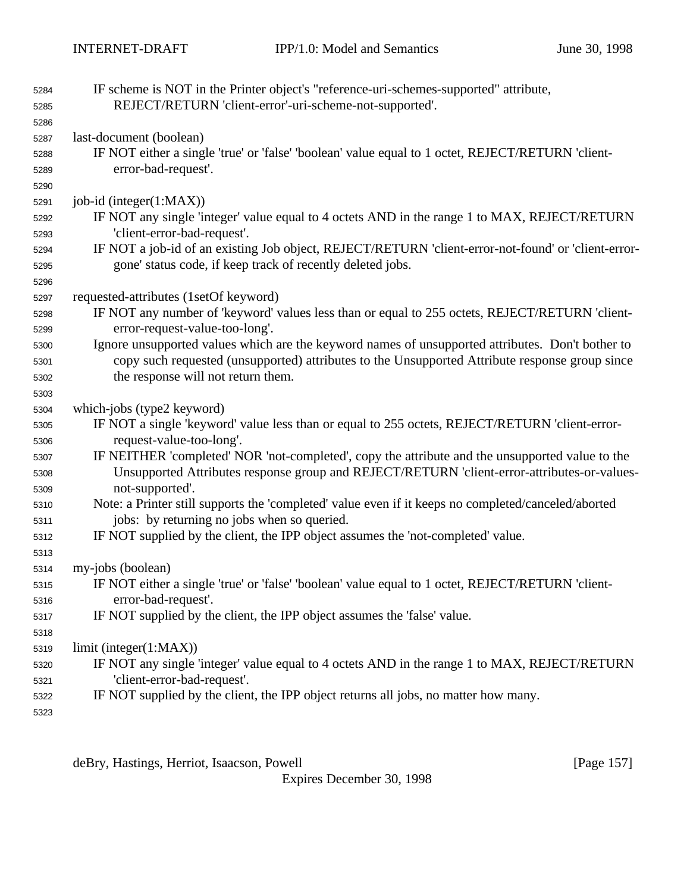| 5284 | IF scheme is NOT in the Printer object's "reference-uri-schemes-supported" attribute,               |
|------|-----------------------------------------------------------------------------------------------------|
| 5285 | REJECT/RETURN 'client-error'-uri-scheme-not-supported'.                                             |
| 5286 |                                                                                                     |
| 5287 | last-document (boolean)                                                                             |
| 5288 | IF NOT either a single 'true' or 'false' 'boolean' value equal to 1 octet, REJECT/RETURN 'client-   |
| 5289 | error-bad-request'.                                                                                 |
| 5290 |                                                                                                     |
| 5291 | job-id (integer(1:MAX))                                                                             |
| 5292 | IF NOT any single 'integer' value equal to 4 octets AND in the range 1 to MAX, REJECT/RETURN        |
| 5293 | 'client-error-bad-request'.                                                                         |
| 5294 | IF NOT a job-id of an existing Job object, REJECT/RETURN 'client-error-not-found' or 'client-error- |
| 5295 | gone' status code, if keep track of recently deleted jobs.                                          |
| 5296 |                                                                                                     |
| 5297 | requested-attributes (1setOf keyword)                                                               |
| 5298 | IF NOT any number of 'keyword' values less than or equal to 255 octets, REJECT/RETURN 'client-      |
| 5299 | error-request-value-too-long'.                                                                      |
| 5300 | Ignore unsupported values which are the keyword names of unsupported attributes. Don't bother to    |
| 5301 | copy such requested (unsupported) attributes to the Unsupported Attribute response group since      |
| 5302 | the response will not return them.                                                                  |
| 5303 |                                                                                                     |
| 5304 | which-jobs (type2 keyword)                                                                          |
| 5305 | IF NOT a single 'keyword' value less than or equal to 255 octets, REJECT/RETURN 'client-error-      |
| 5306 | request-value-too-long'.                                                                            |
| 5307 | IF NEITHER 'completed' NOR 'not-completed', copy the attribute and the unsupported value to the     |
| 5308 | Unsupported Attributes response group and REJECT/RETURN 'client-error-attributes-or-values-         |
| 5309 | not-supported'.                                                                                     |
| 5310 | Note: a Printer still supports the 'completed' value even if it keeps no completed/canceled/aborted |
| 5311 | jobs: by returning no jobs when so queried.                                                         |
| 5312 | IF NOT supplied by the client, the IPP object assumes the 'not-completed' value.                    |
| 5313 |                                                                                                     |
| 5314 | my-jobs (boolean)                                                                                   |
| 5315 | IF NOT either a single 'true' or 'false' 'boolean' value equal to 1 octet, REJECT/RETURN 'client-   |
| 5316 | error-bad-request'.                                                                                 |
| 5317 | IF NOT supplied by the client, the IPP object assumes the 'false' value.                            |
| 5318 |                                                                                                     |
| 5319 | limit (integer(1:MAX))                                                                              |
| 5320 | IF NOT any single 'integer' value equal to 4 octets AND in the range 1 to MAX, REJECT/RETURN        |
| 5321 | 'client-error-bad-request'.                                                                         |
| 5322 | IF NOT supplied by the client, the IPP object returns all jobs, no matter how many.                 |
| 5323 |                                                                                                     |

deBry, Hastings, Herriot, Isaacson, Powell [Page 157]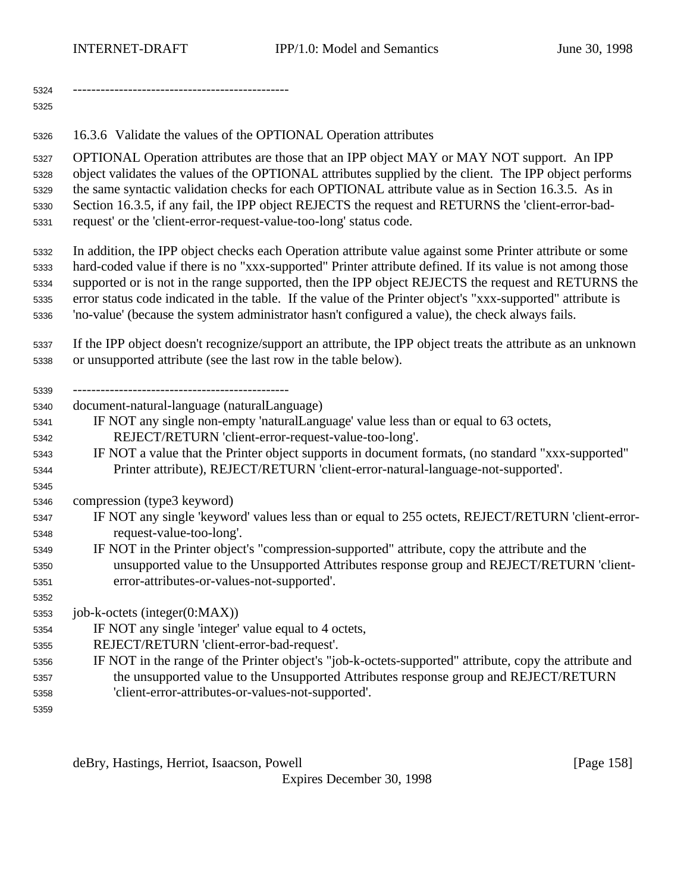16.3.6 Validate the values of the OPTIONAL Operation attributes

 OPTIONAL Operation attributes are those that an IPP object MAY or MAY NOT support. An IPP object validates the values of the OPTIONAL attributes supplied by the client. The IPP object performs the same syntactic validation checks for each OPTIONAL attribute value as in Section 16.3.5. As in Section 16.3.5, if any fail, the IPP object REJECTS the request and RETURNS the 'client-error-bad-request' or the 'client-error-request-value-too-long' status code.

 In addition, the IPP object checks each Operation attribute value against some Printer attribute or some hard-coded value if there is no "xxx-supported" Printer attribute defined. If its value is not among those supported or is not in the range supported, then the IPP object REJECTS the request and RETURNS the error status code indicated in the table. If the value of the Printer object's "xxx-supported" attribute is 'no-value' (because the system administrator hasn't configured a value), the check always fails.

 If the IPP object doesn't recognize/support an attribute, the IPP object treats the attribute as an unknown or unsupported attribute (see the last row in the table below).

-----------------------------------------------

document-natural-language (naturalLanguage)

- IF NOT any single non-empty 'naturalLanguage' value less than or equal to 63 octets, REJECT/RETURN 'client-error-request-value-too-long'.
- IF NOT a value that the Printer object supports in document formats, (no standard "xxx-supported" Printer attribute), REJECT/RETURN 'client-error-natural-language-not-supported'.

compression (type3 keyword)

- IF NOT any single 'keyword' values less than or equal to 255 octets, REJECT/RETURN 'client-error-request-value-too-long'.
- IF NOT in the Printer object's "compression-supported" attribute, copy the attribute and the unsupported value to the Unsupported Attributes response group and REJECT/RETURN 'client-error-attributes-or-values-not-supported'.

job-k-octets (integer(0:MAX))

IF NOT any single 'integer' value equal to 4 octets,

- REJECT/RETURN 'client-error-bad-request'.
- IF NOT in the range of the Printer object's "job-k-octets-supported" attribute, copy the attribute and the unsupported value to the Unsupported Attributes response group and REJECT/RETURN 'client-error-attributes-or-values-not-supported'.

deBry, Hastings, Herriot, Isaacson, Powell **compared as a set of the set of the set of the set of the set of the**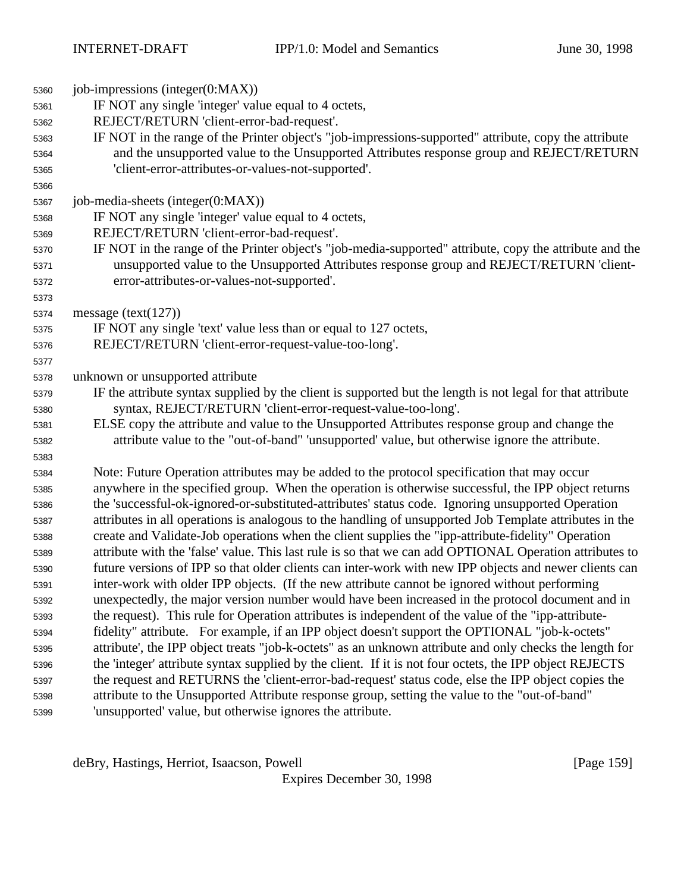| 5360 | job-impressions (integer(0:MAX))                                                                           |
|------|------------------------------------------------------------------------------------------------------------|
| 5361 | IF NOT any single 'integer' value equal to 4 octets,                                                       |
| 5362 | REJECT/RETURN 'client-error-bad-request'.                                                                  |
| 5363 | IF NOT in the range of the Printer object's "job-impressions-supported" attribute, copy the attribute      |
| 5364 | and the unsupported value to the Unsupported Attributes response group and REJECT/RETURN                   |
| 5365 | 'client-error-attributes-or-values-not-supported'.                                                         |
| 5366 |                                                                                                            |
| 5367 | job-media-sheets (integer(0:MAX))                                                                          |
| 5368 | IF NOT any single 'integer' value equal to 4 octets,                                                       |
| 5369 | REJECT/RETURN 'client-error-bad-request'.                                                                  |
| 5370 | IF NOT in the range of the Printer object's "job-media-supported" attribute, copy the attribute and the    |
| 5371 | unsupported value to the Unsupported Attributes response group and REJECT/RETURN 'client-                  |
| 5372 | error-attributes-or-values-not-supported'.                                                                 |
| 5373 |                                                                                                            |
| 5374 | message $(text(127))$                                                                                      |
| 5375 | IF NOT any single 'text' value less than or equal to 127 octets,                                           |
| 5376 | REJECT/RETURN 'client-error-request-value-too-long'.                                                       |
| 5377 |                                                                                                            |
| 5378 | unknown or unsupported attribute                                                                           |
| 5379 | IF the attribute syntax supplied by the client is supported but the length is not legal for that attribute |
| 5380 | syntax, REJECT/RETURN 'client-error-request-value-too-long'.                                               |
| 5381 | ELSE copy the attribute and value to the Unsupported Attributes response group and change the              |
| 5382 | attribute value to the "out-of-band" 'unsupported' value, but otherwise ignore the attribute.              |
| 5383 |                                                                                                            |
| 5384 | Note: Future Operation attributes may be added to the protocol specification that may occur                |
| 5385 | anywhere in the specified group. When the operation is otherwise successful, the IPP object returns        |
| 5386 | the 'successful-ok-ignored-or-substituted-attributes' status code. Ignoring unsupported Operation          |
| 5387 | attributes in all operations is analogous to the handling of unsupported Job Template attributes in the    |
| 5388 | create and Validate-Job operations when the client supplies the "ipp-attribute-fidelity" Operation         |
| 5389 | attribute with the 'false' value. This last rule is so that we can add OPTIONAL Operation attributes to    |
| 5390 | future versions of IPP so that older clients can inter-work with new IPP objects and newer clients can     |
| 5391 | inter-work with older IPP objects. (If the new attribute cannot be ignored without performing              |
| 5392 | unexpectedly, the major version number would have been increased in the protocol document and in           |
| 5393 | the request). This rule for Operation attributes is independent of the value of the "ipp-attribute-        |
| 5394 | fidelity" attribute. For example, if an IPP object doesn't support the OPTIONAL "job-k-octets"             |
| 5395 | attribute', the IPP object treats "job-k-octets" as an unknown attribute and only checks the length for    |
| 5396 | the 'integer' attribute syntax supplied by the client. If it is not four octets, the IPP object REJECTS    |
| 5397 | the request and RETURNS the 'client-error-bad-request' status code, else the IPP object copies the         |
| 5398 | attribute to the Unsupported Attribute response group, setting the value to the "out-of-band"              |
| 5399 | 'unsupported' value, but otherwise ignores the attribute.                                                  |

deBry, Hastings, Herriot, Isaacson, Powell [Page 159]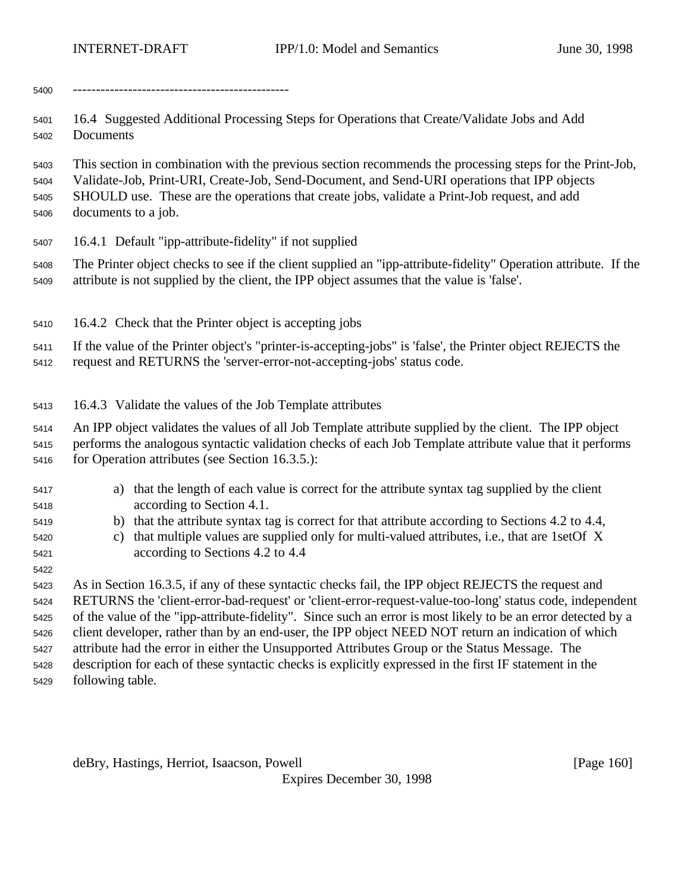-----------------------------------------------

 16.4 Suggested Additional Processing Steps for Operations that Create/Validate Jobs and Add Documents

 This section in combination with the previous section recommends the processing steps for the Print-Job, Validate-Job, Print-URI, Create-Job, Send-Document, and Send-URI operations that IPP objects SHOULD use. These are the operations that create jobs, validate a Print-Job request, and add documents to a job.

16.4.1 Default "ipp-attribute-fidelity" if not supplied

 The Printer object checks to see if the client supplied an "ipp-attribute-fidelity" Operation attribute. If the attribute is not supplied by the client, the IPP object assumes that the value is 'false'.

16.4.2 Check that the Printer object is accepting jobs

 If the value of the Printer object's "printer-is-accepting-jobs" is 'false', the Printer object REJECTS the request and RETURNS the 'server-error-not-accepting-jobs' status code.

16.4.3 Validate the values of the Job Template attributes

An IPP object validates the values of all Job Template attribute supplied by the client. The IPP object

 performs the analogous syntactic validation checks of each Job Template attribute value that it performs 5416 for Operation attributes (see Section 16.3.5.):

- a) that the length of each value is correct for the attribute syntax tag supplied by the client according to Section 4.1.
- b) that the attribute syntax tag is correct for that attribute according to Sections 4.2 to 4.4,
- c) that multiple values are supplied only for multi-valued attributes, i.e., that are 1setOf X according to Sections 4.2 to 4.4

 As in Section 16.3.5, if any of these syntactic checks fail, the IPP object REJECTS the request and RETURNS the 'client-error-bad-request' or 'client-error-request-value-too-long' status code, independent of the value of the "ipp-attribute-fidelity". Since such an error is most likely to be an error detected by a client developer, rather than by an end-user, the IPP object NEED NOT return an indication of which attribute had the error in either the Unsupported Attributes Group or the Status Message. The description for each of these syntactic checks is explicitly expressed in the first IF statement in the following table.

deBry, Hastings, Herriot, Isaacson, Powell **compared and Contract and Contract Contract (Page 160**)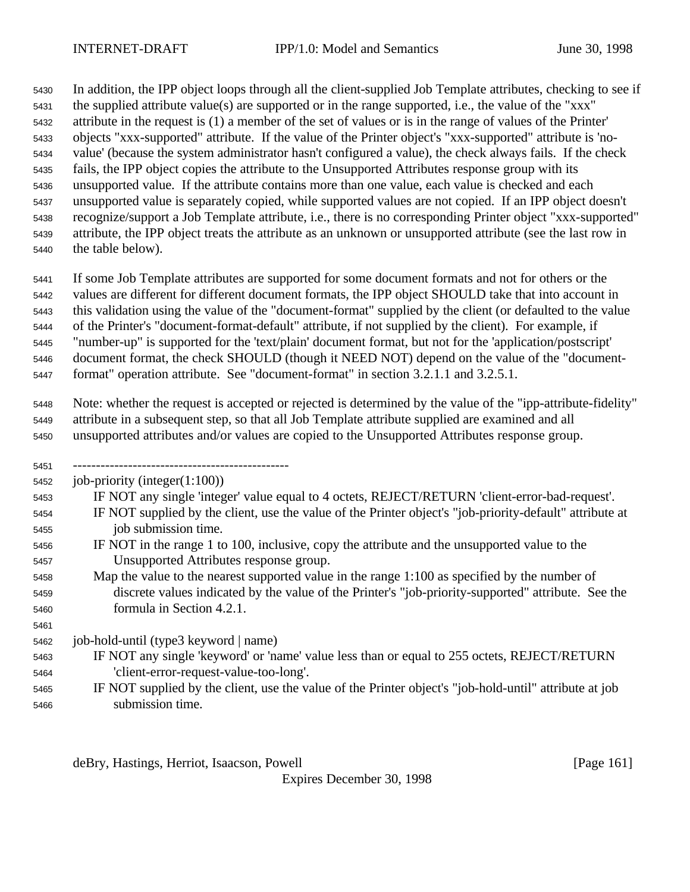In addition, the IPP object loops through all the client-supplied Job Template attributes, checking to see if the supplied attribute value(s) are supported or in the range supported, i.e., the value of the "xxx" attribute in the request is (1) a member of the set of values or is in the range of values of the Printer' objects "xxx-supported" attribute. If the value of the Printer object's "xxx-supported" attribute is 'no- value' (because the system administrator hasn't configured a value), the check always fails. If the check fails, the IPP object copies the attribute to the Unsupported Attributes response group with its unsupported value. If the attribute contains more than one value, each value is checked and each unsupported value is separately copied, while supported values are not copied. If an IPP object doesn't recognize/support a Job Template attribute, i.e., there is no corresponding Printer object "xxx-supported" attribute, the IPP object treats the attribute as an unknown or unsupported attribute (see the last row in the table below).

 If some Job Template attributes are supported for some document formats and not for others or the values are different for different document formats, the IPP object SHOULD take that into account in this validation using the value of the "document-format" supplied by the client (or defaulted to the value of the Printer's "document-format-default" attribute, if not supplied by the client). For example, if "number-up" is supported for the 'text/plain' document format, but not for the 'application/postscript' document format, the check SHOULD (though it NEED NOT) depend on the value of the "document-format" operation attribute. See "document-format" in section 3.2.1.1 and 3.2.5.1.

 Note: whether the request is accepted or rejected is determined by the value of the "ipp-attribute-fidelity" attribute in a subsequent step, so that all Job Template attribute supplied are examined and all unsupported attributes and/or values are copied to the Unsupported Attributes response group.

-----------------------------------------------

job-priority (integer(1:100))

IF NOT any single 'integer' value equal to 4 octets, REJECT/RETURN 'client-error-bad-request'.

- IF NOT supplied by the client, use the value of the Printer object's "job-priority-default" attribute at job submission time.
- IF NOT in the range 1 to 100, inclusive, copy the attribute and the unsupported value to the Unsupported Attributes response group.
- Map the value to the nearest supported value in the range 1:100 as specified by the number of discrete values indicated by the value of the Printer's "job-priority-supported" attribute. See the formula in Section 4.2.1.

job-hold-until (type3 keyword | name)

- IF NOT any single 'keyword' or 'name' value less than or equal to 255 octets, REJECT/RETURN 'client-error-request-value-too-long'.
- IF NOT supplied by the client, use the value of the Printer object's "job-hold-until" attribute at job submission time.

deBry, Hastings, Herriot, Isaacson, Powell [Page 161]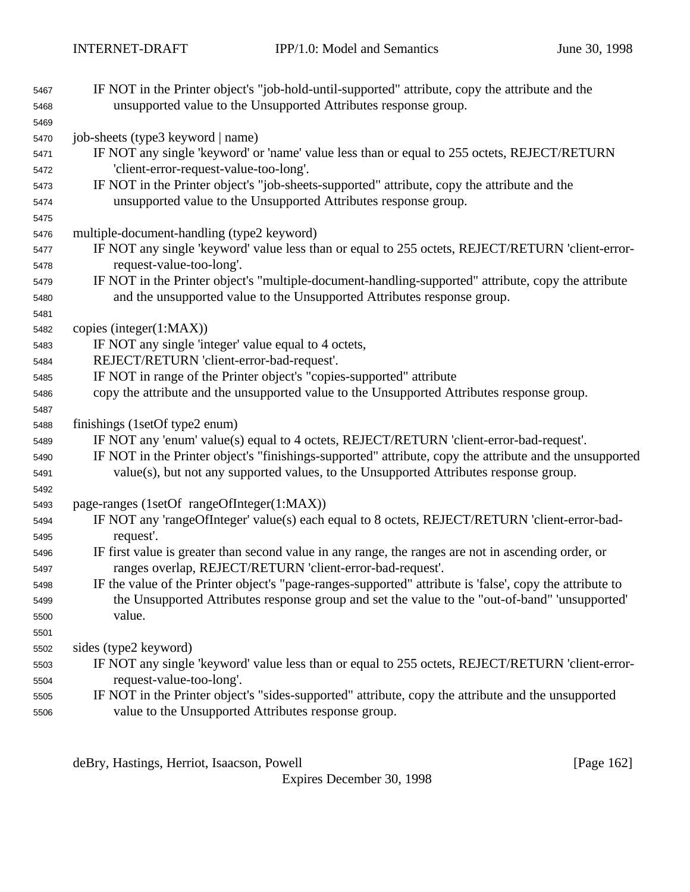| 5467         | IF NOT in the Printer object's "job-hold-until-supported" attribute, copy the attribute and the                                                                                                            |
|--------------|------------------------------------------------------------------------------------------------------------------------------------------------------------------------------------------------------------|
| 5468         | unsupported value to the Unsupported Attributes response group.                                                                                                                                            |
| 5469         |                                                                                                                                                                                                            |
| 5470         | job-sheets (type3 keyword   name)                                                                                                                                                                          |
| 5471         | IF NOT any single 'keyword' or 'name' value less than or equal to 255 octets, REJECT/RETURN                                                                                                                |
| 5472         | 'client-error-request-value-too-long'.                                                                                                                                                                     |
| 5473         | IF NOT in the Printer object's "job-sheets-supported" attribute, copy the attribute and the                                                                                                                |
| 5474         | unsupported value to the Unsupported Attributes response group.                                                                                                                                            |
| 5475         |                                                                                                                                                                                                            |
| 5476         | multiple-document-handling (type2 keyword)                                                                                                                                                                 |
| 5477         | IF NOT any single 'keyword' value less than or equal to 255 octets, REJECT/RETURN 'client-error-                                                                                                           |
| 5478         | request-value-too-long'.                                                                                                                                                                                   |
| 5479         | IF NOT in the Printer object's "multiple-document-handling-supported" attribute, copy the attribute                                                                                                        |
| 5480         | and the unsupported value to the Unsupported Attributes response group.                                                                                                                                    |
| 5481         |                                                                                                                                                                                                            |
| 5482         | copies (integer $(1:MAX)$ )                                                                                                                                                                                |
| 5483         | IF NOT any single 'integer' value equal to 4 octets,                                                                                                                                                       |
| 5484         | REJECT/RETURN 'client-error-bad-request'.                                                                                                                                                                  |
| 5485         | IF NOT in range of the Printer object's "copies-supported" attribute                                                                                                                                       |
| 5486         | copy the attribute and the unsupported value to the Unsupported Attributes response group.                                                                                                                 |
| 5487         |                                                                                                                                                                                                            |
| 5488         | finishings (1setOf type2 enum)                                                                                                                                                                             |
| 5489         | IF NOT any 'enum' value(s) equal to 4 octets, REJECT/RETURN 'client-error-bad-request'.                                                                                                                    |
| 5490         | IF NOT in the Printer object's "finishings-supported" attribute, copy the attribute and the unsupported                                                                                                    |
| 5491         | value(s), but not any supported values, to the Unsupported Attributes response group.                                                                                                                      |
| 5492         |                                                                                                                                                                                                            |
| 5493         | page-ranges (1setOf rangeOfInteger(1:MAX))                                                                                                                                                                 |
| 5494         | IF NOT any 'rangeOfInteger' value(s) each equal to 8 octets, REJECT/RETURN 'client-error-bad-                                                                                                              |
| 5495         | request'.                                                                                                                                                                                                  |
| 5496         | IF first value is greater than second value in any range, the ranges are not in ascending order, or                                                                                                        |
| 5497         | ranges overlap, REJECT/RETURN 'client-error-bad-request'.                                                                                                                                                  |
| 5498         | IF the value of the Printer object's "page-ranges-supported" attribute is 'false', copy the attribute to<br>the Unsupported Attributes response group and set the value to the "out-of-band" 'unsupported' |
| 5499         | value.                                                                                                                                                                                                     |
| 5500<br>5501 |                                                                                                                                                                                                            |
| 5502         | sides (type2 keyword)                                                                                                                                                                                      |
| 5503         | IF NOT any single 'keyword' value less than or equal to 255 octets, REJECT/RETURN 'client-error-                                                                                                           |
| 5504         | request-value-too-long'.                                                                                                                                                                                   |
| 5505         | IF NOT in the Printer object's "sides-supported" attribute, copy the attribute and the unsupported                                                                                                         |
| 5506         | value to the Unsupported Attributes response group.                                                                                                                                                        |
|              |                                                                                                                                                                                                            |

deBry, Hastings, Herriot, Isaacson, Powell [Page 162]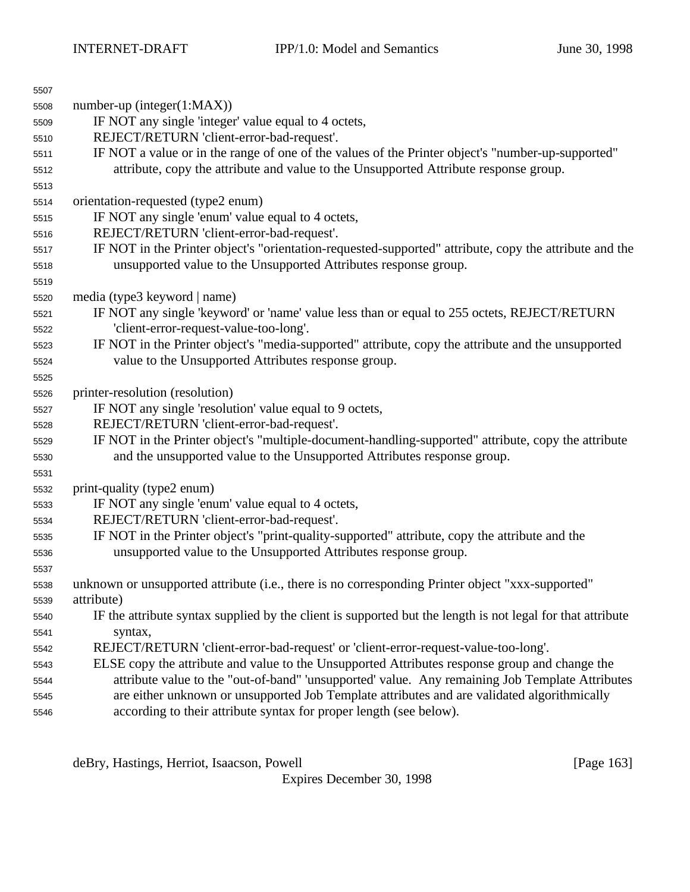| 5507 |                                                                                                            |
|------|------------------------------------------------------------------------------------------------------------|
| 5508 | number-up (integer(1:MAX))                                                                                 |
| 5509 | IF NOT any single 'integer' value equal to 4 octets,                                                       |
| 5510 | REJECT/RETURN 'client-error-bad-request'.                                                                  |
| 5511 | IF NOT a value or in the range of one of the values of the Printer object's "number-up-supported"          |
| 5512 | attribute, copy the attribute and value to the Unsupported Attribute response group.                       |
| 5513 |                                                                                                            |
| 5514 | orientation-requested (type2 enum)                                                                         |
| 5515 | IF NOT any single 'enum' value equal to 4 octets,                                                          |
| 5516 | REJECT/RETURN 'client-error-bad-request'.                                                                  |
| 5517 | IF NOT in the Printer object's "orientation-requested-supported" attribute, copy the attribute and the     |
| 5518 | unsupported value to the Unsupported Attributes response group.                                            |
| 5519 |                                                                                                            |
| 5520 | media (type3 keyword   name)                                                                               |
| 5521 | IF NOT any single 'keyword' or 'name' value less than or equal to 255 octets, REJECT/RETURN                |
| 5522 | 'client-error-request-value-too-long'.                                                                     |
| 5523 | IF NOT in the Printer object's "media-supported" attribute, copy the attribute and the unsupported         |
| 5524 | value to the Unsupported Attributes response group.                                                        |
| 5525 |                                                                                                            |
| 5526 | printer-resolution (resolution)                                                                            |
| 5527 | IF NOT any single 'resolution' value equal to 9 octets,                                                    |
| 5528 | REJECT/RETURN 'client-error-bad-request'.                                                                  |
| 5529 | IF NOT in the Printer object's "multiple-document-handling-supported" attribute, copy the attribute        |
| 5530 | and the unsupported value to the Unsupported Attributes response group.                                    |
| 5531 |                                                                                                            |
| 5532 | print-quality (type2 enum)                                                                                 |
| 5533 | IF NOT any single 'enum' value equal to 4 octets,                                                          |
| 5534 | REJECT/RETURN 'client-error-bad-request'.                                                                  |
| 5535 | IF NOT in the Printer object's "print-quality-supported" attribute, copy the attribute and the             |
| 5536 | unsupported value to the Unsupported Attributes response group.                                            |
| 5537 |                                                                                                            |
| 5538 | unknown or unsupported attribute (i.e., there is no corresponding Printer object "xxx-supported"           |
| 5539 | attribute)                                                                                                 |
| 5540 | IF the attribute syntax supplied by the client is supported but the length is not legal for that attribute |
| 5541 | syntax,                                                                                                    |
| 5542 | REJECT/RETURN 'client-error-bad-request' or 'client-error-request-value-too-long'.                         |
| 5543 | ELSE copy the attribute and value to the Unsupported Attributes response group and change the              |
| 5544 | attribute value to the "out-of-band" 'unsupported' value. Any remaining Job Template Attributes            |
| 5545 | are either unknown or unsupported Job Template attributes and are validated algorithmically                |
| 5546 | according to their attribute syntax for proper length (see below).                                         |

deBry, Hastings, Herriot, Isaacson, Powell [Page 163]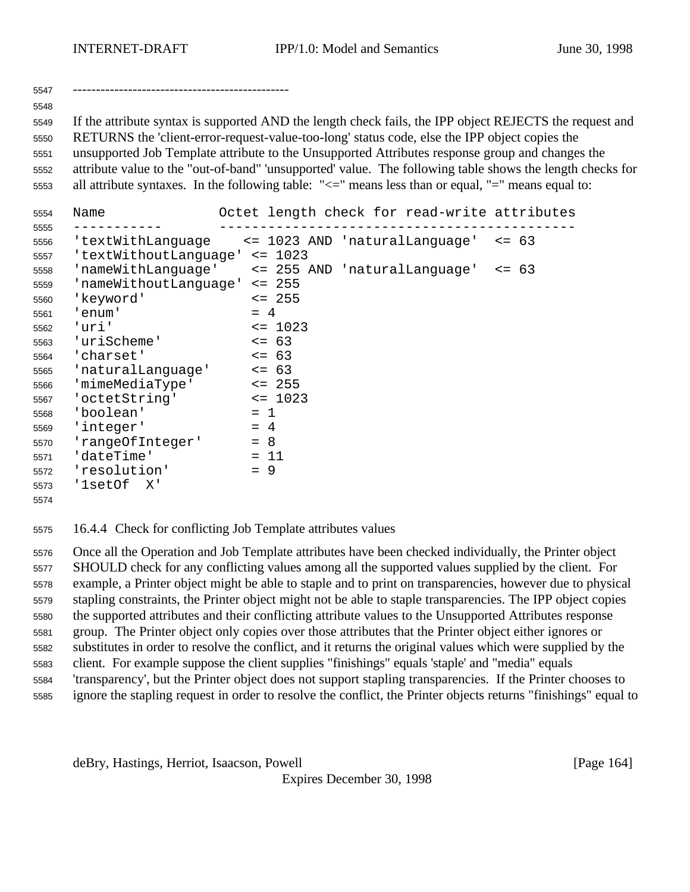-----------------------------------------------

 If the attribute syntax is supported AND the length check fails, the IPP object REJECTS the request and RETURNS the 'client-error-request-value-too-long' status code, else the IPP object copies the unsupported Job Template attribute to the Unsupported Attributes response group and changes the attribute value to the "out-of-band" 'unsupported' value. The following table shows the length checks for all attribute syntaxes. In the following table: "<=" means less than or equal, "=" means equal to:

| 5554 | Name                  | Octet length check for read-write attributes |                    |
|------|-----------------------|----------------------------------------------|--------------------|
| 5555 |                       |                                              |                    |
| 5556 | 'textWithLanguage     | <= 1023 AND 'naturalLanguage'                | 63<br>$\leq$ $=$   |
| 5557 | 'textWithoutLanguage' | $\leq$ 1023                                  |                    |
| 5558 | 'nameWithLanguage'    | <= 255 AND 'naturalLanguage'                 | - 63<br>$\leq$ $=$ |
| 5559 | 'nameWithoutLanguage' | $\leq$ 255                                   |                    |
| 5560 | 'keyword'             | $\leq$ 255                                   |                    |
| 5561 | 'enum'                | $= 4$                                        |                    |
| 5562 | 'uri'                 | $\leq$ 1023                                  |                    |
| 5563 | 'uriScheme'           | $\leq$ 63                                    |                    |
| 5564 | 'charset'             | $\leq -63$                                   |                    |
| 5565 | 'naturalLanguage'     | $\leq$ 63                                    |                    |
| 5566 | 'mimeMediaType'       | $\leq$ 255                                   |                    |
| 5567 | 'octetString'         | $\leq$ 1023                                  |                    |
| 5568 | 'boolean'             | $= 1$                                        |                    |
| 5569 | 'integer'             | $= 4$                                        |                    |
| 5570 | 'rangeOfInteger'      | $= 8$                                        |                    |
| 5571 | 'dateTime'            | $= 11$                                       |                    |
| 5572 | 'resolution'          | $= 9$                                        |                    |
| 5573 | 'lsetOf<br>– X '      |                                              |                    |
| 5574 |                       |                                              |                    |

16.4.4 Check for conflicting Job Template attributes values

 Once all the Operation and Job Template attributes have been checked individually, the Printer object SHOULD check for any conflicting values among all the supported values supplied by the client. For example, a Printer object might be able to staple and to print on transparencies, however due to physical stapling constraints, the Printer object might not be able to staple transparencies. The IPP object copies the supported attributes and their conflicting attribute values to the Unsupported Attributes response group. The Printer object only copies over those attributes that the Printer object either ignores or substitutes in order to resolve the conflict, and it returns the original values which were supplied by the client. For example suppose the client supplies "finishings" equals 'staple' and "media" equals 'transparency', but the Printer object does not support stapling transparencies. If the Printer chooses to ignore the stapling request in order to resolve the conflict, the Printer objects returns "finishings" equal to

deBry, Hastings, Herriot, Isaacson, Powell [Page 164]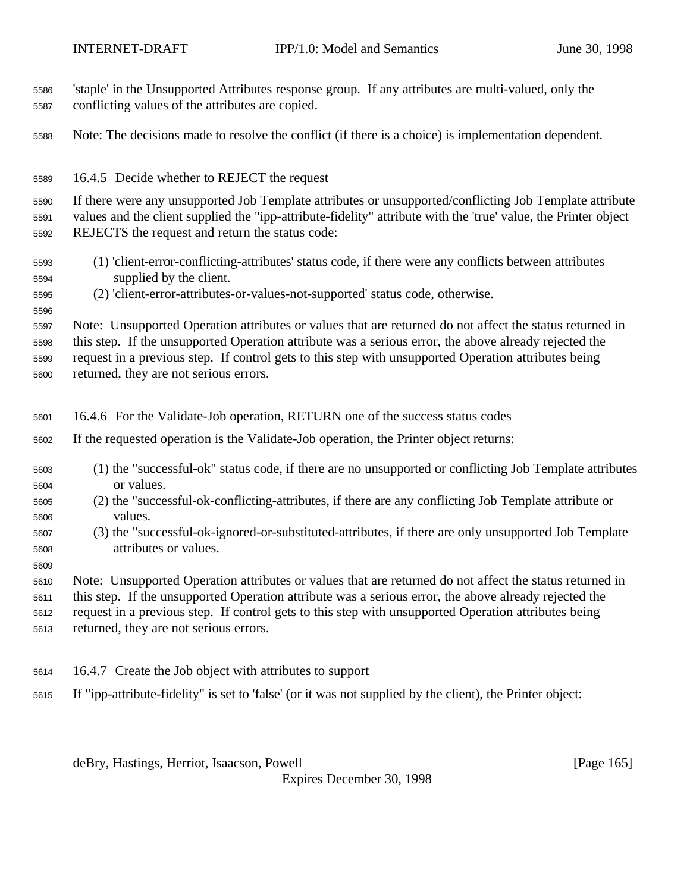| 5586<br>5587 | 'staple' in the Unsupported Attributes response group. If any attributes are multi-valued, only the<br>conflicting values of the attributes are copied.            |
|--------------|--------------------------------------------------------------------------------------------------------------------------------------------------------------------|
| 5588         | Note: The decisions made to resolve the conflict (if there is a choice) is implementation dependent.                                                               |
| 5589         | 16.4.5 Decide whether to REJECT the request                                                                                                                        |
| 5590         | If there were any unsupported Job Template attributes or unsupported/conflicting Job Template attribute                                                            |
| 5591<br>5592 | values and the client supplied the "ipp-attribute-fidelity" attribute with the 'true' value, the Printer object<br>REJECTS the request and return the status code: |
| 5593<br>5594 | (1) 'client-error-conflicting-attributes' status code, if there were any conflicts between attributes<br>supplied by the client.                                   |
| 5595<br>5596 | (2) 'client-error-attributes-or-values-not-supported' status code, otherwise.                                                                                      |
| 5597         | Note: Unsupported Operation attributes or values that are returned do not affect the status returned in                                                            |
| 5598         | this step. If the unsupported Operation attribute was a serious error, the above already rejected the                                                              |
| 5599         | request in a previous step. If control gets to this step with unsupported Operation attributes being                                                               |
| 5600         | returned, they are not serious errors.                                                                                                                             |
|              |                                                                                                                                                                    |
| 5601         | 16.4.6 For the Validate-Job operation, RETURN one of the success status codes                                                                                      |
| 5602         | If the requested operation is the Validate-Job operation, the Printer object returns:                                                                              |
| 5603         | (1) the "successful-ok" status code, if there are no unsupported or conflicting Job Template attributes                                                            |
| 5604<br>5605 | or values.<br>(2) the "successful-ok-conflicting-attributes, if there are any conflicting Job Template attribute or                                                |
| 5606<br>5607 | values.                                                                                                                                                            |
| 5608         | (3) the "successful-ok-ignored-or-substituted-attributes, if there are only unsupported Job Template<br>attributes or values.                                      |
| 5609         |                                                                                                                                                                    |
| 5610         | Note: Unsupported Operation attributes or values that are returned do not affect the status returned in                                                            |
| 5611         | this step. If the unsupported Operation attribute was a serious error, the above already rejected the                                                              |
| 5612<br>5613 | request in a previous step. If control gets to this step with unsupported Operation attributes being<br>returned, they are not serious errors.                     |

If "ipp-attribute-fidelity" is set to 'false' (or it was not supplied by the client), the Printer object:

deBry, Hastings, Herriot, Isaacson, Powell [Page 165]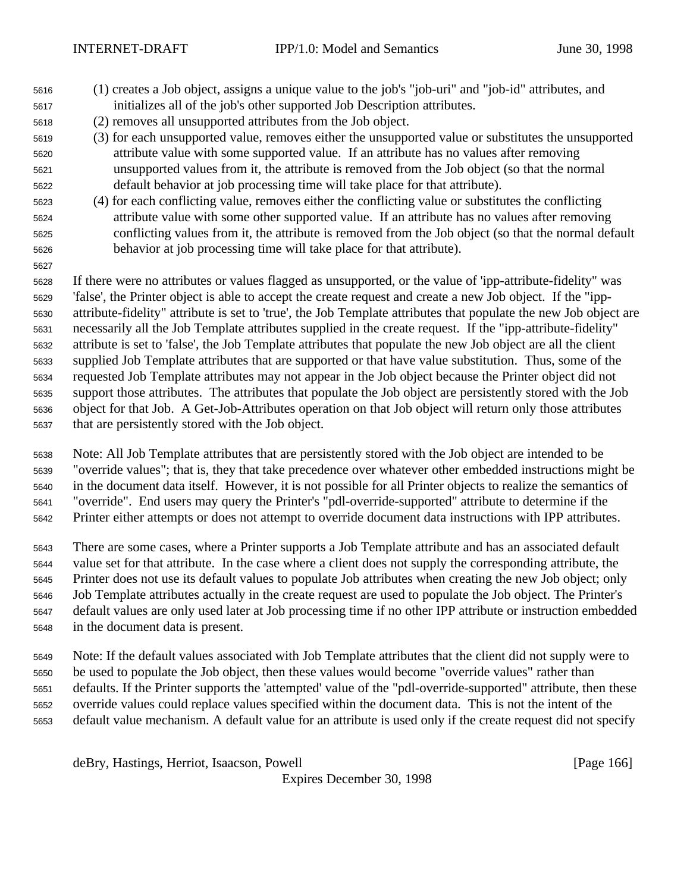- (1) creates a Job object, assigns a unique value to the job's "job-uri" and "job-id" attributes, and initializes all of the job's other supported Job Description attributes.
- (2) removes all unsupported attributes from the Job object.
- (3) for each unsupported value, removes either the unsupported value or substitutes the unsupported attribute value with some supported value. If an attribute has no values after removing unsupported values from it, the attribute is removed from the Job object (so that the normal default behavior at job processing time will take place for that attribute).
- (4) for each conflicting value, removes either the conflicting value or substitutes the conflicting attribute value with some other supported value. If an attribute has no values after removing conflicting values from it, the attribute is removed from the Job object (so that the normal default behavior at job processing time will take place for that attribute).
- If there were no attributes or values flagged as unsupported, or the value of 'ipp-attribute-fidelity" was 'false', the Printer object is able to accept the create request and create a new Job object. If the "ipp- attribute-fidelity" attribute is set to 'true', the Job Template attributes that populate the new Job object are necessarily all the Job Template attributes supplied in the create request. If the "ipp-attribute-fidelity" attribute is set to 'false', the Job Template attributes that populate the new Job object are all the client supplied Job Template attributes that are supported or that have value substitution. Thus, some of the requested Job Template attributes may not appear in the Job object because the Printer object did not support those attributes. The attributes that populate the Job object are persistently stored with the Job object for that Job. A Get-Job-Attributes operation on that Job object will return only those attributes that are persistently stored with the Job object.
- Note: All Job Template attributes that are persistently stored with the Job object are intended to be "override values"; that is, they that take precedence over whatever other embedded instructions might be in the document data itself. However, it is not possible for all Printer objects to realize the semantics of "override". End users may query the Printer's "pdl-override-supported" attribute to determine if the Printer either attempts or does not attempt to override document data instructions with IPP attributes.
- There are some cases, where a Printer supports a Job Template attribute and has an associated default value set for that attribute. In the case where a client does not supply the corresponding attribute, the Printer does not use its default values to populate Job attributes when creating the new Job object; only Job Template attributes actually in the create request are used to populate the Job object. The Printer's default values are only used later at Job processing time if no other IPP attribute or instruction embedded in the document data is present.
- Note: If the default values associated with Job Template attributes that the client did not supply were to be used to populate the Job object, then these values would become "override values" rather than defaults. If the Printer supports the 'attempted' value of the "pdl-override-supported" attribute, then these override values could replace values specified within the document data. This is not the intent of the default value mechanism. A default value for an attribute is used only if the create request did not specify

deBry, Hastings, Herriot, Isaacson, Powell [Page 166]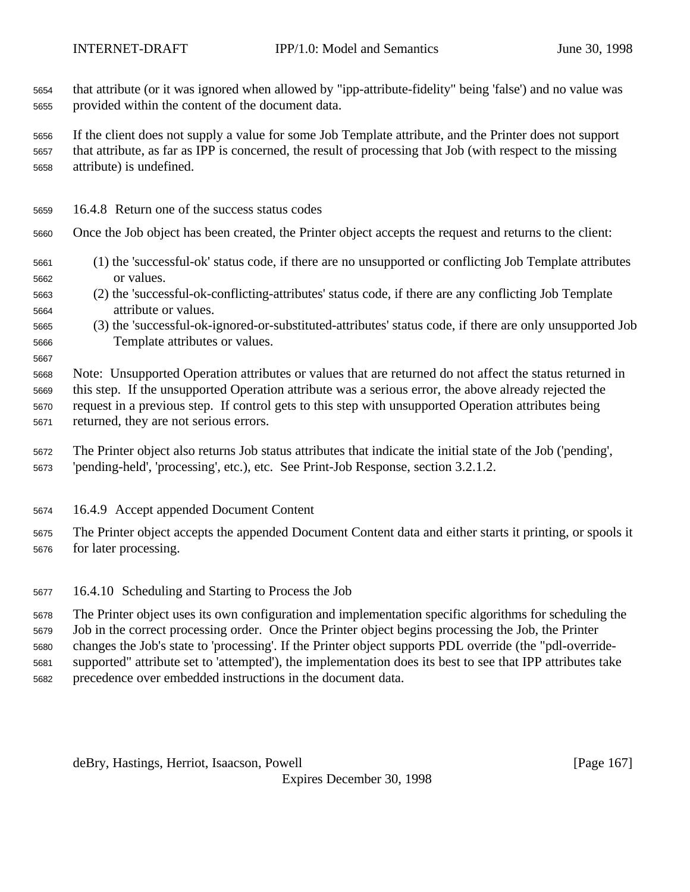that attribute (or it was ignored when allowed by "ipp-attribute-fidelity" being 'false') and no value was provided within the content of the document data.

 If the client does not supply a value for some Job Template attribute, and the Printer does not support that attribute, as far as IPP is concerned, the result of processing that Job (with respect to the missing attribute) is undefined.

16.4.8 Return one of the success status codes

Once the Job object has been created, the Printer object accepts the request and returns to the client:

- (1) the 'successful-ok' status code, if there are no unsupported or conflicting Job Template attributes or values.
- (2) the 'successful-ok-conflicting-attributes' status code, if there are any conflicting Job Template attribute or values.
- (3) the 'successful-ok-ignored-or-substituted-attributes' status code, if there are only unsupported Job Template attributes or values.
- 

 Note: Unsupported Operation attributes or values that are returned do not affect the status returned in this step. If the unsupported Operation attribute was a serious error, the above already rejected the request in a previous step. If control gets to this step with unsupported Operation attributes being returned, they are not serious errors.

 The Printer object also returns Job status attributes that indicate the initial state of the Job ('pending', 'pending-held', 'processing', etc.), etc. See Print-Job Response, section 3.2.1.2.

16.4.9 Accept appended Document Content

 The Printer object accepts the appended Document Content data and either starts it printing, or spools it for later processing.

16.4.10 Scheduling and Starting to Process the Job

 The Printer object uses its own configuration and implementation specific algorithms for scheduling the Job in the correct processing order. Once the Printer object begins processing the Job, the Printer changes the Job's state to 'processing'. If the Printer object supports PDL override (the "pdl-override- supported" attribute set to 'attempted'), the implementation does its best to see that IPP attributes take precedence over embedded instructions in the document data.

deBry, Hastings, Herriot, Isaacson, Powell **compared and Contract and Contract Contract (Page 167**)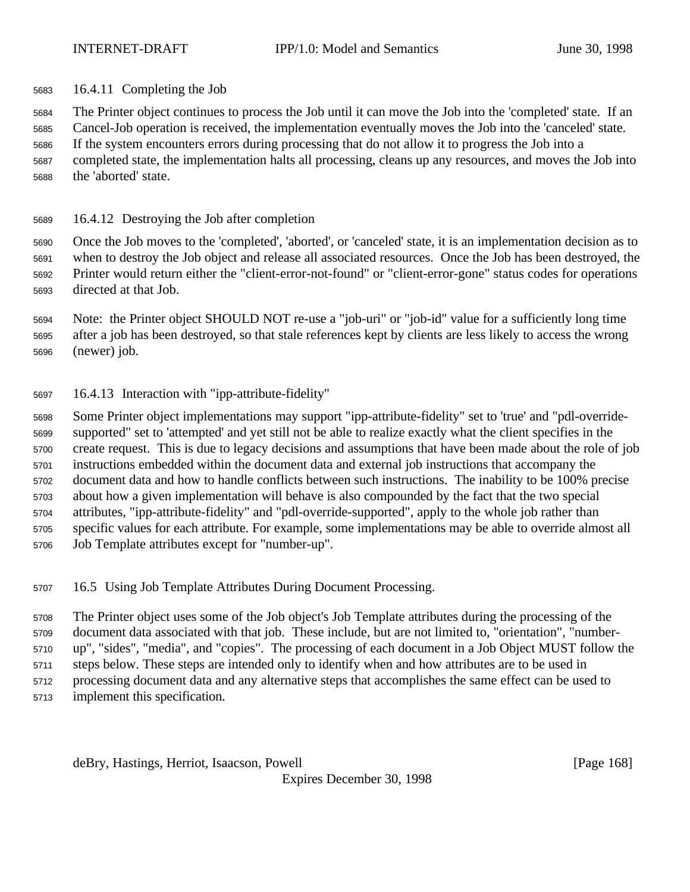16.4.11 Completing the Job

 The Printer object continues to process the Job until it can move the Job into the 'completed' state. If an Cancel-Job operation is received, the implementation eventually moves the Job into the 'canceled' state.

If the system encounters errors during processing that do not allow it to progress the Job into a

 completed state, the implementation halts all processing, cleans up any resources, and moves the Job into the 'aborted' state.

16.4.12 Destroying the Job after completion

 Once the Job moves to the 'completed', 'aborted', or 'canceled' state, it is an implementation decision as to when to destroy the Job object and release all associated resources. Once the Job has been destroyed, the Printer would return either the "client-error-not-found" or "client-error-gone" status codes for operations directed at that Job.

 Note: the Printer object SHOULD NOT re-use a "job-uri" or "job-id" value for a sufficiently long time after a job has been destroyed, so that stale references kept by clients are less likely to access the wrong (newer) job.

16.4.13 Interaction with "ipp-attribute-fidelity"

 Some Printer object implementations may support "ipp-attribute-fidelity" set to 'true' and "pdl-override- supported" set to 'attempted' and yet still not be able to realize exactly what the client specifies in the create request. This is due to legacy decisions and assumptions that have been made about the role of job instructions embedded within the document data and external job instructions that accompany the document data and how to handle conflicts between such instructions. The inability to be 100% precise about how a given implementation will behave is also compounded by the fact that the two special attributes, "ipp-attribute-fidelity" and "pdl-override-supported", apply to the whole job rather than specific values for each attribute. For example, some implementations may be able to override almost all Job Template attributes except for "number-up".

16.5 Using Job Template Attributes During Document Processing.

 The Printer object uses some of the Job object's Job Template attributes during the processing of the document data associated with that job. These include, but are not limited to, "orientation", "number- up", "sides", "media", and "copies". The processing of each document in a Job Object MUST follow the steps below. These steps are intended only to identify when and how attributes are to be used in processing document data and any alternative steps that accomplishes the same effect can be used to implement this specification.

deBry, Hastings, Herriot, Isaacson, Powell **compared and Contract and Contract Contract (Page 168**)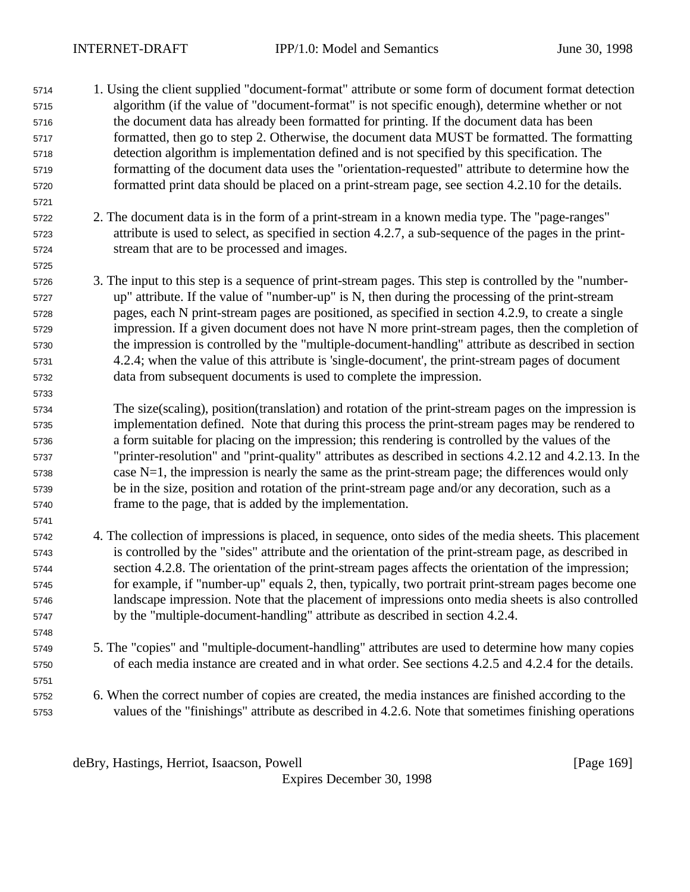- 1. Using the client supplied "document-format" attribute or some form of document format detection algorithm (if the value of "document-format" is not specific enough), determine whether or not the document data has already been formatted for printing. If the document data has been formatted, then go to step 2. Otherwise, the document data MUST be formatted. The formatting detection algorithm is implementation defined and is not specified by this specification. The formatting of the document data uses the "orientation-requested" attribute to determine how the formatted print data should be placed on a print-stream page, see section 4.2.10 for the details.
- 2. The document data is in the form of a print-stream in a known media type. The "page-ranges" attribute is used to select, as specified in section 4.2.7, a sub-sequence of the pages in the print-stream that are to be processed and images.
- 3. The input to this step is a sequence of print-stream pages. This step is controlled by the "number- up" attribute. If the value of "number-up" is N, then during the processing of the print-stream pages, each N print-stream pages are positioned, as specified in section 4.2.9, to create a single impression. If a given document does not have N more print-stream pages, then the completion of the impression is controlled by the "multiple-document-handling" attribute as described in section 4.2.4; when the value of this attribute is 'single-document', the print-stream pages of document data from subsequent documents is used to complete the impression.
- The size(scaling), position(translation) and rotation of the print-stream pages on the impression is implementation defined. Note that during this process the print-stream pages may be rendered to a form suitable for placing on the impression; this rendering is controlled by the values of the "printer-resolution" and "print-quality" attributes as described in sections 4.2.12 and 4.2.13. In the case N=1, the impression is nearly the same as the print-stream page; the differences would only be in the size, position and rotation of the print-stream page and/or any decoration, such as a frame to the page, that is added by the implementation.
- 4. The collection of impressions is placed, in sequence, onto sides of the media sheets. This placement is controlled by the "sides" attribute and the orientation of the print-stream page, as described in section 4.2.8. The orientation of the print-stream pages affects the orientation of the impression; for example, if "number-up" equals 2, then, typically, two portrait print-stream pages become one landscape impression. Note that the placement of impressions onto media sheets is also controlled by the "multiple-document-handling" attribute as described in section 4.2.4.
- 5. The "copies" and "multiple-document-handling" attributes are used to determine how many copies of each media instance are created and in what order. See sections 4.2.5 and 4.2.4 for the details.
- 6. When the correct number of copies are created, the media instances are finished according to the values of the "finishings" attribute as described in 4.2.6. Note that sometimes finishing operations

deBry, Hastings, Herriot, Isaacson, Powell [Page 169]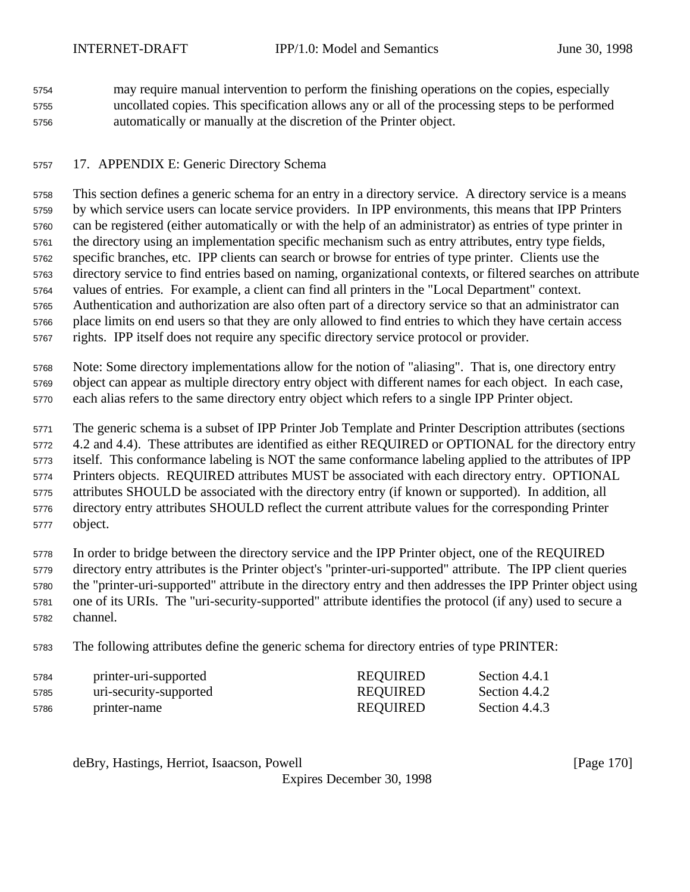may require manual intervention to perform the finishing operations on the copies, especially uncollated copies. This specification allows any or all of the processing steps to be performed automatically or manually at the discretion of the Printer object.

## 17. APPENDIX E: Generic Directory Schema

 This section defines a generic schema for an entry in a directory service. A directory service is a means by which service users can locate service providers. In IPP environments, this means that IPP Printers can be registered (either automatically or with the help of an administrator) as entries of type printer in the directory using an implementation specific mechanism such as entry attributes, entry type fields, specific branches, etc. IPP clients can search or browse for entries of type printer. Clients use the directory service to find entries based on naming, organizational contexts, or filtered searches on attribute values of entries. For example, a client can find all printers in the "Local Department" context. Authentication and authorization are also often part of a directory service so that an administrator can place limits on end users so that they are only allowed to find entries to which they have certain access rights. IPP itself does not require any specific directory service protocol or provider.

 Note: Some directory implementations allow for the notion of "aliasing". That is, one directory entry object can appear as multiple directory entry object with different names for each object. In each case, each alias refers to the same directory entry object which refers to a single IPP Printer object.

The generic schema is a subset of IPP Printer Job Template and Printer Description attributes (sections

4.2 and 4.4). These attributes are identified as either REQUIRED or OPTIONAL for the directory entry

itself. This conformance labeling is NOT the same conformance labeling applied to the attributes of IPP

Printers objects. REQUIRED attributes MUST be associated with each directory entry. OPTIONAL

 attributes SHOULD be associated with the directory entry (if known or supported). In addition, all directory entry attributes SHOULD reflect the current attribute values for the corresponding Printer

object.

 In order to bridge between the directory service and the IPP Printer object, one of the REQUIRED directory entry attributes is the Printer object's "printer-uri-supported" attribute. The IPP client queries the "printer-uri-supported" attribute in the directory entry and then addresses the IPP Printer object using one of its URIs. The "uri-security-supported" attribute identifies the protocol (if any) used to secure a channel.

The following attributes define the generic schema for directory entries of type PRINTER:

| 5784 | printer-uri-supported  | <b>REQUIRED</b> | Section 4.4.1 |
|------|------------------------|-----------------|---------------|
| 5785 | uri-security-supported | REQUIRED        | Section 4.4.2 |
| 5786 | printer-name           | REQUIRED        | Section 4.4.3 |

deBry, Hastings, Herriot, Isaacson, Powell [Page 170]